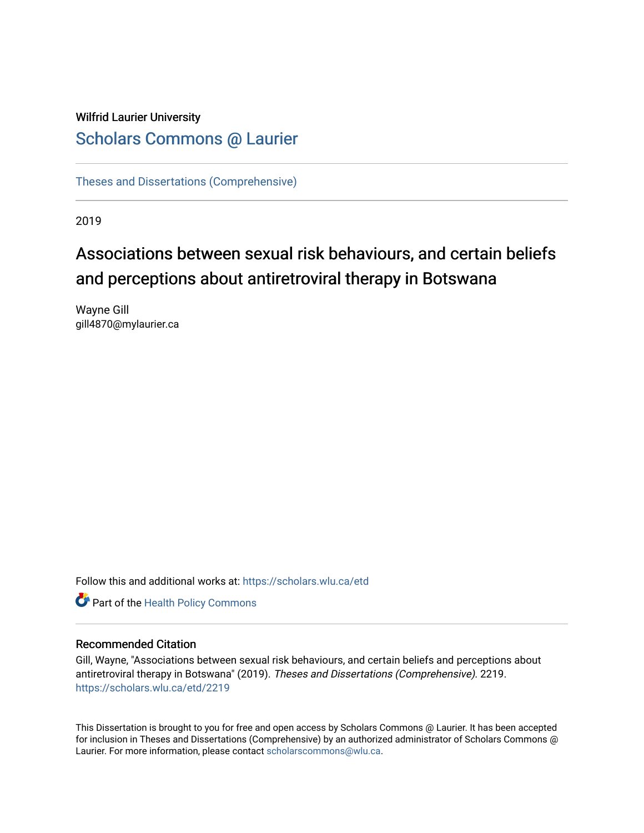# Wilfrid Laurier University

# [Scholars Commons @ Laurier](https://scholars.wlu.ca/)

[Theses and Dissertations \(Comprehensive\)](https://scholars.wlu.ca/etd) 

2019

# Associations between sexual risk behaviours, and certain beliefs and perceptions about antiretroviral therapy in Botswana

Wayne Gill gill4870@mylaurier.ca

Follow this and additional works at: [https://scholars.wlu.ca/etd](https://scholars.wlu.ca/etd?utm_source=scholars.wlu.ca%2Fetd%2F2219&utm_medium=PDF&utm_campaign=PDFCoverPages) 



#### Recommended Citation

Gill, Wayne, "Associations between sexual risk behaviours, and certain beliefs and perceptions about antiretroviral therapy in Botswana" (2019). Theses and Dissertations (Comprehensive). 2219. [https://scholars.wlu.ca/etd/2219](https://scholars.wlu.ca/etd/2219?utm_source=scholars.wlu.ca%2Fetd%2F2219&utm_medium=PDF&utm_campaign=PDFCoverPages) 

This Dissertation is brought to you for free and open access by Scholars Commons @ Laurier. It has been accepted for inclusion in Theses and Dissertations (Comprehensive) by an authorized administrator of Scholars Commons @ Laurier. For more information, please contact [scholarscommons@wlu.ca](mailto:scholarscommons@wlu.ca).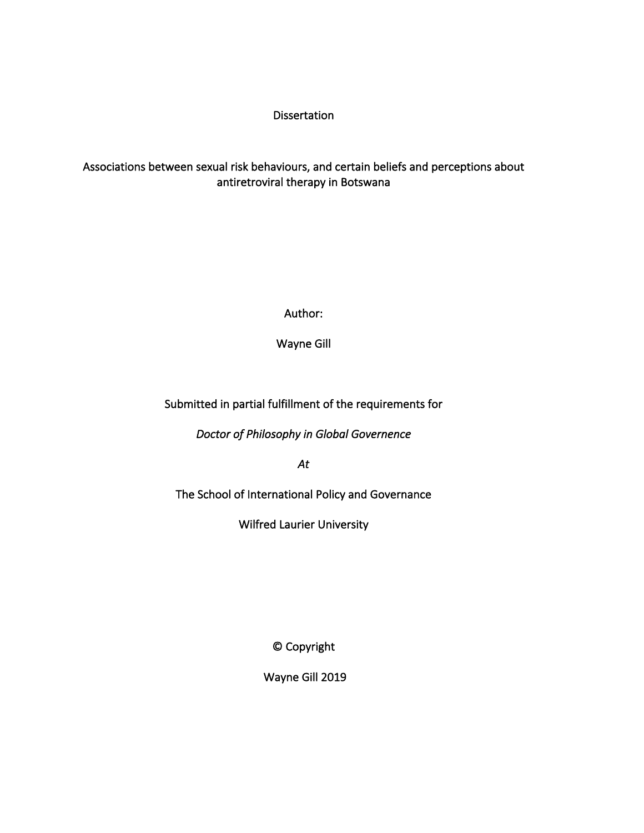### Dissertation

## Associations between sexual risk behaviours, and certain beliefs and perceptions about antiretroviral therapy in Botswana

Author:

Wayne Gill

## Submitted in partial fulfillment of the requirements for

*Doctor of Philosophy in Global Governence* 

*At* 

The School of International Policy and Governance

Wilfred Laurier University

© Copyright

Wayne Gill 2019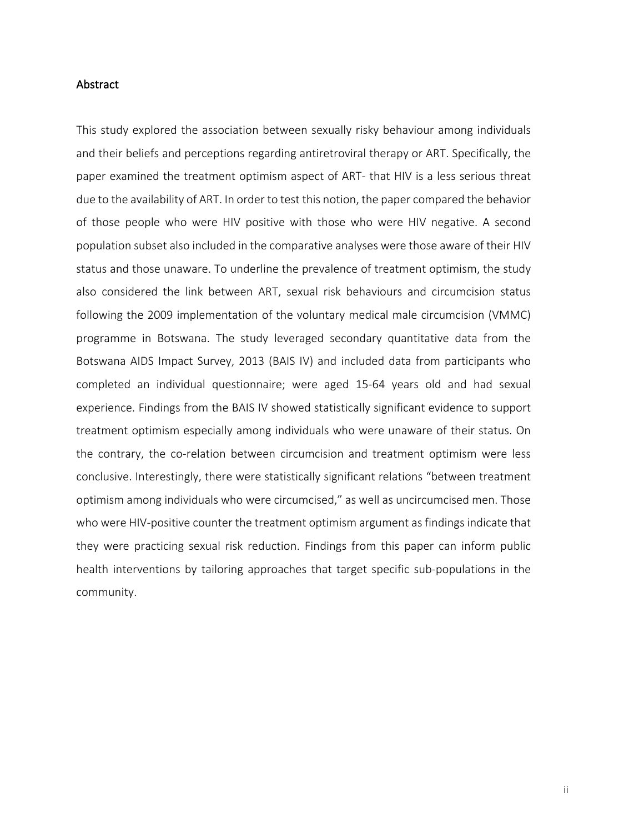#### Abstract

This study explored the association between sexually risky behaviour among individuals and their beliefs and perceptions regarding antiretroviral therapy or ART. Specifically, the paper examined the treatment optimism aspect of ART- that HIV is a less serious threat due to the availability of ART. In order to test this notion, the paper compared the behavior of those people who were HIV positive with those who were HIV negative. A second population subset also included in the comparative analyses were those aware of their HIV status and those unaware. To underline the prevalence of treatment optimism, the study also considered the link between ART, sexual risk behaviours and circumcision status following the 2009 implementation of the voluntary medical male circumcision (VMMC) programme in Botswana. The study leveraged secondary quantitative data from the Botswana AIDS Impact Survey, 2013 (BAIS IV) and included data from participants who completed an individual questionnaire; were aged 15-64 years old and had sexual experience. Findings from the BAIS IV showed statistically significant evidence to support treatment optimism especially among individuals who were unaware of their status. On the contrary, the co-relation between circumcision and treatment optimism were less conclusive. Interestingly, there were statistically significant relations "between treatment optimism among individuals who were circumcised," as well as uncircumcised men. Those who were HIV-positive counter the treatment optimism argument as findings indicate that they were practicing sexual risk reduction. Findings from this paper can inform public health interventions by tailoring approaches that target specific sub-populations in the community.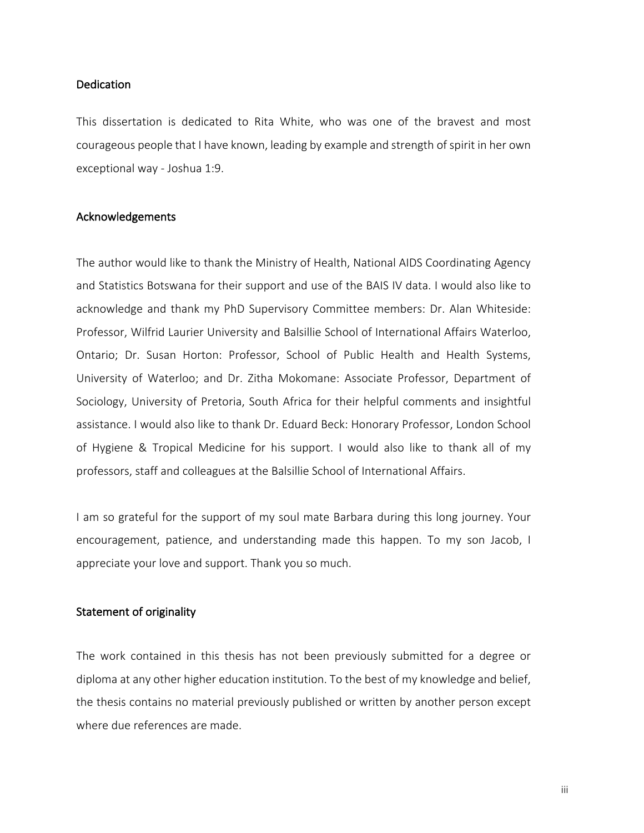#### Dedication

This dissertation is dedicated to Rita White, who was one of the bravest and most courageous people that I have known, leading by example and strength of spirit in her own exceptional way - Joshua 1:9.

#### Acknowledgements

The author would like to thank the Ministry of Health, National AIDS Coordinating Agency and Statistics Botswana for their support and use of the BAIS IV data. I would also like to acknowledge and thank my PhD Supervisory Committee members: Dr. Alan Whiteside: Professor, Wilfrid Laurier University and Balsillie School of International Affairs Waterloo, Ontario; Dr. Susan Horton: Professor, School of Public Health and Health Systems, University of Waterloo; and Dr. Zitha Mokomane: Associate Professor, Department of Sociology, University of Pretoria, South Africa for their helpful comments and insightful assistance. I would also like to thank Dr. Eduard Beck: Honorary Professor, London School of Hygiene & Tropical Medicine for his support. I would also like to thank all of my professors, staff and colleagues at the Balsillie School of International Affairs.

I am so grateful for the support of my soul mate Barbara during this long journey. Your encouragement, patience, and understanding made this happen. To my son Jacob, I appreciate your love and support. Thank you so much.

#### Statement of originality

The work contained in this thesis has not been previously submitted for a degree or diploma at any other higher education institution. To the best of my knowledge and belief, the thesis contains no material previously published or written by another person except where due references are made.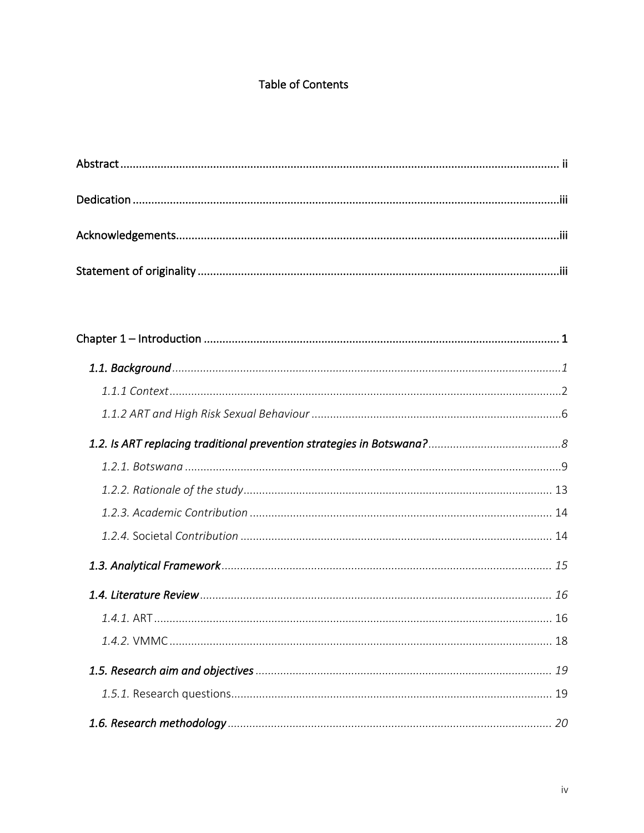# **Table of Contents**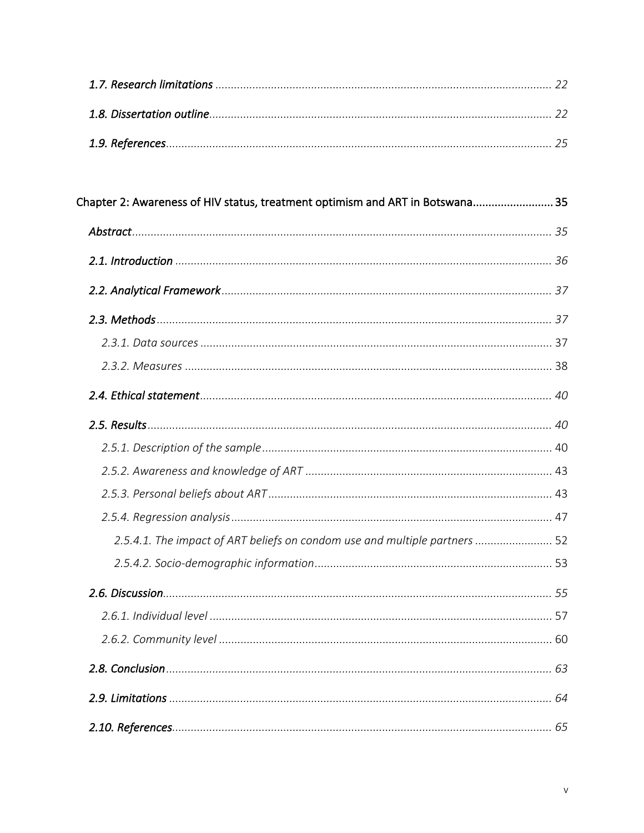| Chapter 2: Awareness of HIV status, treatment optimism and ART in Botswana 35 |  |
|-------------------------------------------------------------------------------|--|
|                                                                               |  |
|                                                                               |  |
|                                                                               |  |
|                                                                               |  |
|                                                                               |  |
|                                                                               |  |
|                                                                               |  |
|                                                                               |  |
|                                                                               |  |
|                                                                               |  |
|                                                                               |  |
|                                                                               |  |
| 2.5.4.1. The impact of ART beliefs on condom use and multiple partners  52    |  |
|                                                                               |  |
|                                                                               |  |
|                                                                               |  |
|                                                                               |  |
|                                                                               |  |
|                                                                               |  |
|                                                                               |  |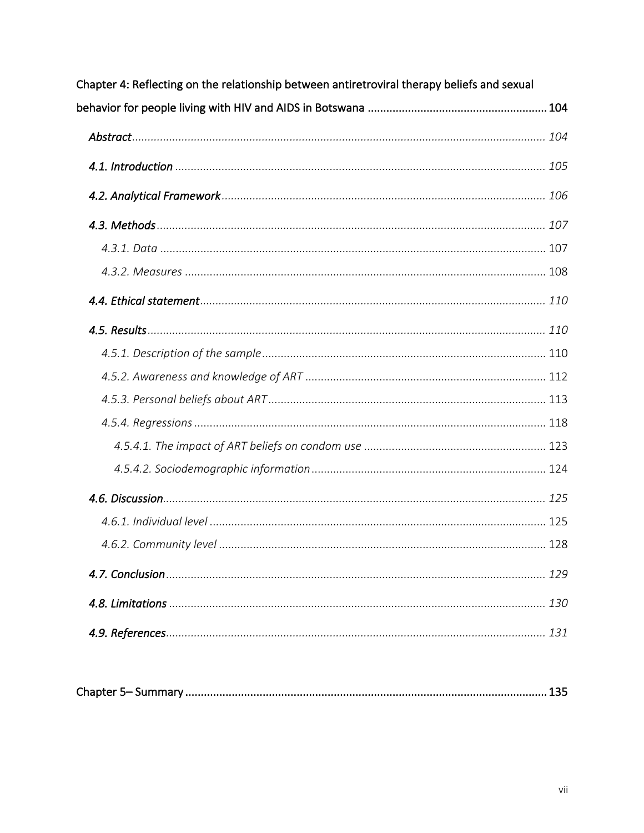| Chapter 4: Reflecting on the relationship between antiretroviral therapy beliefs and sexual |     |  |
|---------------------------------------------------------------------------------------------|-----|--|
|                                                                                             |     |  |
|                                                                                             |     |  |
|                                                                                             |     |  |
|                                                                                             |     |  |
|                                                                                             |     |  |
|                                                                                             |     |  |
|                                                                                             |     |  |
|                                                                                             |     |  |
|                                                                                             |     |  |
|                                                                                             |     |  |
|                                                                                             |     |  |
|                                                                                             |     |  |
|                                                                                             |     |  |
|                                                                                             |     |  |
|                                                                                             |     |  |
|                                                                                             |     |  |
|                                                                                             |     |  |
|                                                                                             |     |  |
|                                                                                             | 129 |  |
|                                                                                             | 130 |  |
|                                                                                             |     |  |
|                                                                                             |     |  |

|--|--|--|--|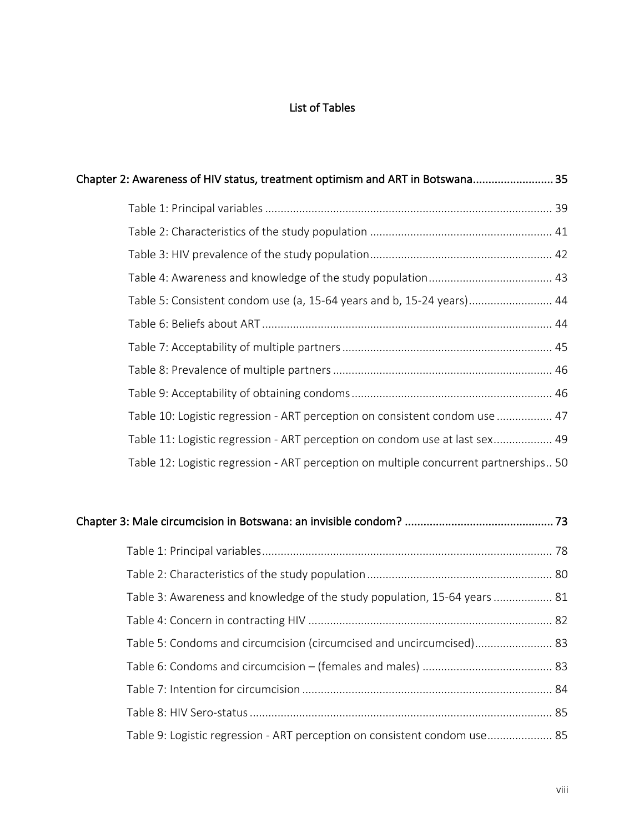# List of Tables

| Chapter 2: Awareness of HIV status, treatment optimism and ART in Botswana 35         |  |
|---------------------------------------------------------------------------------------|--|
|                                                                                       |  |
|                                                                                       |  |
|                                                                                       |  |
|                                                                                       |  |
| Table 5: Consistent condom use (a, 15-64 years and b, 15-24 years) 44                 |  |
|                                                                                       |  |
|                                                                                       |  |
|                                                                                       |  |
|                                                                                       |  |
| Table 10: Logistic regression - ART perception on consistent condom use  47           |  |
| Table 11: Logistic regression - ART perception on condom use at last sex 49           |  |
| Table 12: Logistic regression - ART perception on multiple concurrent partnerships 50 |  |
|                                                                                       |  |

| Table 3: Awareness and knowledge of the study population, 15-64 years  81 |  |
|---------------------------------------------------------------------------|--|
|                                                                           |  |
| Table 5: Condoms and circumcision (circumcised and uncircumcised) 83      |  |
|                                                                           |  |
|                                                                           |  |
|                                                                           |  |
| Table 9: Logistic regression - ART perception on consistent condom use 85 |  |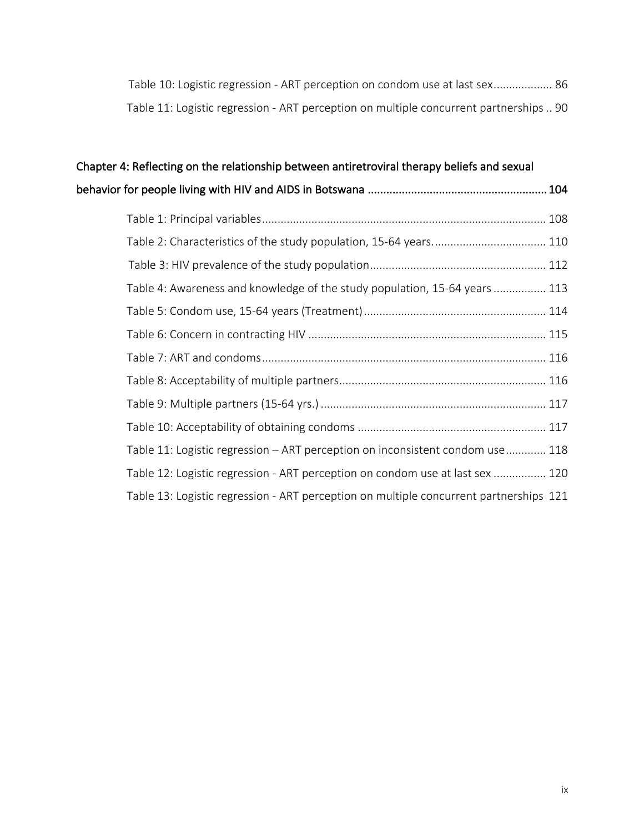| Table 10: Logistic regression - ART perception on condom use at last sex 86            |  |
|----------------------------------------------------------------------------------------|--|
| Table 11: Logistic regression - ART perception on multiple concurrent partnerships  90 |  |

| Chapter 4: Reflecting on the relationship between antiretroviral therapy beliefs and sexual |     |
|---------------------------------------------------------------------------------------------|-----|
|                                                                                             | 104 |
|                                                                                             |     |
|                                                                                             |     |
|                                                                                             |     |
| Table 4: Awareness and knowledge of the study population, 15-64 years  113                  |     |
|                                                                                             |     |
|                                                                                             |     |
|                                                                                             |     |
|                                                                                             |     |
|                                                                                             |     |
|                                                                                             |     |
| Table 11: Logistic regression - ART perception on inconsistent condom use 118               |     |
| Table 12: Logistic regression - ART perception on condom use at last sex  120               |     |
| Table 13: Logistic regression - ART perception on multiple concurrent partnerships 121      |     |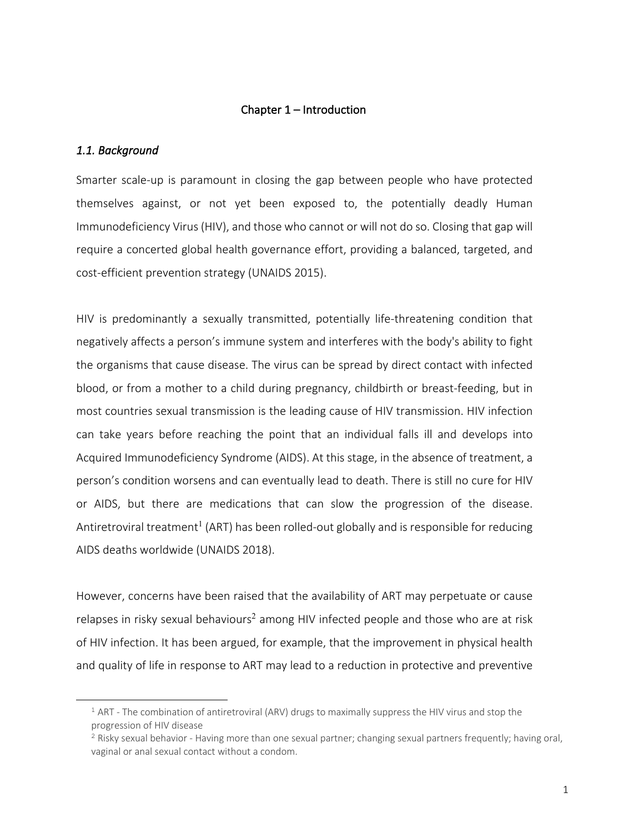#### Chapter 1 – Introduction

#### *1.1. Background*

<u>.</u>

Smarter scale-up is paramount in closing the gap between people who have protected themselves against, or not yet been exposed to, the potentially deadly Human Immunodeficiency Virus (HIV), and those who cannot or will not do so. Closing that gap will require a concerted global health governance effort, providing a balanced, targeted, and cost-efficient prevention strategy (UNAIDS 2015).

HIV is predominantly a sexually transmitted, potentially life-threatening condition that negatively affects a person's immune system and interferes with the body's ability to fight the organisms that cause disease. The virus can be spread by direct contact with infected blood, or from a mother to a child during pregnancy, childbirth or breast-feeding, but in most countries sexual transmission is the leading cause of HIV transmission. HIV infection can take years before reaching the point that an individual falls ill and develops into Acquired Immunodeficiency Syndrome (AIDS). At this stage, in the absence of treatment, a person's condition worsens and can eventually lead to death. There is still no cure for HIV or AIDS, but there are medications that can slow the progression of the disease. Antiretroviral treatment<sup>1</sup> (ART) has been rolled-out globally and is responsible for reducing AIDS deaths worldwide (UNAIDS 2018).

However, concerns have been raised that the availability of ART may perpetuate or cause relapses in risky sexual behaviours<sup>2</sup> among HIV infected people and those who are at risk of HIV infection. It has been argued, for example, that the improvement in physical health and quality of life in response to ART may lead to a reduction in protective and preventive

 $1$  ART - The combination of antiretroviral (ARV) drugs to maximally suppress the HIV virus and stop the progression of HIV disease

 $2$  Risky sexual behavior - Having more than one sexual partner; changing sexual partners frequently; having oral, vaginal or anal sexual contact without a condom.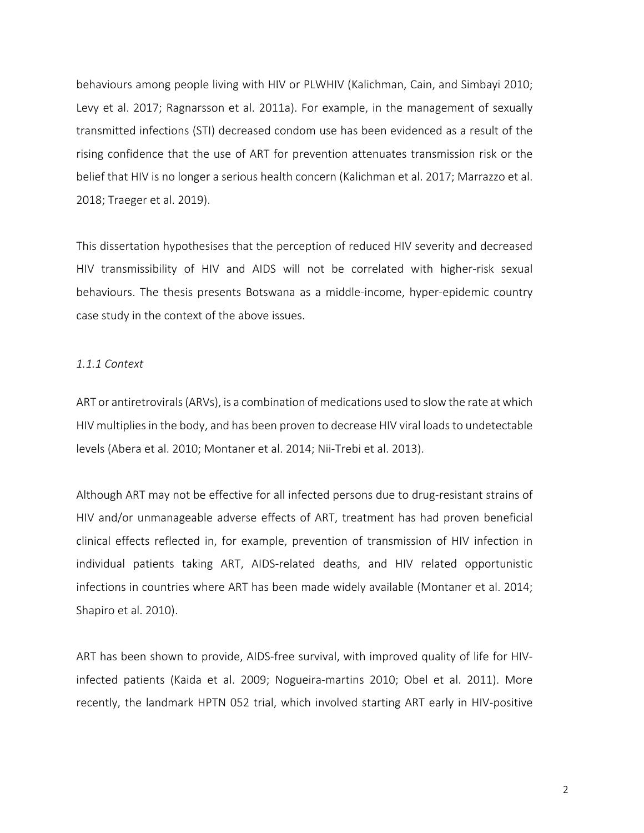behaviours among people living with HIV or PLWHIV (Kalichman, Cain, and Simbayi 2010; Levy et al. 2017; Ragnarsson et al. 2011a). For example, in the management of sexually transmitted infections (STI) decreased condom use has been evidenced as a result of the rising confidence that the use of ART for prevention attenuates transmission risk or the belief that HIV is no longer a serious health concern (Kalichman et al. 2017; Marrazzo et al. 2018; Traeger et al. 2019).

This dissertation hypothesises that the perception of reduced HIV severity and decreased HIV transmissibility of HIV and AIDS will not be correlated with higher-risk sexual behaviours. The thesis presents Botswana as a middle-income, hyper-epidemic country case study in the context of the above issues.

#### *1.1.1 Context*

ART or antiretrovirals (ARVs), is a combination of medications used to slow the rate at which HIV multiplies in the body, and has been proven to decrease HIV viral loads to undetectable levels (Abera et al. 2010; Montaner et al. 2014; Nii-Trebi et al. 2013).

Although ART may not be effective for all infected persons due to drug-resistant strains of HIV and/or unmanageable adverse effects of ART, treatment has had proven beneficial clinical effects reflected in, for example, prevention of transmission of HIV infection in individual patients taking ART, AIDS-related deaths, and HIV related opportunistic infections in countries where ART has been made widely available (Montaner et al. 2014; Shapiro et al. 2010).

ART has been shown to provide, AIDS-free survival, with improved quality of life for HIVinfected patients (Kaida et al. 2009; Nogueira-martins 2010; Obel et al. 2011). More recently, the landmark HPTN 052 trial, which involved starting ART early in HIV-positive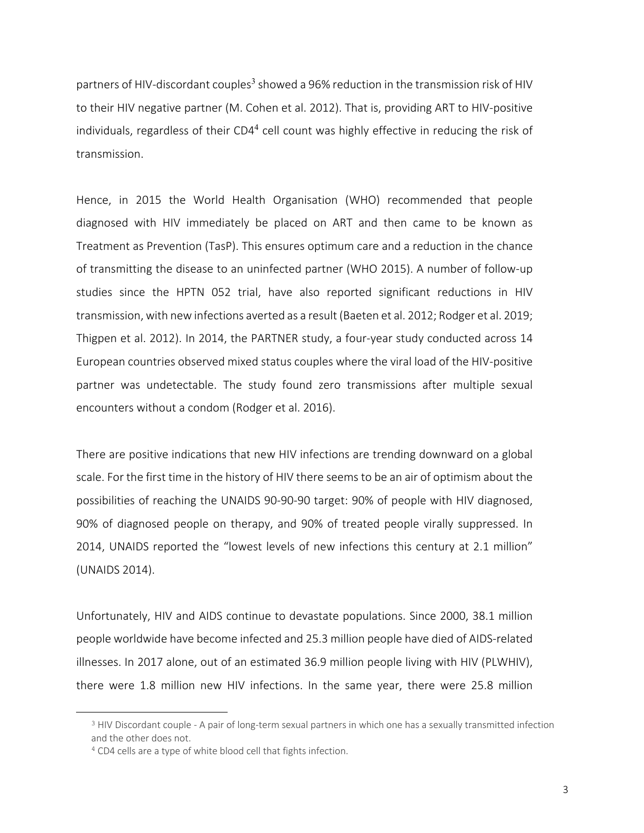partners of HIV-discordant couples<sup>3</sup> showed a 96% reduction in the transmission risk of HIV to their HIV negative partner (M. Cohen et al. 2012). That is, providing ART to HIV-positive individuals, regardless of their CD4<sup>4</sup> cell count was highly effective in reducing the risk of transmission.

Hence, in 2015 the World Health Organisation (WHO) recommended that people diagnosed with HIV immediately be placed on ART and then came to be known as Treatment as Prevention (TasP). This ensures optimum care and a reduction in the chance of transmitting the disease to an uninfected partner (WHO 2015). A number of follow-up studies since the HPTN 052 trial, have also reported significant reductions in HIV transmission, with new infections averted as a result (Baeten et al. 2012; Rodger et al. 2019; Thigpen et al. 2012). In 2014, the PARTNER study, a four-year study conducted across 14 European countries observed mixed status couples where the viral load of the HIV-positive partner was undetectable. The study found zero transmissions after multiple sexual encounters without a condom (Rodger et al. 2016).

There are positive indications that new HIV infections are trending downward on a global scale. For the first time in the history of HIV there seems to be an air of optimism about the possibilities of reaching the UNAIDS 90-90-90 target: 90% of people with HIV diagnosed, 90% of diagnosed people on therapy, and 90% of treated people virally suppressed. In 2014, UNAIDS reported the "lowest levels of new infections this century at 2.1 million" (UNAIDS 2014).

Unfortunately, HIV and AIDS continue to devastate populations. Since 2000, 38.1 million people worldwide have become infected and 25.3 million people have died of AIDS-related illnesses. In 2017 alone, out of an estimated 36.9 million people living with HIV (PLWHIV), there were 1.8 million new HIV infections. In the same year, there were 25.8 million

<u>.</u>

<sup>3</sup> HIV Discordant couple - A pair of long-term sexual partners in which one has a sexually transmitted infection and the other does not.

<sup>4</sup> CD4 cells are a type of white blood cell that fights infection.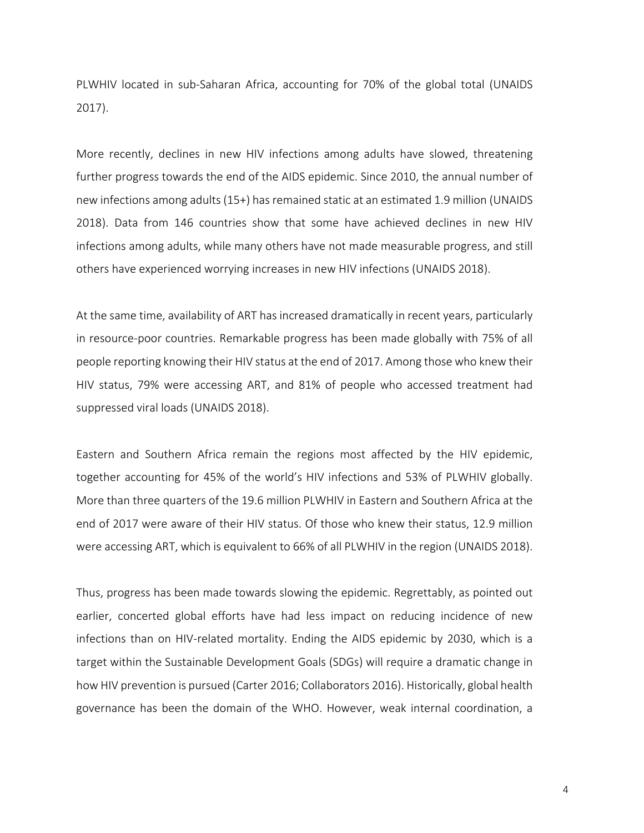PLWHIV located in sub-Saharan Africa, accounting for 70% of the global total (UNAIDS 2017).

More recently, declines in new HIV infections among adults have slowed, threatening further progress towards the end of the AIDS epidemic. Since 2010, the annual number of new infections among adults (15+) has remained static at an estimated 1.9 million (UNAIDS 2018). Data from 146 countries show that some have achieved declines in new HIV infections among adults, while many others have not made measurable progress, and still others have experienced worrying increases in new HIV infections (UNAIDS 2018).

At the same time, availability of ART has increased dramatically in recent years, particularly in resource-poor countries. Remarkable progress has been made globally with 75% of all people reporting knowing their HIV status at the end of 2017. Among those who knew their HIV status, 79% were accessing ART, and 81% of people who accessed treatment had suppressed viral loads (UNAIDS 2018).

Eastern and Southern Africa remain the regions most affected by the HIV epidemic, together accounting for 45% of the world's HIV infections and 53% of PLWHIV globally. More than three quarters of the 19.6 million PLWHIV in Eastern and Southern Africa at the end of 2017 were aware of their HIV status. Of those who knew their status, 12.9 million were accessing ART, which is equivalent to 66% of all PLWHIV in the region (UNAIDS 2018).

Thus, progress has been made towards slowing the epidemic. Regrettably, as pointed out earlier, concerted global efforts have had less impact on reducing incidence of new infections than on HIV-related mortality. Ending the AIDS epidemic by 2030, which is a target within the Sustainable Development Goals (SDGs) will require a dramatic change in how HIV prevention is pursued (Carter 2016; Collaborators 2016). Historically, global health governance has been the domain of the WHO. However, weak internal coordination, a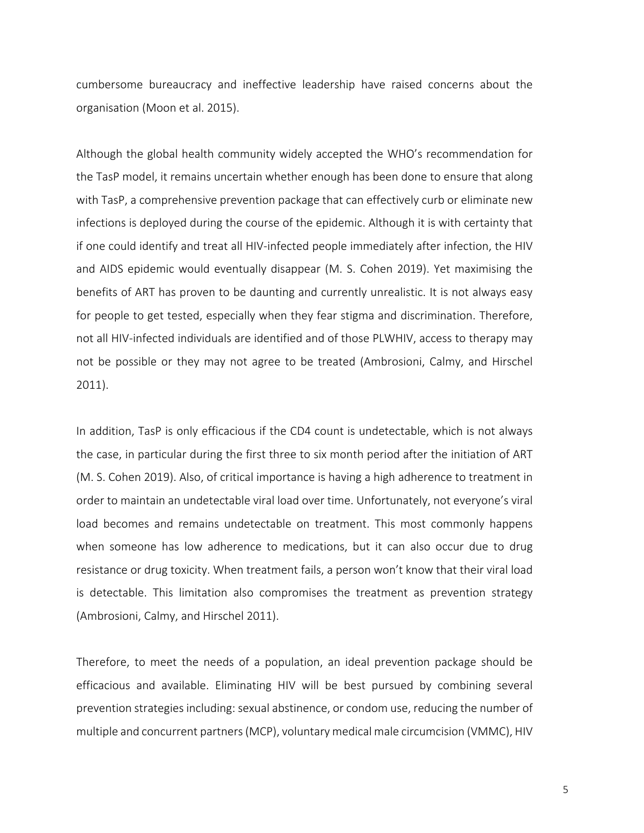cumbersome bureaucracy and ineffective leadership have raised concerns about the organisation (Moon et al. 2015).

Although the global health community widely accepted the WHO's recommendation for the TasP model, it remains uncertain whether enough has been done to ensure that along with TasP, a comprehensive prevention package that can effectively curb or eliminate new infections is deployed during the course of the epidemic. Although it is with certainty that if one could identify and treat all HIV-infected people immediately after infection, the HIV and AIDS epidemic would eventually disappear (M. S. Cohen 2019). Yet maximising the benefits of ART has proven to be daunting and currently unrealistic. It is not always easy for people to get tested, especially when they fear stigma and discrimination. Therefore, not all HIV-infected individuals are identified and of those PLWHIV, access to therapy may not be possible or they may not agree to be treated (Ambrosioni, Calmy, and Hirschel 2011).

In addition, TasP is only efficacious if the CD4 count is undetectable, which is not always the case, in particular during the first three to six month period after the initiation of ART (M. S. Cohen 2019). Also, of critical importance is having a high adherence to treatment in order to maintain an undetectable viral load over time. Unfortunately, not everyone's viral load becomes and remains undetectable on treatment. This most commonly happens when someone has low adherence to medications, but it can also occur due to drug resistance or drug toxicity. When treatment fails, a person won't know that their viral load is detectable. This limitation also compromises the treatment as prevention strategy (Ambrosioni, Calmy, and Hirschel 2011).

Therefore, to meet the needs of a population, an ideal prevention package should be efficacious and available. Eliminating HIV will be best pursued by combining several prevention strategies including: sexual abstinence, or condom use, reducing the number of multiple and concurrent partners (MCP), voluntary medical male circumcision (VMMC), HIV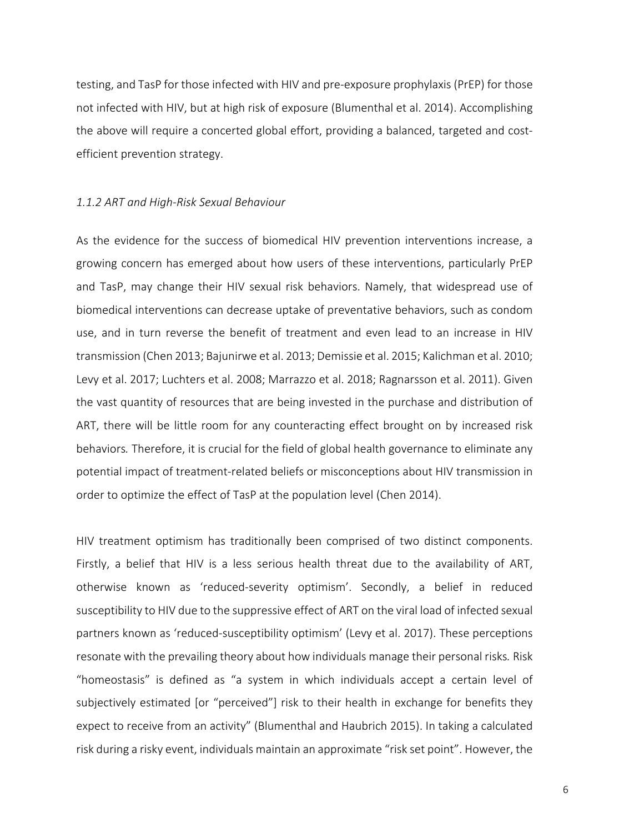testing, and TasP for those infected with HIV and pre-exposure prophylaxis (PrEP) for those not infected with HIV, but at high risk of exposure (Blumenthal et al. 2014). Accomplishing the above will require a concerted global effort, providing a balanced, targeted and costefficient prevention strategy.

#### *1.1.2 ART and High-Risk Sexual Behaviour*

As the evidence for the success of biomedical HIV prevention interventions increase, a growing concern has emerged about how users of these interventions, particularly PrEP and TasP, may change their HIV sexual risk behaviors. Namely, that widespread use of biomedical interventions can decrease uptake of preventative behaviors, such as condom use, and in turn reverse the benefit of treatment and even lead to an increase in HIV transmission (Chen 2013; Bajunirwe et al. 2013; Demissie et al. 2015; Kalichman et al. 2010; Levy et al. 2017; Luchters et al. 2008; Marrazzo et al. 2018; Ragnarsson et al. 2011). Given the vast quantity of resources that are being invested in the purchase and distribution of ART, there will be little room for any counteracting effect brought on by increased risk behaviors*.* Therefore, it is crucial for the field of global health governance to eliminate any potential impact of treatment-related beliefs or misconceptions about HIV transmission in order to optimize the effect of TasP at the population level (Chen 2014).

HIV treatment optimism has traditionally been comprised of two distinct components. Firstly, a belief that HIV is a less serious health threat due to the availability of ART, otherwise known as 'reduced-severity optimism'. Secondly, a belief in reduced susceptibility to HIV due to the suppressive effect of ART on the viral load of infected sexual partners known as 'reduced-susceptibility optimism' (Levy et al. 2017). These perceptions resonate with the prevailing theory about how individuals manage their personal risks*.* Risk "homeostasis" is defined as "a system in which individuals accept a certain level of subjectively estimated [or "perceived"] risk to their health in exchange for benefits they expect to receive from an activity" (Blumenthal and Haubrich 2015). In taking a calculated risk during a risky event, individuals maintain an approximate "risk set point". However, the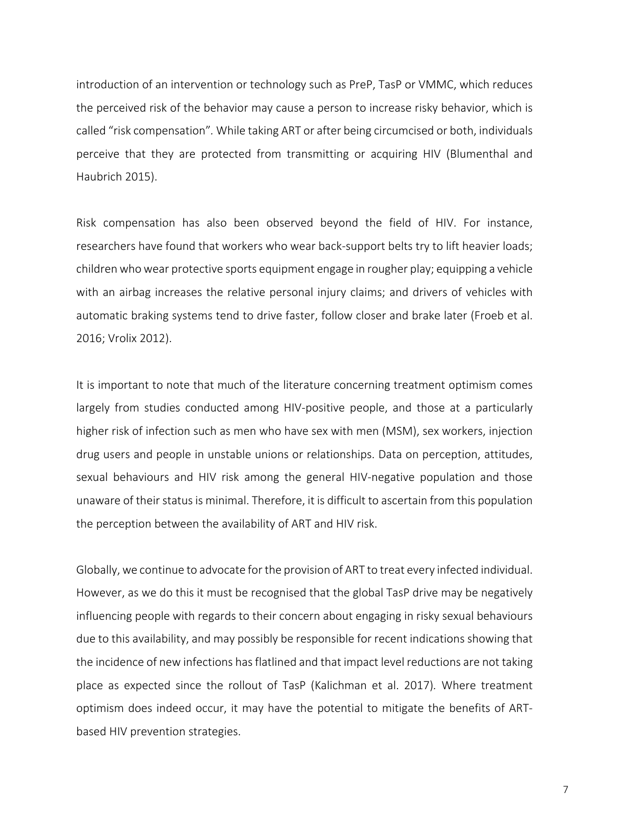introduction of an intervention or technology such as PreP, TasP or VMMC, which reduces the perceived risk of the behavior may cause a person to increase risky behavior, which is called "risk compensation"*.* While taking ART or after being circumcised or both, individuals perceive that they are protected from transmitting or acquiring HIV (Blumenthal and Haubrich 2015).

Risk compensation has also been observed beyond the field of HIV. For instance, researchers have found that workers who wear back-support belts try to lift heavier loads; children who wear protective sports equipment engage in rougher play; equipping a vehicle with an airbag increases the relative personal injury claims; and drivers of vehicles with automatic braking systems tend to drive faster, follow closer and brake later (Froeb et al. 2016; Vrolix 2012).

It is important to note that much of the literature concerning treatment optimism comes largely from studies conducted among HIV-positive people, and those at a particularly higher risk of infection such as men who have sex with men (MSM), sex workers, injection drug users and people in unstable unions or relationships. Data on perception, attitudes, sexual behaviours and HIV risk among the general HIV-negative population and those unaware of their status is minimal. Therefore, it is difficult to ascertain from this population the perception between the availability of ART and HIV risk.

Globally, we continue to advocate for the provision of ART to treat every infected individual. However, as we do this it must be recognised that the global TasP drive may be negatively influencing people with regards to their concern about engaging in risky sexual behaviours due to this availability, and may possibly be responsible for recent indications showing that the incidence of new infections has flatlined and that impact level reductions are not taking place as expected since the rollout of TasP (Kalichman et al. 2017)*.* Where treatment optimism does indeed occur, it may have the potential to mitigate the benefits of ARTbased HIV prevention strategies.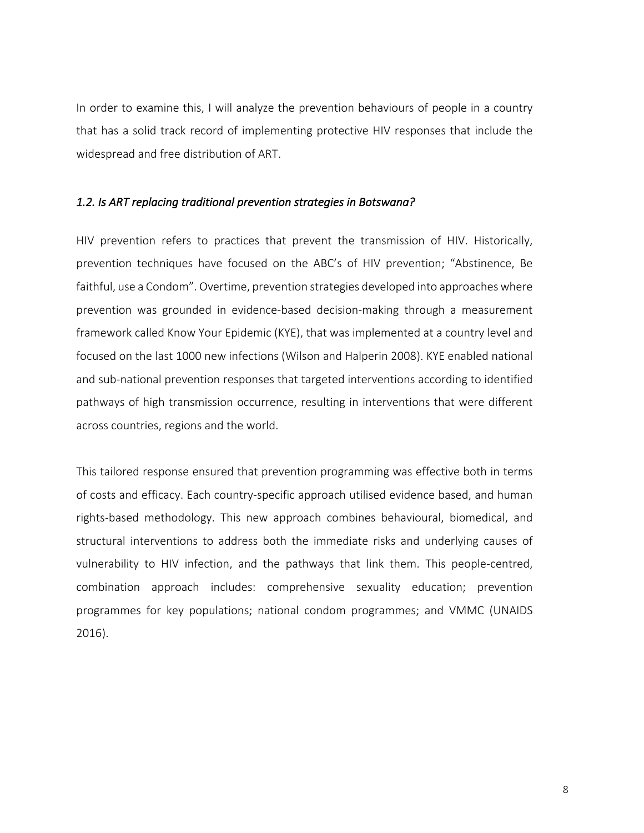In order to examine this, I will analyze the prevention behaviours of people in a country that has a solid track record of implementing protective HIV responses that include the widespread and free distribution of ART.

#### *1.2. Is ART replacing traditional prevention strategies in Botswana?*

HIV prevention refers to practices that prevent the transmission of HIV. Historically, prevention techniques have focused on the ABC's of HIV prevention; "Abstinence, Be faithful, use a Condom". Overtime, prevention strategies developed into approaches where prevention was grounded in evidence-based decision-making through a measurement framework called Know Your Epidemic (KYE), that was implemented at a country level and focused on the last 1000 new infections (Wilson and Halperin 2008). KYE enabled national and sub-national prevention responses that targeted interventions according to identified pathways of high transmission occurrence, resulting in interventions that were different across countries, regions and the world.

This tailored response ensured that prevention programming was effective both in terms of costs and efficacy. Each country-specific approach utilised evidence based, and human rights-based methodology. This new approach combines behavioural, biomedical, and structural interventions to address both the immediate risks and underlying causes of vulnerability to HIV infection, and the pathways that link them. This people-centred, combination approach includes: comprehensive sexuality education; prevention programmes for key populations; national condom programmes; and VMMC (UNAIDS 2016).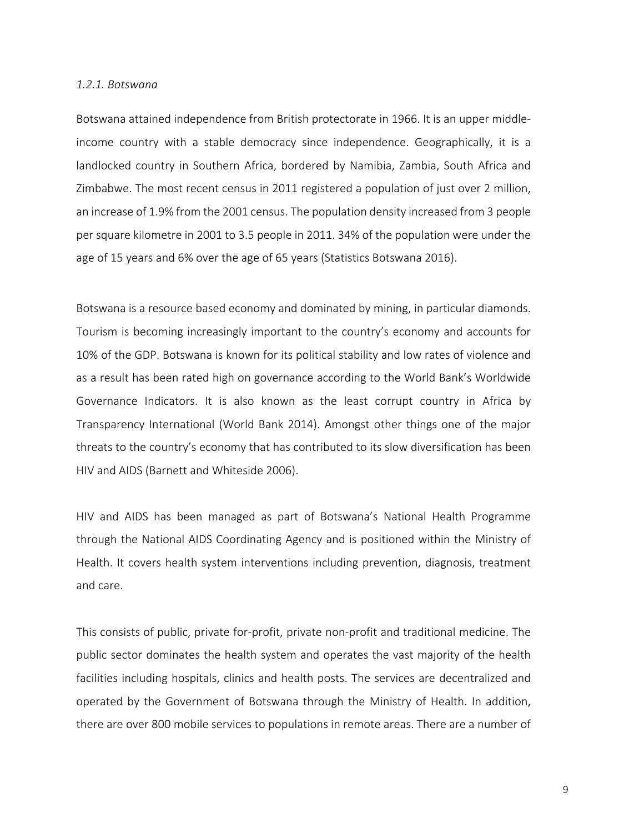#### *1.2.1. Botswana*

Botswana attained independence from British protectorate in 1966. It is an upper middleincome country with a stable democracy since independence. Geographically, it is a landlocked country in Southern Africa, bordered by Namibia, Zambia, South Africa and Zimbabwe. The most recent census in 2011 registered a population of just over 2 million, an increase of 1.9% from the 2001 census. The population density increased from 3 people per square kilometre in 2001 to 3.5 people in 2011. 34% of the population were under the age of 15 years and 6% over the age of 65 years (Statistics Botswana 2016).

Botswana is a resource based economy and dominated by mining, in particular diamonds. Tourism is becoming increasingly important to the country's economy and accounts for 10% of the GDP. Botswana is known for its political stability and low rates of violence and as a result has been rated high on governance according to the World Bank's Worldwide Governance Indicators. It is also known as the least corrupt country in Africa by Transparency International (World Bank 2014). Amongst other things one of the major threats to the country's economy that has contributed to its slow diversification has been HIV and AIDS (Barnett and Whiteside 2006).

HIV and AIDS has been managed as part of Botswana's National Health Programme through the National AIDS Coordinating Agency and is positioned within the Ministry of Health. It covers health system interventions including prevention, diagnosis, treatment and care.

This consists of public, private for-profit, private non-profit and traditional medicine. The public sector dominates the health system and operates the vast majority of the health facilities including hospitals, clinics and health posts. The services are decentralized and operated by the Government of Botswana through the Ministry of Health. In addition, there are over 800 mobile services to populations in remote areas. There are a number of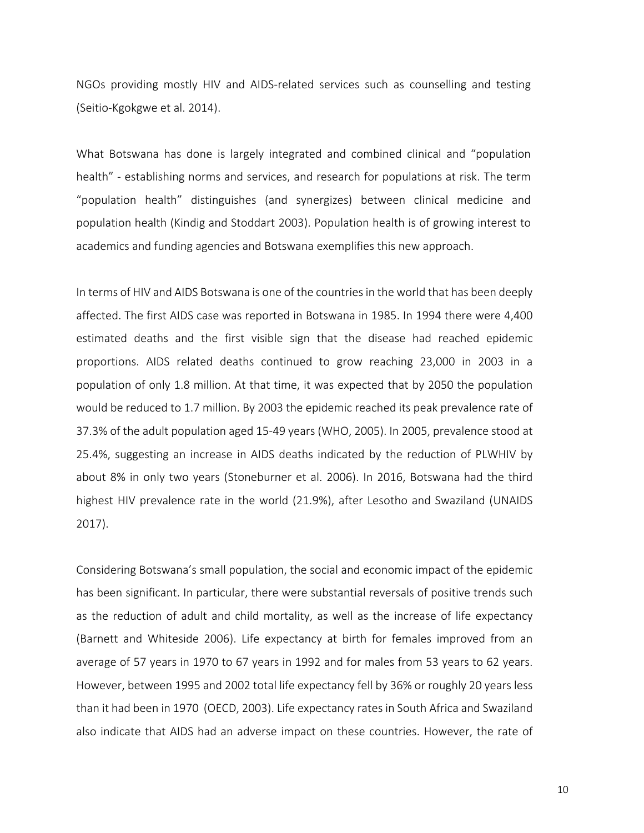NGOs providing mostly HIV and AIDS-related services such as counselling and testing (Seitio-Kgokgwe et al. 2014).

What Botswana has done is largely integrated and combined clinical and "population health" - establishing norms and services, and research for populations at risk. The term "population health" distinguishes (and synergizes) between clinical medicine and population health (Kindig and Stoddart 2003). Population health is of growing interest to academics and funding agencies and Botswana exemplifies this new approach.

In terms of HIV and AIDS Botswana is one of the countries in the world that has been deeply affected. The first AIDS case was reported in Botswana in 1985. In 1994 there were 4,400 estimated deaths and the first visible sign that the disease had reached epidemic proportions. AIDS related deaths continued to grow reaching 23,000 in 2003 in a population of only 1.8 million. At that time, it was expected that by 2050 the population would be reduced to 1.7 million. By 2003 the epidemic reached its peak prevalence rate of 37.3% of the adult population aged 15-49 years (WHO, 2005). In 2005, prevalence stood at 25.4%, suggesting an increase in AIDS deaths indicated by the reduction of PLWHIV by about 8% in only two years (Stoneburner et al. 2006). In 2016, Botswana had the third highest HIV prevalence rate in the world (21.9%), after Lesotho and Swaziland (UNAIDS 2017).

Considering Botswana's small population, the social and economic impact of the epidemic has been significant. In particular, there were substantial reversals of positive trends such as the reduction of adult and child mortality, as well as the increase of life expectancy (Barnett and Whiteside 2006). Life expectancy at birth for females improved from an average of 57 years in 1970 to 67 years in 1992 and for males from 53 years to 62 years. However, between 1995 and 2002 total life expectancy fell by 36% or roughly 20 years less than it had been in 1970 (OECD, 2003). Life expectancy rates in South Africa and Swaziland also indicate that AIDS had an adverse impact on these countries. However, the rate of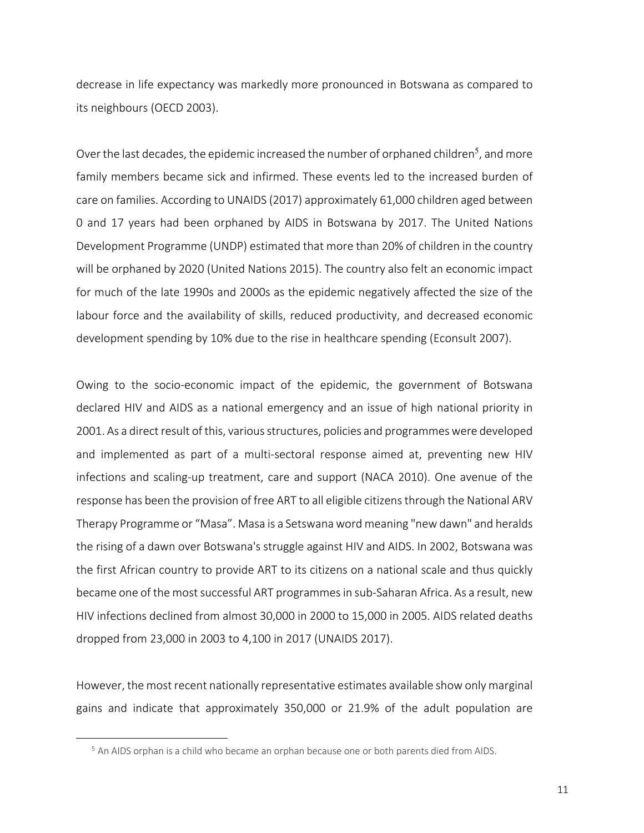decrease in life expectancy was markedly more pronounced in Botswana as compared to its neighbours (OECD 2003).

Over the last decades, the epidemic increased the number of orphaned children<sup>5</sup>, and more family members became sick and infirmed. These events led to the increased burden of care on families. According to UNAIDS (2017) approximately 61,000 children aged between 0 and 17 years had been orphaned by AIDS in Botswana by 2017. The United Nations Development Programme (UNDP) estimated that more than 20% of children in the country will be orphaned by 2020 (United Nations 2015). The country also felt an economic impact for much of the late 1990s and 2000s as the epidemic negatively affected the size of the labour force and the availability of skills, reduced productivity, and decreased economic development spending by 10% due to the rise in healthcare spending (Econsult 2007).

Owing to the socio-economic impact of the epidemic, the government of Botswana declared HIV and AIDS as a national emergency and an issue of high national priority in 2001. As a direct result of this, various structures, policies and programmes were developed and implemented as part of a multi-sectoral response aimed at, preventing new HIV infections and scaling-up treatment, care and support (NACA 2010). One avenue of the response has been the provision of free ART to all eligible citizens through the National ARV Therapy Programme or "Masa". Masa is a Setswana word meaning "new dawn" and heralds the rising of a dawn over Botswana's struggle against HIV and AIDS. In 2002, Botswana was the first African country to provide ART to its citizens on a national scale and thus quickly became one of the most successful ART programmes in sub-Saharan Africa. As a result, new HIV infections declined from almost 30,000 in 2000 to 15,000 in 2005. AIDS related deaths dropped from 23,000 in 2003 to 4,100 in 2017 (UNAIDS 2017).

However, the most recent nationally representative estimates available show only marginal gains and indicate that approximately 350,000 or 21.9% of the adult population are

<u>.</u>

<sup>5</sup> An AIDS orphan is a child who became an orphan because one or both parents died from AIDS.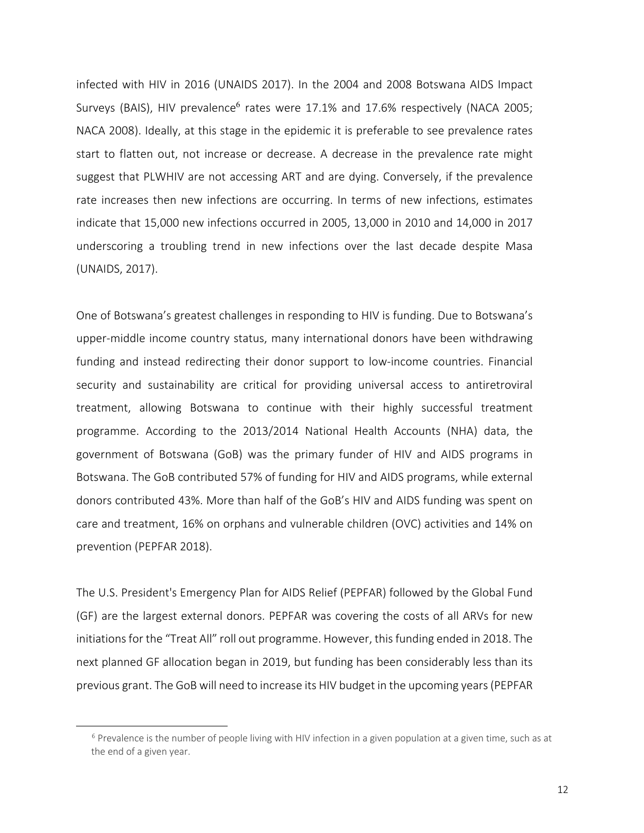infected with HIV in 2016 (UNAIDS 2017). In the 2004 and 2008 Botswana AIDS Impact Surveys (BAIS), HIV prevalence<sup>6</sup> rates were  $17.1\%$  and  $17.6\%$  respectively (NACA 2005; NACA 2008). Ideally, at this stage in the epidemic it is preferable to see prevalence rates start to flatten out, not increase or decrease. A decrease in the prevalence rate might suggest that PLWHIV are not accessing ART and are dying. Conversely, if the prevalence rate increases then new infections are occurring. In terms of new infections, estimates indicate that 15,000 new infections occurred in 2005, 13,000 in 2010 and 14,000 in 2017 underscoring a troubling trend in new infections over the last decade despite Masa (UNAIDS, 2017).

One of Botswana's greatest challenges in responding to HIV is funding. Due to Botswana's upper-middle income country status, many international donors have been withdrawing funding and instead redirecting their donor support to low-income countries. Financial security and sustainability are critical for providing universal access to antiretroviral treatment, allowing Botswana to continue with their highly successful treatment programme. According to the 2013/2014 National Health Accounts (NHA) data, the government of Botswana (GoB) was the primary funder of HIV and AIDS programs in Botswana. The GoB contributed 57% of funding for HIV and AIDS programs, while external donors contributed 43%. More than half of the GoB's HIV and AIDS funding was spent on care and treatment, 16% on orphans and vulnerable children (OVC) activities and 14% on prevention (PEPFAR 2018).

The U.S. President's Emergency Plan for AIDS Relief (PEPFAR) followed by the Global Fund (GF) are the largest external donors. PEPFAR was covering the costs of all ARVs for new initiations for the "Treat All" roll out programme. However, this funding ended in 2018. The next planned GF allocation began in 2019, but funding has been considerably less than its previous grant. The GoB will need to increase its HIV budget in the upcoming years (PEPFAR

<u>.</u>

 $6$  Prevalence is the number of people living with HIV infection in a given population at a given time, such as at the end of a given year.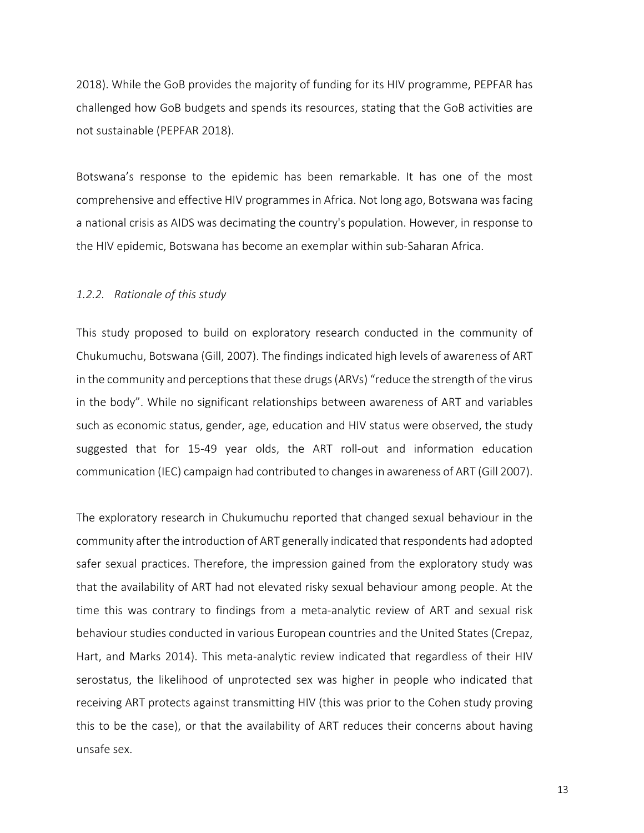2018). While the GoB provides the majority of funding for its HIV programme, PEPFAR has challenged how GoB budgets and spends its resources, stating that the GoB activities are not sustainable (PEPFAR 2018).

Botswana's response to the epidemic has been remarkable. It has one of the most comprehensive and effective HIV programmes in Africa. Not long ago, Botswana was facing a national crisis as AIDS was decimating the country's population. However, in response to the HIV epidemic, Botswana has become an exemplar within sub-Saharan Africa.

#### *1.2.2. Rationale of this study*

This study proposed to build on exploratory research conducted in the community of Chukumuchu, Botswana (Gill, 2007). The findings indicated high levels of awareness of ART in the community and perceptions that these drugs(ARVs) "reduce the strength of the virus in the body". While no significant relationships between awareness of ART and variables such as economic status, gender, age, education and HIV status were observed, the study suggested that for 15-49 year olds, the ART roll-out and information education communication (IEC) campaign had contributed to changes in awareness of ART (Gill 2007).

The exploratory research in Chukumuchu reported that changed sexual behaviour in the community after the introduction of ART generally indicated that respondents had adopted safer sexual practices. Therefore, the impression gained from the exploratory study was that the availability of ART had not elevated risky sexual behaviour among people. At the time this was contrary to findings from a meta-analytic review of ART and sexual risk behaviour studies conducted in various European countries and the United States (Crepaz, Hart, and Marks 2014). This meta-analytic review indicated that regardless of their HIV serostatus, the likelihood of unprotected sex was higher in people who indicated that receiving ART protects against transmitting HIV (this was prior to the Cohen study proving this to be the case), or that the availability of ART reduces their concerns about having unsafe sex.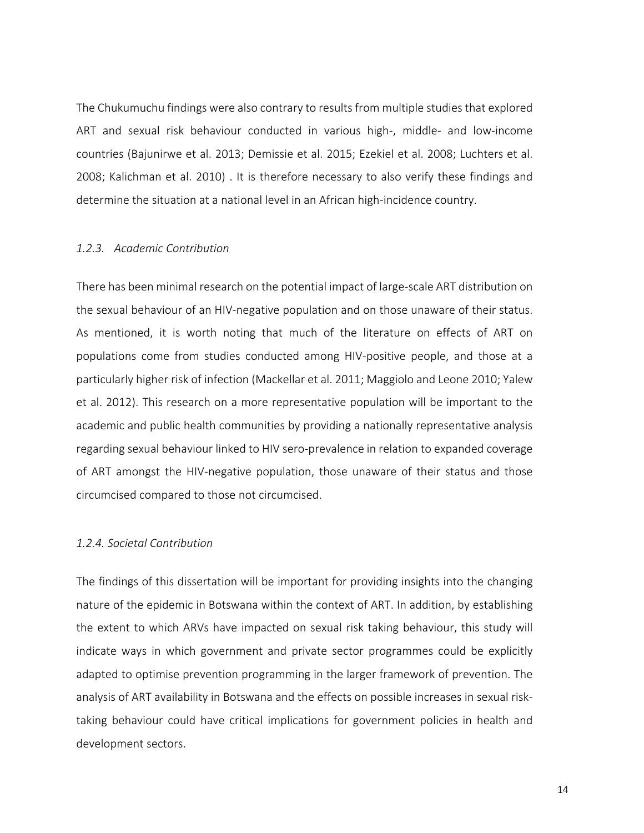The Chukumuchu findings were also contrary to results from multiple studies that explored ART and sexual risk behaviour conducted in various high-, middle- and low-income countries (Bajunirwe et al. 2013; Demissie et al. 2015; Ezekiel et al. 2008; Luchters et al. 2008; Kalichman et al. 2010) . It is therefore necessary to also verify these findings and determine the situation at a national level in an African high-incidence country.

#### *1.2.3. Academic Contribution*

There has been minimal research on the potential impact of large-scale ART distribution on the sexual behaviour of an HIV-negative population and on those unaware of their status. As mentioned, it is worth noting that much of the literature on effects of ART on populations come from studies conducted among HIV-positive people, and those at a particularly higher risk of infection (Mackellar et al. 2011; Maggiolo and Leone 2010; Yalew et al. 2012). This research on a more representative population will be important to the academic and public health communities by providing a nationally representative analysis regarding sexual behaviour linked to HIV sero-prevalence in relation to expanded coverage of ART amongst the HIV-negative population, those unaware of their status and those circumcised compared to those not circumcised.

#### *1.2.4. Societal Contribution*

The findings of this dissertation will be important for providing insights into the changing nature of the epidemic in Botswana within the context of ART. In addition, by establishing the extent to which ARVs have impacted on sexual risk taking behaviour, this study will indicate ways in which government and private sector programmes could be explicitly adapted to optimise prevention programming in the larger framework of prevention. The analysis of ART availability in Botswana and the effects on possible increases in sexual risktaking behaviour could have critical implications for government policies in health and development sectors.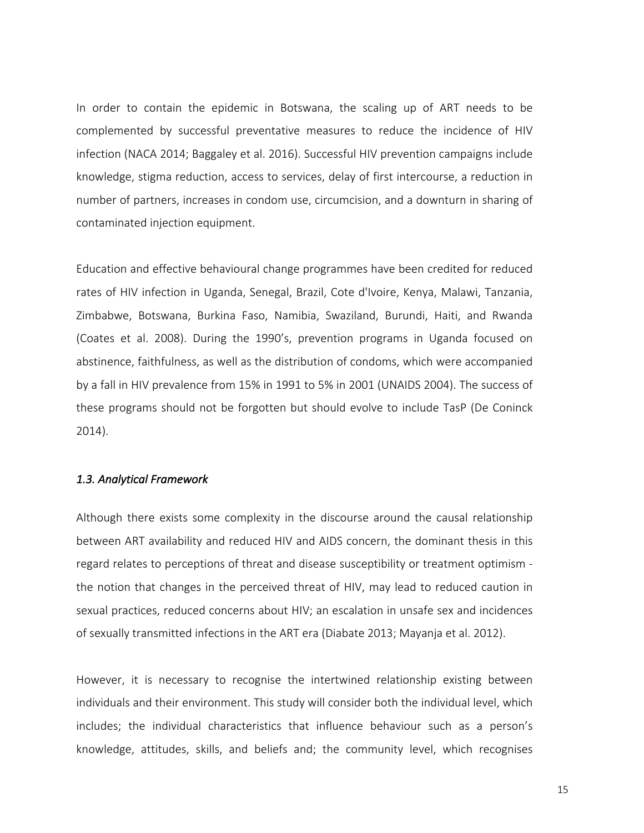In order to contain the epidemic in Botswana, the scaling up of ART needs to be complemented by successful preventative measures to reduce the incidence of HIV infection (NACA 2014; Baggaley et al. 2016). Successful HIV prevention campaigns include knowledge, stigma reduction, access to services, delay of first intercourse, a reduction in number of partners, increases in condom use, circumcision, and a downturn in sharing of contaminated injection equipment.

Education and effective behavioural change programmes have been credited for reduced rates of HIV infection in Uganda, Senegal, Brazil, Cote d'Ivoire, Kenya, Malawi, Tanzania, Zimbabwe, Botswana, Burkina Faso, Namibia, Swaziland, Burundi, Haiti, and Rwanda (Coates et al. 2008). During the 1990's, prevention programs in Uganda focused on abstinence, faithfulness, as well as the distribution of condoms, which were accompanied by a fall in HIV prevalence from 15% in 1991 to 5% in 2001 (UNAIDS 2004). The success of these programs should not be forgotten but should evolve to include TasP (De Coninck 2014).

#### *1.3. Analytical Framework*

Although there exists some complexity in the discourse around the causal relationship between ART availability and reduced HIV and AIDS concern, the dominant thesis in this regard relates to perceptions of threat and disease susceptibility or treatment optimism the notion that changes in the perceived threat of HIV, may lead to reduced caution in sexual practices, reduced concerns about HIV; an escalation in unsafe sex and incidences of sexually transmitted infections in the ART era (Diabate 2013; Mayanja et al. 2012).

However, it is necessary to recognise the intertwined relationship existing between individuals and their environment. This study will consider both the individual level, which includes; the individual characteristics that influence behaviour such as a person's knowledge, attitudes, skills, and beliefs and; the community level, which recognises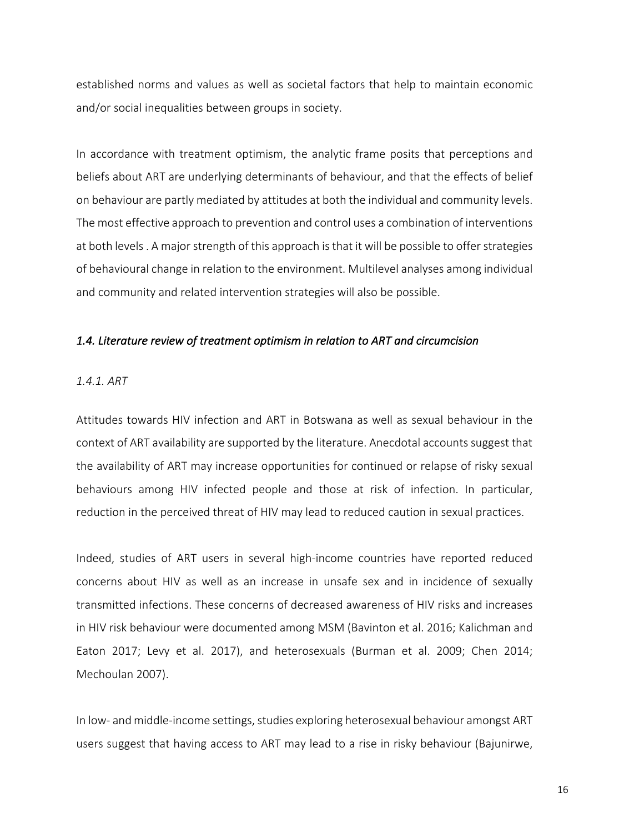established norms and values as well as societal factors that help to maintain economic and/or social inequalities between groups in society.

In accordance with treatment optimism, the analytic frame posits that perceptions and beliefs about ART are underlying determinants of behaviour, and that the effects of belief on behaviour are partly mediated by attitudes at both the individual and community levels. The most effective approach to prevention and control uses a combination of interventions at both levels . A major strength of this approach is that it will be possible to offer strategies of behavioural change in relation to the environment. Multilevel analyses among individual and community and related intervention strategies will also be possible.

#### *1.4. Literature review of treatment optimism in relation to ART and circumcision*

#### *1.4.1. ART*

Attitudes towards HIV infection and ART in Botswana as well as sexual behaviour in the context of ART availability are supported by the literature. Anecdotal accounts suggest that the availability of ART may increase opportunities for continued or relapse of risky sexual behaviours among HIV infected people and those at risk of infection. In particular, reduction in the perceived threat of HIV may lead to reduced caution in sexual practices.

Indeed, studies of ART users in several high-income countries have reported reduced concerns about HIV as well as an increase in unsafe sex and in incidence of sexually transmitted infections. These concerns of decreased awareness of HIV risks and increases in HIV risk behaviour were documented among MSM (Bavinton et al. 2016; Kalichman and Eaton 2017; Levy et al. 2017), and heterosexuals (Burman et al. 2009; Chen 2014; Mechoulan 2007).

In low- and middle-income settings, studies exploring heterosexual behaviour amongst ART users suggest that having access to ART may lead to a rise in risky behaviour (Bajunirwe,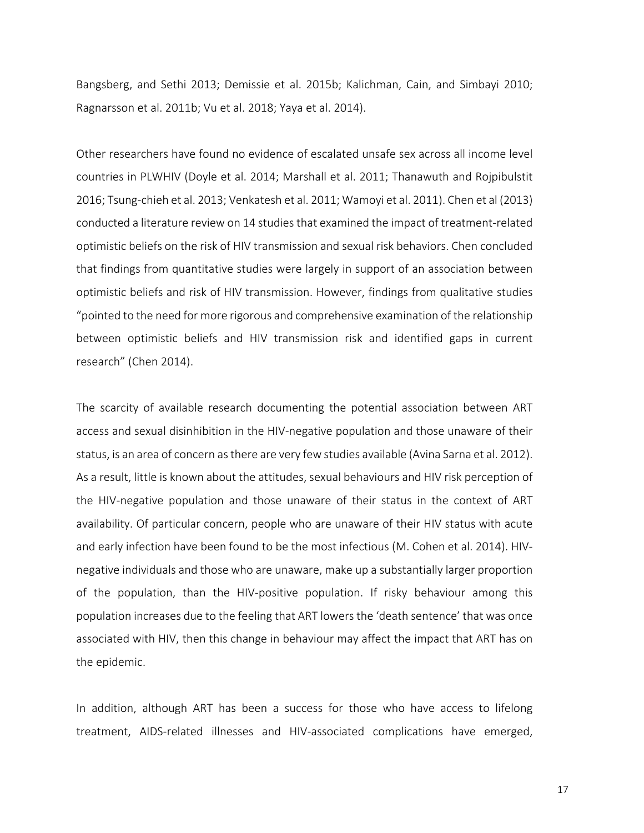Bangsberg, and Sethi 2013; Demissie et al. 2015b; Kalichman, Cain, and Simbayi 2010; Ragnarsson et al. 2011b; Vu et al. 2018; Yaya et al. 2014).

Other researchers have found no evidence of escalated unsafe sex across all income level countries in PLWHIV (Doyle et al. 2014; Marshall et al. 2011; Thanawuth and Rojpibulstit 2016; Tsung-chieh et al. 2013; Venkatesh et al. 2011; Wamoyi et al. 2011). Chen et al (2013) conducted a literature review on 14 studies that examined the impact of treatment-related optimistic beliefs on the risk of HIV transmission and sexual risk behaviors. Chen concluded that findings from quantitative studies were largely in support of an association between optimistic beliefs and risk of HIV transmission. However, findings from qualitative studies "pointed to the need for more rigorous and comprehensive examination of the relationship between optimistic beliefs and HIV transmission risk and identified gaps in current research" (Chen 2014).

The scarcity of available research documenting the potential association between ART access and sexual disinhibition in the HIV-negative population and those unaware of their status, is an area of concern as there are very few studies available (Avina Sarna et al. 2012). As a result, little is known about the attitudes, sexual behaviours and HIV risk perception of the HIV-negative population and those unaware of their status in the context of ART availability. Of particular concern, people who are unaware of their HIV status with acute and early infection have been found to be the most infectious (M. Cohen et al. 2014). HIVnegative individuals and those who are unaware, make up a substantially larger proportion of the population, than the HIV-positive population. If risky behaviour among this population increases due to the feeling that ART lowers the 'death sentence' that was once associated with HIV, then this change in behaviour may affect the impact that ART has on the epidemic.

In addition, although ART has been a success for those who have access to lifelong treatment, AIDS-related illnesses and HIV-associated complications have emerged,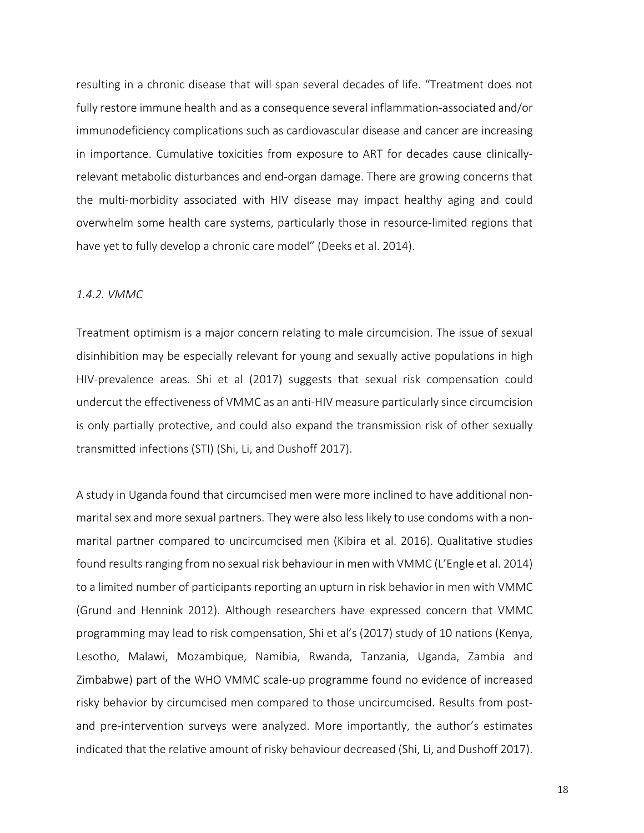resulting in a chronic disease that will span several decades of life. "Treatment does not fully restore immune health and as a consequence several inflammation-associated and/or immunodeficiency complications such as cardiovascular disease and cancer are increasing in importance. Cumulative toxicities from exposure to ART for decades cause clinicallyrelevant metabolic disturbances and end-organ damage. There are growing concerns that the multi-morbidity associated with HIV disease may impact healthy aging and could overwhelm some health care systems, particularly those in resource-limited regions that have yet to fully develop a chronic care model" (Deeks et al. 2014).

#### *1.4.2. VMMC*

Treatment optimism is a major concern relating to male circumcision. The issue of sexual disinhibition may be especially relevant for young and sexually active populations in high HIV-prevalence areas. Shi et al (2017) suggests that sexual risk compensation could undercut the effectiveness of VMMC as an anti-HIV measure particularly since circumcision is only partially protective, and could also expand the transmission risk of other sexually transmitted infections (STI) (Shi, Li, and Dushoff 2017).

A study in Uganda found that circumcised men were more inclined to have additional nonmarital sex and more sexual partners. They were also less likely to use condoms with a nonmarital partner compared to uncircumcised men (Kibira et al. 2016). Qualitative studies found results ranging from no sexual risk behaviour in men with VMMC (L'Engle et al. 2014) to a limited number of participants reporting an upturn in risk behavior in men with VMMC (Grund and Hennink 2012). Although researchers have expressed concern that VMMC programming may lead to risk compensation, Shi et al's (2017) study of 10 nations (Kenya, Lesotho, Malawi, Mozambique, Namibia, Rwanda, Tanzania, Uganda, Zambia and Zimbabwe) part of the WHO VMMC scale-up programme found no evidence of increased risky behavior by circumcised men compared to those uncircumcised. Results from postand pre-intervention surveys were analyzed. More importantly, the author's estimates indicated that the relative amount of risky behaviour decreased (Shi, Li, and Dushoff 2017).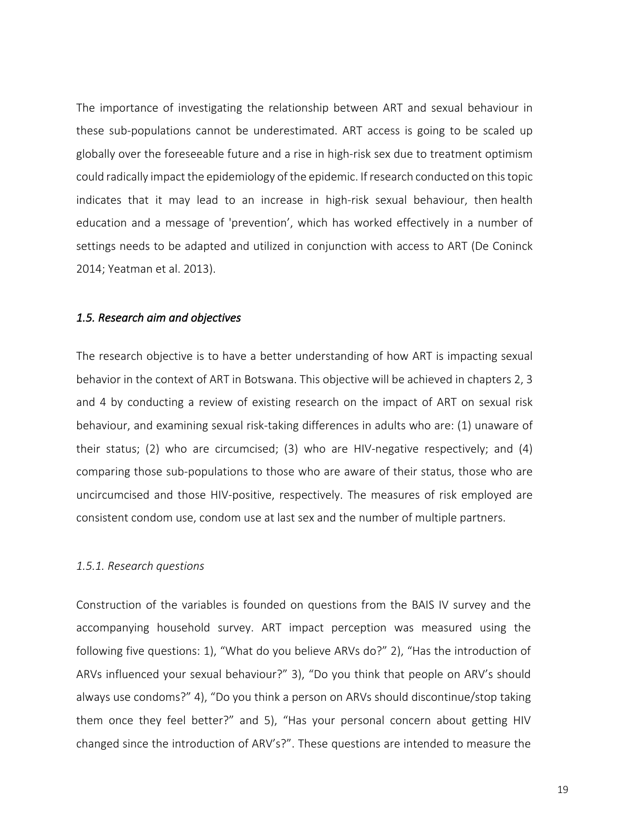The importance of investigating the relationship between ART and sexual behaviour in these sub-populations cannot be underestimated. ART access is going to be scaled up globally over the foreseeable future and a rise in high-risk sex due to treatment optimism could radically impact the epidemiology of the epidemic. If research conducted on this topic indicates that it may lead to an increase in high-risk sexual behaviour, then health education and a message of 'prevention', which has worked effectively in a number of settings needs to be adapted and utilized in conjunction with access to ART (De Coninck 2014; Yeatman et al. 2013).

#### *1.5. Research aim and objectives*

The research objective is to have a better understanding of how ART is impacting sexual behavior in the context of ART in Botswana. This objective will be achieved in chapters 2, 3 and 4 by conducting a review of existing research on the impact of ART on sexual risk behaviour, and examining sexual risk-taking differences in adults who are: (1) unaware of their status; (2) who are circumcised; (3) who are HIV-negative respectively; and (4) comparing those sub-populations to those who are aware of their status, those who are uncircumcised and those HIV-positive, respectively. The measures of risk employed are consistent condom use, condom use at last sex and the number of multiple partners.

#### *1.5.1. Research questions*

Construction of the variables is founded on questions from the BAIS IV survey and the accompanying household survey. ART impact perception was measured using the following five questions: 1), "What do you believe ARVs do?" 2), "Has the introduction of ARVs influenced your sexual behaviour?" 3), "Do you think that people on ARV's should always use condoms?" 4), "Do you think a person on ARVs should discontinue/stop taking them once they feel better?" and 5), "Has your personal concern about getting HIV changed since the introduction of ARV's?". These questions are intended to measure the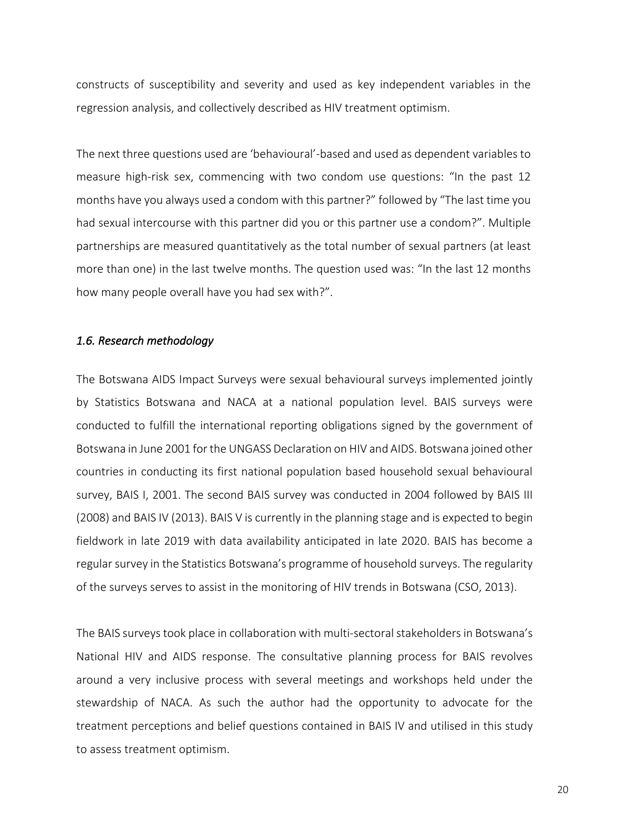constructs of susceptibility and severity and used as key independent variables in the regression analysis, and collectively described as HIV treatment optimism.

The next three questions used are 'behavioural'-based and used as dependent variables to measure high-risk sex, commencing with two condom use questions: "In the past 12 months have you always used a condom with this partner?" followed by "The last time you had sexual intercourse with this partner did you or this partner use a condom?". Multiple partnerships are measured quantitatively as the total number of sexual partners (at least more than one) in the last twelve months. The question used was: "In the last 12 months how many people overall have you had sex with?".

#### *1.6. Research methodology*

The Botswana AIDS Impact Surveys were sexual behavioural surveys implemented jointly by Statistics Botswana and NACA at a national population level. BAIS surveys were conducted to fulfill the international reporting obligations signed by the government of Botswana in June 2001 for the UNGASS Declaration on HIV and AIDS. Botswana joined other countries in conducting its first national population based household sexual behavioural survey, BAIS I, 2001. The second BAIS survey was conducted in 2004 followed by BAIS III (2008) and BAIS IV (2013). BAIS V is currently in the planning stage and is expected to begin fieldwork in late 2019 with data availability anticipated in late 2020. BAIS has become a regular survey in the Statistics Botswana's programme of household surveys. The regularity of the surveys serves to assist in the monitoring of HIV trends in Botswana (CSO, 2013).

The BAIS surveys took place in collaboration with multi-sectoral stakeholders in Botswana's National HIV and AIDS response. The consultative planning process for BAIS revolves around a very inclusive process with several meetings and workshops held under the stewardship of NACA. As such the author had the opportunity to advocate for the treatment perceptions and belief questions contained in BAIS IV and utilised in this study to assess treatment optimism.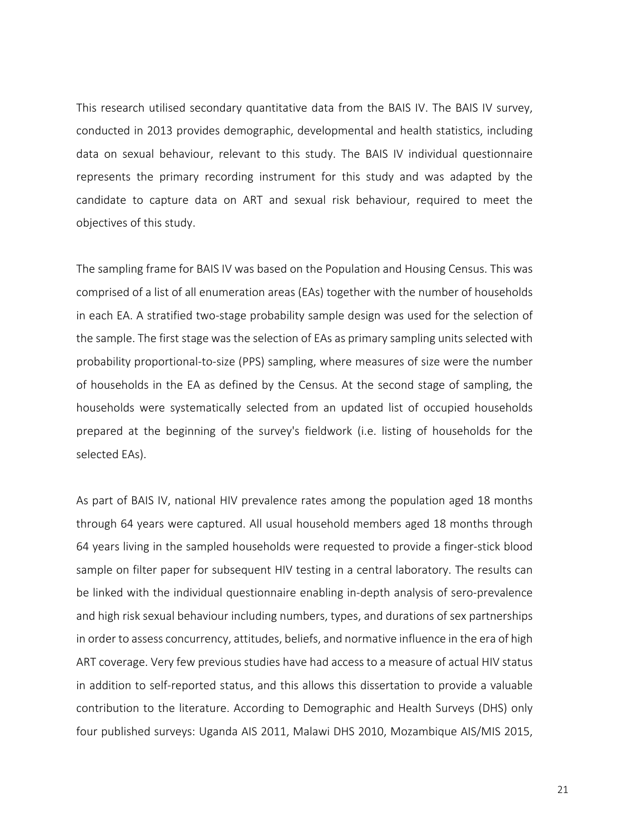This research utilised secondary quantitative data from the BAIS IV. The BAIS IV survey, conducted in 2013 provides demographic, developmental and health statistics, including data on sexual behaviour, relevant to this study. The BAIS IV individual questionnaire represents the primary recording instrument for this study and was adapted by the candidate to capture data on ART and sexual risk behaviour, required to meet the objectives of this study.

The sampling frame for BAIS IV was based on the Population and Housing Census. This was comprised of a list of all enumeration areas (EAs) together with the number of households in each EA. A stratified two-stage probability sample design was used for the selection of the sample. The first stage was the selection of EAs as primary sampling units selected with probability proportional-to-size (PPS) sampling, where measures of size were the number of households in the EA as defined by the Census. At the second stage of sampling, the households were systematically selected from an updated list of occupied households prepared at the beginning of the survey's fieldwork (i.e. listing of households for the selected EAs).

As part of BAIS IV, national HIV prevalence rates among the population aged 18 months through 64 years were captured. All usual household members aged 18 months through 64 years living in the sampled households were requested to provide a finger-stick blood sample on filter paper for subsequent HIV testing in a central laboratory. The results can be linked with the individual questionnaire enabling in-depth analysis of sero-prevalence and high risk sexual behaviour including numbers, types, and durations of sex partnerships in order to assess concurrency, attitudes, beliefs, and normative influence in the era of high ART coverage. Very few previous studies have had access to a measure of actual HIV status in addition to self-reported status, and this allows this dissertation to provide a valuable contribution to the literature. According to Demographic and Health Surveys (DHS) only four published surveys: Uganda AIS 2011, Malawi DHS 2010, Mozambique AIS/MIS 2015,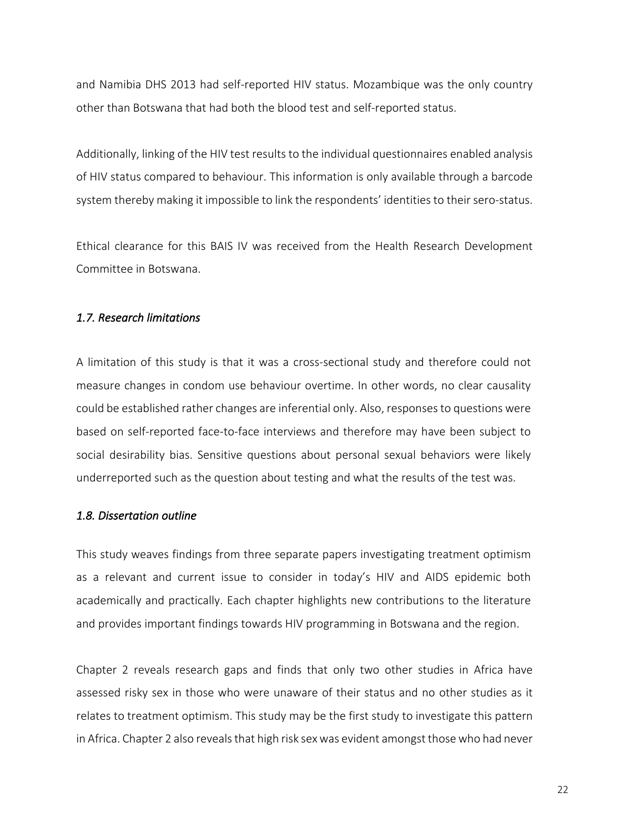and Namibia DHS 2013 had self-reported HIV status. Mozambique was the only country other than Botswana that had both the blood test and self-reported status.

Additionally, linking of the HIV test results to the individual questionnaires enabled analysis of HIV status compared to behaviour. This information is only available through a barcode system thereby making it impossible to link the respondents' identities to their sero-status.

Ethical clearance for this BAIS IV was received from the Health Research Development Committee in Botswana.

#### *1.7. Research limitations*

A limitation of this study is that it was a cross-sectional study and therefore could not measure changes in condom use behaviour overtime. In other words, no clear causality could be established rather changes are inferential only. Also, responses to questions were based on self-reported face-to-face interviews and therefore may have been subject to social desirability bias. Sensitive questions about personal sexual behaviors were likely underreported such as the question about testing and what the results of the test was.

#### *1.8. Dissertation outline*

This study weaves findings from three separate papers investigating treatment optimism as a relevant and current issue to consider in today's HIV and AIDS epidemic both academically and practically. Each chapter highlights new contributions to the literature and provides important findings towards HIV programming in Botswana and the region.

Chapter 2 reveals research gaps and finds that only two other studies in Africa have assessed risky sex in those who were unaware of their status and no other studies as it relates to treatment optimism. This study may be the first study to investigate this pattern in Africa. Chapter 2 also reveals that high risk sex was evident amongst those who had never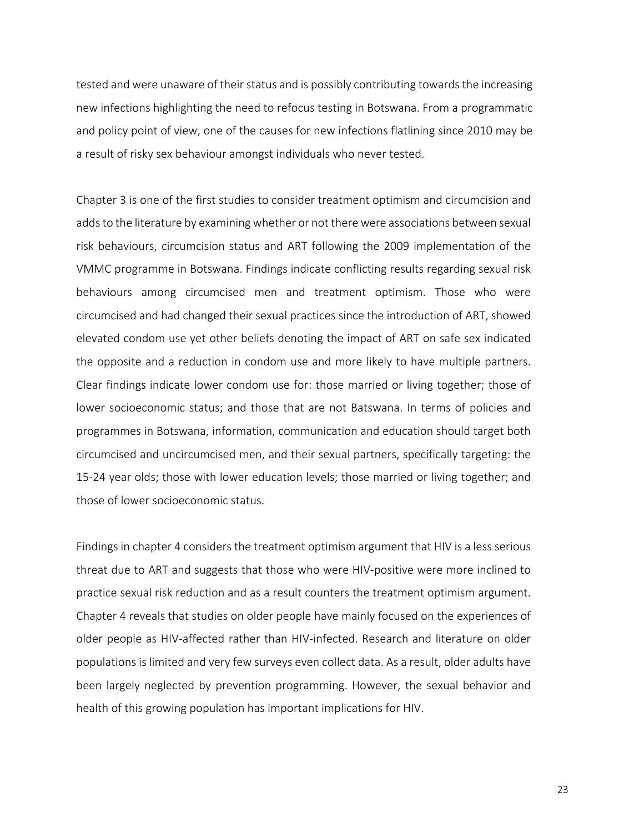tested and were unaware of their status and is possibly contributing towards the increasing new infections highlighting the need to refocus testing in Botswana. From a programmatic and policy point of view, one of the causes for new infections flatlining since 2010 may be a result of risky sex behaviour amongst individuals who never tested.

Chapter 3 is one of the first studies to consider treatment optimism and circumcision and adds to the literature by examining whether or not there were associations between sexual risk behaviours, circumcision status and ART following the 2009 implementation of the VMMC programme in Botswana. Findings indicate conflicting results regarding sexual risk behaviours among circumcised men and treatment optimism. Those who were circumcised and had changed their sexual practices since the introduction of ART, showed elevated condom use yet other beliefs denoting the impact of ART on safe sex indicated the opposite and a reduction in condom use and more likely to have multiple partners. Clear findings indicate lower condom use for: those married or living together; those of lower socioeconomic status; and those that are not Batswana. In terms of policies and programmes in Botswana, information, communication and education should target both circumcised and uncircumcised men, and their sexual partners, specifically targeting: the 15-24 year olds; those with lower education levels; those married or living together; and those of lower socioeconomic status.

Findings in chapter 4 considers the treatment optimism argument that HIV is a less serious threat due to ART and suggests that those who were HIV-positive were more inclined to practice sexual risk reduction and as a result counters the treatment optimism argument. Chapter 4 reveals that studies on older people have mainly focused on the experiences of older people as HIV-affected rather than HIV-infected. Research and literature on older populations is limited and very few surveys even collect data. As a result, older adults have been largely neglected by prevention programming. However, the sexual behavior and health of this growing population has important implications for HIV.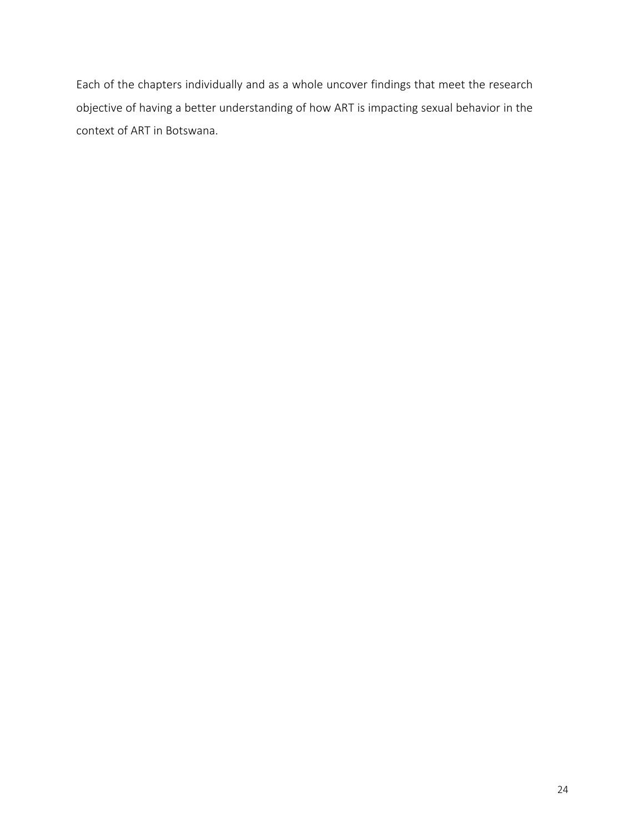Each of the chapters individually and as a whole uncover findings that meet the research objective of having a better understanding of how ART is impacting sexual behavior in the context of ART in Botswana.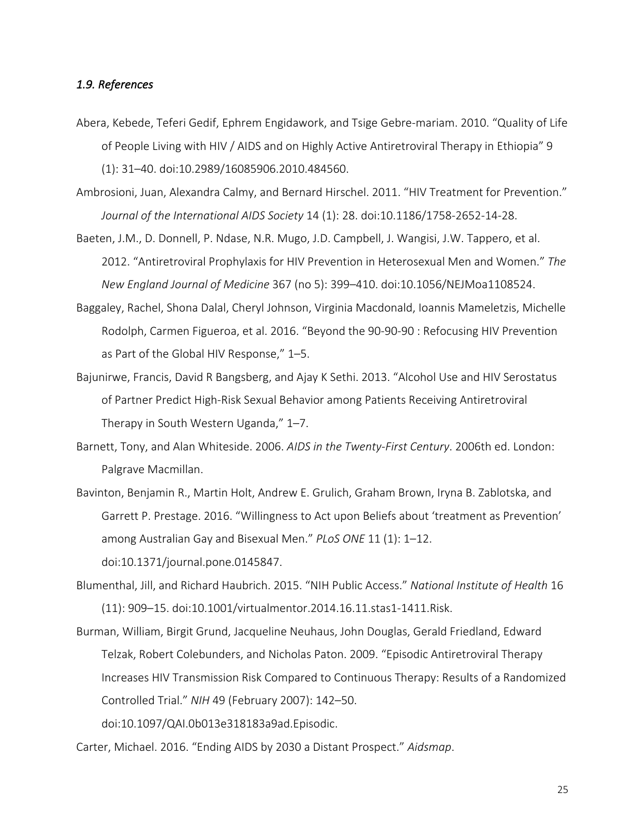#### *1.9. References*

- Abera, Kebede, Teferi Gedif, Ephrem Engidawork, and Tsige Gebre-mariam. 2010. "Quality of Life of People Living with HIV / AIDS and on Highly Active Antiretroviral Therapy in Ethiopia" 9 (1): 31–40. doi:10.2989/16085906.2010.484560.
- Ambrosioni, Juan, Alexandra Calmy, and Bernard Hirschel. 2011. "HIV Treatment for Prevention." *Journal of the International AIDS Society* 14 (1): 28. doi:10.1186/1758-2652-14-28.
- Baeten, J.M., D. Donnell, P. Ndase, N.R. Mugo, J.D. Campbell, J. Wangisi, J.W. Tappero, et al. 2012. "Antiretroviral Prophylaxis for HIV Prevention in Heterosexual Men and Women." *The New England Journal of Medicine* 367 (no 5): 399–410. doi:10.1056/NEJMoa1108524.
- Baggaley, Rachel, Shona Dalal, Cheryl Johnson, Virginia Macdonald, Ioannis Mameletzis, Michelle Rodolph, Carmen Figueroa, et al. 2016. "Beyond the 90-90-90 : Refocusing HIV Prevention as Part of the Global HIV Response," 1–5.
- Bajunirwe, Francis, David R Bangsberg, and Ajay K Sethi. 2013. "Alcohol Use and HIV Serostatus of Partner Predict High-Risk Sexual Behavior among Patients Receiving Antiretroviral Therapy in South Western Uganda," 1–7.
- Barnett, Tony, and Alan Whiteside. 2006. *AIDS in the Twenty-First Century*. 2006th ed. London: Palgrave Macmillan.
- Bavinton, Benjamin R., Martin Holt, Andrew E. Grulich, Graham Brown, Iryna B. Zablotska, and Garrett P. Prestage. 2016. "Willingness to Act upon Beliefs about 'treatment as Prevention' among Australian Gay and Bisexual Men." *PLoS ONE* 11 (1): 1–12. doi:10.1371/journal.pone.0145847.
- Blumenthal, Jill, and Richard Haubrich. 2015. "NIH Public Access." *National Institute of Health* 16 (11): 909–15. doi:10.1001/virtualmentor.2014.16.11.stas1-1411.Risk.
- Burman, William, Birgit Grund, Jacqueline Neuhaus, John Douglas, Gerald Friedland, Edward Telzak, Robert Colebunders, and Nicholas Paton. 2009. "Episodic Antiretroviral Therapy Increases HIV Transmission Risk Compared to Continuous Therapy: Results of a Randomized Controlled Trial." *NIH* 49 (February 2007): 142–50.

doi:10.1097/QAI.0b013e318183a9ad.Episodic.

Carter, Michael. 2016. "Ending AIDS by 2030 a Distant Prospect." *Aidsmap*.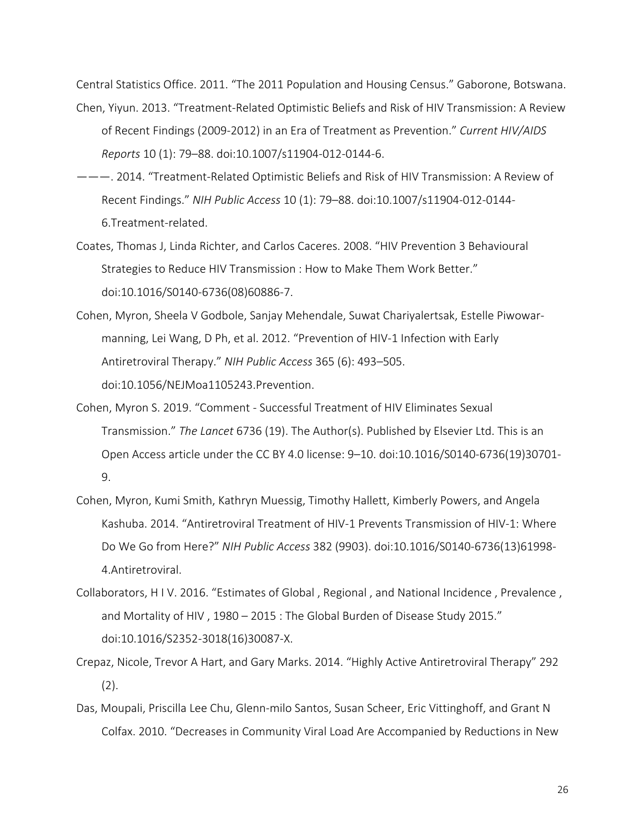Central Statistics Office. 2011. "The 2011 Population and Housing Census." Gaborone, Botswana.

- Chen, Yiyun. 2013. "Treatment-Related Optimistic Beliefs and Risk of HIV Transmission: A Review of Recent Findings (2009-2012) in an Era of Treatment as Prevention." *Current HIV/AIDS Reports* 10 (1): 79–88. doi:10.1007/s11904-012-0144-6.
- ———. 2014. "Treatment-Related Optimistic Beliefs and Risk of HIV Transmission: A Review of Recent Findings." *NIH Public Access* 10 (1): 79–88. doi:10.1007/s11904-012-0144- 6.Treatment-related.
- Coates, Thomas J, Linda Richter, and Carlos Caceres. 2008. "HIV Prevention 3 Behavioural Strategies to Reduce HIV Transmission : How to Make Them Work Better." doi:10.1016/S0140-6736(08)60886-7.
- Cohen, Myron, Sheela V Godbole, Sanjay Mehendale, Suwat Chariyalertsak, Estelle Piwowarmanning, Lei Wang, D Ph, et al. 2012. "Prevention of HIV-1 Infection with Early Antiretroviral Therapy." *NIH Public Access* 365 (6): 493–505. doi:10.1056/NEJMoa1105243.Prevention.
- Cohen, Myron S. 2019. "Comment Successful Treatment of HIV Eliminates Sexual Transmission." *The Lancet* 6736 (19). The Author(s). Published by Elsevier Ltd. This is an Open Access article under the CC BY 4.0 license: 9–10. doi:10.1016/S0140-6736(19)30701- 9.
- Cohen, Myron, Kumi Smith, Kathryn Muessig, Timothy Hallett, Kimberly Powers, and Angela Kashuba. 2014. "Antiretroviral Treatment of HIV-1 Prevents Transmission of HIV-1: Where Do We Go from Here?" *NIH Public Access* 382 (9903). doi:10.1016/S0140-6736(13)61998- 4.Antiretroviral.
- Collaborators, H I V. 2016. "Estimates of Global , Regional , and National Incidence , Prevalence , and Mortality of HIV , 1980 – 2015 : The Global Burden of Disease Study 2015." doi:10.1016/S2352-3018(16)30087-X.
- Crepaz, Nicole, Trevor A Hart, and Gary Marks. 2014. "Highly Active Antiretroviral Therapy" 292 (2).
- Das, Moupali, Priscilla Lee Chu, Glenn-milo Santos, Susan Scheer, Eric Vittinghoff, and Grant N Colfax. 2010. "Decreases in Community Viral Load Are Accompanied by Reductions in New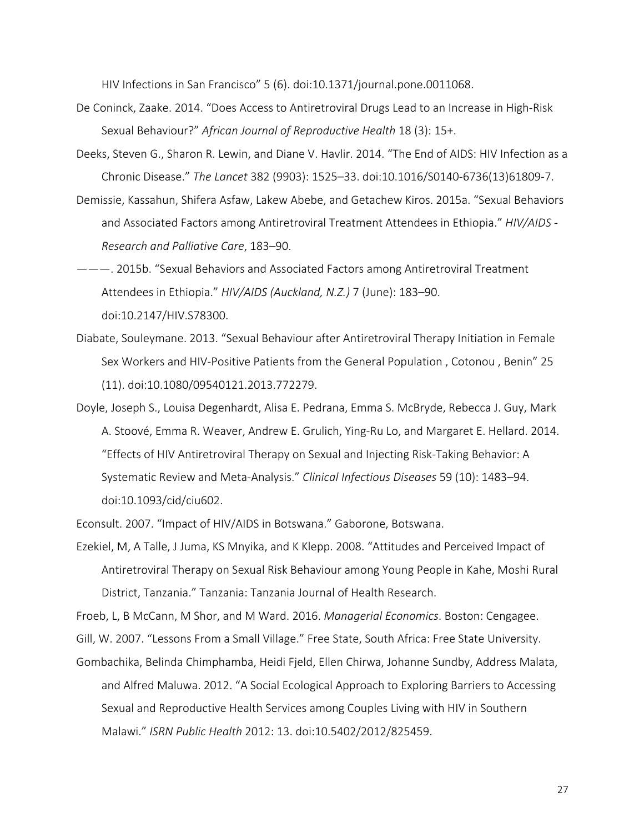HIV Infections in San Francisco" 5 (6). doi:10.1371/journal.pone.0011068.

- De Coninck, Zaake. 2014. "Does Access to Antiretroviral Drugs Lead to an Increase in High-Risk Sexual Behaviour?" *African Journal of Reproductive Health* 18 (3): 15+.
- Deeks, Steven G., Sharon R. Lewin, and Diane V. Havlir. 2014. "The End of AIDS: HIV Infection as a Chronic Disease." *The Lancet* 382 (9903): 1525–33. doi:10.1016/S0140-6736(13)61809-7.
- Demissie, Kassahun, Shifera Asfaw, Lakew Abebe, and Getachew Kiros. 2015a. "Sexual Behaviors and Associated Factors among Antiretroviral Treatment Attendees in Ethiopia." *HIV/AIDS - Research and Palliative Care*, 183–90.
- ———. 2015b. "Sexual Behaviors and Associated Factors among Antiretroviral Treatment Attendees in Ethiopia." *HIV/AIDS (Auckland, N.Z.)* 7 (June): 183–90. doi:10.2147/HIV.S78300.
- Diabate, Souleymane. 2013. "Sexual Behaviour after Antiretroviral Therapy Initiation in Female Sex Workers and HIV-Positive Patients from the General Population , Cotonou , Benin" 25 (11). doi:10.1080/09540121.2013.772279.
- Doyle, Joseph S., Louisa Degenhardt, Alisa E. Pedrana, Emma S. McBryde, Rebecca J. Guy, Mark A. Stoové, Emma R. Weaver, Andrew E. Grulich, Ying-Ru Lo, and Margaret E. Hellard. 2014. "Effects of HIV Antiretroviral Therapy on Sexual and Injecting Risk-Taking Behavior: A Systematic Review and Meta-Analysis." *Clinical Infectious Diseases* 59 (10): 1483–94. doi:10.1093/cid/ciu602.

Econsult. 2007. "Impact of HIV/AIDS in Botswana." Gaborone, Botswana.

Ezekiel, M, A Talle, J Juma, KS Mnyika, and K Klepp. 2008. "Attitudes and Perceived Impact of Antiretroviral Therapy on Sexual Risk Behaviour among Young People in Kahe, Moshi Rural District, Tanzania." Tanzania: Tanzania Journal of Health Research.

Froeb, L, B McCann, M Shor, and M Ward. 2016. *Managerial Economics*. Boston: Cengagee.

Gill, W. 2007. "Lessons From a Small Village." Free State, South Africa: Free State University.

Gombachika, Belinda Chimphamba, Heidi Fjeld, Ellen Chirwa, Johanne Sundby, Address Malata, and Alfred Maluwa. 2012. "A Social Ecological Approach to Exploring Barriers to Accessing Sexual and Reproductive Health Services among Couples Living with HIV in Southern Malawi." *ISRN Public Health* 2012: 13. doi:10.5402/2012/825459.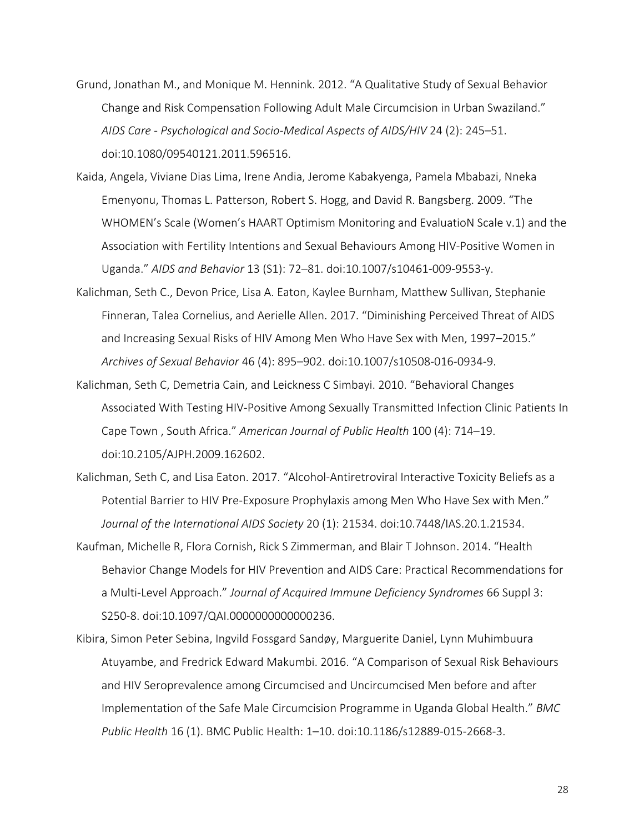- Grund, Jonathan M., and Monique M. Hennink. 2012. "A Qualitative Study of Sexual Behavior Change and Risk Compensation Following Adult Male Circumcision in Urban Swaziland." *AIDS Care - Psychological and Socio-Medical Aspects of AIDS/HIV* 24 (2): 245–51. doi:10.1080/09540121.2011.596516.
- Kaida, Angela, Viviane Dias Lima, Irene Andia, Jerome Kabakyenga, Pamela Mbabazi, Nneka Emenyonu, Thomas L. Patterson, Robert S. Hogg, and David R. Bangsberg. 2009. "The WHOMEN's Scale (Women's HAART Optimism Monitoring and EvaluatioN Scale v.1) and the Association with Fertility Intentions and Sexual Behaviours Among HIV-Positive Women in Uganda." *AIDS and Behavior* 13 (S1): 72–81. doi:10.1007/s10461-009-9553-y.
- Kalichman, Seth C., Devon Price, Lisa A. Eaton, Kaylee Burnham, Matthew Sullivan, Stephanie Finneran, Talea Cornelius, and Aerielle Allen. 2017. "Diminishing Perceived Threat of AIDS and Increasing Sexual Risks of HIV Among Men Who Have Sex with Men, 1997–2015." *Archives of Sexual Behavior* 46 (4): 895–902. doi:10.1007/s10508-016-0934-9.
- Kalichman, Seth C, Demetria Cain, and Leickness C Simbayi. 2010. "Behavioral Changes Associated With Testing HIV-Positive Among Sexually Transmitted Infection Clinic Patients In Cape Town , South Africa." *American Journal of Public Health* 100 (4): 714–19. doi:10.2105/AJPH.2009.162602.
- Kalichman, Seth C, and Lisa Eaton. 2017. "Alcohol-Antiretroviral Interactive Toxicity Beliefs as a Potential Barrier to HIV Pre-Exposure Prophylaxis among Men Who Have Sex with Men." *Journal of the International AIDS Society* 20 (1): 21534. doi:10.7448/IAS.20.1.21534.
- Kaufman, Michelle R, Flora Cornish, Rick S Zimmerman, and Blair T Johnson. 2014. "Health Behavior Change Models for HIV Prevention and AIDS Care: Practical Recommendations for a Multi-Level Approach." *Journal of Acquired Immune Deficiency Syndromes* 66 Suppl 3: S250-8. doi:10.1097/QAI.0000000000000236.
- Kibira, Simon Peter Sebina, Ingvild Fossgard Sandøy, Marguerite Daniel, Lynn Muhimbuura Atuyambe, and Fredrick Edward Makumbi. 2016. "A Comparison of Sexual Risk Behaviours and HIV Seroprevalence among Circumcised and Uncircumcised Men before and after Implementation of the Safe Male Circumcision Programme in Uganda Global Health." *BMC Public Health* 16 (1). BMC Public Health: 1–10. doi:10.1186/s12889-015-2668-3.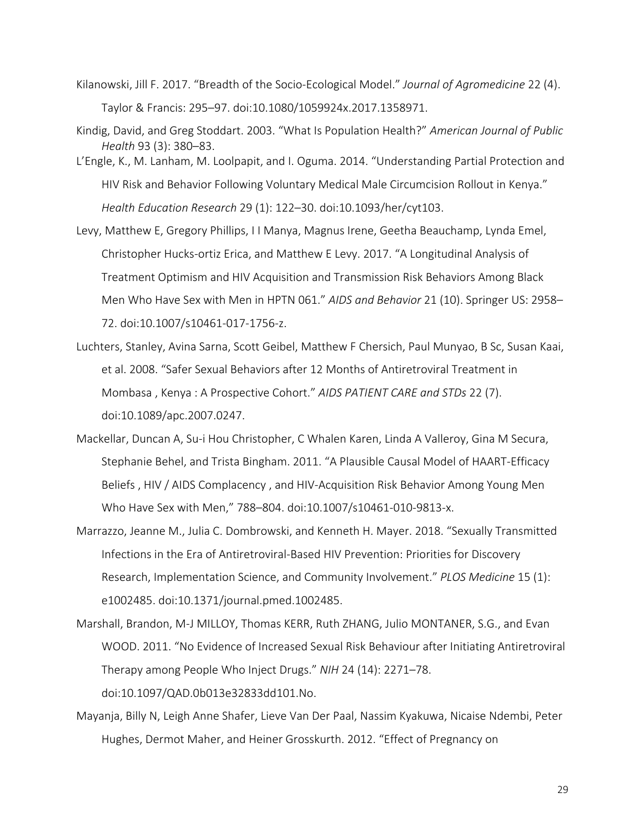- Kilanowski, Jill F. 2017. "Breadth of the Socio-Ecological Model." *Journal of Agromedicine* 22 (4). Taylor & Francis: 295–97. doi:10.1080/1059924x.2017.1358971.
- Kindig, David, and Greg Stoddart. 2003. "What Is Population Health?" *American Journal of Public Health* 93 (3): 380–83.
- L'Engle, K., M. Lanham, M. Loolpapit, and I. Oguma. 2014. "Understanding Partial Protection and HIV Risk and Behavior Following Voluntary Medical Male Circumcision Rollout in Kenya." *Health Education Research* 29 (1): 122–30. doi:10.1093/her/cyt103.
- Levy, Matthew E, Gregory Phillips, I I Manya, Magnus Irene, Geetha Beauchamp, Lynda Emel, Christopher Hucks-ortiz Erica, and Matthew E Levy. 2017. "A Longitudinal Analysis of Treatment Optimism and HIV Acquisition and Transmission Risk Behaviors Among Black Men Who Have Sex with Men in HPTN 061." *AIDS and Behavior* 21 (10). Springer US: 2958– 72. doi:10.1007/s10461-017-1756-z.
- Luchters, Stanley, Avina Sarna, Scott Geibel, Matthew F Chersich, Paul Munyao, B Sc, Susan Kaai, et al. 2008. "Safer Sexual Behaviors after 12 Months of Antiretroviral Treatment in Mombasa , Kenya : A Prospective Cohort." *AIDS PATIENT CARE and STDs* 22 (7). doi:10.1089/apc.2007.0247.
- Mackellar, Duncan A, Su-i Hou Christopher, C Whalen Karen, Linda A Valleroy, Gina M Secura, Stephanie Behel, and Trista Bingham. 2011. "A Plausible Causal Model of HAART-Efficacy Beliefs , HIV / AIDS Complacency , and HIV-Acquisition Risk Behavior Among Young Men Who Have Sex with Men," 788–804. doi:10.1007/s10461-010-9813-x.
- Marrazzo, Jeanne M., Julia C. Dombrowski, and Kenneth H. Mayer. 2018. "Sexually Transmitted Infections in the Era of Antiretroviral-Based HIV Prevention: Priorities for Discovery Research, Implementation Science, and Community Involvement." *PLOS Medicine* 15 (1): e1002485. doi:10.1371/journal.pmed.1002485.
- Marshall, Brandon, M-J MILLOY, Thomas KERR, Ruth ZHANG, Julio MONTANER, S.G., and Evan WOOD. 2011. "No Evidence of Increased Sexual Risk Behaviour after Initiating Antiretroviral Therapy among People Who Inject Drugs." *NIH* 24 (14): 2271–78. doi:10.1097/QAD.0b013e32833dd101.No.
- Mayanja, Billy N, Leigh Anne Shafer, Lieve Van Der Paal, Nassim Kyakuwa, Nicaise Ndembi, Peter Hughes, Dermot Maher, and Heiner Grosskurth. 2012. "Effect of Pregnancy on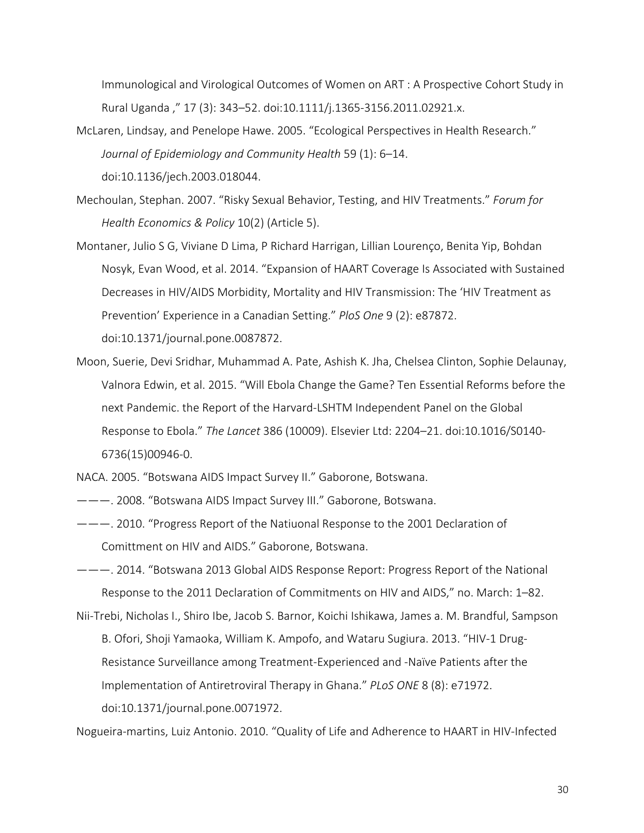Immunological and Virological Outcomes of Women on ART : A Prospective Cohort Study in Rural Uganda ," 17 (3): 343–52. doi:10.1111/j.1365-3156.2011.02921.x.

- McLaren, Lindsay, and Penelope Hawe. 2005. "Ecological Perspectives in Health Research." *Journal of Epidemiology and Community Health* 59 (1): 6–14. doi:10.1136/jech.2003.018044.
- Mechoulan, Stephan. 2007. "Risky Sexual Behavior, Testing, and HIV Treatments." *Forum for Health Economics & Policy* 10(2) (Article 5).
- Montaner, Julio S G, Viviane D Lima, P Richard Harrigan, Lillian Lourenço, Benita Yip, Bohdan Nosyk, Evan Wood, et al. 2014. "Expansion of HAART Coverage Is Associated with Sustained Decreases in HIV/AIDS Morbidity, Mortality and HIV Transmission: The 'HIV Treatment as Prevention' Experience in a Canadian Setting." *PloS One* 9 (2): e87872. doi:10.1371/journal.pone.0087872.
- Moon, Suerie, Devi Sridhar, Muhammad A. Pate, Ashish K. Jha, Chelsea Clinton, Sophie Delaunay, Valnora Edwin, et al. 2015. "Will Ebola Change the Game? Ten Essential Reforms before the next Pandemic. the Report of the Harvard-LSHTM Independent Panel on the Global Response to Ebola." *The Lancet* 386 (10009). Elsevier Ltd: 2204–21. doi:10.1016/S0140- 6736(15)00946-0.

NACA. 2005. "Botswana AIDS Impact Survey II." Gaborone, Botswana.

- ———. 2008. "Botswana AIDS Impact Survey III." Gaborone, Botswana.
- ———. 2010. "Progress Report of the Natiuonal Response to the 2001 Declaration of Comittment on HIV and AIDS." Gaborone, Botswana.
- ———. 2014. "Botswana 2013 Global AIDS Response Report: Progress Report of the National Response to the 2011 Declaration of Commitments on HIV and AIDS," no. March: 1–82.
- Nii-Trebi, Nicholas I., Shiro Ibe, Jacob S. Barnor, Koichi Ishikawa, James a. M. Brandful, Sampson B. Ofori, Shoji Yamaoka, William K. Ampofo, and Wataru Sugiura. 2013. "HIV-1 Drug-Resistance Surveillance among Treatment-Experienced and -Naïve Patients after the Implementation of Antiretroviral Therapy in Ghana." *PLoS ONE* 8 (8): e71972. doi:10.1371/journal.pone.0071972.

Nogueira-martins, Luiz Antonio. 2010. "Quality of Life and Adherence to HAART in HIV-Infected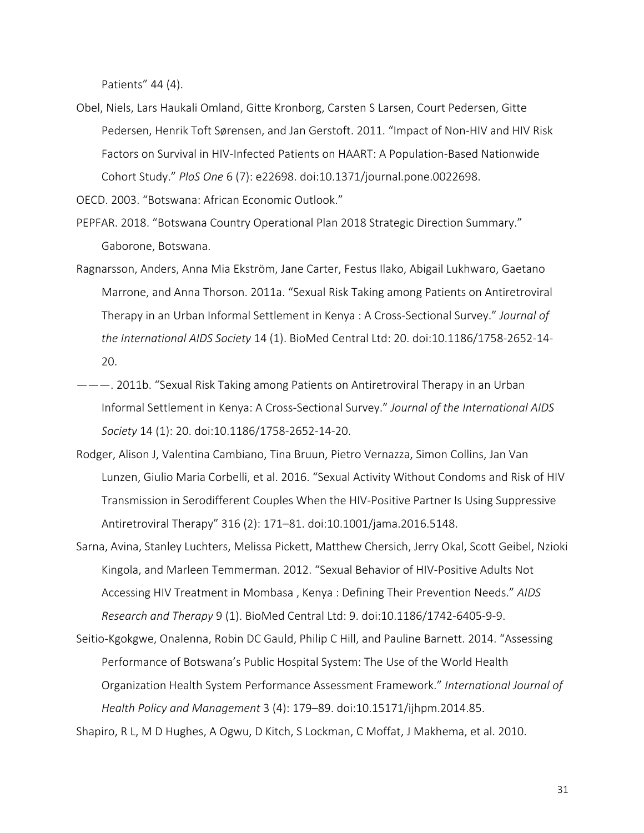Patients" 44 (4).

Obel, Niels, Lars Haukali Omland, Gitte Kronborg, Carsten S Larsen, Court Pedersen, Gitte Pedersen, Henrik Toft Sørensen, and Jan Gerstoft. 2011. "Impact of Non-HIV and HIV Risk Factors on Survival in HIV-Infected Patients on HAART: A Population-Based Nationwide Cohort Study." *PloS One* 6 (7): e22698. doi:10.1371/journal.pone.0022698.

OECD. 2003. "Botswana: African Economic Outlook."

- PEPFAR. 2018. "Botswana Country Operational Plan 2018 Strategic Direction Summary." Gaborone, Botswana.
- Ragnarsson, Anders, Anna Mia Ekström, Jane Carter, Festus Ilako, Abigail Lukhwaro, Gaetano Marrone, and Anna Thorson. 2011a. "Sexual Risk Taking among Patients on Antiretroviral Therapy in an Urban Informal Settlement in Kenya : A Cross-Sectional Survey." *Journal of the International AIDS Society* 14 (1). BioMed Central Ltd: 20. doi:10.1186/1758-2652-14- 20.
- ———. 2011b. "Sexual Risk Taking among Patients on Antiretroviral Therapy in an Urban Informal Settlement in Kenya: A Cross-Sectional Survey." *Journal of the International AIDS Society* 14 (1): 20. doi:10.1186/1758-2652-14-20.
- Rodger, Alison J, Valentina Cambiano, Tina Bruun, Pietro Vernazza, Simon Collins, Jan Van Lunzen, Giulio Maria Corbelli, et al. 2016. "Sexual Activity Without Condoms and Risk of HIV Transmission in Serodifferent Couples When the HIV-Positive Partner Is Using Suppressive Antiretroviral Therapy" 316 (2): 171–81. doi:10.1001/jama.2016.5148.
- Sarna, Avina, Stanley Luchters, Melissa Pickett, Matthew Chersich, Jerry Okal, Scott Geibel, Nzioki Kingola, and Marleen Temmerman. 2012. "Sexual Behavior of HIV-Positive Adults Not Accessing HIV Treatment in Mombasa , Kenya : Defining Their Prevention Needs." *AIDS Research and Therapy* 9 (1). BioMed Central Ltd: 9. doi:10.1186/1742-6405-9-9.
- Seitio-Kgokgwe, Onalenna, Robin DC Gauld, Philip C Hill, and Pauline Barnett. 2014. "Assessing Performance of Botswana's Public Hospital System: The Use of the World Health Organization Health System Performance Assessment Framework." *International Journal of Health Policy and Management* 3 (4): 179–89. doi:10.15171/ijhpm.2014.85.

Shapiro, R L, M D Hughes, A Ogwu, D Kitch, S Lockman, C Moffat, J Makhema, et al. 2010.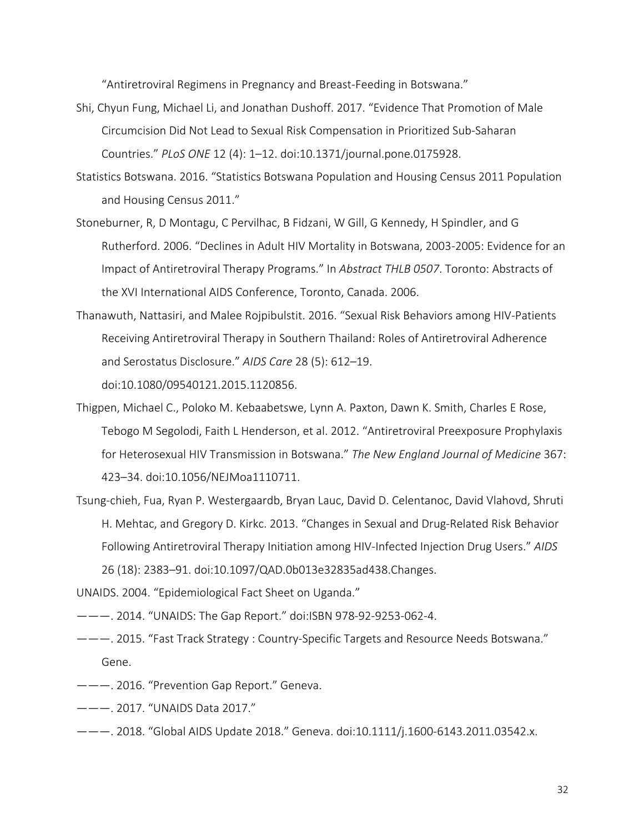"Antiretroviral Regimens in Pregnancy and Breast-Feeding in Botswana."

- Shi, Chyun Fung, Michael Li, and Jonathan Dushoff. 2017. "Evidence That Promotion of Male Circumcision Did Not Lead to Sexual Risk Compensation in Prioritized Sub-Saharan Countries." *PLoS ONE* 12 (4): 1–12. doi:10.1371/journal.pone.0175928.
- Statistics Botswana. 2016. "Statistics Botswana Population and Housing Census 2011 Population and Housing Census 2011."
- Stoneburner, R, D Montagu, C Pervilhac, B Fidzani, W Gill, G Kennedy, H Spindler, and G Rutherford. 2006. "Declines in Adult HIV Mortality in Botswana, 2003-2005: Evidence for an Impact of Antiretroviral Therapy Programs." In *Abstract THLB 0507*. Toronto: Abstracts of the XVI International AIDS Conference, Toronto, Canada. 2006.
- Thanawuth, Nattasiri, and Malee Rojpibulstit. 2016. "Sexual Risk Behaviors among HIV-Patients Receiving Antiretroviral Therapy in Southern Thailand: Roles of Antiretroviral Adherence and Serostatus Disclosure." *AIDS Care* 28 (5): 612–19. doi:10.1080/09540121.2015.1120856.
- Thigpen, Michael C., Poloko M. Kebaabetswe, Lynn A. Paxton, Dawn K. Smith, Charles E Rose, Tebogo M Segolodi, Faith L Henderson, et al. 2012. "Antiretroviral Preexposure Prophylaxis for Heterosexual HIV Transmission in Botswana." *The New England Journal of Medicine* 367: 423–34. doi:10.1056/NEJMoa1110711.
- Tsung-chieh, Fua, Ryan P. Westergaardb, Bryan Lauc, David D. Celentanoc, David Vlahovd, Shruti H. Mehtac, and Gregory D. Kirkc. 2013. "Changes in Sexual and Drug-Related Risk Behavior Following Antiretroviral Therapy Initiation among HIV-Infected Injection Drug Users." *AIDS* 26 (18): 2383–91. doi:10.1097/QAD.0b013e32835ad438.Changes.
- UNAIDS. 2004. "Epidemiological Fact Sheet on Uganda."
- ———. 2014. "UNAIDS: The Gap Report." doi:ISBN 978-92-9253-062-4.
- ———. 2015. "Fast Track Strategy : Country-Specific Targets and Resource Needs Botswana." Gene.
- ———. 2016. "Prevention Gap Report." Geneva.
- ———. 2017. "UNAIDS Data 2017."
- ———. 2018. "Global AIDS Update 2018." Geneva. doi:10.1111/j.1600-6143.2011.03542.x.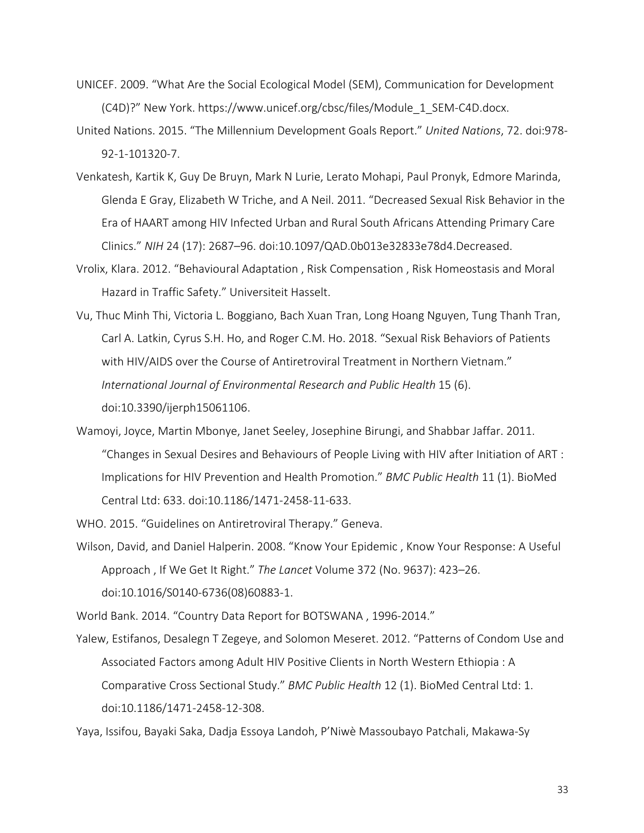- UNICEF. 2009. "What Are the Social Ecological Model (SEM), Communication for Development (C4D)?" New York. https://www.unicef.org/cbsc/files/Module\_1\_SEM-C4D.docx.
- United Nations. 2015. "The Millennium Development Goals Report." *United Nations*, 72. doi:978- 92-1-101320-7.
- Venkatesh, Kartik K, Guy De Bruyn, Mark N Lurie, Lerato Mohapi, Paul Pronyk, Edmore Marinda, Glenda E Gray, Elizabeth W Triche, and A Neil. 2011. "Decreased Sexual Risk Behavior in the Era of HAART among HIV Infected Urban and Rural South Africans Attending Primary Care Clinics." *NIH* 24 (17): 2687–96. doi:10.1097/QAD.0b013e32833e78d4.Decreased.
- Vrolix, Klara. 2012. "Behavioural Adaptation , Risk Compensation , Risk Homeostasis and Moral Hazard in Traffic Safety." Universiteit Hasselt.
- Vu, Thuc Minh Thi, Victoria L. Boggiano, Bach Xuan Tran, Long Hoang Nguyen, Tung Thanh Tran, Carl A. Latkin, Cyrus S.H. Ho, and Roger C.M. Ho. 2018. "Sexual Risk Behaviors of Patients with HIV/AIDS over the Course of Antiretroviral Treatment in Northern Vietnam." *International Journal of Environmental Research and Public Health* 15 (6). doi:10.3390/ijerph15061106.
- Wamoyi, Joyce, Martin Mbonye, Janet Seeley, Josephine Birungi, and Shabbar Jaffar. 2011. "Changes in Sexual Desires and Behaviours of People Living with HIV after Initiation of ART : Implications for HIV Prevention and Health Promotion." *BMC Public Health* 11 (1). BioMed Central Ltd: 633. doi:10.1186/1471-2458-11-633.

WHO. 2015. "Guidelines on Antiretroviral Therapy." Geneva.

Wilson, David, and Daniel Halperin. 2008. "Know Your Epidemic , Know Your Response: A Useful Approach , If We Get It Right." *The Lancet* Volume 372 (No. 9637): 423–26. doi:10.1016/S0140-6736(08)60883-1.

World Bank. 2014. "Country Data Report for BOTSWANA , 1996-2014."

Yalew, Estifanos, Desalegn T Zegeye, and Solomon Meseret. 2012. "Patterns of Condom Use and Associated Factors among Adult HIV Positive Clients in North Western Ethiopia : A Comparative Cross Sectional Study." *BMC Public Health* 12 (1). BioMed Central Ltd: 1. doi:10.1186/1471-2458-12-308.

Yaya, Issifou, Bayaki Saka, Dadja Essoya Landoh, P'Niwè Massoubayo Patchali, Makawa-Sy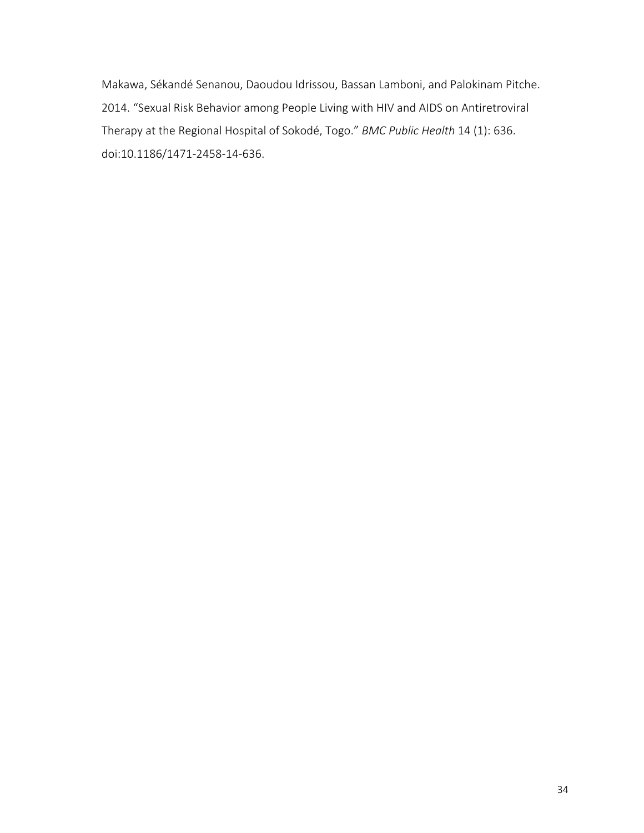Makawa, Sékandé Senanou, Daoudou Idrissou, Bassan Lamboni, and Palokinam Pitche. 2014. "Sexual Risk Behavior among People Living with HIV and AIDS on Antiretroviral Therapy at the Regional Hospital of Sokodé, Togo." *BMC Public Health* 14 (1): 636. doi:10.1186/1471-2458-14-636.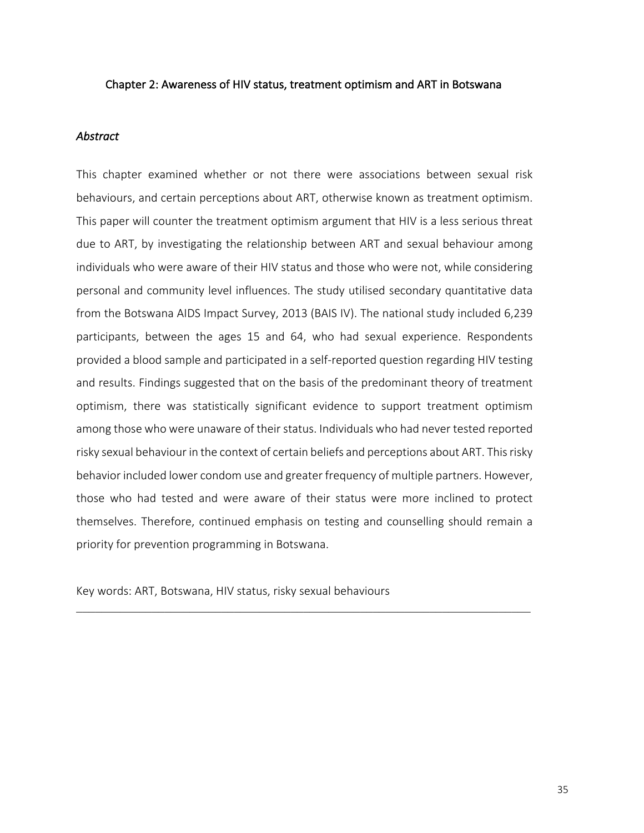### Chapter 2: Awareness of HIV status, treatment optimism and ART in Botswana

#### *Abstract*

This chapter examined whether or not there were associations between sexual risk behaviours, and certain perceptions about ART, otherwise known as treatment optimism. This paper will counter the treatment optimism argument that HIV is a less serious threat due to ART, by investigating the relationship between ART and sexual behaviour among individuals who were aware of their HIV status and those who were not, while considering personal and community level influences. The study utilised secondary quantitative data from the Botswana AIDS Impact Survey, 2013 (BAIS IV). The national study included 6,239 participants, between the ages 15 and 64, who had sexual experience. Respondents provided a blood sample and participated in a self-reported question regarding HIV testing and results. Findings suggested that on the basis of the predominant theory of treatment optimism, there was statistically significant evidence to support treatment optimism among those who were unaware of their status. Individuals who had never tested reported risky sexual behaviour in the context of certain beliefs and perceptions about ART. This risky behavior included lower condom use and greater frequency of multiple partners. However, those who had tested and were aware of their status were more inclined to protect themselves. Therefore, continued emphasis on testing and counselling should remain a priority for prevention programming in Botswana.

Key words: ART, Botswana, HIV status, risky sexual behaviours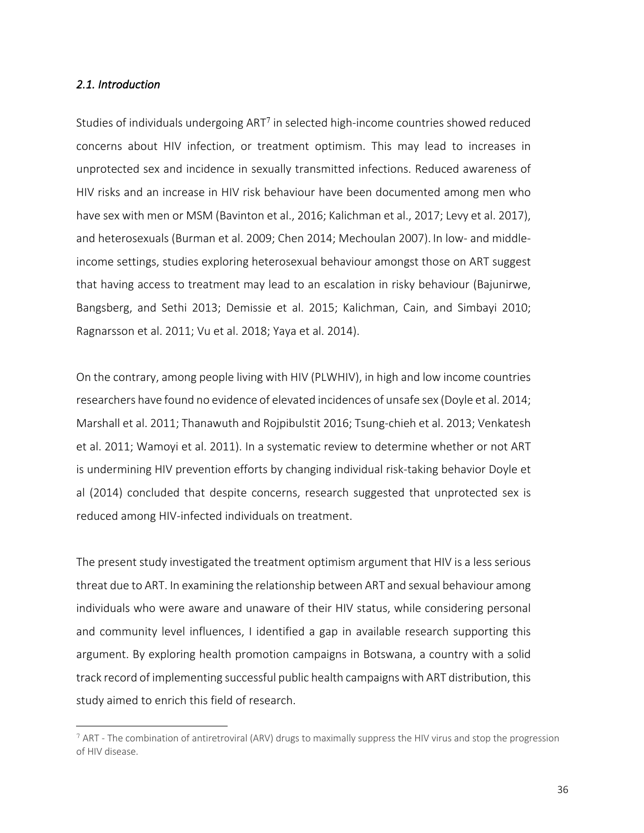### *2.1. Introduction*

<u>.</u>

Studies of individuals undergoing ART<sup>7</sup> in selected high-income countries showed reduced concerns about HIV infection, or treatment optimism. This may lead to increases in unprotected sex and incidence in sexually transmitted infections. Reduced awareness of HIV risks and an increase in HIV risk behaviour have been documented among men who have sex with men or MSM (Bavinton et al., 2016; Kalichman et al., 2017; Levy et al. 2017), and heterosexuals (Burman et al. 2009; Chen 2014; Mechoulan 2007). In low- and middleincome settings, studies exploring heterosexual behaviour amongst those on ART suggest that having access to treatment may lead to an escalation in risky behaviour (Bajunirwe, Bangsberg, and Sethi 2013; Demissie et al. 2015; Kalichman, Cain, and Simbayi 2010; Ragnarsson et al. 2011; Vu et al. 2018; Yaya et al. 2014).

On the contrary, among people living with HIV (PLWHIV), in high and low income countries researchers have found no evidence of elevated incidences of unsafe sex (Doyle et al. 2014; Marshall et al. 2011; Thanawuth and Rojpibulstit 2016; Tsung-chieh et al. 2013; Venkatesh et al. 2011; Wamoyi et al. 2011). In a systematic review to determine whether or not ART is undermining HIV prevention efforts by changing individual risk-taking behavior Doyle et al (2014) concluded that despite concerns, research suggested that unprotected sex is reduced among HIV-infected individuals on treatment.

The present study investigated the treatment optimism argument that HIV is a less serious threat due to ART. In examining the relationship between ART and sexual behaviour among individuals who were aware and unaware of their HIV status, while considering personal and community level influences, I identified a gap in available research supporting this argument. By exploring health promotion campaigns in Botswana, a country with a solid track record of implementing successful public health campaigns with ART distribution, this study aimed to enrich this field of research.

 $7$  ART - The combination of antiretroviral (ARV) drugs to maximally suppress the HIV virus and stop the progression of HIV disease.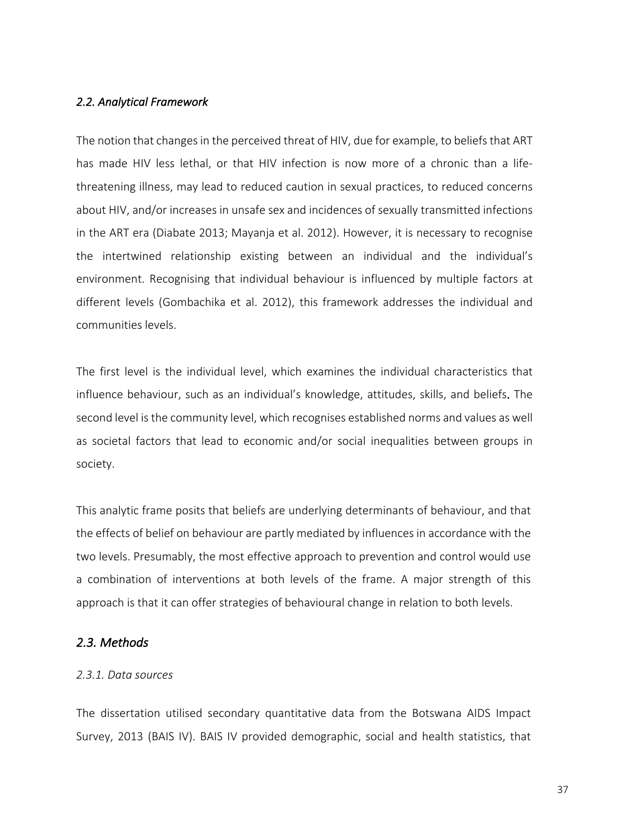## *2.2. Analytical Framework*

The notion that changes in the perceived threat of HIV, due for example, to beliefs that ART has made HIV less lethal, or that HIV infection is now more of a chronic than a lifethreatening illness, may lead to reduced caution in sexual practices, to reduced concerns about HIV, and/or increases in unsafe sex and incidences of sexually transmitted infections in the ART era (Diabate 2013; Mayanja et al. 2012). However, it is necessary to recognise the intertwined relationship existing between an individual and the individual's environment. Recognising that individual behaviour is influenced by multiple factors at different levels (Gombachika et al. 2012), this framework addresses the individual and communities levels.

The first level is the individual level, which examines the individual characteristics that influence behaviour, such as an individual's knowledge, attitudes, skills, and beliefs. The second level is the community level, which recognises established norms and values as well as societal factors that lead to economic and/or social inequalities between groups in society.

This analytic frame posits that beliefs are underlying determinants of behaviour, and that the effects of belief on behaviour are partly mediated by influences in accordance with the two levels. Presumably, the most effective approach to prevention and control would use a combination of interventions at both levels of the frame. A major strength of this approach is that it can offer strategies of behavioural change in relation to both levels.

## *2.3. Methods*

#### *2.3.1. Data sources*

The dissertation utilised secondary quantitative data from the Botswana AIDS Impact Survey, 2013 (BAIS IV). BAIS IV provided demographic, social and health statistics, that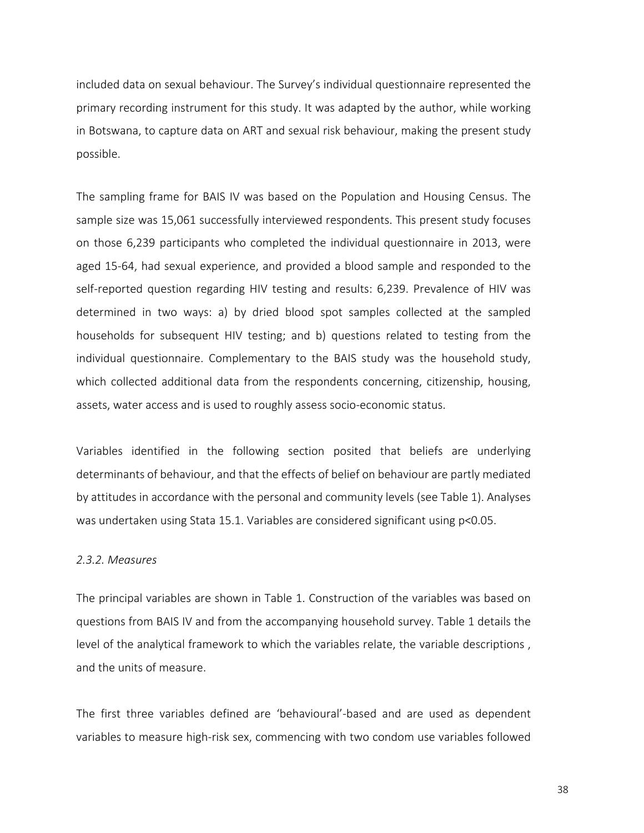included data on sexual behaviour. The Survey's individual questionnaire represented the primary recording instrument for this study. It was adapted by the author, while working in Botswana, to capture data on ART and sexual risk behaviour, making the present study possible.

The sampling frame for BAIS IV was based on the Population and Housing Census. The sample size was 15,061 successfully interviewed respondents. This present study focuses on those 6,239 participants who completed the individual questionnaire in 2013, were aged 15-64, had sexual experience, and provided a blood sample and responded to the self-reported question regarding HIV testing and results: 6,239. Prevalence of HIV was determined in two ways: a) by dried blood spot samples collected at the sampled households for subsequent HIV testing; and b) questions related to testing from the individual questionnaire. Complementary to the BAIS study was the household study, which collected additional data from the respondents concerning, citizenship, housing, assets, water access and is used to roughly assess socio-economic status.

Variables identified in the following section posited that beliefs are underlying determinants of behaviour, and that the effects of belief on behaviour are partly mediated by attitudes in accordance with the personal and community levels (see Table 1). Analyses was undertaken using Stata 15.1. Variables are considered significant using p<0.05.

#### *2.3.2. Measures*

The principal variables are shown in Table 1. Construction of the variables was based on questions from BAIS IV and from the accompanying household survey. Table 1 details the level of the analytical framework to which the variables relate, the variable descriptions , and the units of measure.

The first three variables defined are 'behavioural'-based and are used as dependent variables to measure high-risk sex, commencing with two condom use variables followed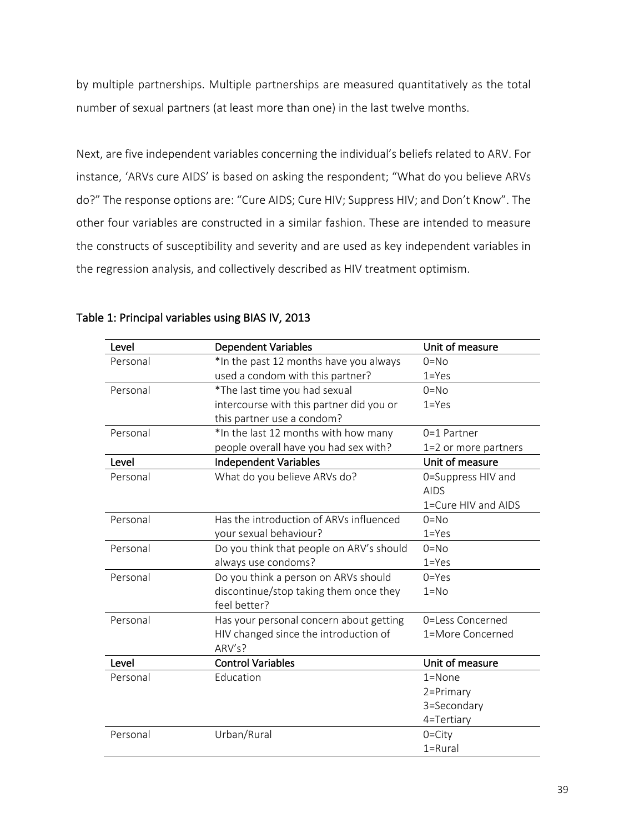by multiple partnerships. Multiple partnerships are measured quantitatively as the total number of sexual partners (at least more than one) in the last twelve months.

Next, are five independent variables concerning the individual's beliefs related to ARV. For instance, 'ARVs cure AIDS' is based on asking the respondent; "What do you believe ARVs do?" The response options are: "Cure AIDS; Cure HIV; Suppress HIV; and Don't Know". The other four variables are constructed in a similar fashion. These are intended to measure the constructs of susceptibility and severity and are used as key independent variables in the regression analysis, and collectively described as HIV treatment optimism.

| Level    | <b>Dependent Variables</b>               | Unit of measure      |
|----------|------------------------------------------|----------------------|
| Personal | *In the past 12 months have you always   | $0=$ No              |
|          | used a condom with this partner?         | $1 = Yes$            |
| Personal | *The last time you had sexual            | $0 = No$             |
|          | intercourse with this partner did you or | $1 = Yes$            |
|          | this partner use a condom?               |                      |
| Personal | *In the last 12 months with how many     | 0=1 Partner          |
|          | people overall have you had sex with?    | 1=2 or more partners |
| Level    | <b>Independent Variables</b>             | Unit of measure      |
| Personal | What do you believe ARVs do?             | 0=Suppress HIV and   |
|          |                                          | <b>AIDS</b>          |
|          |                                          | 1=Cure HIV and AIDS  |
| Personal | Has the introduction of ARVs influenced  | $0=$ No              |
|          | your sexual behaviour?                   | $1 = Yes$            |
| Personal | Do you think that people on ARV's should | $0=No$               |
|          | always use condoms?                      | $1 = Yes$            |
| Personal | Do you think a person on ARVs should     | $0 = Yes$            |
|          | discontinue/stop taking them once they   | $1 = No$             |
|          | feel better?                             |                      |
| Personal | Has your personal concern about getting  | 0=Less Concerned     |
|          | HIV changed since the introduction of    | 1=More Concerned     |
|          | ARV's?                                   |                      |
| Level    | <b>Control Variables</b>                 | Unit of measure      |
| Personal | Education                                | $1 =$ None           |
|          |                                          | 2=Primary            |
|          |                                          | 3=Secondary          |
|          |                                          | 4=Tertiary           |
| Personal | Urban/Rural                              | $0 = City$           |
|          |                                          | $1 = Rural$          |

## Table 1: Principal variables using BIAS IV, 2013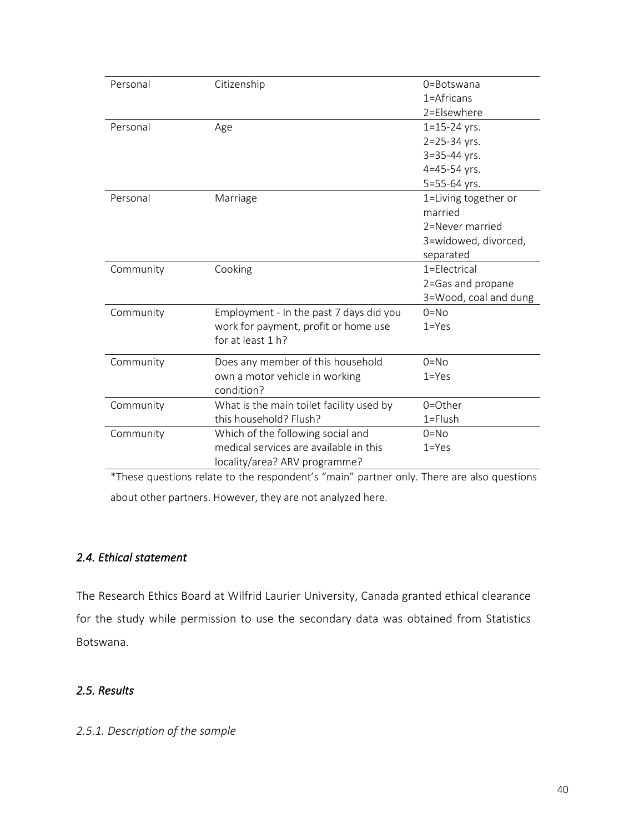| Personal  | Citizenship                              | $0 =$ Botswana        |
|-----------|------------------------------------------|-----------------------|
|           |                                          | 1=Africans            |
|           |                                          | 2=Elsewhere           |
|           |                                          |                       |
| Personal  | Age                                      | $1 = 15 - 24$ yrs.    |
|           |                                          | $2 = 25 - 34$ yrs.    |
|           |                                          | $3 = 35 - 44$ yrs.    |
|           |                                          | 4=45-54 yrs.          |
|           |                                          | 5=55-64 yrs.          |
| Personal  | Marriage                                 | 1=Living together or  |
|           |                                          | married               |
|           |                                          | 2=Never married       |
|           |                                          | 3=widowed, divorced,  |
|           |                                          | separated             |
| Community | Cooking                                  | $1 = F$ ectrical      |
|           |                                          | 2=Gas and propane     |
|           |                                          | 3=Wood, coal and dung |
| Community | Employment - In the past 7 days did you  | $0=No$                |
|           | work for payment, profit or home use     | $1 = Yes$             |
|           | for at least 1 h?                        |                       |
| Community | Does any member of this household        | $0 = No$              |
|           | own a motor vehicle in working           | $1 = Yes$             |
|           | condition?                               |                       |
| Community | What is the main toilet facility used by | 0=Other               |
|           | this household? Flush?                   | $1 =$ Flush           |
| Community | Which of the following social and        | $0 = No$              |
|           | medical services are available in this   | $1 = Yes$             |
|           | locality/area? ARV programme?            |                       |

\*These questions relate to the respondent's "main" partner only. There are also questions about other partners. However, they are not analyzed here.

# *2.4. Ethical statement*

The Research Ethics Board at Wilfrid Laurier University, Canada granted ethical clearance for the study while permission to use the secondary data was obtained from Statistics Botswana.

# *2.5. Results*

# *2.5.1. Description of the sample*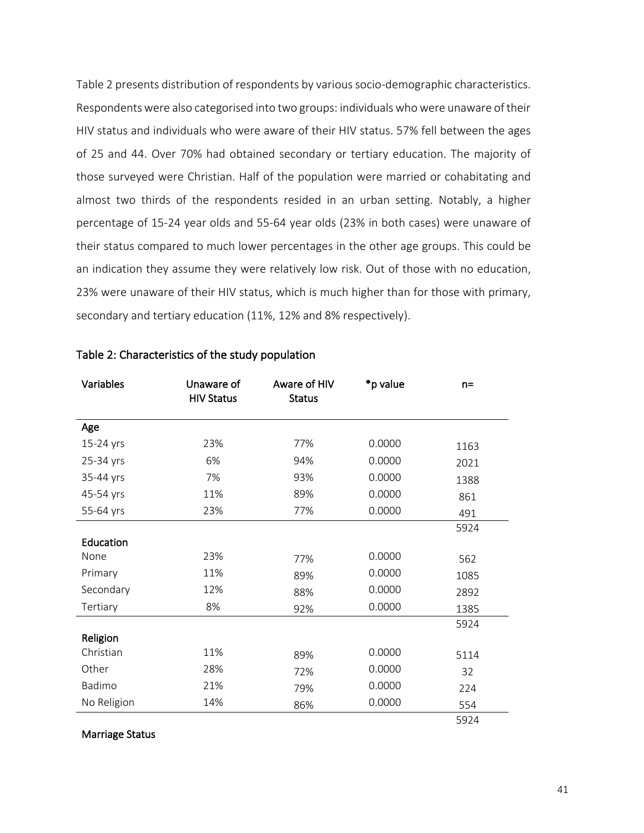Table 2 presents distribution of respondents by various socio-demographic characteristics. Respondents were also categorised into two groups: individuals who were unaware of their HIV status and individuals who were aware of their HIV status. 57% fell between the ages of 25 and 44. Over 70% had obtained secondary or tertiary education. The majority of those surveyed were Christian. Half of the population were married or cohabitating and almost two thirds of the respondents resided in an urban setting. Notably, a higher percentage of 15-24 year olds and 55-64 year olds (23% in both cases) were unaware of their status compared to much lower percentages in the other age groups. This could be an indication they assume they were relatively low risk. Out of those with no education, 23% were unaware of their HIV status, which is much higher than for those with primary, secondary and tertiary education (11%, 12% and 8% respectively).

| Variables   | Unaware of<br><b>HIV Status</b> | Aware of HIV<br><b>Status</b> | *p value | $n =$ |
|-------------|---------------------------------|-------------------------------|----------|-------|
| Age         |                                 |                               |          |       |
| 15-24 yrs   | 23%                             | 77%                           | 0.0000   | 1163  |
| 25-34 yrs   | 6%                              | 94%                           | 0.0000   | 2021  |
| 35-44 yrs   | 7%                              | 93%                           | 0.0000   | 1388  |
| 45-54 yrs   | 11%                             | 89%                           | 0.0000   | 861   |
| 55-64 yrs   | 23%                             | 77%                           | 0.0000   | 491   |
|             |                                 |                               |          | 5924  |
| Education   |                                 |                               |          |       |
| None        | 23%                             | 77%                           | 0.0000   | 562   |
| Primary     | 11%                             | 89%                           | 0.0000   | 1085  |
| Secondary   | 12%                             | 88%                           | 0.0000   | 2892  |
| Tertiary    | 8%                              | 92%                           | 0.0000   | 1385  |
|             |                                 |                               |          | 5924  |
| Religion    |                                 |                               |          |       |
| Christian   | 11%                             | 89%                           | 0.0000   | 5114  |
| Other       | 28%                             | 72%                           | 0.0000   | 32    |
| Badimo      | 21%                             | 79%                           | 0.0000   | 224   |
| No Religion | 14%                             | 86%                           | 0.0000   | 554   |
|             |                                 |                               |          | 5924  |

### Table 2: Characteristics of the study population

Marriage Status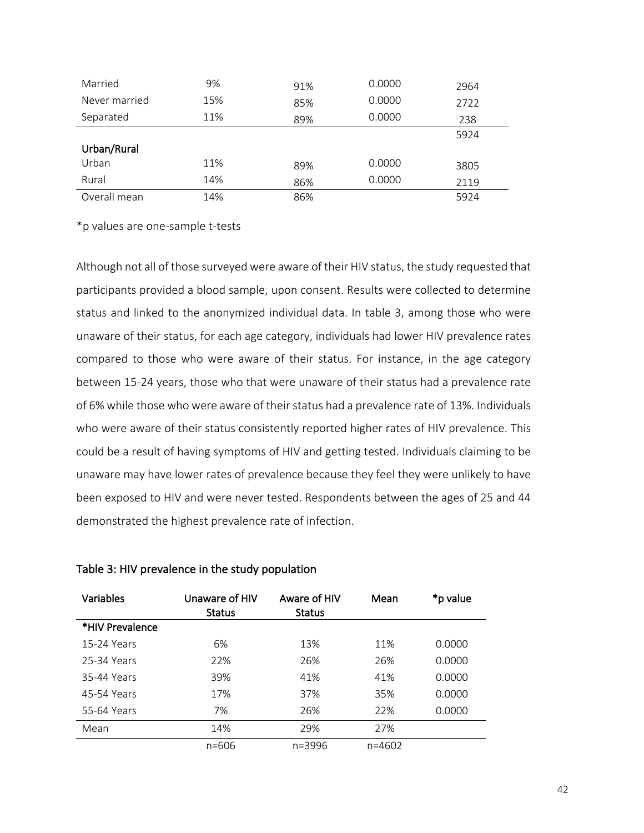| Married       | 9%  | 91% | 0.0000 | 2964 |
|---------------|-----|-----|--------|------|
| Never married | 15% | 85% | 0.0000 | 2722 |
| Separated     | 11% | 89% | 0.0000 | 238  |
|               |     |     |        | 5924 |
| Urban/Rural   |     |     |        |      |
| Urban         | 11% | 89% | 0.0000 | 3805 |
| Rural         | 14% | 86% | 0.0000 | 2119 |
| Overall mean  | 14% | 86% |        | 5924 |

\*p values are one-sample t-tests

Although not all of those surveyed were aware of their HIV status, the study requested that participants provided a blood sample, upon consent. Results were collected to determine status and linked to the anonymized individual data. In table 3, among those who were unaware of their status, for each age category, individuals had lower HIV prevalence rates compared to those who were aware of their status. For instance, in the age category between 15-24 years, those who that were unaware of their status had a prevalence rate of 6% while those who were aware of their status had a prevalence rate of 13%. Individuals who were aware of their status consistently reported higher rates of HIV prevalence. This could be a result of having symptoms of HIV and getting tested. Individuals claiming to be unaware may have lower rates of prevalence because they feel they were unlikely to have been exposed to HIV and were never tested. Respondents between the ages of 25 and 44 demonstrated the highest prevalence rate of infection.

| <b>Variables</b> | Unaware of HIV<br><b>Status</b> | Aware of HIV<br><b>Status</b> | Mean       | *p value |
|------------------|---------------------------------|-------------------------------|------------|----------|
| *HIV Prevalence  |                                 |                               |            |          |
| 15-24 Years      | 6%                              | 13%                           | 11%        | 0.0000   |
| 25-34 Years      | 22%                             | 26%                           | 26%        | 0.0000   |
| 35-44 Years      | 39%                             | 41%                           | 41%        | 0.0000   |
| 45-54 Years      | 17%                             | 37%                           | 35%        | 0.0000   |
| 55-64 Years      | 7%                              | 26%                           | 22%        | 0.0000   |
| Mean             | 14%                             | 29%                           | 27%        |          |
|                  | $n = 606$                       | n=3996                        | $n = 4602$ |          |

#### Table 3: HIV prevalence in the study population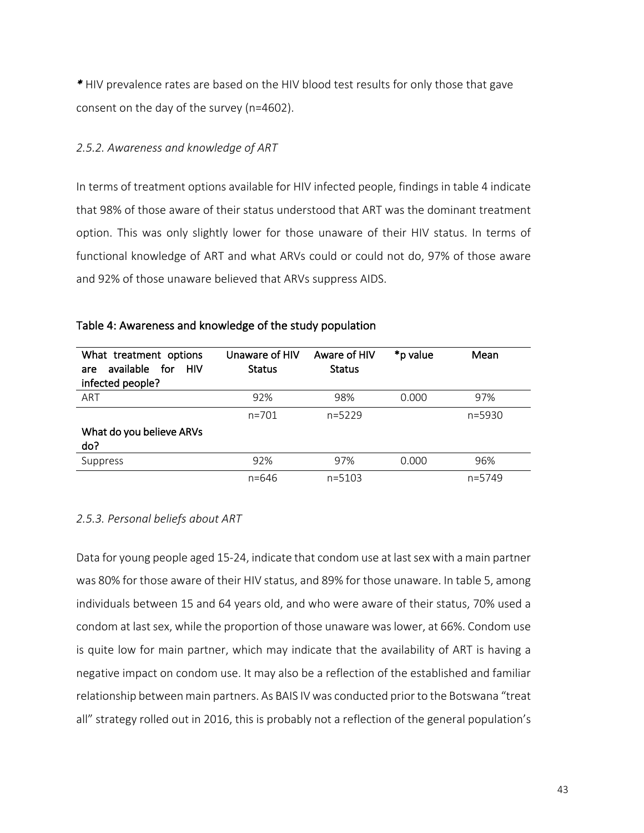*\** HIV prevalence rates are based on the HIV blood test results for only those that gave consent on the day of the survey (n=4602).

## *2.5.2. Awareness and knowledge of ART*

In terms of treatment options available for HIV infected people, findings in table 4 indicate that 98% of those aware of their status understood that ART was the dominant treatment option. This was only slightly lower for those unaware of their HIV status. In terms of functional knowledge of ART and what ARVs could or could not do, 97% of those aware and 92% of those unaware believed that ARVs suppress AIDS.

| What treatment options<br>available<br>for for<br><b>HIV</b><br>are<br>infected people? | Unaware of HIV<br><b>Status</b> | Aware of HIV<br><b>Status</b> | *p value | Mean       |
|-----------------------------------------------------------------------------------------|---------------------------------|-------------------------------|----------|------------|
| ART                                                                                     | 92%                             | 98%                           | 0.000    | 97%        |
|                                                                                         | $n = 701$                       | $n=5229$                      |          | $n = 5930$ |
| What do you believe ARVs<br>do?                                                         |                                 |                               |          |            |
| Suppress                                                                                | 92%                             | 97%                           | 0.000    | 96%        |
|                                                                                         | $n = 646$                       | $n = 5103$                    |          | $n = 5749$ |

### Table 4: Awareness and knowledge of the study population

### *2.5.3. Personal beliefs about ART*

Data for young people aged 15-24, indicate that condom use at last sex with a main partner was 80% for those aware of their HIV status, and 89% for those unaware. In table 5, among individuals between 15 and 64 years old, and who were aware of their status, 70% used a condom at last sex, while the proportion of those unaware was lower, at 66%. Condom use is quite low for main partner, which may indicate that the availability of ART is having a negative impact on condom use. It may also be a reflection of the established and familiar relationship between main partners. As BAIS IV was conducted prior to the Botswana "treat all" strategy rolled out in 2016, this is probably not a reflection of the general population's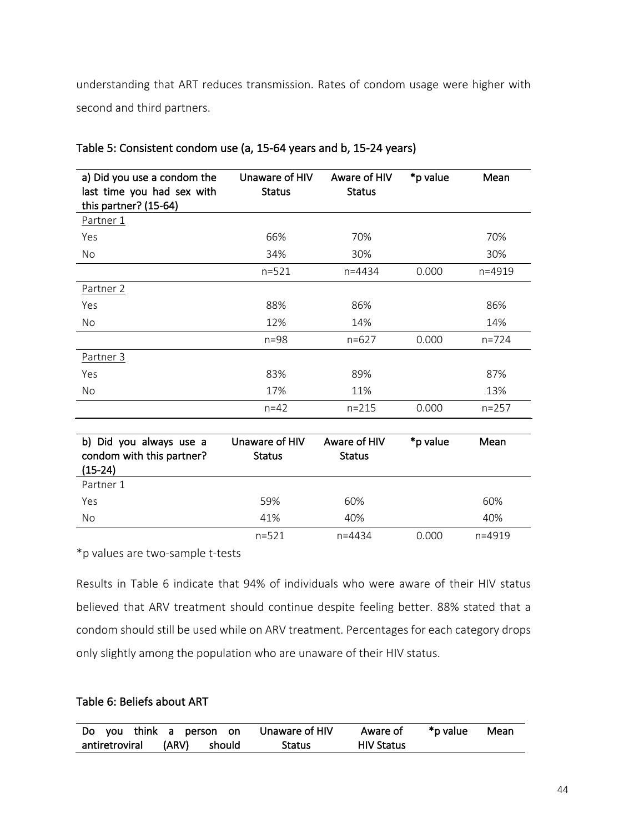understanding that ART reduces transmission. Rates of condom usage were higher with second and third partners.

| a) Did you use a condom the<br>last time you had sex with<br>this partner? (15-64) | Unaware of HIV<br><b>Status</b> | Aware of HIV<br><b>Status</b> | *p value | Mean       |
|------------------------------------------------------------------------------------|---------------------------------|-------------------------------|----------|------------|
| Partner 1                                                                          |                                 |                               |          |            |
| Yes                                                                                | 66%                             | 70%                           |          | 70%        |
| No.                                                                                | 34%                             | 30%                           |          | 30%        |
|                                                                                    | $n = 521$                       | $n = 4434$                    | 0.000    | $n = 4919$ |
| Partner 2                                                                          |                                 |                               |          |            |
| Yes                                                                                | 88%                             | 86%                           |          | 86%        |
| No.                                                                                | 12%                             | 14%                           |          | 14%        |
|                                                                                    | $n = 98$                        | $n=627$                       | 0.000    | $n = 724$  |
| Partner 3                                                                          |                                 |                               |          |            |
| Yes                                                                                | 83%                             | 89%                           |          | 87%        |
| No.                                                                                | 17%                             | 11%                           |          | 13%        |
|                                                                                    | $n = 42$                        | $n = 215$                     | 0.000    | $n = 257$  |

### Table 5: Consistent condom use (a, 15-64 years and b, 15-24 years)

| b) Did you always use a<br>condom with this partner?<br>$(15-24)$ | Unaware of HIV<br><b>Status</b> | Aware of HIV<br><b>Status</b> | *p value | Mean       |
|-------------------------------------------------------------------|---------------------------------|-------------------------------|----------|------------|
| Partner 1                                                         |                                 |                               |          |            |
| Yes                                                               | 59%                             | 60%                           |          | 60%        |
| No                                                                | 41%                             | 40%                           |          | 40%        |
|                                                                   | $n = 521$                       | n=4434                        | 0.000    | $n = 4919$ |

\*p values are two-sample t-tests

Results in Table 6 indicate that 94% of individuals who were aware of their HIV status believed that ARV treatment should continue despite feeling better. 88% stated that a condom should still be used while on ARV treatment. Percentages for each category drops only slightly among the population who are unaware of their HIV status.

# Table 6: Beliefs about ART

|                             |  | Do you think a person on Unaware of HIV | Aware of          | *p value | Mean |
|-----------------------------|--|-----------------------------------------|-------------------|----------|------|
| antiretroviral (ARV) should |  | Status                                  | <b>HIV Status</b> |          |      |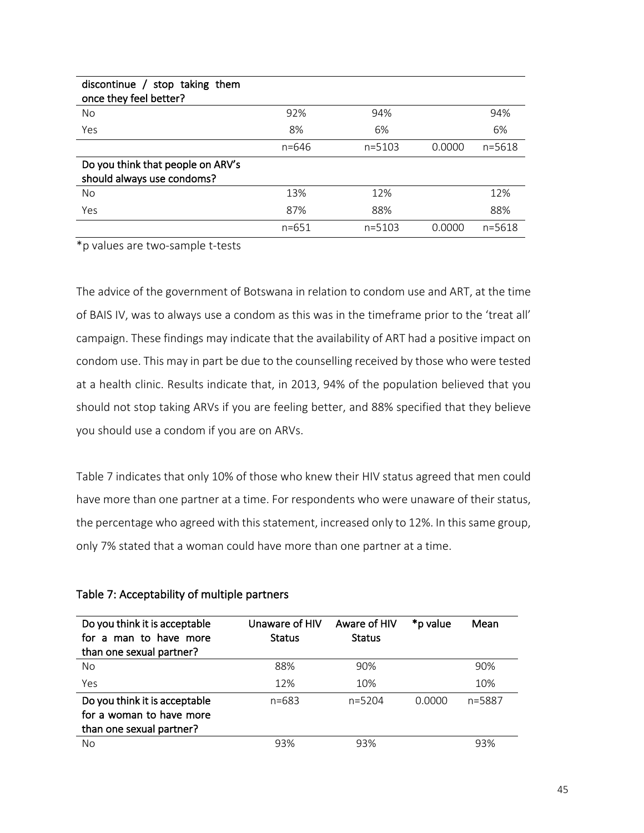| discontinue / stop taking them<br>once they feel better?        |           |            |        |            |
|-----------------------------------------------------------------|-----------|------------|--------|------------|
| No                                                              | 92%       | 94%        |        | 94%        |
| Yes                                                             | 8%        | 6%         |        | 6%         |
|                                                                 | $n = 646$ | $n = 5103$ | 0.0000 | $n = 5618$ |
| Do you think that people on ARV's<br>should always use condoms? |           |            |        |            |
| No.                                                             | 13%       | 12%        |        | 12%        |
| Yes                                                             | 87%       | 88%        |        | 88%        |
|                                                                 | $n = 651$ | $n = 5103$ | O OOOO | $n = 5618$ |

\*p values are two-sample t-tests

The advice of the government of Botswana in relation to condom use and ART, at the time of BAIS IV, was to always use a condom as this was in the timeframe prior to the 'treat all' campaign. These findings may indicate that the availability of ART had a positive impact on condom use. This may in part be due to the counselling received by those who were tested at a health clinic. Results indicate that, in 2013, 94% of the population believed that you should not stop taking ARVs if you are feeling better, and 88% specified that they believe you should use a condom if you are on ARVs.

Table 7 indicates that only 10% of those who knew their HIV status agreed that men could have more than one partner at a time. For respondents who were unaware of their status, the percentage who agreed with this statement, increased only to 12%. In this same group, only 7% stated that a woman could have more than one partner at a time.

| Do you think it is acceptable<br>for a man to have more<br>than one sexual partner?   | Unaware of HIV<br><b>Status</b> | Aware of HIV<br><b>Status</b> | *p value | Mean   |
|---------------------------------------------------------------------------------------|---------------------------------|-------------------------------|----------|--------|
| <b>No</b>                                                                             | 88%                             | 90%                           |          | 90%    |
| Yes                                                                                   | 12%                             | 10%                           |          | 10%    |
| Do you think it is acceptable<br>for a woman to have more<br>than one sexual partner? | $n = 683$                       | $n = 5204$                    | 0.0000   | n=5887 |
| No                                                                                    | 93%                             | 93%                           |          | 93%    |

# Table 7: Acceptability of multiple partners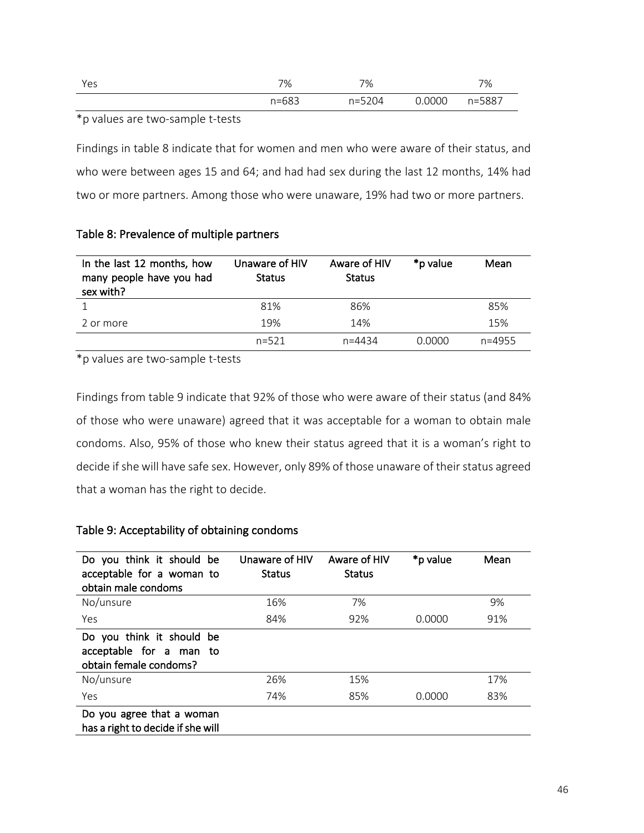| Yes | 7%        | 7%         |        | 7%     |
|-----|-----------|------------|--------|--------|
|     | $n = 683$ | $n = 5204$ | 0.0000 | n=5887 |

\*p values are two-sample t-tests

Findings in table 8 indicate that for women and men who were aware of their status, and who were between ages 15 and 64; and had had sex during the last 12 months, 14% had two or more partners. Among those who were unaware, 19% had two or more partners.

| In the last 12 months, how<br>many people have you had<br>sex with? | Unaware of HIV<br><b>Status</b> | Aware of HIV<br><b>Status</b> | *p value | Mean       |
|---------------------------------------------------------------------|---------------------------------|-------------------------------|----------|------------|
|                                                                     | 81%                             | 86%                           |          | 85%        |
| 2 or more                                                           | 19%                             | 14%                           |          | 15%        |
|                                                                     | $n = 521$                       | $n = 4434$                    | 0.0000   | $n = 4955$ |

# Table 8: Prevalence of multiple partners

\*p values are two-sample t-tests

Findings from table 9 indicate that 92% of those who were aware of their status (and 84% of those who were unaware) agreed that it was acceptable for a woman to obtain male condoms. Also, 95% of those who knew their status agreed that it is a woman's right to decide if she will have safe sex. However, only 89% of those unaware of their status agreed that a woman has the right to decide.

# Table 9: Acceptability of obtaining condoms

| Do you think it should be<br>acceptable for a woman to<br>obtain male condoms  | Unaware of HIV<br><b>Status</b> | Aware of HIV<br><b>Status</b> | *p value | Mean |
|--------------------------------------------------------------------------------|---------------------------------|-------------------------------|----------|------|
| No/unsure                                                                      | 16%                             | 7%                            |          | 9%   |
| Yes                                                                            | 84%                             | 92%                           | 0.0000   | 91%  |
| Do you think it should be<br>acceptable for a man to<br>obtain female condoms? |                                 |                               |          |      |
| No/unsure                                                                      | 26%                             | 15%                           |          | 17%  |
| Yes                                                                            | 74%                             | 85%                           | 0.0000   | 83%  |
| Do you agree that a woman<br>has a right to decide if she will                 |                                 |                               |          |      |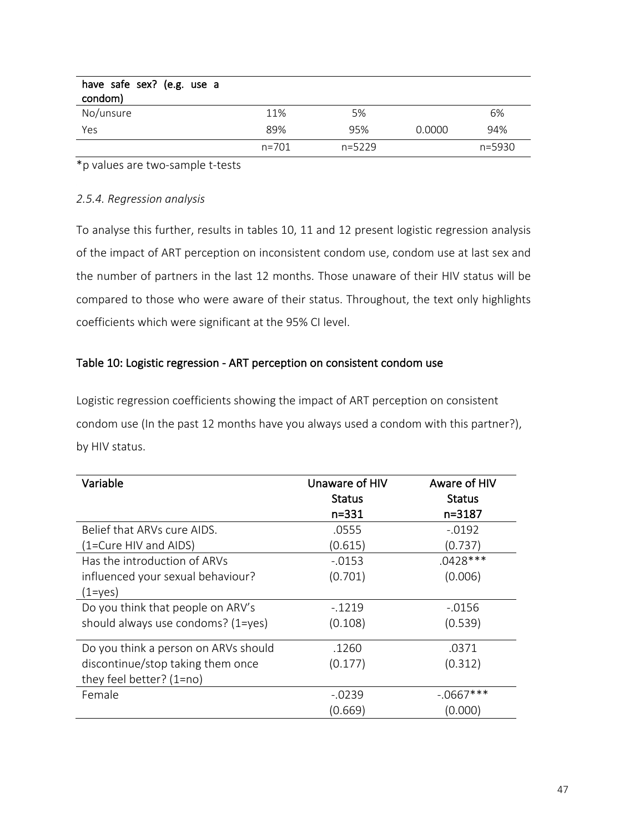| have safe sex? (e.g. use a<br>condom) |           |          |        |        |
|---------------------------------------|-----------|----------|--------|--------|
| No/unsure                             | 11%       | 5%       |        | 6%     |
| Yes                                   | 89%       | 95%      | 0.0000 | 94%    |
|                                       | $n = 701$ | $n=5229$ |        | n=5930 |

\*p values are two-sample t-tests

## *2.5.4. Regression analysis*

To analyse this further, results in tables 10, 11 and 12 present logistic regression analysis of the impact of ART perception on inconsistent condom use, condom use at last sex and the number of partners in the last 12 months. Those unaware of their HIV status will be compared to those who were aware of their status. Throughout, the text only highlights coefficients which were significant at the 95% CI level.

# Table 10: Logistic regression - ART perception on consistent condom use

Logistic regression coefficients showing the impact of ART perception on consistent condom use (In the past 12 months have you always used a condom with this partner?), by HIV status.

| Variable                             | Unaware of HIV | Aware of HIV  |
|--------------------------------------|----------------|---------------|
|                                      | <b>Status</b>  | <b>Status</b> |
|                                      | n=331          | n=3187        |
| Belief that ARVs cure AIDS.          | .0555          | $-0.0192$     |
| (1=Cure HIV and AIDS)                | (0.615)        | (0.737)       |
| Has the introduction of ARVs         | $-0.0153$      | $.0428***$    |
| influenced your sexual behaviour?    | (0.701)        | (0.006)       |
| $(1 = yes)$                          |                |               |
| Do you think that people on ARV's    | $-1219$        | -.0156        |
| should always use condoms? (1=yes)   | (0.108)        | (0.539)       |
| Do you think a person on ARVs should | .1260          | .0371         |
|                                      |                |               |
| discontinue/stop taking them once    | (0.177)        | (0.312)       |
| they feel better? (1=no)             |                |               |
| Female                               | $-0239$        | $-.0667***$   |
|                                      | (0.669)        | (0.000)       |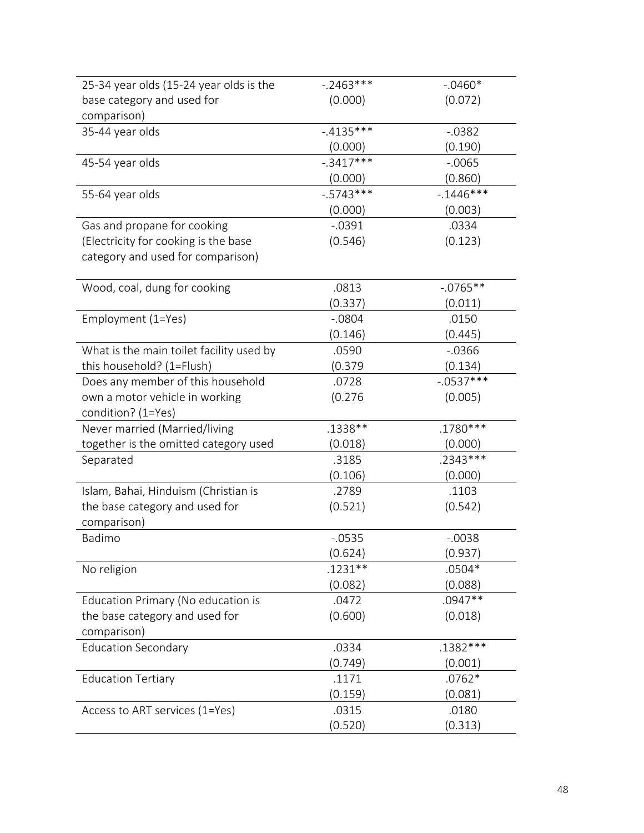| 25-34 year olds (15-24 year olds is the       | $-.2463***$  | $-0.0460*$   |
|-----------------------------------------------|--------------|--------------|
| base category and used for                    | (0.000)      | (0.072)      |
| comparison)                                   |              |              |
| 35-44 year olds                               | $-4135***$   | $-0.0382$    |
|                                               | (0.000)      | (0.190)      |
| 45-54 year olds                               | $-.3417***$  | $-0.0065$    |
|                                               | (0.000)      | (0.860)      |
| 55-64 year olds                               | $-0.5743***$ | $-1446***$   |
|                                               | (0.000)      | (0.003)      |
| Gas and propane for cooking                   | $-0.0391$    | .0334        |
| (Electricity for cooking is the base          | (0.546)      | (0.123)      |
| category and used for comparison)             |              |              |
| Wood, coal, dung for cooking                  | .0813        | $-0.0765**$  |
|                                               | (0.337)      | (0.011)      |
| Employment (1=Yes)                            | $-0804$      | .0150        |
|                                               | (0.146)      | (0.445)      |
| What is the main toilet facility used by      | .0590        | $-0.0366$    |
| this household? (1=Flush)                     | (0.379)      | (0.134)      |
| Does any member of this household             | .0728        | $-0.0537***$ |
| own a motor vehicle in working                | (0.276)      | (0.005)      |
| condition? (1=Yes)                            |              |              |
| Never married (Married/living                 | .1338**      | .1780***     |
| together is the omitted category used         | (0.018)      | (0.000)      |
| Separated                                     | .3185        | $.2343***$   |
|                                               | (0.106)      | (0.000)      |
| Islam, Bahai, Hinduism (Christian is          | .2789        | .1103        |
| the base category and used for<br>comparison) | (0.521)      | (0.542)      |
| Badimo                                        | $-0.0535$    | $-0.0038$    |
|                                               | (0.624)      | (0.937)      |
| No religion                                   | $.1231**$    | $.0504*$     |
|                                               | (0.082)      | (0.088)      |
| Education Primary (No education is            | .0472        | .0947**      |
| the base category and used for                | (0.600)      | (0.018)      |
| comparison)                                   |              |              |
| <b>Education Secondary</b>                    | .0334        | $.1382***$   |
|                                               | (0.749)      | (0.001)      |
| <b>Education Tertiary</b>                     | .1171        | $.0762*$     |
|                                               | (0.159)      | (0.081)      |
| Access to ART services (1=Yes)                | .0315        | .0180        |
|                                               | (0.520)      | (0.313)      |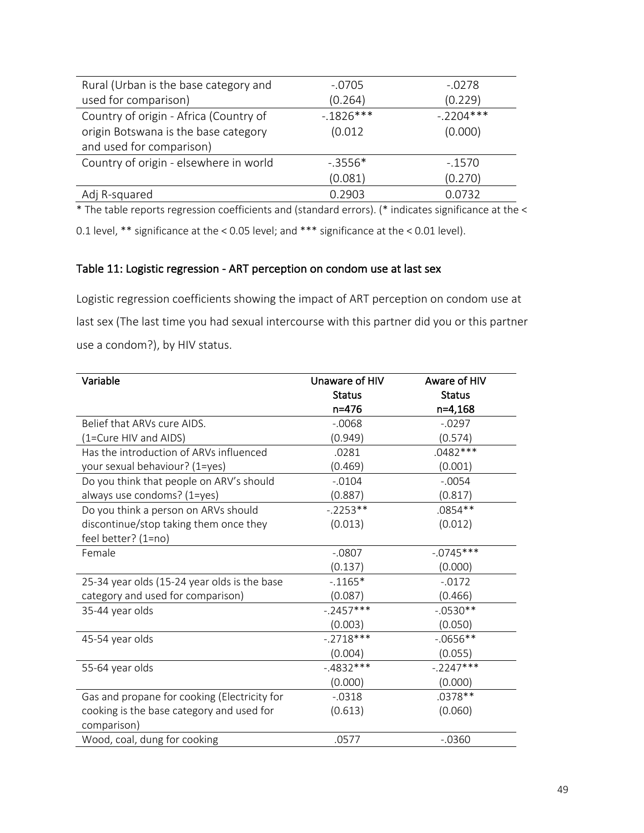| $-.0705$   | $-.0278$    |
|------------|-------------|
| (0.264)    | (0.229)     |
| $-1826***$ | $-.2204***$ |
| (0.012)    | (0.000)     |
|            |             |
| $-3556*$   | $-1570$     |
| (0.081)    | (0.270)     |
| 0.2903     | 0.0732      |
|            |             |

\* The table reports regression coefficients and (standard errors). (\* indicates significance at the < 0.1 level, \*\* significance at the < 0.05 level; and \*\*\* significance at the < 0.01 level).

# Table 11: Logistic regression - ART perception on condom use at last sex

Logistic regression coefficients showing the impact of ART perception on condom use at last sex (The last time you had sexual intercourse with this partner did you or this partner use a condom?), by HIV status.

| Variable                                     | Unaware of HIV | Aware of HIV  |
|----------------------------------------------|----------------|---------------|
|                                              | <b>Status</b>  | <b>Status</b> |
|                                              | $n = 476$      | n=4,168       |
| Belief that ARVs cure AIDS.                  | $-0.068$       | $-0.0297$     |
| (1=Cure HIV and AIDS)                        | (0.949)        | (0.574)       |
| Has the introduction of ARVs influenced      | .0281          | $.0482***$    |
| your sexual behaviour? (1=yes)               | (0.469)        | (0.001)       |
| Do you think that people on ARV's should     | $-0.0104$      | $-.0054$      |
| always use condoms? (1=yes)                  | (0.887)        | (0.817)       |
| Do you think a person on ARVs should         | $-.2253**$     | .0854**       |
| discontinue/stop taking them once they       | (0.013)        | (0.012)       |
| feel better? (1=no)                          |                |               |
| Female                                       | $-0.0807$      | $-0745***$    |
|                                              | (0.137)        | (0.000)       |
| 25-34 year olds (15-24 year olds is the base | $-0.1165*$     | $-0.0172$     |
| category and used for comparison)            | (0.087)        | (0.466)       |
| 35-44 year olds                              | $-.2457***$    | $-.0530**$    |
|                                              | (0.003)        | (0.050)       |
| 45-54 year olds                              | $-.2718***$    | $-.0656**$    |
|                                              | (0.004)        | (0.055)       |
| 55-64 year olds                              | $-.4832***$    | $-.2247***$   |
|                                              | (0.000)        | (0.000)       |
| Gas and propane for cooking (Electricity for | $-0.0318$      | .0378 **      |
| cooking is the base category and used for    | (0.613)        | (0.060)       |
| comparison)                                  |                |               |
| Wood, coal, dung for cooking                 | .0577          | $-0.0360$     |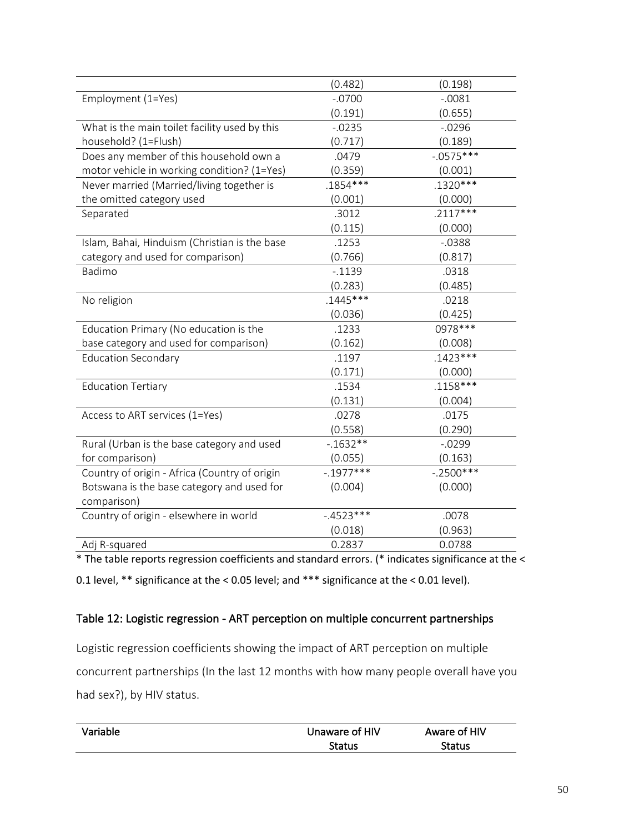|                                               | (0.482)     | (0.198)     |
|-----------------------------------------------|-------------|-------------|
| Employment (1=Yes)                            | $-.0700$    | $-0.0081$   |
|                                               | (0.191)     | (0.655)     |
| What is the main toilet facility used by this | $-0.0235$   | $-0.0296$   |
| household? (1=Flush)                          | (0.717)     | (0.189)     |
| Does any member of this household own a       | .0479       | $-0575***$  |
| motor vehicle in working condition? (1=Yes)   | (0.359)     | (0.001)     |
| Never married (Married/living together is     | $.1854***$  | $.1320***$  |
| the omitted category used                     | (0.001)     | (0.000)     |
| Separated                                     | .3012       | $.2117***$  |
|                                               | (0.115)     | (0.000)     |
| Islam, Bahai, Hinduism (Christian is the base | .1253       | $-0.0388$   |
| category and used for comparison)             | (0.766)     | (0.817)     |
| Badimo                                        | $-0.1139$   | .0318       |
|                                               | (0.283)     | (0.485)     |
| No religion                                   | $.1445***$  | .0218       |
|                                               | (0.036)     | (0.425)     |
| Education Primary (No education is the        | .1233       | 0978 ***    |
| base category and used for comparison)        | (0.162)     | (0.008)     |
| <b>Education Secondary</b>                    | .1197       | $.1423***$  |
|                                               | (0.171)     | (0.000)     |
| <b>Education Tertiary</b>                     | .1534       | $.1158***$  |
|                                               | (0.131)     | (0.004)     |
| Access to ART services (1=Yes)                | .0278       | .0175       |
|                                               | (0.558)     | (0.290)     |
| Rural (Urban is the base category and used    | $-1632**$   | $-0.0299$   |
| for comparison)                               | (0.055)     | (0.163)     |
| Country of origin - Africa (Country of origin | $-.1977***$ | $-.2500***$ |
| Botswana is the base category and used for    | (0.004)     | (0.000)     |
| comparison)                                   |             |             |
| Country of origin - elsewhere in world        | $-4523***$  | .0078       |
|                                               | (0.018)     | (0.963)     |
| Adj R-squared                                 | 0.2837      | 0.0788      |
|                                               |             |             |

\* The table reports regression coefficients and standard errors. (\* indicates significance at the <

0.1 level, \*\* significance at the < 0.05 level; and \*\*\* significance at the < 0.01 level).

# Table 12: Logistic regression - ART perception on multiple concurrent partnerships

Logistic regression coefficients showing the impact of ART perception on multiple concurrent partnerships (In the last 12 months with how many people overall have you had sex?), by HIV status.

| Variable | Unaware of HIV | Aware of HIV  |
|----------|----------------|---------------|
|          | Status         | <b>Status</b> |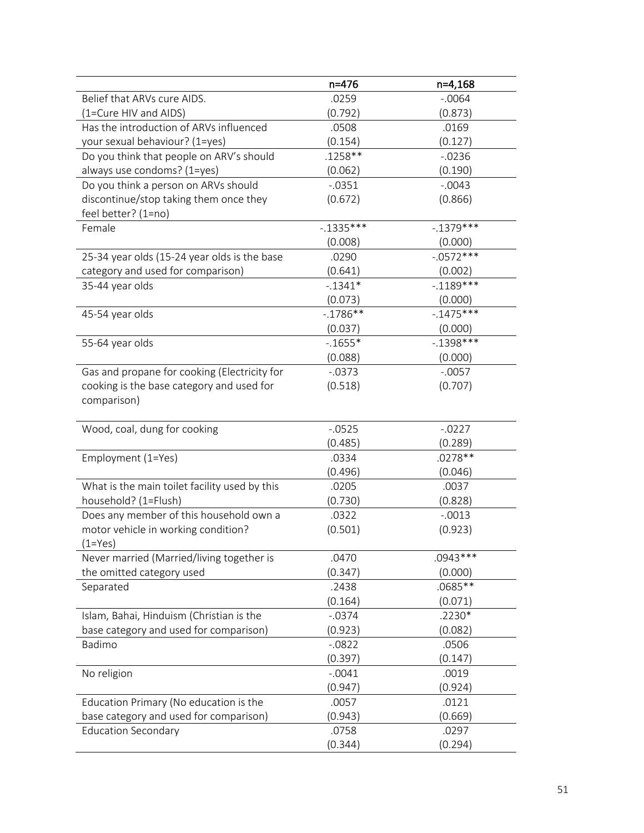|                                               | n=476        | n=4,168      |
|-----------------------------------------------|--------------|--------------|
| Belief that ARVs cure AIDS.                   | .0259        | $-0.0064$    |
| (1=Cure HIV and AIDS)                         | (0.792)      | (0.873)      |
| Has the introduction of ARVs influenced       | .0508        | .0169        |
| your sexual behaviour? (1=yes)                | (0.154)      | (0.127)      |
| Do you think that people on ARV's should      | $.1258**$    | $-0236$      |
| always use condoms? (1=yes)                   | (0.062)      | (0.190)      |
| Do you think a person on ARVs should          | $-0.0351$    | $-.0043$     |
| discontinue/stop taking them once they        | (0.672)      | (0.866)      |
| feel better? (1=no)                           |              |              |
| Female                                        | $-0.1335***$ | $-.1379***$  |
|                                               | (0.008)      | (0.000)      |
| 25-34 year olds (15-24 year olds is the base  | .0290        | $-0.0572***$ |
| category and used for comparison)             | (0.641)      | (0.002)      |
| 35-44 year olds                               | $-1341*$     | $-.1189***$  |
|                                               | (0.073)      | (0.000)      |
| 45-54 year olds                               | $-.1786**$   | $-1475***$   |
|                                               | (0.037)      | (0.000)      |
| 55-64 year olds                               | $-0.1655*$   | $-.1398***$  |
|                                               | (0.088)      | (0.000)      |
| Gas and propane for cooking (Electricity for  | $-0.0373$    | $-.0057$     |
| cooking is the base category and used for     | (0.518)      | (0.707)      |
| comparison)                                   |              |              |
|                                               |              |              |
| Wood, coal, dung for cooking                  | $-0.0525$    | $-0.0227$    |
|                                               | (0.485)      | (0.289)      |
| Employment (1=Yes)                            | .0334        | .0278 **     |
|                                               | (0.496)      | (0.046)      |
| What is the main toilet facility used by this | .0205        | .0037        |
| household? (1=Flush)                          | (0.730)      | (0.828)      |
| Does any member of this household own a       | .0322        | $-.0013$     |
| motor vehicle in working condition?           | (0.501)      | (0.923)      |
| $(1 = Yes)$                                   |              |              |
| Never married (Married/living together is     | .0470        | $.0943***$   |
| the omitted category used                     | (0.347)      | (0.000)      |
| Separated                                     | .2438        | .0685 **     |
|                                               | (0.164)      | (0.071)      |
| Islam, Bahai, Hinduism (Christian is the      | $-.0374$     | $.2230*$     |
| base category and used for comparison)        | (0.923)      | (0.082)      |
| Badimo                                        | $-0822$      | .0506        |
|                                               | (0.397)      | (0.147)      |
| No religion                                   | $-.0041$     | .0019        |
|                                               | (0.947)      | (0.924)      |
| Education Primary (No education is the        | .0057        | .0121        |
| base category and used for comparison)        | (0.943)      | (0.669)      |
| <b>Education Secondary</b>                    | .0758        | .0297        |
|                                               | (0.344)      | (0.294)      |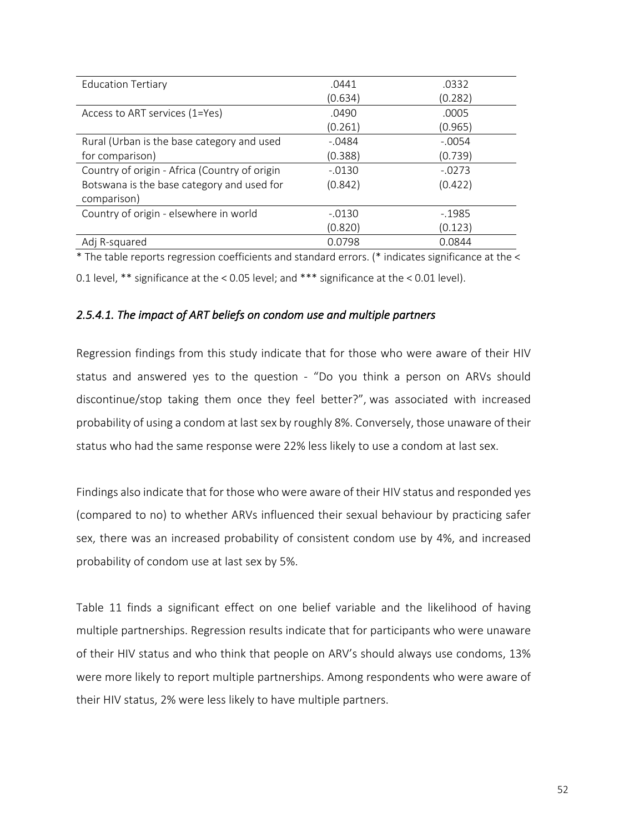| <b>Education Tertiary</b>                     | .0441    | .0332    |
|-----------------------------------------------|----------|----------|
|                                               | (0.634)  | (0.282)  |
| Access to ART services (1=Yes)                | .0490    | .0005    |
|                                               | (0.261)  | (0.965)  |
| Rural (Urban is the base category and used    | $-.0484$ | $-.0054$ |
| for comparison)                               | (0.388)  | (0.739)  |
| Country of origin - Africa (Country of origin | $-.0130$ | $-.0273$ |
| Botswana is the base category and used for    | (0.842)  | (0.422)  |
| comparison)                                   |          |          |
| Country of origin - elsewhere in world        | $-.0130$ | $-1985$  |
|                                               | (0.820)  | (0.123)  |
| Adj R-squared                                 | 0.0798   | 0.0844   |
|                                               |          |          |

\* The table reports regression coefficients and standard errors. (\* indicates significance at the < 0.1 level, \*\* significance at the < 0.05 level; and \*\*\* significance at the < 0.01 level).

# *2.5.4.1. The impact of ART beliefs on condom use and multiple partners*

Regression findings from this study indicate that for those who were aware of their HIV status and answered yes to the question - "Do you think a person on ARVs should discontinue/stop taking them once they feel better?", was associated with increased probability of using a condom at last sex by roughly 8%. Conversely, those unaware of their status who had the same response were 22% less likely to use a condom at last sex.

Findings also indicate that for those who were aware of their HIV status and responded yes (compared to no) to whether ARVs influenced their sexual behaviour by practicing safer sex, there was an increased probability of consistent condom use by 4%, and increased probability of condom use at last sex by 5%.

Table 11 finds a significant effect on one belief variable and the likelihood of having multiple partnerships. Regression results indicate that for participants who were unaware of their HIV status and who think that people on ARV's should always use condoms, 13% were more likely to report multiple partnerships. Among respondents who were aware of their HIV status, 2% were less likely to have multiple partners.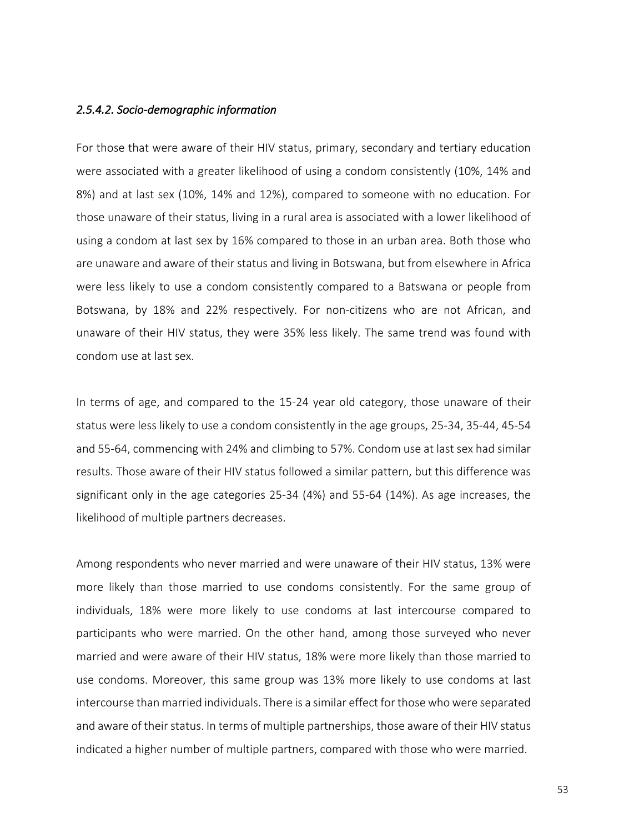### *2.5.4.2. Socio-demographic information*

For those that were aware of their HIV status, primary, secondary and tertiary education were associated with a greater likelihood of using a condom consistently (10%, 14% and 8%) and at last sex (10%, 14% and 12%), compared to someone with no education. For those unaware of their status, living in a rural area is associated with a lower likelihood of using a condom at last sex by 16% compared to those in an urban area. Both those who are unaware and aware of their status and living in Botswana, but from elsewhere in Africa were less likely to use a condom consistently compared to a Batswana or people from Botswana, by 18% and 22% respectively. For non-citizens who are not African, and unaware of their HIV status, they were 35% less likely. The same trend was found with condom use at last sex.

In terms of age, and compared to the 15-24 year old category, those unaware of their status were less likely to use a condom consistently in the age groups, 25-34, 35-44, 45-54 and 55-64, commencing with 24% and climbing to 57%. Condom use at last sex had similar results. Those aware of their HIV status followed a similar pattern, but this difference was significant only in the age categories 25-34 (4%) and 55-64 (14%). As age increases, the likelihood of multiple partners decreases.

Among respondents who never married and were unaware of their HIV status, 13% were more likely than those married to use condoms consistently. For the same group of individuals, 18% were more likely to use condoms at last intercourse compared to participants who were married. On the other hand, among those surveyed who never married and were aware of their HIV status, 18% were more likely than those married to use condoms. Moreover, this same group was 13% more likely to use condoms at last intercourse than married individuals. There is a similar effect for those who were separated and aware of their status. In terms of multiple partnerships, those aware of their HIV status indicated a higher number of multiple partners, compared with those who were married.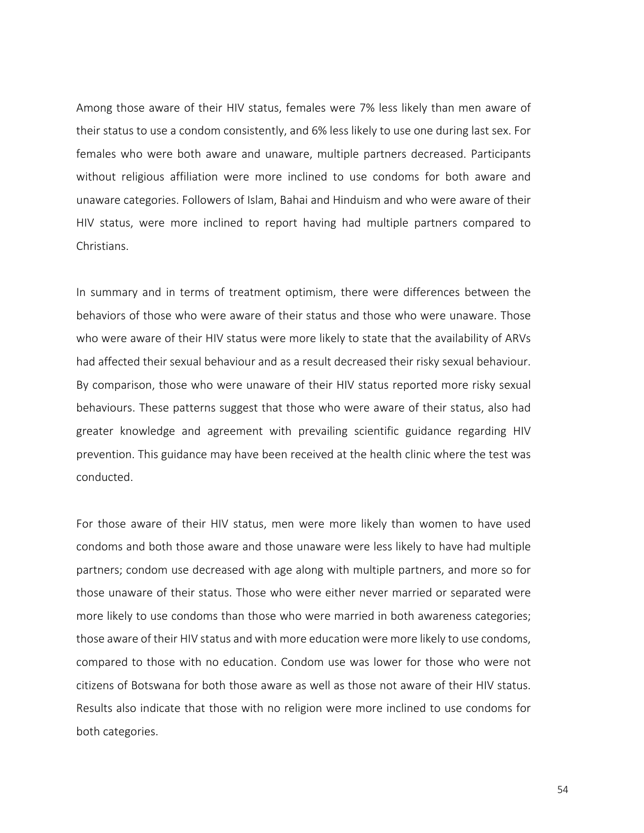Among those aware of their HIV status, females were 7% less likely than men aware of their status to use a condom consistently, and 6% less likely to use one during last sex. For females who were both aware and unaware, multiple partners decreased. Participants without religious affiliation were more inclined to use condoms for both aware and unaware categories. Followers of Islam, Bahai and Hinduism and who were aware of their HIV status, were more inclined to report having had multiple partners compared to Christians.

In summary and in terms of treatment optimism, there were differences between the behaviors of those who were aware of their status and those who were unaware. Those who were aware of their HIV status were more likely to state that the availability of ARVs had affected their sexual behaviour and as a result decreased their risky sexual behaviour. By comparison, those who were unaware of their HIV status reported more risky sexual behaviours. These patterns suggest that those who were aware of their status, also had greater knowledge and agreement with prevailing scientific guidance regarding HIV prevention. This guidance may have been received at the health clinic where the test was conducted.

For those aware of their HIV status, men were more likely than women to have used condoms and both those aware and those unaware were less likely to have had multiple partners; condom use decreased with age along with multiple partners, and more so for those unaware of their status. Those who were either never married or separated were more likely to use condoms than those who were married in both awareness categories; those aware of their HIV status and with more education were more likely to use condoms, compared to those with no education. Condom use was lower for those who were not citizens of Botswana for both those aware as well as those not aware of their HIV status. Results also indicate that those with no religion were more inclined to use condoms for both categories.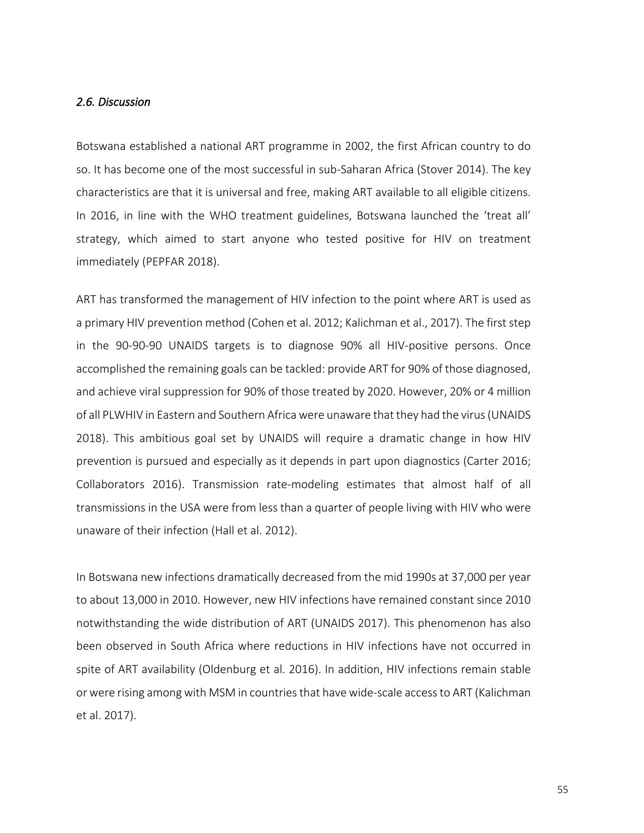#### *2.6. Discussion*

Botswana established a national ART programme in 2002, the first African country to do so. It has become one of the most successful in sub-Saharan Africa (Stover 2014). The key characteristics are that it is universal and free, making ART available to all eligible citizens. In 2016, in line with the WHO treatment guidelines, Botswana launched the 'treat all' strategy, which aimed to start anyone who tested positive for HIV on treatment immediately (PEPFAR 2018).

ART has transformed the management of HIV infection to the point where ART is used as a primary HIV prevention method (Cohen et al. 2012; Kalichman et al., 2017). The first step in the 90-90-90 UNAIDS targets is to diagnose 90% all HIV-positive persons. Once accomplished the remaining goals can be tackled: provide ART for 90% of those diagnosed, and achieve viral suppression for 90% of those treated by 2020. However, 20% or 4 million of all PLWHIV in Eastern and Southern Africa were unaware that they had the virus (UNAIDS 2018). This ambitious goal set by UNAIDS will require a dramatic change in how HIV prevention is pursued and especially as it depends in part upon diagnostics (Carter 2016; Collaborators 2016). Transmission rate-modeling estimates that almost half of all transmissions in the USA were from less than a quarter of people living with HIV who were unaware of their infection (Hall et al. 2012).

In Botswana new infections dramatically decreased from the mid 1990s at 37,000 per year to about 13,000 in 2010. However, new HIV infections have remained constant since 2010 notwithstanding the wide distribution of ART (UNAIDS 2017). This phenomenon has also been observed in South Africa where reductions in HIV infections have not occurred in spite of ART availability (Oldenburg et al. 2016). In addition, HIV infections remain stable or were rising among with MSM in countries that have wide-scale access to ART (Kalichman et al. 2017).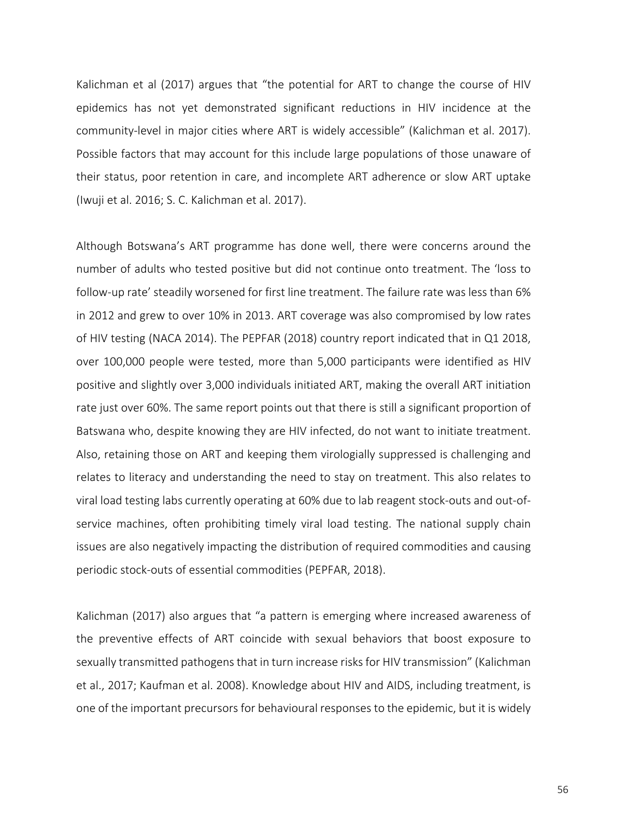Kalichman et al (2017) argues that "the potential for ART to change the course of HIV epidemics has not yet demonstrated significant reductions in HIV incidence at the community-level in major cities where ART is widely accessible" (Kalichman et al. 2017). Possible factors that may account for this include large populations of those unaware of their status, poor retention in care, and incomplete ART adherence or slow ART uptake (Iwuji et al. 2016; S. C. Kalichman et al. 2017).

Although Botswana's ART programme has done well, there were concerns around the number of adults who tested positive but did not continue onto treatment. The 'loss to follow-up rate' steadily worsened for first line treatment. The failure rate was less than 6% in 2012 and grew to over 10% in 2013. ART coverage was also compromised by low rates of HIV testing (NACA 2014). The PEPFAR (2018) country report indicated that in Q1 2018, over 100,000 people were tested, more than 5,000 participants were identified as HIV positive and slightly over 3,000 individuals initiated ART, making the overall ART initiation rate just over 60%. The same report points out that there is still a significant proportion of Batswana who, despite knowing they are HIV infected, do not want to initiate treatment. Also, retaining those on ART and keeping them virologially suppressed is challenging and relates to literacy and understanding the need to stay on treatment. This also relates to viral load testing labs currently operating at 60% due to lab reagent stock-outs and out-ofservice machines, often prohibiting timely viral load testing. The national supply chain issues are also negatively impacting the distribution of required commodities and causing periodic stock-outs of essential commodities (PEPFAR, 2018).

Kalichman (2017) also argues that "a pattern is emerging where increased awareness of the preventive effects of ART coincide with sexual behaviors that boost exposure to sexually transmitted pathogens that in turn increase risks for HIV transmission" (Kalichman et al., 2017; Kaufman et al. 2008). Knowledge about HIV and AIDS, including treatment, is one of the important precursors for behavioural responses to the epidemic, but it is widely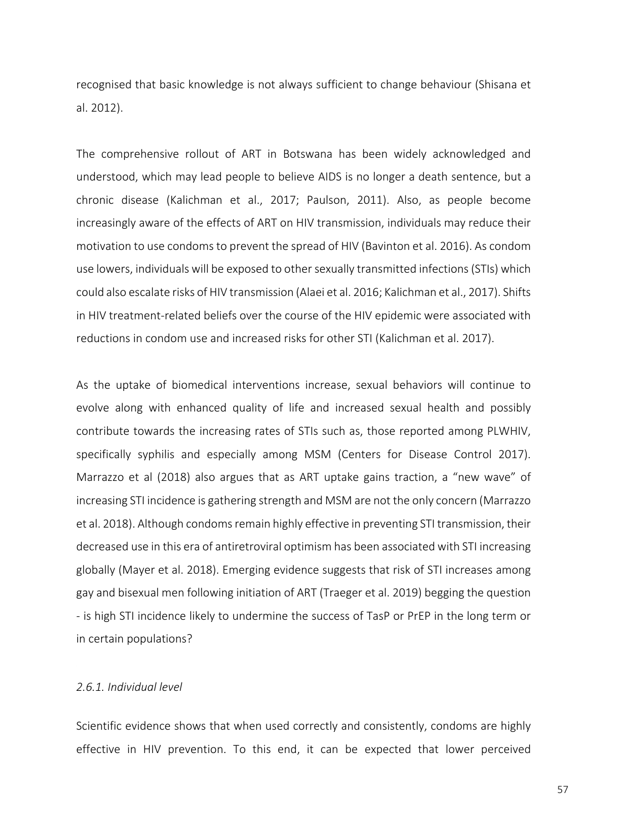recognised that basic knowledge is not always sufficient to change behaviour (Shisana et al. 2012).

The comprehensive rollout of ART in Botswana has been widely acknowledged and understood, which may lead people to believe AIDS is no longer a death sentence, but a chronic disease (Kalichman et al., 2017; Paulson, 2011). Also, as people become increasingly aware of the effects of ART on HIV transmission, individuals may reduce their motivation to use condoms to prevent the spread of HIV (Bavinton et al. 2016). As condom use lowers, individuals will be exposed to other sexually transmitted infections (STIs) which could also escalate risks of HIV transmission (Alaei et al. 2016; Kalichman et al., 2017). Shifts in HIV treatment-related beliefs over the course of the HIV epidemic were associated with reductions in condom use and increased risks for other STI (Kalichman et al. 2017).

As the uptake of biomedical interventions increase, sexual behaviors will continue to evolve along with enhanced quality of life and increased sexual health and possibly contribute towards the increasing rates of STIs such as, those reported among PLWHIV, specifically syphilis and especially among MSM (Centers for Disease Control 2017). Marrazzo et al (2018) also argues that as ART uptake gains traction, a "new wave" of increasing STI incidence is gathering strength and MSM are not the only concern (Marrazzo et al. 2018). Although condoms remain highly effective in preventing STI transmission, their decreased use in this era of antiretroviral optimism has been associated with STI increasing globally (Mayer et al. 2018). Emerging evidence suggests that risk of STI increases among gay and bisexual men following initiation of ART (Traeger et al. 2019) begging the question - is high STI incidence likely to undermine the success of TasP or PrEP in the long term or in certain populations?

#### *2.6.1. Individual level*

Scientific evidence shows that when used correctly and consistently, condoms are highly effective in HIV prevention. To this end, it can be expected that lower perceived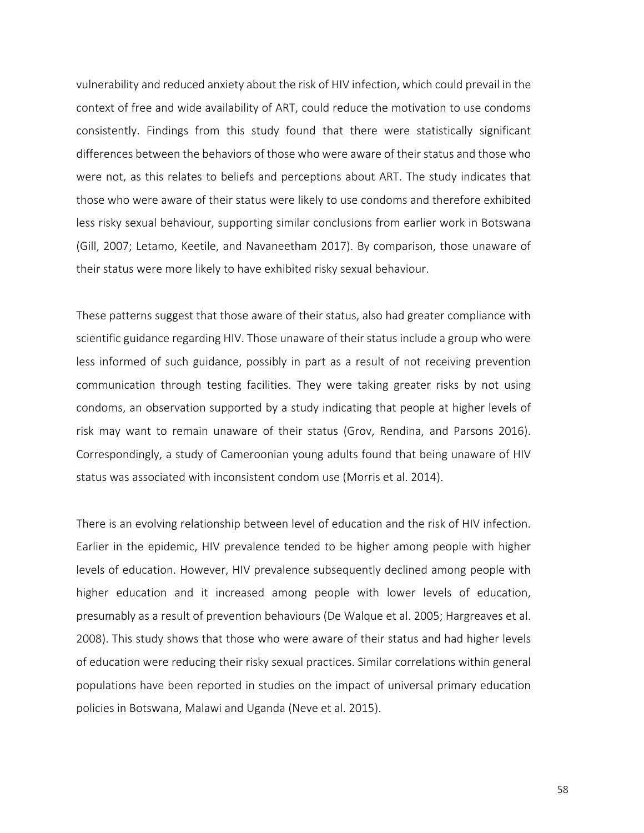vulnerability and reduced anxiety about the risk of HIV infection, which could prevail in the context of free and wide availability of ART, could reduce the motivation to use condoms consistently. Findings from this study found that there were statistically significant differences between the behaviors of those who were aware of their status and those who were not, as this relates to beliefs and perceptions about ART. The study indicates that those who were aware of their status were likely to use condoms and therefore exhibited less risky sexual behaviour, supporting similar conclusions from earlier work in Botswana (Gill, 2007; Letamo, Keetile, and Navaneetham 2017). By comparison, those unaware of their status were more likely to have exhibited risky sexual behaviour.

These patterns suggest that those aware of their status, also had greater compliance with scientific guidance regarding HIV. Those unaware of their status include a group who were less informed of such guidance, possibly in part as a result of not receiving prevention communication through testing facilities. They were taking greater risks by not using condoms, an observation supported by a study indicating that people at higher levels of risk may want to remain unaware of their status (Grov, Rendina, and Parsons 2016). Correspondingly, a study of Cameroonian young adults found that being unaware of HIV status was associated with inconsistent condom use (Morris et al. 2014).

There is an evolving relationship between level of education and the risk of HIV infection. Earlier in the epidemic, HIV prevalence tended to be higher among people with higher levels of education. However, HIV prevalence subsequently declined among people with higher education and it increased among people with lower levels of education, presumably as a result of prevention behaviours (De Walque et al. 2005; Hargreaves et al. 2008). This study shows that those who were aware of their status and had higher levels of education were reducing their risky sexual practices. Similar correlations within general populations have been reported in studies on the impact of universal primary education policies in Botswana, Malawi and Uganda (Neve et al. 2015).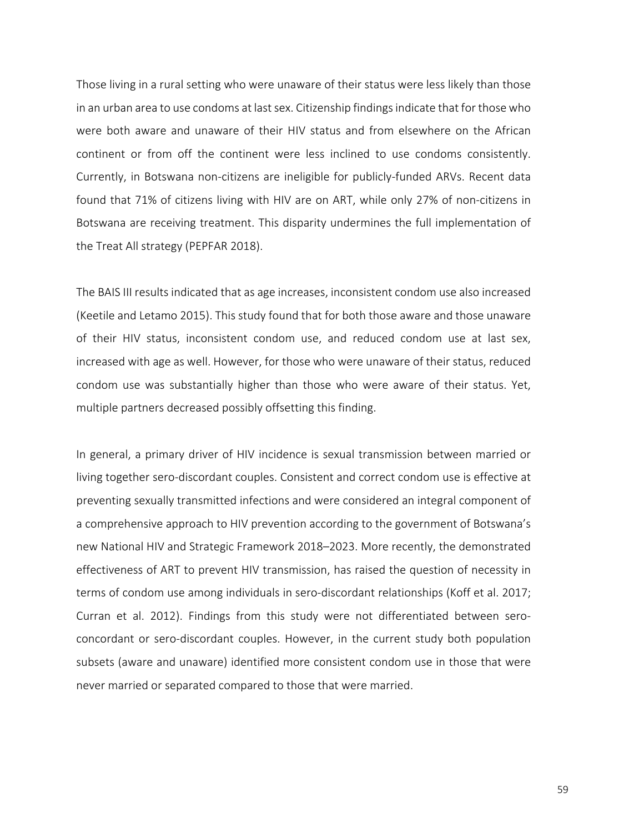Those living in a rural setting who were unaware of their status were less likely than those in an urban area to use condoms at last sex. Citizenship findings indicate that for those who were both aware and unaware of their HIV status and from elsewhere on the African continent or from off the continent were less inclined to use condoms consistently. Currently, in Botswana non-citizens are ineligible for publicly-funded ARVs. Recent data found that 71% of citizens living with HIV are on ART, while only 27% of non-citizens in Botswana are receiving treatment. This disparity undermines the full implementation of the Treat All strategy (PEPFAR 2018).

The BAIS III results indicated that as age increases, inconsistent condom use also increased (Keetile and Letamo 2015). This study found that for both those aware and those unaware of their HIV status, inconsistent condom use, and reduced condom use at last sex, increased with age as well. However, for those who were unaware of their status, reduced condom use was substantially higher than those who were aware of their status. Yet, multiple partners decreased possibly offsetting this finding.

In general, a primary driver of HIV incidence is sexual transmission between married or living together sero-discordant couples. Consistent and correct condom use is effective at preventing sexually transmitted infections and were considered an integral component of a comprehensive approach to HIV prevention according to the government of Botswana's new National HIV and Strategic Framework 2018–2023. More recently, the demonstrated effectiveness of ART to prevent HIV transmission, has raised the question of necessity in terms of condom use among individuals in sero-discordant relationships (Koff et al. 2017; Curran et al. 2012). Findings from this study were not differentiated between seroconcordant or sero-discordant couples. However, in the current study both population subsets (aware and unaware) identified more consistent condom use in those that were never married or separated compared to those that were married.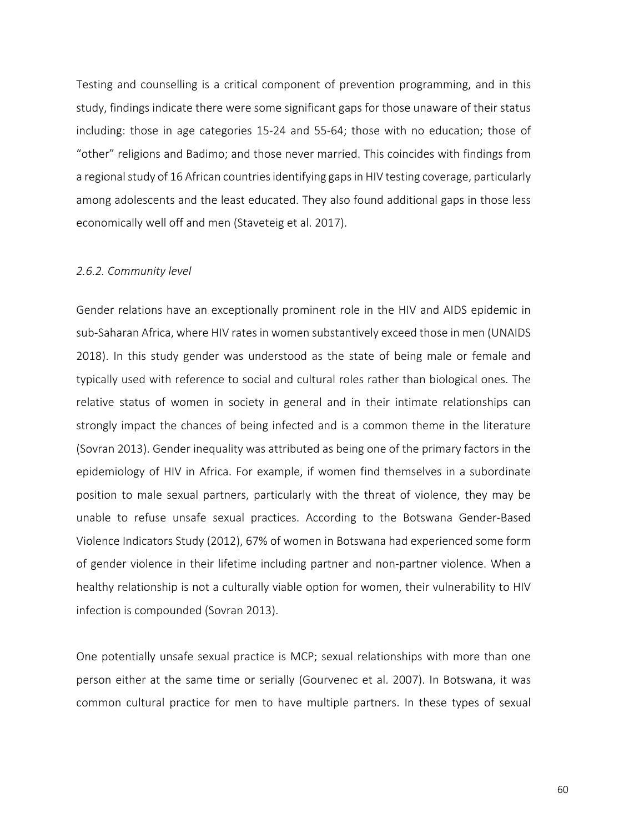Testing and counselling is a critical component of prevention programming, and in this study, findings indicate there were some significant gaps for those unaware of their status including: those in age categories 15-24 and 55-64; those with no education; those of "other" religions and Badimo; and those never married. This coincides with findings from a regional study of 16 African countries identifying gaps in HIV testing coverage, particularly among adolescents and the least educated. They also found additional gaps in those less economically well off and men (Staveteig et al. 2017).

#### *2.6.2. Community level*

Gender relations have an exceptionally prominent role in the HIV and AIDS epidemic in sub-Saharan Africa, where HIV rates in women substantively exceed those in men (UNAIDS 2018). In this study gender was understood as the state of being male or female and typically used with reference to social and cultural roles rather than biological ones. The relative status of women in society in general and in their intimate relationships can strongly impact the chances of being infected and is a common theme in the literature (Sovran 2013). Gender inequality was attributed as being one of the primary factors in the epidemiology of HIV in Africa. For example, if women find themselves in a subordinate position to male sexual partners, particularly with the threat of violence, they may be unable to refuse unsafe sexual practices. According to the Botswana Gender-Based Violence Indicators Study (2012), 67% of women in Botswana had experienced some form of gender violence in their lifetime including partner and non-partner violence. When a healthy relationship is not a culturally viable option for women, their vulnerability to HIV infection is compounded (Sovran 2013).

One potentially unsafe sexual practice is MCP; sexual relationships with more than one person either at the same time or serially (Gourvenec et al. 2007). In Botswana, it was common cultural practice for men to have multiple partners. In these types of sexual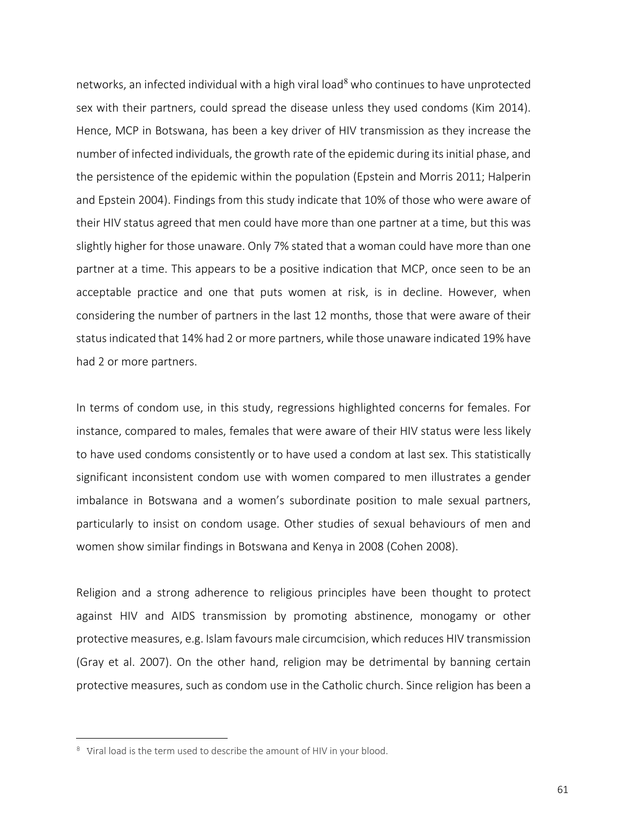networks, an infected individual with a high viral load<sup>8</sup> who continues to have unprotected sex with their partners, could spread the disease unless they used condoms (Kim 2014). Hence, MCP in Botswana, has been a key driver of HIV transmission as they increase the number of infected individuals, the growth rate of the epidemic during its initial phase, and the persistence of the epidemic within the population (Epstein and Morris 2011; Halperin and Epstein 2004). Findings from this study indicate that 10% of those who were aware of their HIV status agreed that men could have more than one partner at a time, but this was slightly higher for those unaware. Only 7% stated that a woman could have more than one partner at a time. This appears to be a positive indication that MCP, once seen to be an acceptable practice and one that puts women at risk, is in decline. However, when considering the number of partners in the last 12 months, those that were aware of their status indicated that 14% had 2 or more partners, while those unaware indicated 19% have had 2 or more partners.

In terms of condom use, in this study, regressions highlighted concerns for females. For instance, compared to males, females that were aware of their HIV status were less likely to have used condoms consistently or to have used a condom at last sex. This statistically significant inconsistent condom use with women compared to men illustrates a gender imbalance in Botswana and a women's subordinate position to male sexual partners, particularly to insist on condom usage. Other studies of sexual behaviours of men and women show similar findings in Botswana and Kenya in 2008 (Cohen 2008).

Religion and a strong adherence to religious principles have been thought to protect against HIV and AIDS transmission by promoting abstinence, monogamy or other protective measures, e.g. Islam favours male circumcision, which reduces HIV transmission (Gray et al. 2007). On the other hand, religion may be detrimental by banning certain protective measures, such as condom use in the Catholic church. Since religion has been a

<u>.</u>

<sup>&</sup>lt;sup>8</sup> Viral load is the term used to describe the amount of HIV in your blood.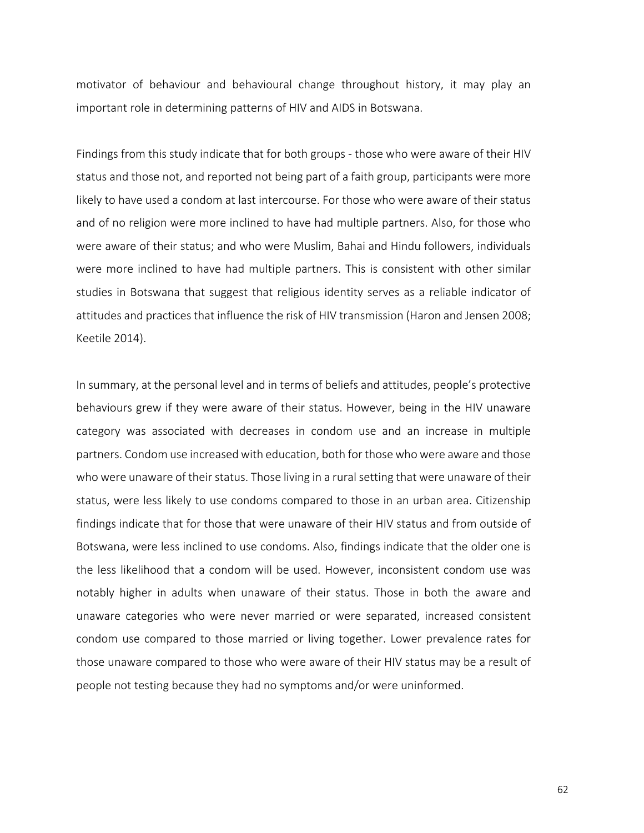motivator of behaviour and behavioural change throughout history, it may play an important role in determining patterns of HIV and AIDS in Botswana.

Findings from this study indicate that for both groups - those who were aware of their HIV status and those not, and reported not being part of a faith group, participants were more likely to have used a condom at last intercourse. For those who were aware of their status and of no religion were more inclined to have had multiple partners. Also, for those who were aware of their status; and who were Muslim, Bahai and Hindu followers, individuals were more inclined to have had multiple partners. This is consistent with other similar studies in Botswana that suggest that religious identity serves as a reliable indicator of attitudes and practices that influence the risk of HIV transmission (Haron and Jensen 2008; Keetile 2014).

In summary, at the personal level and in terms of beliefs and attitudes, people's protective behaviours grew if they were aware of their status. However, being in the HIV unaware category was associated with decreases in condom use and an increase in multiple partners. Condom use increased with education, both for those who were aware and those who were unaware of their status. Those living in a rural setting that were unaware of their status, were less likely to use condoms compared to those in an urban area. Citizenship findings indicate that for those that were unaware of their HIV status and from outside of Botswana, were less inclined to use condoms. Also, findings indicate that the older one is the less likelihood that a condom will be used. However, inconsistent condom use was notably higher in adults when unaware of their status. Those in both the aware and unaware categories who were never married or were separated, increased consistent condom use compared to those married or living together. Lower prevalence rates for those unaware compared to those who were aware of their HIV status may be a result of people not testing because they had no symptoms and/or were uninformed.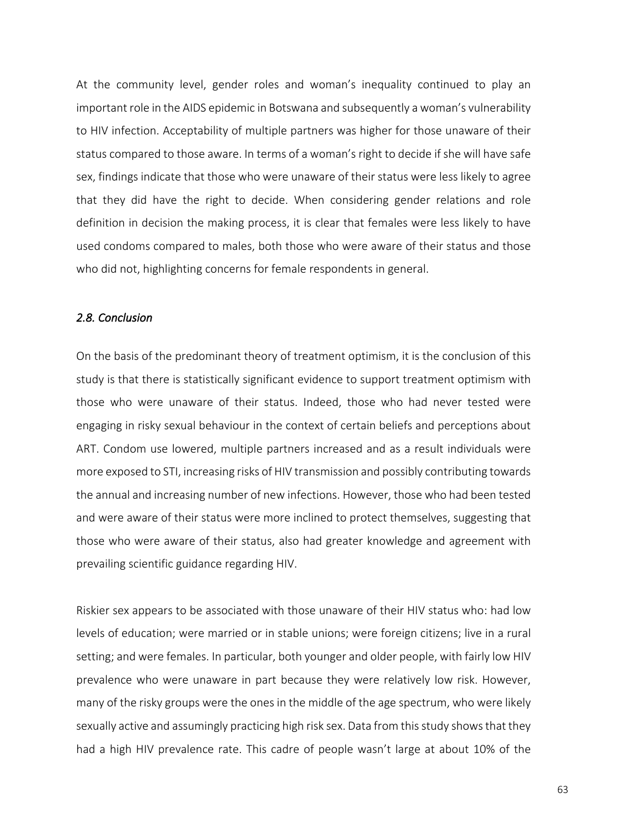At the community level, gender roles and woman's inequality continued to play an important role in the AIDS epidemic in Botswana and subsequently a woman's vulnerability to HIV infection. Acceptability of multiple partners was higher for those unaware of their status compared to those aware. In terms of a woman's right to decide if she will have safe sex, findings indicate that those who were unaware of their status were less likely to agree that they did have the right to decide. When considering gender relations and role definition in decision the making process, it is clear that females were less likely to have used condoms compared to males, both those who were aware of their status and those who did not, highlighting concerns for female respondents in general.

#### *2.8. Conclusion*

On the basis of the predominant theory of treatment optimism, it is the conclusion of this study is that there is statistically significant evidence to support treatment optimism with those who were unaware of their status. Indeed, those who had never tested were engaging in risky sexual behaviour in the context of certain beliefs and perceptions about ART. Condom use lowered, multiple partners increased and as a result individuals were more exposed to STI, increasing risks of HIV transmission and possibly contributing towards the annual and increasing number of new infections. However, those who had been tested and were aware of their status were more inclined to protect themselves, suggesting that those who were aware of their status, also had greater knowledge and agreement with prevailing scientific guidance regarding HIV.

Riskier sex appears to be associated with those unaware of their HIV status who: had low levels of education; were married or in stable unions; were foreign citizens; live in a rural setting; and were females. In particular, both younger and older people, with fairly low HIV prevalence who were unaware in part because they were relatively low risk. However, many of the risky groups were the ones in the middle of the age spectrum, who were likely sexually active and assumingly practicing high risk sex. Data from this study shows that they had a high HIV prevalence rate. This cadre of people wasn't large at about 10% of the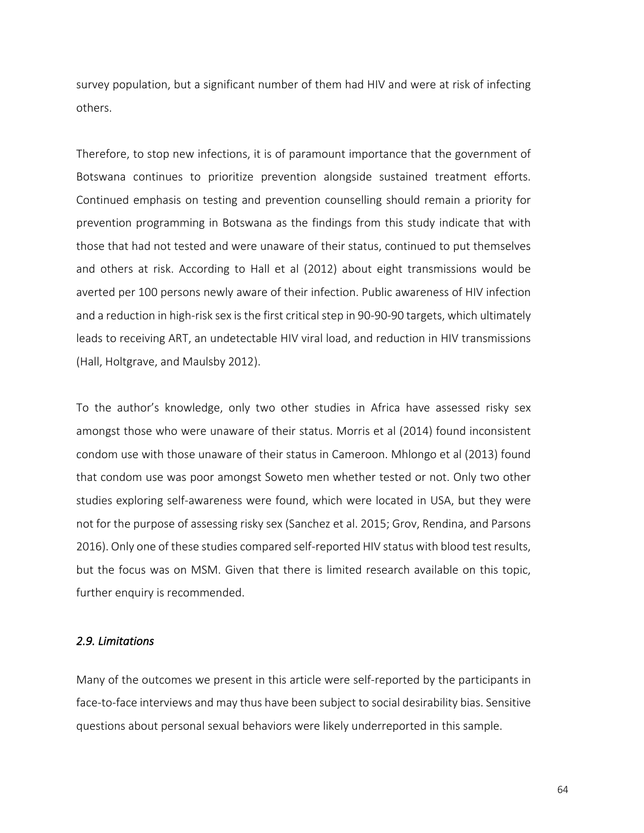survey population, but a significant number of them had HIV and were at risk of infecting others.

Therefore, to stop new infections, it is of paramount importance that the government of Botswana continues to prioritize prevention alongside sustained treatment efforts. Continued emphasis on testing and prevention counselling should remain a priority for prevention programming in Botswana as the findings from this study indicate that with those that had not tested and were unaware of their status, continued to put themselves and others at risk. According to Hall et al (2012) about eight transmissions would be averted per 100 persons newly aware of their infection. Public awareness of HIV infection and a reduction in high-risk sex is the first critical step in 90-90-90 targets, which ultimately leads to receiving ART, an undetectable HIV viral load, and reduction in HIV transmissions (Hall, Holtgrave, and Maulsby 2012).

To the author's knowledge, only two other studies in Africa have assessed risky sex amongst those who were unaware of their status. Morris et al (2014) found inconsistent condom use with those unaware of their status in Cameroon. Mhlongo et al (2013) found that condom use was poor amongst Soweto men whether tested or not. Only two other studies exploring self-awareness were found, which were located in USA, but they were not for the purpose of assessing risky sex (Sanchez et al. 2015; Grov, Rendina, and Parsons 2016). Only one of these studies compared self-reported HIV status with blood test results, but the focus was on MSM. Given that there is limited research available on this topic, further enquiry is recommended.

#### *2.9. Limitations*

Many of the outcomes we present in this article were self-reported by the participants in face-to-face interviews and may thus have been subject to social desirability bias. Sensitive questions about personal sexual behaviors were likely underreported in this sample.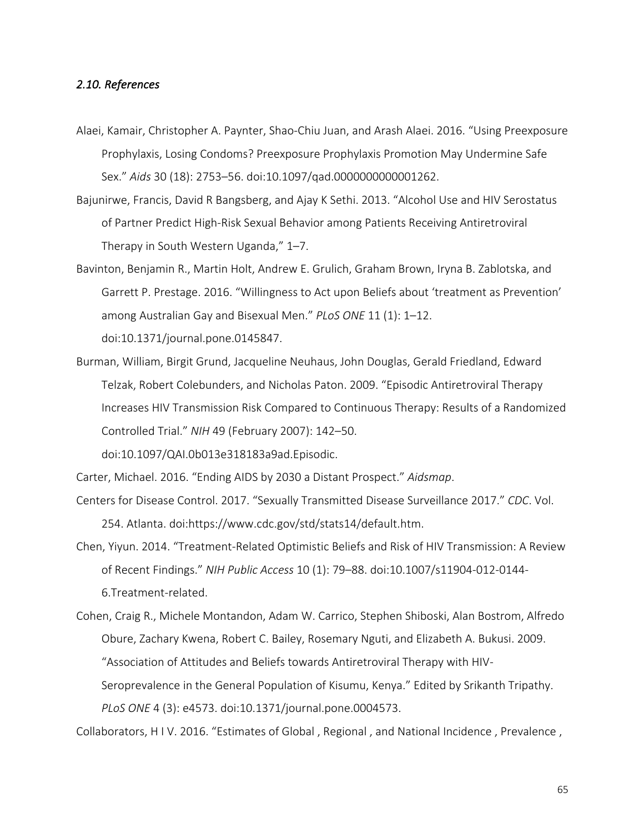#### *2.10. References*

- Alaei, Kamair, Christopher A. Paynter, Shao-Chiu Juan, and Arash Alaei. 2016. "Using Preexposure Prophylaxis, Losing Condoms? Preexposure Prophylaxis Promotion May Undermine Safe Sex." *Aids* 30 (18): 2753–56. doi:10.1097/qad.0000000000001262.
- Bajunirwe, Francis, David R Bangsberg, and Ajay K Sethi. 2013. "Alcohol Use and HIV Serostatus of Partner Predict High-Risk Sexual Behavior among Patients Receiving Antiretroviral Therapy in South Western Uganda," 1–7.
- Bavinton, Benjamin R., Martin Holt, Andrew E. Grulich, Graham Brown, Iryna B. Zablotska, and Garrett P. Prestage. 2016. "Willingness to Act upon Beliefs about 'treatment as Prevention' among Australian Gay and Bisexual Men." *PLoS ONE* 11 (1): 1–12. doi:10.1371/journal.pone.0145847.
- Burman, William, Birgit Grund, Jacqueline Neuhaus, John Douglas, Gerald Friedland, Edward Telzak, Robert Colebunders, and Nicholas Paton. 2009. "Episodic Antiretroviral Therapy Increases HIV Transmission Risk Compared to Continuous Therapy: Results of a Randomized Controlled Trial." *NIH* 49 (February 2007): 142–50.

doi:10.1097/QAI.0b013e318183a9ad.Episodic.

Carter, Michael. 2016. "Ending AIDS by 2030 a Distant Prospect." *Aidsmap*.

- Centers for Disease Control. 2017. "Sexually Transmitted Disease Surveillance 2017." *CDC*. Vol. 254. Atlanta. doi:https://www.cdc.gov/std/stats14/default.htm.
- Chen, Yiyun. 2014. "Treatment-Related Optimistic Beliefs and Risk of HIV Transmission: A Review of Recent Findings." *NIH Public Access* 10 (1): 79–88. doi:10.1007/s11904-012-0144- 6.Treatment-related.

Cohen, Craig R., Michele Montandon, Adam W. Carrico, Stephen Shiboski, Alan Bostrom, Alfredo Obure, Zachary Kwena, Robert C. Bailey, Rosemary Nguti, and Elizabeth A. Bukusi. 2009. "Association of Attitudes and Beliefs towards Antiretroviral Therapy with HIV-Seroprevalence in the General Population of Kisumu, Kenya." Edited by Srikanth Tripathy. *PLoS ONE* 4 (3): e4573. doi:10.1371/journal.pone.0004573.

Collaborators, H I V. 2016. "Estimates of Global , Regional , and National Incidence , Prevalence ,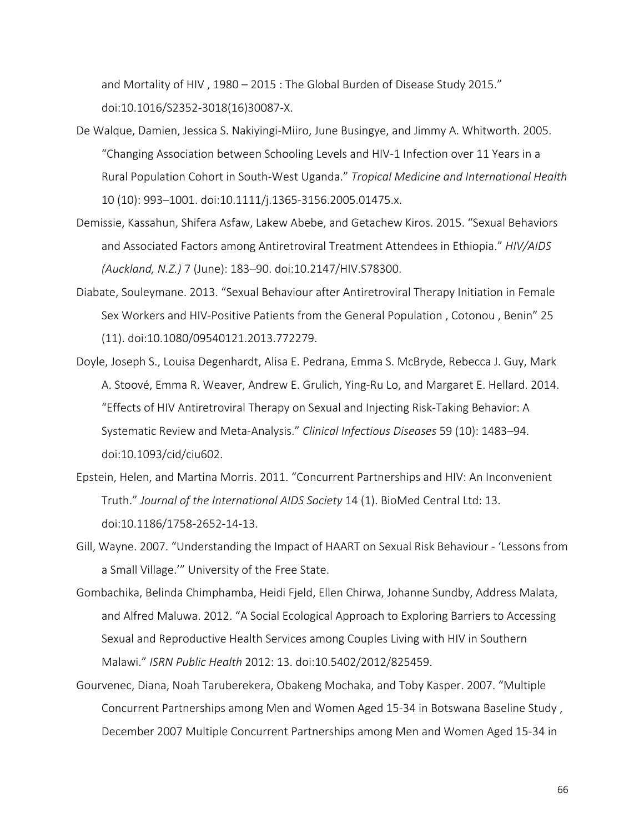and Mortality of HIV , 1980 – 2015 : The Global Burden of Disease Study 2015." doi:10.1016/S2352-3018(16)30087-X.

- De Walque, Damien, Jessica S. Nakiyingi-Miiro, June Busingye, and Jimmy A. Whitworth. 2005. "Changing Association between Schooling Levels and HIV-1 Infection over 11 Years in a Rural Population Cohort in South-West Uganda." *Tropical Medicine and International Health* 10 (10): 993–1001. doi:10.1111/j.1365-3156.2005.01475.x.
- Demissie, Kassahun, Shifera Asfaw, Lakew Abebe, and Getachew Kiros. 2015. "Sexual Behaviors and Associated Factors among Antiretroviral Treatment Attendees in Ethiopia." *HIV/AIDS (Auckland, N.Z.)* 7 (June): 183–90. doi:10.2147/HIV.S78300.
- Diabate, Souleymane. 2013. "Sexual Behaviour after Antiretroviral Therapy Initiation in Female Sex Workers and HIV-Positive Patients from the General Population , Cotonou , Benin" 25 (11). doi:10.1080/09540121.2013.772279.
- Doyle, Joseph S., Louisa Degenhardt, Alisa E. Pedrana, Emma S. McBryde, Rebecca J. Guy, Mark A. Stoové, Emma R. Weaver, Andrew E. Grulich, Ying-Ru Lo, and Margaret E. Hellard. 2014. "Effects of HIV Antiretroviral Therapy on Sexual and Injecting Risk-Taking Behavior: A Systematic Review and Meta-Analysis." *Clinical Infectious Diseases* 59 (10): 1483–94. doi:10.1093/cid/ciu602.
- Epstein, Helen, and Martina Morris. 2011. "Concurrent Partnerships and HIV: An Inconvenient Truth." *Journal of the International AIDS Society* 14 (1). BioMed Central Ltd: 13. doi:10.1186/1758-2652-14-13.
- Gill, Wayne. 2007. "Understanding the Impact of HAART on Sexual Risk Behaviour 'Lessons from a Small Village.'" University of the Free State.
- Gombachika, Belinda Chimphamba, Heidi Fjeld, Ellen Chirwa, Johanne Sundby, Address Malata, and Alfred Maluwa. 2012. "A Social Ecological Approach to Exploring Barriers to Accessing Sexual and Reproductive Health Services among Couples Living with HIV in Southern Malawi." *ISRN Public Health* 2012: 13. doi:10.5402/2012/825459.
- Gourvenec, Diana, Noah Taruberekera, Obakeng Mochaka, and Toby Kasper. 2007. "Multiple Concurrent Partnerships among Men and Women Aged 15-34 in Botswana Baseline Study , December 2007 Multiple Concurrent Partnerships among Men and Women Aged 15-34 in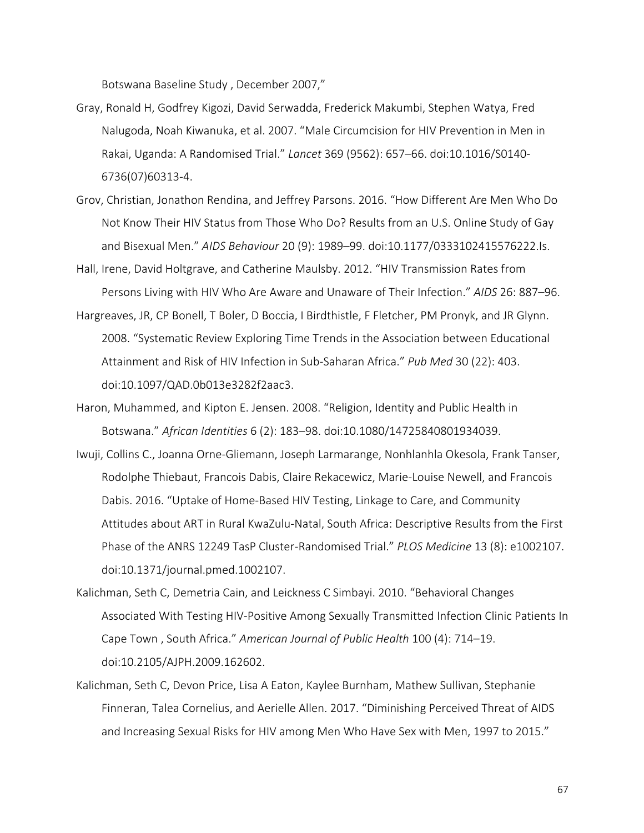Botswana Baseline Study , December 2007,"

- Gray, Ronald H, Godfrey Kigozi, David Serwadda, Frederick Makumbi, Stephen Watya, Fred Nalugoda, Noah Kiwanuka, et al. 2007. "Male Circumcision for HIV Prevention in Men in Rakai, Uganda: A Randomised Trial." *Lancet* 369 (9562): 657–66. doi:10.1016/S0140- 6736(07)60313-4.
- Grov, Christian, Jonathon Rendina, and Jeffrey Parsons. 2016. "How Different Are Men Who Do Not Know Their HIV Status from Those Who Do? Results from an U.S. Online Study of Gay and Bisexual Men." *AIDS Behaviour* 20 (9): 1989–99. doi:10.1177/0333102415576222.Is.
- Hall, Irene, David Holtgrave, and Catherine Maulsby. 2012. "HIV Transmission Rates from Persons Living with HIV Who Are Aware and Unaware of Their Infection." *AIDS* 26: 887–96.
- Hargreaves, JR, CP Bonell, T Boler, D Boccia, I Birdthistle, F Fletcher, PM Pronyk, and JR Glynn. 2008. "Systematic Review Exploring Time Trends in the Association between Educational Attainment and Risk of HIV Infection in Sub-Saharan Africa." *Pub Med* 30 (22): 403. doi:10.1097/QAD.0b013e3282f2aac3.
- Haron, Muhammed, and Kipton E. Jensen. 2008. "Religion, Identity and Public Health in Botswana." *African Identities* 6 (2): 183–98. doi:10.1080/14725840801934039.
- Iwuji, Collins C., Joanna Orne-Gliemann, Joseph Larmarange, Nonhlanhla Okesola, Frank Tanser, Rodolphe Thiebaut, Francois Dabis, Claire Rekacewicz, Marie-Louise Newell, and Francois Dabis. 2016. "Uptake of Home-Based HIV Testing, Linkage to Care, and Community Attitudes about ART in Rural KwaZulu-Natal, South Africa: Descriptive Results from the First Phase of the ANRS 12249 TasP Cluster-Randomised Trial." *PLOS Medicine* 13 (8): e1002107. doi:10.1371/journal.pmed.1002107.
- Kalichman, Seth C, Demetria Cain, and Leickness C Simbayi. 2010. "Behavioral Changes Associated With Testing HIV-Positive Among Sexually Transmitted Infection Clinic Patients In Cape Town , South Africa." *American Journal of Public Health* 100 (4): 714–19. doi:10.2105/AJPH.2009.162602.
- Kalichman, Seth C, Devon Price, Lisa A Eaton, Kaylee Burnham, Mathew Sullivan, Stephanie Finneran, Talea Cornelius, and Aerielle Allen. 2017. "Diminishing Perceived Threat of AIDS and Increasing Sexual Risks for HIV among Men Who Have Sex with Men, 1997 to 2015."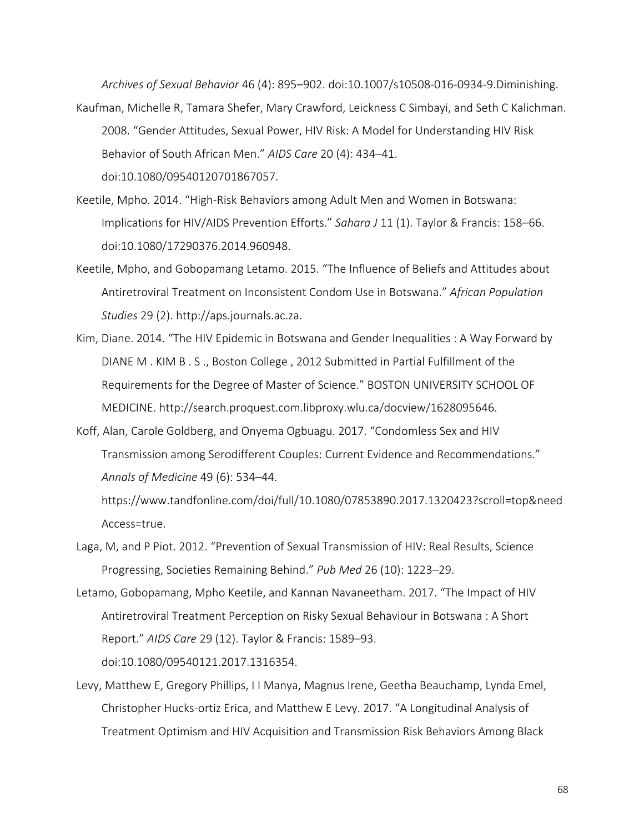*Archives of Sexual Behavior* 46 (4): 895–902. doi:10.1007/s10508-016-0934-9.Diminishing.

- Kaufman, Michelle R, Tamara Shefer, Mary Crawford, Leickness C Simbayi, and Seth C Kalichman. 2008. "Gender Attitudes, Sexual Power, HIV Risk: A Model for Understanding HIV Risk Behavior of South African Men." *AIDS Care* 20 (4): 434–41. doi:10.1080/09540120701867057.
- Keetile, Mpho. 2014. "High-Risk Behaviors among Adult Men and Women in Botswana: Implications for HIV/AIDS Prevention Efforts." *Sahara J* 11 (1). Taylor & Francis: 158–66. doi:10.1080/17290376.2014.960948.
- Keetile, Mpho, and Gobopamang Letamo. 2015. "The Influence of Beliefs and Attitudes about Antiretroviral Treatment on Inconsistent Condom Use in Botswana." *African Population Studies* 29 (2). http://aps.journals.ac.za.
- Kim, Diane. 2014. "The HIV Epidemic in Botswana and Gender Inequalities : A Way Forward by DIANE M . KIM B . S ., Boston College , 2012 Submitted in Partial Fulfillment of the Requirements for the Degree of Master of Science." BOSTON UNIVERSITY SCHOOL OF MEDICINE. http://search.proquest.com.libproxy.wlu.ca/docview/1628095646.
- Koff, Alan, Carole Goldberg, and Onyema Ogbuagu. 2017. "Condomless Sex and HIV Transmission among Serodifferent Couples: Current Evidence and Recommendations." *Annals of Medicine* 49 (6): 534–44.

https://www.tandfonline.com/doi/full/10.1080/07853890.2017.1320423?scroll=top&need Access=true.

- Laga, M, and P Piot. 2012. "Prevention of Sexual Transmission of HIV: Real Results, Science Progressing, Societies Remaining Behind." *Pub Med* 26 (10): 1223–29.
- Letamo, Gobopamang, Mpho Keetile, and Kannan Navaneetham. 2017. "The Impact of HIV Antiretroviral Treatment Perception on Risky Sexual Behaviour in Botswana : A Short Report." *AIDS Care* 29 (12). Taylor & Francis: 1589–93.

doi:10.1080/09540121.2017.1316354.

Levy, Matthew E, Gregory Phillips, I I Manya, Magnus Irene, Geetha Beauchamp, Lynda Emel, Christopher Hucks-ortiz Erica, and Matthew E Levy. 2017. "A Longitudinal Analysis of Treatment Optimism and HIV Acquisition and Transmission Risk Behaviors Among Black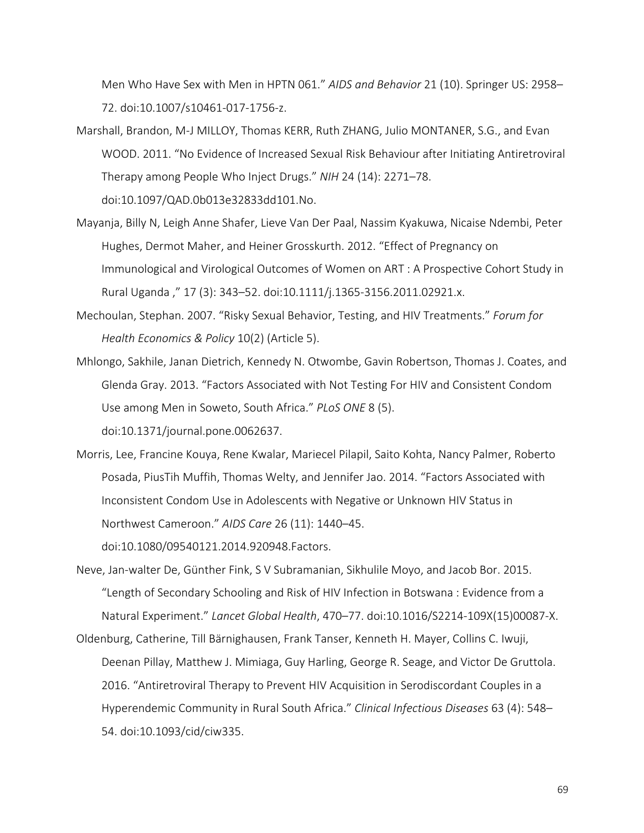Men Who Have Sex with Men in HPTN 061." *AIDS and Behavior* 21 (10). Springer US: 2958– 72. doi:10.1007/s10461-017-1756-z.

Marshall, Brandon, M-J MILLOY, Thomas KERR, Ruth ZHANG, Julio MONTANER, S.G., and Evan WOOD. 2011. "No Evidence of Increased Sexual Risk Behaviour after Initiating Antiretroviral Therapy among People Who Inject Drugs." *NIH* 24 (14): 2271–78.

doi:10.1097/QAD.0b013e32833dd101.No.

- Mayanja, Billy N, Leigh Anne Shafer, Lieve Van Der Paal, Nassim Kyakuwa, Nicaise Ndembi, Peter Hughes, Dermot Maher, and Heiner Grosskurth. 2012. "Effect of Pregnancy on Immunological and Virological Outcomes of Women on ART : A Prospective Cohort Study in Rural Uganda ," 17 (3): 343–52. doi:10.1111/j.1365-3156.2011.02921.x.
- Mechoulan, Stephan. 2007. "Risky Sexual Behavior, Testing, and HIV Treatments." *Forum for Health Economics & Policy* 10(2) (Article 5).
- Mhlongo, Sakhile, Janan Dietrich, Kennedy N. Otwombe, Gavin Robertson, Thomas J. Coates, and Glenda Gray. 2013. "Factors Associated with Not Testing For HIV and Consistent Condom Use among Men in Soweto, South Africa." *PLoS ONE* 8 (5). doi:10.1371/journal.pone.0062637.
- Morris, Lee, Francine Kouya, Rene Kwalar, Mariecel Pilapil, Saito Kohta, Nancy Palmer, Roberto Posada, PiusTih Muffih, Thomas Welty, and Jennifer Jao. 2014. "Factors Associated with Inconsistent Condom Use in Adolescents with Negative or Unknown HIV Status in Northwest Cameroon." *AIDS Care* 26 (11): 1440–45.

doi:10.1080/09540121.2014.920948.Factors.

Neve, Jan-walter De, Günther Fink, S V Subramanian, Sikhulile Moyo, and Jacob Bor. 2015. "Length of Secondary Schooling and Risk of HIV Infection in Botswana : Evidence from a Natural Experiment." *Lancet Global Health*, 470–77. doi:10.1016/S2214-109X(15)00087-X.

Oldenburg, Catherine, Till Bärnighausen, Frank Tanser, Kenneth H. Mayer, Collins C. Iwuji, Deenan Pillay, Matthew J. Mimiaga, Guy Harling, George R. Seage, and Victor De Gruttola. 2016. "Antiretroviral Therapy to Prevent HIV Acquisition in Serodiscordant Couples in a Hyperendemic Community in Rural South Africa." *Clinical Infectious Diseases* 63 (4): 548– 54. doi:10.1093/cid/ciw335.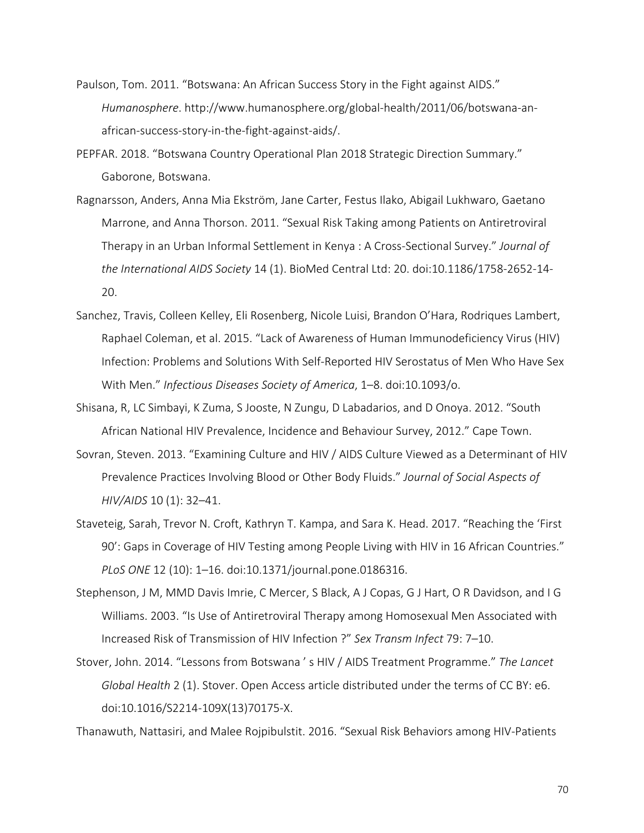- Paulson, Tom. 2011. "Botswana: An African Success Story in the Fight against AIDS." *Humanosphere*. http://www.humanosphere.org/global-health/2011/06/botswana-anafrican-success-story-in-the-fight-against-aids/.
- PEPFAR. 2018. "Botswana Country Operational Plan 2018 Strategic Direction Summary." Gaborone, Botswana.
- Ragnarsson, Anders, Anna Mia Ekström, Jane Carter, Festus Ilako, Abigail Lukhwaro, Gaetano Marrone, and Anna Thorson. 2011. "Sexual Risk Taking among Patients on Antiretroviral Therapy in an Urban Informal Settlement in Kenya : A Cross-Sectional Survey." *Journal of the International AIDS Society* 14 (1). BioMed Central Ltd: 20. doi:10.1186/1758-2652-14- 20.
- Sanchez, Travis, Colleen Kelley, Eli Rosenberg, Nicole Luisi, Brandon O'Hara, Rodriques Lambert, Raphael Coleman, et al. 2015. "Lack of Awareness of Human Immunodeficiency Virus (HIV) Infection: Problems and Solutions With Self-Reported HIV Serostatus of Men Who Have Sex With Men." *Infectious Diseases Society of America*, 1–8. doi:10.1093/o.
- Shisana, R, LC Simbayi, K Zuma, S Jooste, N Zungu, D Labadarios, and D Onoya. 2012. "South African National HIV Prevalence, Incidence and Behaviour Survey, 2012." Cape Town.
- Sovran, Steven. 2013. "Examining Culture and HIV / AIDS Culture Viewed as a Determinant of HIV Prevalence Practices Involving Blood or Other Body Fluids." *Journal of Social Aspects of HIV/AIDS* 10 (1): 32–41.
- Staveteig, Sarah, Trevor N. Croft, Kathryn T. Kampa, and Sara K. Head. 2017. "Reaching the 'First 90': Gaps in Coverage of HIV Testing among People Living with HIV in 16 African Countries." *PLoS ONE* 12 (10): 1–16. doi:10.1371/journal.pone.0186316.
- Stephenson, J M, MMD Davis Imrie, C Mercer, S Black, A J Copas, G J Hart, O R Davidson, and I G Williams. 2003. "Is Use of Antiretroviral Therapy among Homosexual Men Associated with Increased Risk of Transmission of HIV Infection ?" *Sex Transm Infect* 79: 7–10.
- Stover, John. 2014. "Lessons from Botswana ' s HIV / AIDS Treatment Programme." *The Lancet Global Health* 2 (1). Stover. Open Access article distributed under the terms of CC BY: e6. doi:10.1016/S2214-109X(13)70175-X.

Thanawuth, Nattasiri, and Malee Rojpibulstit. 2016. "Sexual Risk Behaviors among HIV-Patients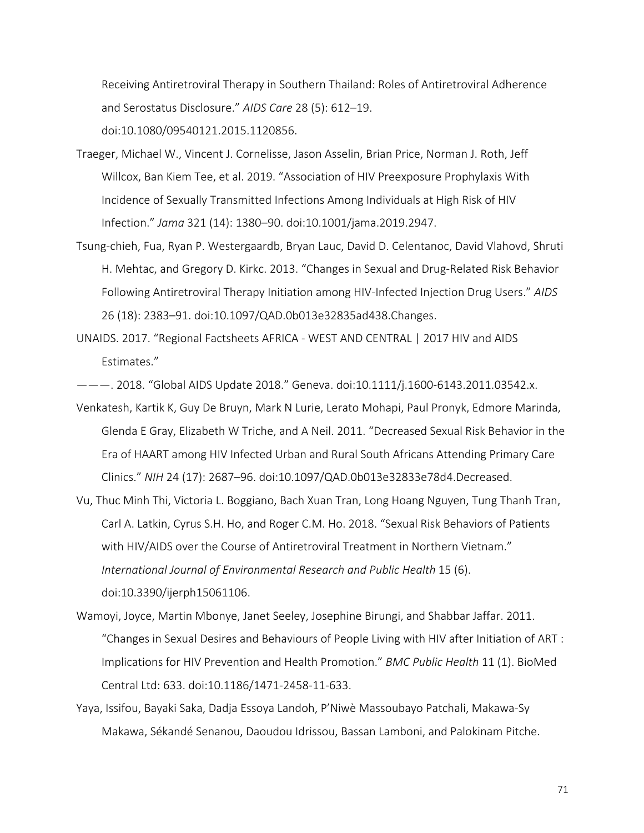Receiving Antiretroviral Therapy in Southern Thailand: Roles of Antiretroviral Adherence and Serostatus Disclosure." *AIDS Care* 28 (5): 612–19. doi:10.1080/09540121.2015.1120856.

- Traeger, Michael W., Vincent J. Cornelisse, Jason Asselin, Brian Price, Norman J. Roth, Jeff Willcox, Ban Kiem Tee, et al. 2019. "Association of HIV Preexposure Prophylaxis With Incidence of Sexually Transmitted Infections Among Individuals at High Risk of HIV Infection." *Jama* 321 (14): 1380–90. doi:10.1001/jama.2019.2947.
- Tsung-chieh, Fua, Ryan P. Westergaardb, Bryan Lauc, David D. Celentanoc, David Vlahovd, Shruti H. Mehtac, and Gregory D. Kirkc. 2013. "Changes in Sexual and Drug-Related Risk Behavior Following Antiretroviral Therapy Initiation among HIV-Infected Injection Drug Users." *AIDS* 26 (18): 2383–91. doi:10.1097/QAD.0b013e32835ad438.Changes.
- UNAIDS. 2017. "Regional Factsheets AFRICA WEST AND CENTRAL | 2017 HIV and AIDS Estimates."

———. 2018. "Global AIDS Update 2018." Geneva. doi:10.1111/j.1600-6143.2011.03542.x.

- Venkatesh, Kartik K, Guy De Bruyn, Mark N Lurie, Lerato Mohapi, Paul Pronyk, Edmore Marinda, Glenda E Gray, Elizabeth W Triche, and A Neil. 2011. "Decreased Sexual Risk Behavior in the Era of HAART among HIV Infected Urban and Rural South Africans Attending Primary Care Clinics." *NIH* 24 (17): 2687–96. doi:10.1097/QAD.0b013e32833e78d4.Decreased.
- Vu, Thuc Minh Thi, Victoria L. Boggiano, Bach Xuan Tran, Long Hoang Nguyen, Tung Thanh Tran, Carl A. Latkin, Cyrus S.H. Ho, and Roger C.M. Ho. 2018. "Sexual Risk Behaviors of Patients with HIV/AIDS over the Course of Antiretroviral Treatment in Northern Vietnam." *International Journal of Environmental Research and Public Health* 15 (6). doi:10.3390/ijerph15061106.
- Wamoyi, Joyce, Martin Mbonye, Janet Seeley, Josephine Birungi, and Shabbar Jaffar. 2011. "Changes in Sexual Desires and Behaviours of People Living with HIV after Initiation of ART : Implications for HIV Prevention and Health Promotion." *BMC Public Health* 11 (1). BioMed Central Ltd: 633. doi:10.1186/1471-2458-11-633.
- Yaya, Issifou, Bayaki Saka, Dadja Essoya Landoh, P'Niwè Massoubayo Patchali, Makawa-Sy Makawa, Sékandé Senanou, Daoudou Idrissou, Bassan Lamboni, and Palokinam Pitche.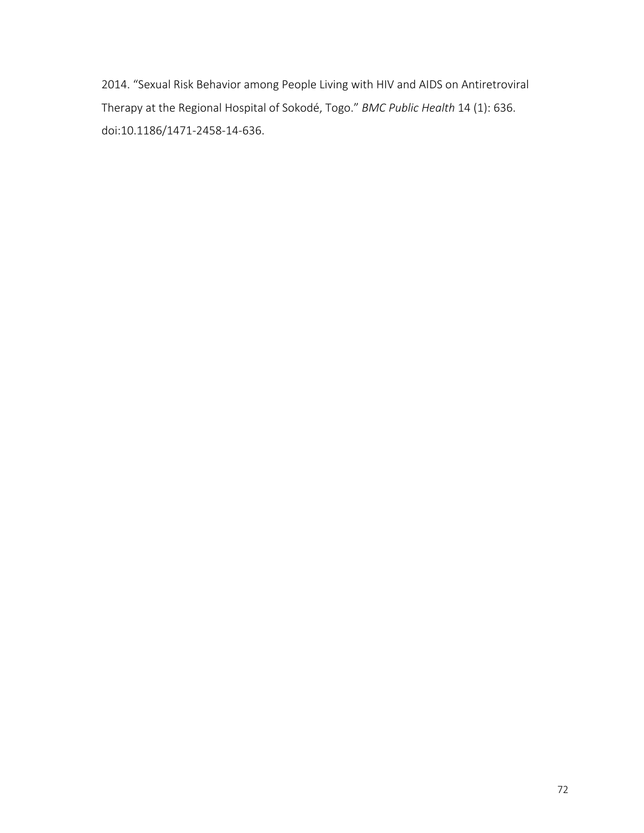2014. "Sexual Risk Behavior among People Living with HIV and AIDS on Antiretroviral Therapy at the Regional Hospital of Sokodé, Togo." *BMC Public Health* 14 (1): 636. doi:10.1186/1471-2458-14-636.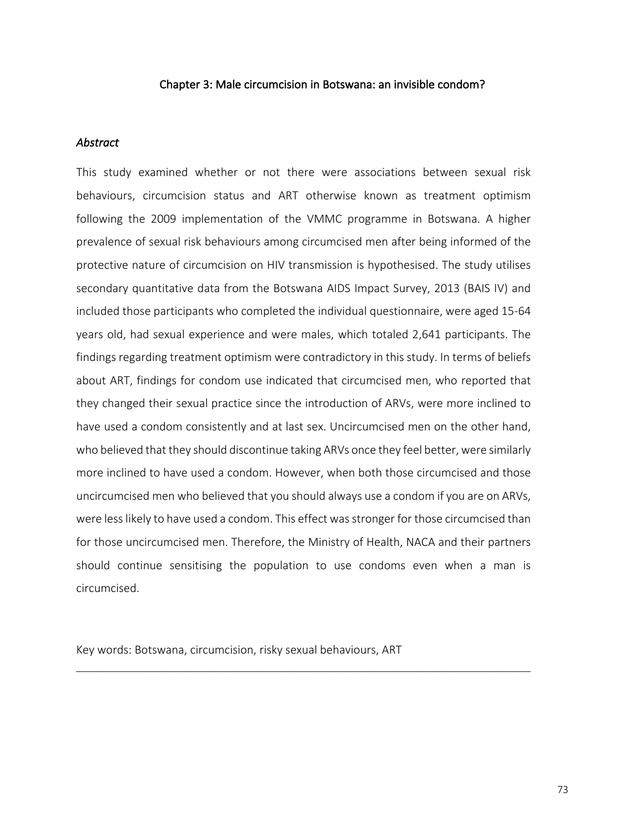#### Chapter 3: Male circumcision in Botswana: an invisible condom?

#### *Abstract*

This study examined whether or not there were associations between sexual risk behaviours, circumcision status and ART otherwise known as treatment optimism following the 2009 implementation of the VMMC programme in Botswana. A higher prevalence of sexual risk behaviours among circumcised men after being informed of the protective nature of circumcision on HIV transmission is hypothesised. The study utilises secondary quantitative data from the Botswana AIDS Impact Survey, 2013 (BAIS IV) and included those participants who completed the individual questionnaire, were aged 15-64 years old, had sexual experience and were males, which totaled 2,641 participants. The findings regarding treatment optimism were contradictory in this study. In terms of beliefs about ART, findings for condom use indicated that circumcised men, who reported that they changed their sexual practice since the introduction of ARVs, were more inclined to have used a condom consistently and at last sex. Uncircumcised men on the other hand, who believed that they should discontinue taking ARVs once they feel better, were similarly more inclined to have used a condom. However, when both those circumcised and those uncircumcised men who believed that you should always use a condom if you are on ARVs, were less likely to have used a condom. This effect was stronger for those circumcised than for those uncircumcised men. Therefore, the Ministry of Health, NACA and their partners should continue sensitising the population to use condoms even when a man is circumcised.

 $\mathcal{L}_\mathcal{L} = \mathcal{L}_\mathcal{L} = \mathcal{L}_\mathcal{L} = \mathcal{L}_\mathcal{L} = \mathcal{L}_\mathcal{L} = \mathcal{L}_\mathcal{L} = \mathcal{L}_\mathcal{L} = \mathcal{L}_\mathcal{L} = \mathcal{L}_\mathcal{L} = \mathcal{L}_\mathcal{L} = \mathcal{L}_\mathcal{L} = \mathcal{L}_\mathcal{L} = \mathcal{L}_\mathcal{L} = \mathcal{L}_\mathcal{L} = \mathcal{L}_\mathcal{L} = \mathcal{L}_\mathcal{L} = \mathcal{L}_\mathcal{L}$ 

Key words: Botswana, circumcision, risky sexual behaviours, ART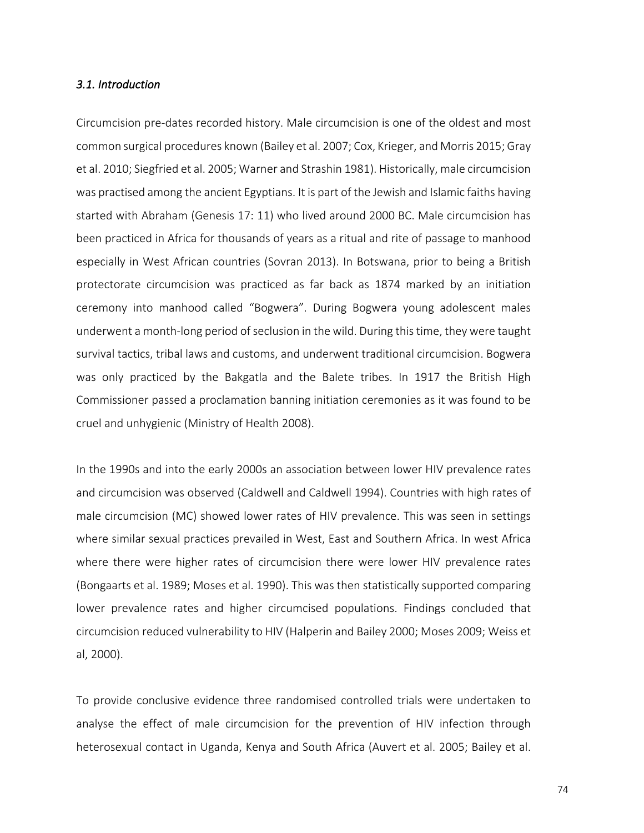#### *3.1. Introduction*

Circumcision pre-dates recorded history. Male circumcision is one of the oldest and most common surgical procedures known (Bailey et al. 2007; Cox, Krieger, and Morris 2015; Gray et al. 2010; Siegfried et al. 2005; Warner and Strashin 1981). Historically, male circumcision was practised among the ancient Egyptians. It is part of the Jewish and Islamic faiths having started with Abraham (Genesis 17: 11) who lived around 2000 BC. Male circumcision has been practiced in Africa for thousands of years as a ritual and rite of passage to manhood especially in West African countries (Sovran 2013). In Botswana, prior to being a British protectorate circumcision was practiced as far back as 1874 marked by an initiation ceremony into manhood called "Bogwera". During Bogwera young adolescent males underwent a month-long period of seclusion in the wild. During this time, they were taught survival tactics, tribal laws and customs, and underwent traditional circumcision. Bogwera was only practiced by the Bakgatla and the Balete tribes. In 1917 the British High Commissioner passed a proclamation banning initiation ceremonies as it was found to be cruel and unhygienic (Ministry of Health 2008).

In the 1990s and into the early 2000s an association between lower HIV prevalence rates and circumcision was observed (Caldwell and Caldwell 1994). Countries with high rates of male circumcision (MC) showed lower rates of HIV prevalence. This was seen in settings where similar sexual practices prevailed in West, East and Southern Africa. In west Africa where there were higher rates of circumcision there were lower HIV prevalence rates (Bongaarts et al. 1989; Moses et al. 1990). This was then statistically supported comparing lower prevalence rates and higher circumcised populations. Findings concluded that circumcision reduced vulnerability to HIV (Halperin and Bailey 2000; Moses 2009; Weiss et al, 2000).

To provide conclusive evidence three randomised controlled trials were undertaken to analyse the effect of male circumcision for the prevention of HIV infection through heterosexual contact in Uganda, Kenya and South Africa (Auvert et al. 2005; Bailey et al.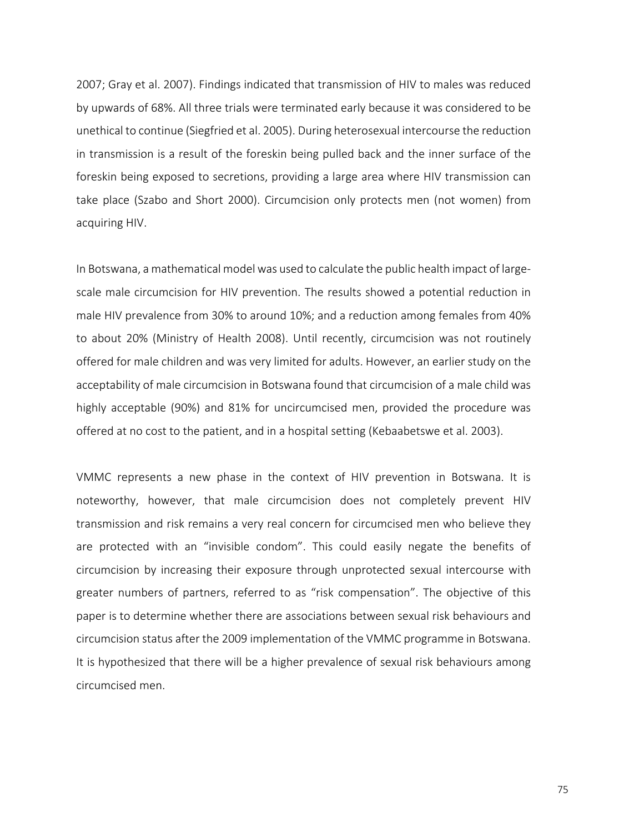2007; Gray et al. 2007). Findings indicated that transmission of HIV to males was reduced by upwards of 68%. All three trials were terminated early because it was considered to be unethical to continue (Siegfried et al. 2005). During heterosexual intercourse the reduction in transmission is a result of the foreskin being pulled back and the inner surface of the foreskin being exposed to secretions, providing a large area where HIV transmission can take place (Szabo and Short 2000). Circumcision only protects men (not women) from acquiring HIV.

In Botswana, a mathematical model was used to calculate the public health impact of largescale male circumcision for HIV prevention. The results showed a potential reduction in male HIV prevalence from 30% to around 10%; and a reduction among females from 40% to about 20% (Ministry of Health 2008). Until recently, circumcision was not routinely offered for male children and was very limited for adults. However, an earlier study on the acceptability of male circumcision in Botswana found that circumcision of a male child was highly acceptable (90%) and 81% for uncircumcised men, provided the procedure was offered at no cost to the patient, and in a hospital setting (Kebaabetswe et al. 2003).

VMMC represents a new phase in the context of HIV prevention in Botswana. It is noteworthy, however, that male circumcision does not completely prevent HIV transmission and risk remains a very real concern for circumcised men who believe they are protected with an "invisible condom". This could easily negate the benefits of circumcision by increasing their exposure through unprotected sexual intercourse with greater numbers of partners, referred to as "risk compensation". The objective of this paper is to determine whether there are associations between sexual risk behaviours and circumcision status after the 2009 implementation of the VMMC programme in Botswana. It is hypothesized that there will be a higher prevalence of sexual risk behaviours among circumcised men.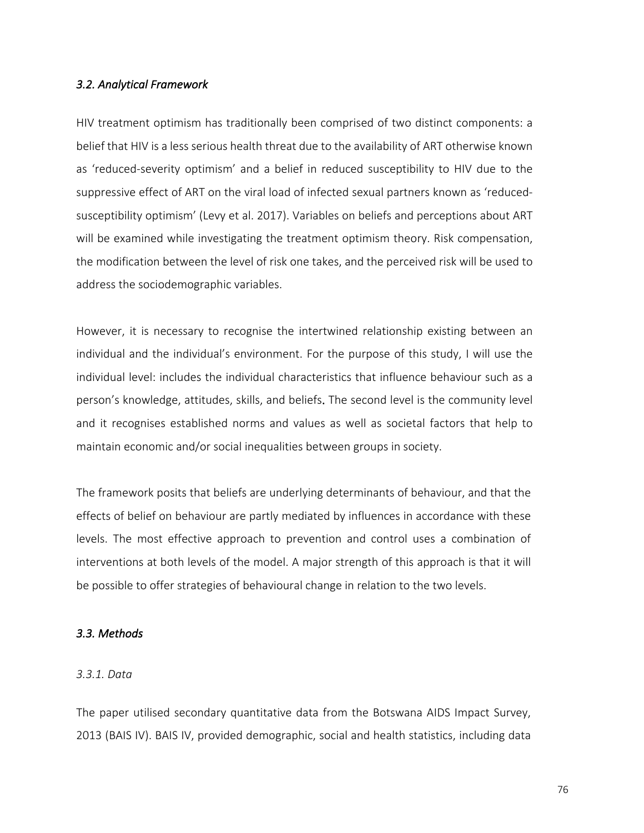#### *3.2. Analytical Framework*

HIV treatment optimism has traditionally been comprised of two distinct components: a belief that HIV is a less serious health threat due to the availability of ART otherwise known as 'reduced-severity optimism' and a belief in reduced susceptibility to HIV due to the suppressive effect of ART on the viral load of infected sexual partners known as 'reducedsusceptibility optimism' (Levy et al. 2017). Variables on beliefs and perceptions about ART will be examined while investigating the treatment optimism theory. Risk compensation, the modification between the level of risk one takes, and the perceived risk will be used to address the sociodemographic variables.

However, it is necessary to recognise the intertwined relationship existing between an individual and the individual's environment. For the purpose of this study, I will use the individual level: includes the individual characteristics that influence behaviour such as a person's knowledge, attitudes, skills, and beliefs. The second level is the community level and it recognises established norms and values as well as societal factors that help to maintain economic and/or social inequalities between groups in society.

The framework posits that beliefs are underlying determinants of behaviour, and that the effects of belief on behaviour are partly mediated by influences in accordance with these levels. The most effective approach to prevention and control uses a combination of interventions at both levels of the model. A major strength of this approach is that it will be possible to offer strategies of behavioural change in relation to the two levels.

#### *3.3. Methods*

#### *3.3.1. Data*

The paper utilised secondary quantitative data from the Botswana AIDS Impact Survey, 2013 (BAIS IV). BAIS IV, provided demographic, social and health statistics, including data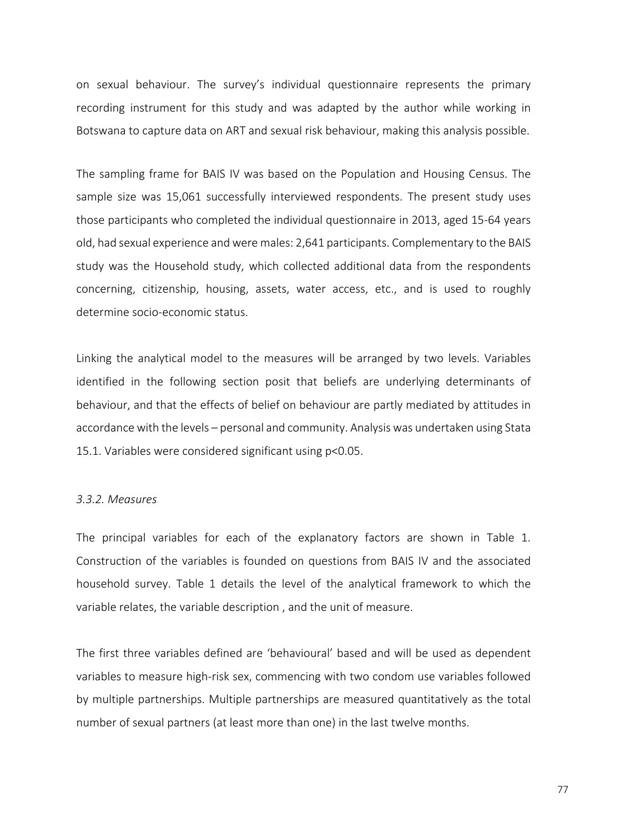on sexual behaviour. The survey's individual questionnaire represents the primary recording instrument for this study and was adapted by the author while working in Botswana to capture data on ART and sexual risk behaviour, making this analysis possible.

The sampling frame for BAIS IV was based on the Population and Housing Census. The sample size was 15,061 successfully interviewed respondents. The present study uses those participants who completed the individual questionnaire in 2013, aged 15-64 years old, had sexual experience and were males: 2,641 participants. Complementary to the BAIS study was the Household study, which collected additional data from the respondents concerning, citizenship, housing, assets, water access, etc., and is used to roughly determine socio-economic status.

Linking the analytical model to the measures will be arranged by two levels. Variables identified in the following section posit that beliefs are underlying determinants of behaviour, and that the effects of belief on behaviour are partly mediated by attitudes in accordance with the levels – personal and community. Analysis was undertaken using Stata 15.1. Variables were considered significant using p<0.05.

#### *3.3.2. Measures*

The principal variables for each of the explanatory factors are shown in Table 1. Construction of the variables is founded on questions from BAIS IV and the associated household survey. Table 1 details the level of the analytical framework to which the variable relates, the variable description , and the unit of measure.

The first three variables defined are 'behavioural' based and will be used as dependent variables to measure high-risk sex, commencing with two condom use variables followed by multiple partnerships. Multiple partnerships are measured quantitatively as the total number of sexual partners (at least more than one) in the last twelve months.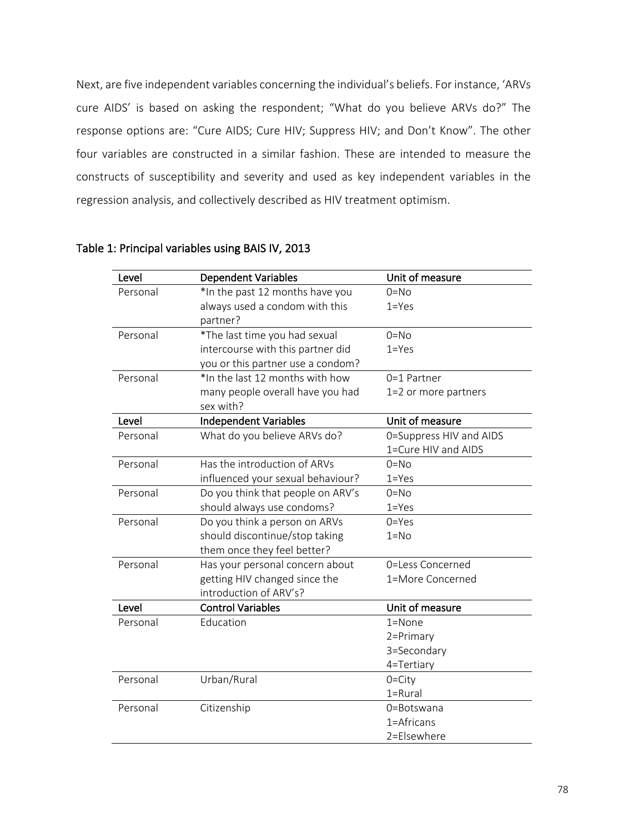Next, are five independent variables concerning the individual's beliefs. For instance, 'ARVs cure AIDS' is based on asking the respondent; "What do you believe ARVs do?" The response options are: "Cure AIDS; Cure HIV; Suppress HIV; and Don't Know". The other four variables are constructed in a similar fashion. These are intended to measure the constructs of susceptibility and severity and used as key independent variables in the regression analysis, and collectively described as HIV treatment optimism.

| Level    | <b>Dependent Variables</b>        | Unit of measure         |
|----------|-----------------------------------|-------------------------|
| Personal | *In the past 12 months have you   | $0 = No$                |
|          | always used a condom with this    | $1 = Yes$               |
|          | partner?                          |                         |
| Personal | *The last time you had sexual     | $0=$ No                 |
|          | intercourse with this partner did | $1 = Yes$               |
|          | you or this partner use a condom? |                         |
| Personal | *In the last 12 months with how   | $0=1$ Partner           |
|          | many people overall have you had  | 1=2 or more partners    |
|          | sex with?                         |                         |
| Level    | Independent Variables             | Unit of measure         |
| Personal | What do you believe ARVs do?      | 0=Suppress HIV and AIDS |
|          |                                   | 1=Cure HIV and AIDS     |
| Personal | Has the introduction of ARVs      | $0 = No$                |
|          | influenced your sexual behaviour? | $1 = Yes$               |
| Personal | Do you think that people on ARV's | $0 = No$                |
|          | should always use condoms?        | $1 = Yes$               |
| Personal | Do you think a person on ARVs     | $0 = Yes$               |
|          | should discontinue/stop taking    | $1 = No$                |
|          | them once they feel better?       |                         |
| Personal | Has your personal concern about   | 0=Less Concerned        |
|          | getting HIV changed since the     | 1=More Concerned        |
|          | introduction of ARV's?            |                         |
| Level    | <b>Control Variables</b>          | Unit of measure         |
| Personal | Education                         | $1 =$ None              |
|          |                                   | 2=Primary               |
|          |                                   | 3=Secondary             |
|          |                                   | 4=Tertiary              |
| Personal | Urban/Rural                       | $0 = City$              |
|          |                                   | 1=Rural                 |
| Personal | Citizenship                       | 0=Botswana              |
|          |                                   | 1=Africans              |
|          |                                   | 2=Elsewhere             |

# Table 1: Principal variables using BAIS IV, 2013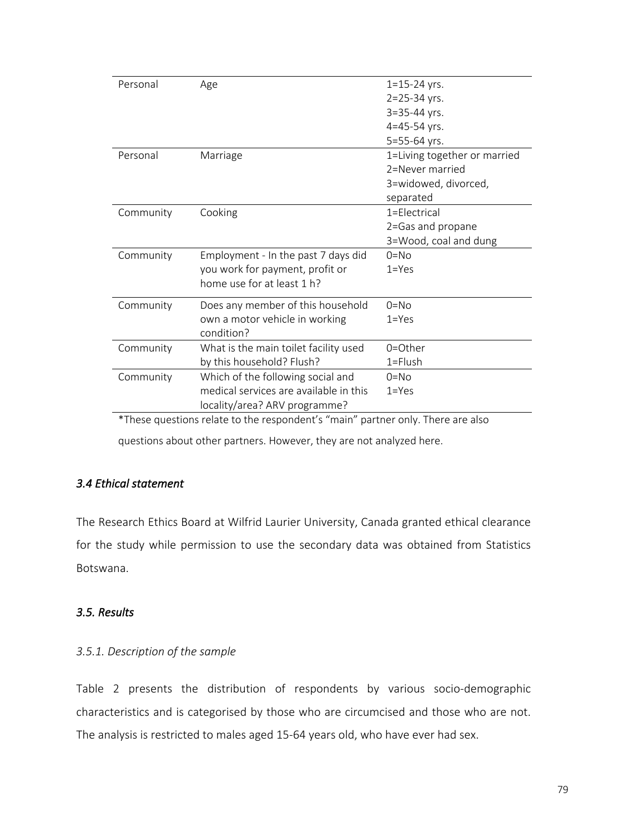| Personal                                                                           | Age                                    | $1 = 15 - 24$ yrs.           |  |  |
|------------------------------------------------------------------------------------|----------------------------------------|------------------------------|--|--|
|                                                                                    |                                        | 2=25-34 yrs.                 |  |  |
|                                                                                    |                                        | 3=35-44 yrs.                 |  |  |
|                                                                                    |                                        | 4=45-54 yrs.                 |  |  |
|                                                                                    |                                        | 5=55-64 yrs.                 |  |  |
| Personal                                                                           | Marriage                               | 1=Living together or married |  |  |
|                                                                                    |                                        | 2=Never married              |  |  |
|                                                                                    |                                        | 3=widowed, divorced,         |  |  |
|                                                                                    |                                        | separated                    |  |  |
| Community                                                                          | Cooking                                | 1=Electrical                 |  |  |
|                                                                                    |                                        | 2=Gas and propane            |  |  |
|                                                                                    |                                        | 3=Wood, coal and dung        |  |  |
| Community                                                                          | Employment - In the past 7 days did    | $0 = NQ$                     |  |  |
|                                                                                    | you work for payment, profit or        | $1 = Yes$                    |  |  |
|                                                                                    | home use for at least 1 h?             |                              |  |  |
| Community                                                                          | Does any member of this household      | $0 = NQ$                     |  |  |
|                                                                                    | own a motor vehicle in working         | $1 = Yes$                    |  |  |
|                                                                                    | condition?                             |                              |  |  |
| Community                                                                          | What is the main toilet facility used  | $0 = 0$ ther                 |  |  |
|                                                                                    | by this household? Flush?              | $1 =$ Flush                  |  |  |
| Community                                                                          | Which of the following social and      | $0 = No$                     |  |  |
|                                                                                    | medical services are available in this | $1 = Yes$                    |  |  |
|                                                                                    | locality/area? ARV programme?          |                              |  |  |
| $*$ These questions relate to the respondent's "main" pertper only. There are also |                                        |                              |  |  |

These questions relate to the respondent's "main" partner only. There are also

questions about other partners. However, they are not analyzed here.

# *3.4 Ethical statement*

The Research Ethics Board at Wilfrid Laurier University, Canada granted ethical clearance for the study while permission to use the secondary data was obtained from Statistics Botswana.

# *3.5. Results*

# *3.5.1. Description of the sample*

Table 2 presents the distribution of respondents by various socio-demographic characteristics and is categorised by those who are circumcised and those who are not. The analysis is restricted to males aged 15-64 years old, who have ever had sex.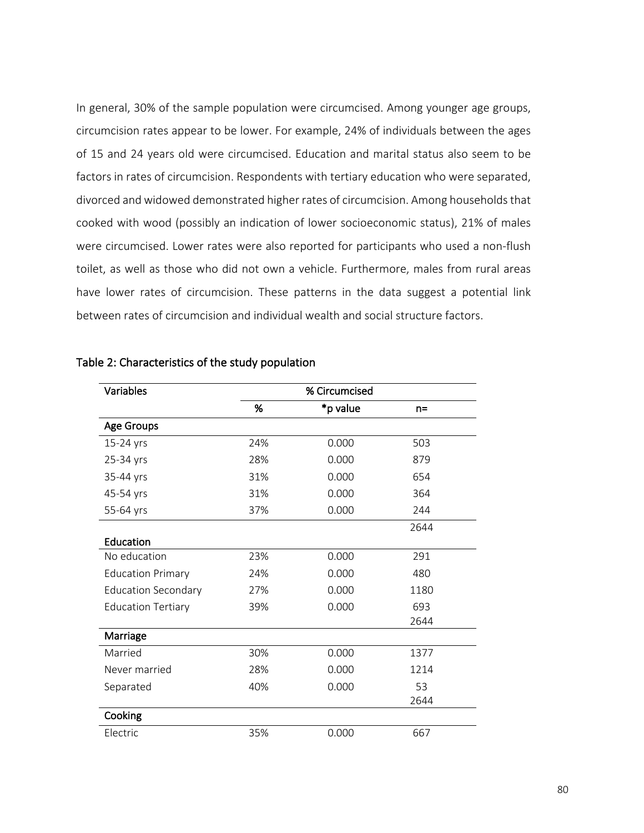In general, 30% of the sample population were circumcised. Among younger age groups, circumcision rates appear to be lower. For example, 24% of individuals between the ages of 15 and 24 years old were circumcised. Education and marital status also seem to be factors in rates of circumcision. Respondents with tertiary education who were separated, divorced and widowed demonstrated higher rates of circumcision. Among households that cooked with wood (possibly an indication of lower socioeconomic status), 21% of males were circumcised. Lower rates were also reported for participants who used a non-flush toilet, as well as those who did not own a vehicle. Furthermore, males from rural areas have lower rates of circumcision. These patterns in the data suggest a potential link between rates of circumcision and individual wealth and social structure factors.

| Variables                  |     | % Circumcised |       |
|----------------------------|-----|---------------|-------|
|                            | %   | *p value      | $n =$ |
| Age Groups                 |     |               |       |
| 15-24 yrs                  | 24% | 0.000         | 503   |
| 25-34 yrs                  | 28% | 0.000         | 879   |
| 35-44 yrs                  | 31% | 0.000         | 654   |
| 45-54 yrs                  | 31% | 0.000         | 364   |
| 55-64 yrs                  | 37% | 0.000         | 244   |
|                            |     |               | 2644  |
| Education                  |     |               |       |
| No education               | 23% | 0.000         | 291   |
| <b>Education Primary</b>   | 24% | 0.000         | 480   |
| <b>Education Secondary</b> | 27% | 0.000         | 1180  |
| <b>Education Tertiary</b>  | 39% | 0.000         | 693   |
|                            |     |               | 2644  |
| Marriage                   |     |               |       |
| Married                    | 30% | 0.000         | 1377  |
| Never married              | 28% | 0.000         | 1214  |
| Separated                  | 40% | 0.000         | 53    |
|                            |     |               | 2644  |
| Cooking                    |     |               |       |
| Electric                   | 35% | 0.000         | 667   |

| Table 2: Characteristics of the study population |  |  |
|--------------------------------------------------|--|--|
|--------------------------------------------------|--|--|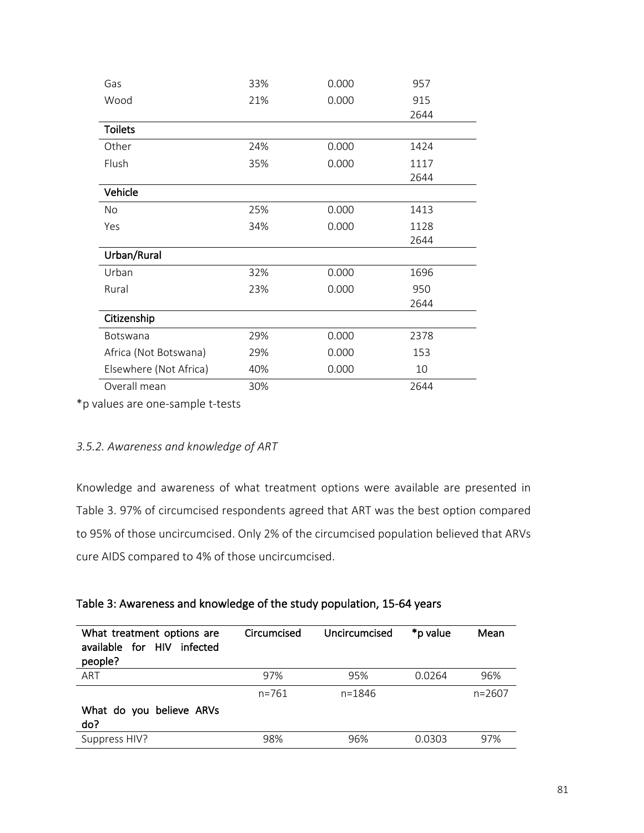| Gas                    | 33% | 0.000 | 957  |
|------------------------|-----|-------|------|
| Wood                   | 21% | 0.000 | 915  |
|                        |     |       | 2644 |
| <b>Toilets</b>         |     |       |      |
| Other                  | 24% | 0.000 | 1424 |
| Flush                  | 35% | 0.000 | 1117 |
|                        |     |       | 2644 |
| Vehicle                |     |       |      |
| No.                    | 25% | 0.000 | 1413 |
| Yes                    | 34% | 0.000 | 1128 |
|                        |     |       | 2644 |
| Urban/Rural            |     |       |      |
| Urban                  | 32% | 0.000 | 1696 |
| Rural                  | 23% | 0.000 | 950  |
|                        |     |       | 2644 |
| Citizenship            |     |       |      |
| Botswana               | 29% | 0.000 | 2378 |
| Africa (Not Botswana)  | 29% | 0.000 | 153  |
| Elsewhere (Not Africa) | 40% | 0.000 | 10   |
| Overall mean           | 30% |       | 2644 |

\*p values are one-sample t-tests

# *3.5.2. Awareness and knowledge of ART*

Knowledge and awareness of what treatment options were available are presented in Table 3. 97% of circumcised respondents agreed that ART was the best option compared to 95% of those uncircumcised. Only 2% of the circumcised population believed that ARVs cure AIDS compared to 4% of those uncircumcised.

|  |  | Table 3: Awareness and knowledge of the study population, 15-64 years |
|--|--|-----------------------------------------------------------------------|
|--|--|-----------------------------------------------------------------------|

| What treatment options are<br>available for HIV<br>infected<br>people? | Circumcised | Uncircumcised | *p value | Mean       |
|------------------------------------------------------------------------|-------------|---------------|----------|------------|
| ART                                                                    | 97%         | 95%           | 0.0264   | 96%        |
|                                                                        | $n = 761$   | $n = 1846$    |          | $n = 2607$ |
| What do you believe ARVs<br>do?                                        |             |               |          |            |
| Suppress HIV?                                                          | 98%         | 96%           | 0.0303   | 97%        |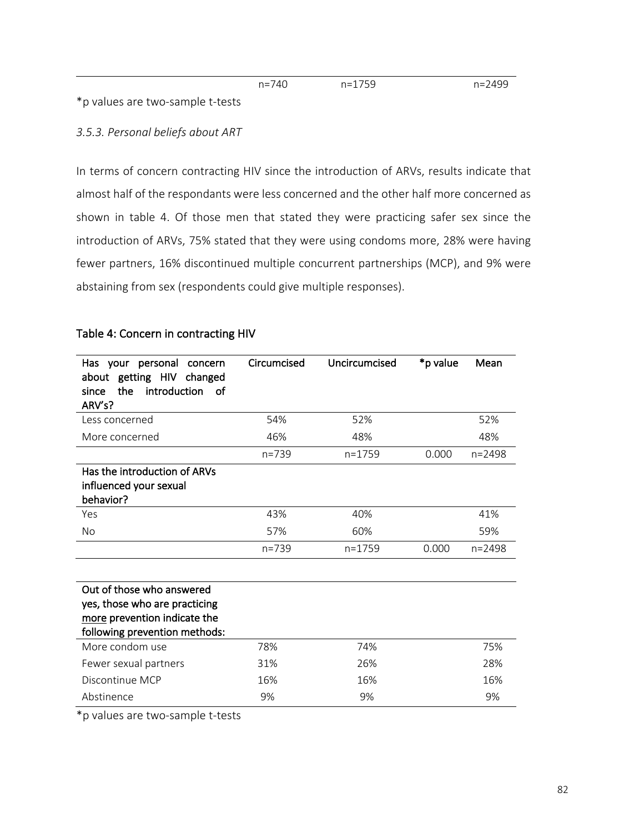\*p values are two-sample t-tests

# *3.5.3. Personal beliefs about ART*

In terms of concern contracting HIV since the introduction of ARVs, results indicate that almost half of the respondants were less concerned and the other half more concerned as shown in table 4. Of those men that stated they were practicing safer sex since the introduction of ARVs, 75% stated that they were using condoms more, 28% were having fewer partners, 16% discontinued multiple concurrent partnerships (MCP), and 9% were abstaining from sex (respondents could give multiple responses).

| Has your personal<br>concern<br>about getting HIV changed<br>the<br>introduction<br>ം പ<br>since<br>ARV's?                  | Circumcised | Uncircumcised | *p value | Mean       |
|-----------------------------------------------------------------------------------------------------------------------------|-------------|---------------|----------|------------|
| Less concerned                                                                                                              | 54%         | 52%           |          | 52%        |
| More concerned                                                                                                              | 46%         | 48%           |          | 48%        |
|                                                                                                                             | $n = 739$   | $n = 1759$    | 0.000    | $n = 2498$ |
| Has the introduction of ARVs<br>influenced your sexual<br>behavior?                                                         |             |               |          |            |
| Yes                                                                                                                         | 43%         | 40%           |          | 41%        |
| <b>No</b>                                                                                                                   | 57%         | 60%           |          | 59%        |
|                                                                                                                             | $n = 739$   | $n = 1759$    | 0.000    | $n = 2498$ |
|                                                                                                                             |             |               |          |            |
| Out of those who answered<br>yes, those who are practicing<br>more prevention indicate the<br>following prevention methods: |             |               |          |            |
| More condom use                                                                                                             | 78%         | 74%           |          | 75%        |
| Fewer sexual partners                                                                                                       | 31%         | 26%           |          | 28%        |
| Discontinue MCP                                                                                                             | 16%         | 16%           |          | 16%        |
| Abstinence                                                                                                                  | 9%          | 9%            |          | 9%         |

### Table 4: Concern in contracting HIV

\*p values are two-sample t-tests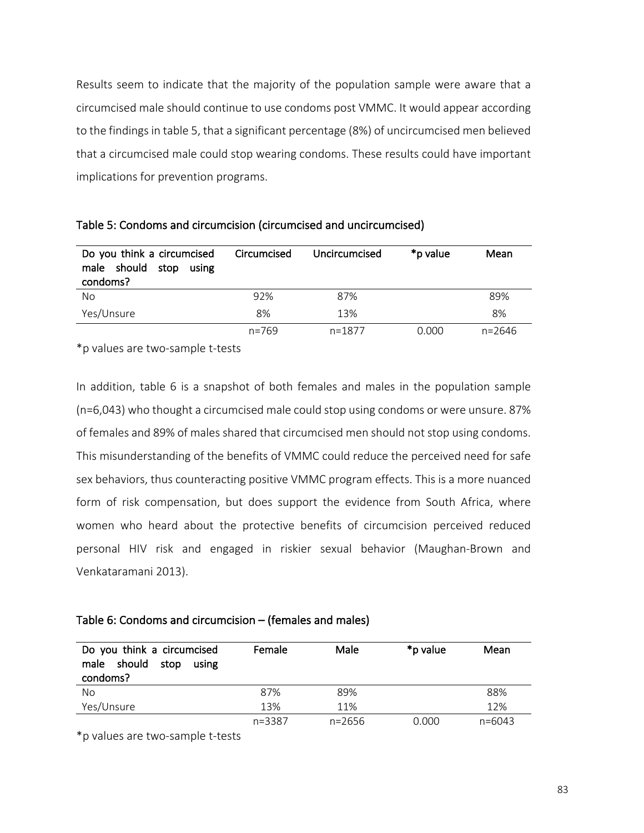Results seem to indicate that the majority of the population sample were aware that a circumcised male should continue to use condoms post VMMC. It would appear according to the findings in table 5, that a significant percentage (8%) of uncircumcised men believed that a circumcised male could stop wearing condoms. These results could have important implications for prevention programs.

| Do you think a circumcised<br>male should<br>stop<br>using<br>condoms? | Circumcised | Uncircumcised | *p value | Mean   |
|------------------------------------------------------------------------|-------------|---------------|----------|--------|
| No                                                                     | 92%         | 87%           |          | 89%    |
| Yes/Unsure                                                             | 8%          | 13%           |          | 8%     |
|                                                                        | $n = 769$   | $n = 1877$    | 0.000    | n=2646 |

Table 5: Condoms and circumcision (circumcised and uncircumcised)

\*p values are two-sample t-tests

In addition, table 6 is a snapshot of both females and males in the population sample (n=6,043) who thought a circumcised male could stop using condoms or were unsure. 87% of females and 89% of males shared that circumcised men should not stop using condoms. This misunderstanding of the benefits of VMMC could reduce the perceived need for safe sex behaviors, thus counteracting positive VMMC program effects. This is a more nuanced form of risk compensation, but does support the evidence from South Africa, where women who heard about the protective benefits of circumcision perceived reduced personal HIV risk and engaged in riskier sexual behavior (Maughan-Brown and Venkataramani 2013).

#### Table 6: Condoms and circumcision – (females and males)

| Do you think a circumcised<br>should<br>stop<br>male<br>using<br>condoms? | Female     | Male       | *p value | Mean       |
|---------------------------------------------------------------------------|------------|------------|----------|------------|
| No                                                                        | 87%        | 89%        |          | 88%        |
| Yes/Unsure                                                                | 13%        | 11%        |          | 12%        |
|                                                                           | $n = 3387$ | $n = 2656$ | 0.000    | $n = 6043$ |

\*p values are two-sample t-tests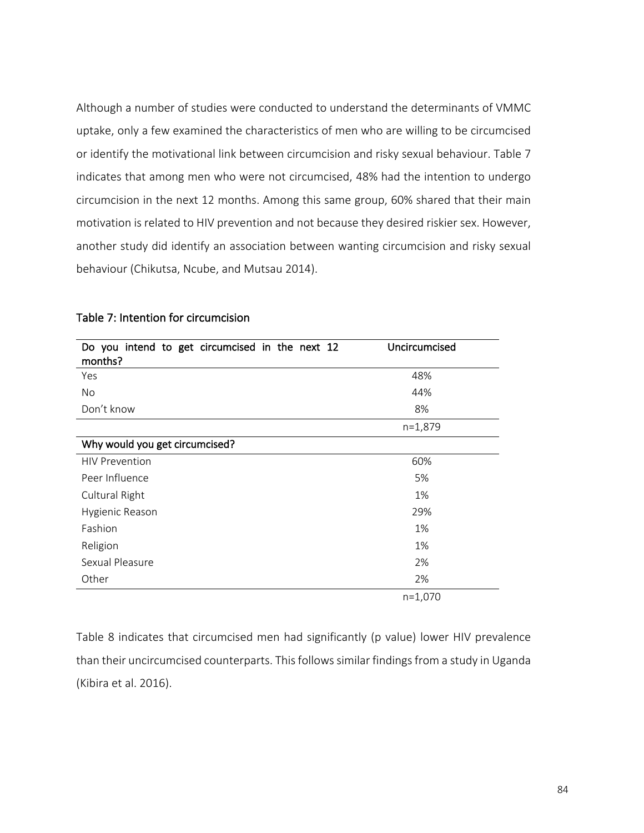Although a number of studies were conducted to understand the determinants of VMMC uptake, only a few examined the characteristics of men who are willing to be circumcised or identify the motivational link between circumcision and risky sexual behaviour. Table 7 indicates that among men who were not circumcised, 48% had the intention to undergo circumcision in the next 12 months. Among this same group, 60% shared that their main motivation is related to HIV prevention and not because they desired riskier sex. However, another study did identify an association between wanting circumcision and risky sexual behaviour (Chikutsa, Ncube, and Mutsau 2014).

| Do you intend to get circumcised in the next 12<br>months? | Uncircumcised |
|------------------------------------------------------------|---------------|
| Yes                                                        | 48%           |
| No.                                                        | 44%           |
| Don't know                                                 | 8%            |
|                                                            | $n=1,879$     |
| Why would you get circumcised?                             |               |
| <b>HIV Prevention</b>                                      | 60%           |
| Peer Influence                                             | 5%            |
| Cultural Right                                             | 1%            |
| Hygienic Reason                                            | 29%           |
| Fashion                                                    | 1%            |
| Religion                                                   | 1%            |
| Sexual Pleasure                                            | 2%            |
| Other                                                      | 2%            |
|                                                            | $n=1,070$     |

# Table 7: Intention for circumcision

Table 8 indicates that circumcised men had significantly (p value) lower HIV prevalence than their uncircumcised counterparts. This follows similar findings from a study in Uganda (Kibira et al. 2016).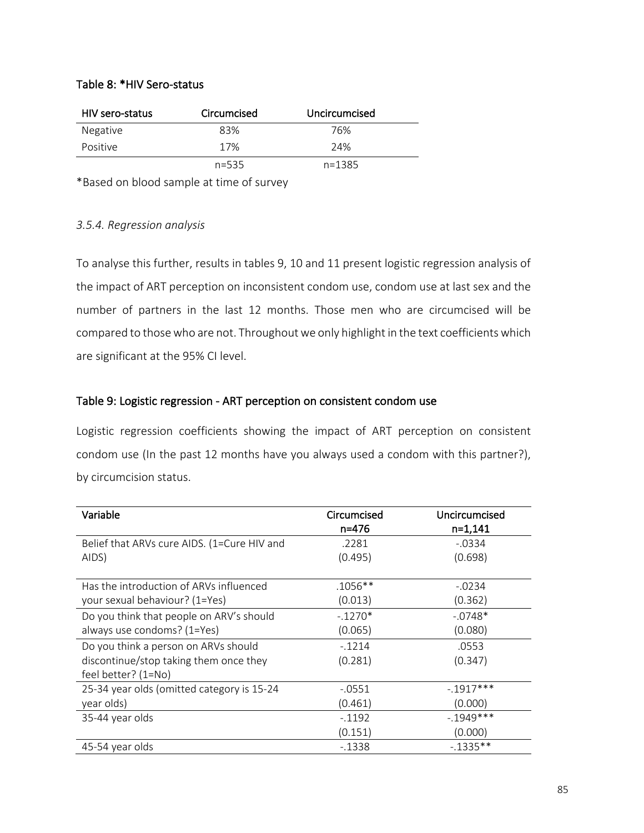# Table 8: \*HIV Sero-status

| HIV sero-status | Circumcised | Uncircumcised |
|-----------------|-------------|---------------|
| Negative        | 83%         | 76%           |
| Positive        | 17%         | 24%           |
|                 | $n = 535$   | $n = 1385$    |

\*Based on blood sample at time of survey

# *3.5.4. Regression analysis*

To analyse this further, results in tables 9, 10 and 11 present logistic regression analysis of the impact of ART perception on inconsistent condom use, condom use at last sex and the number of partners in the last 12 months. Those men who are circumcised will be compared to those who are not. Throughout we only highlight in the text coefficients which are significant at the 95% CI level.

# Table 9: Logistic regression - ART perception on consistent condom use

Logistic regression coefficients showing the impact of ART perception on consistent condom use (In the past 12 months have you always used a condom with this partner?), by circumcision status.

| Variable                                    | Circumcised<br>n=476 | Uncircumcised<br>$n=1,141$ |
|---------------------------------------------|----------------------|----------------------------|
| Belief that ARVs cure AIDS. (1=Cure HIV and | .2281                | $-.0334$                   |
| AIDS)                                       | (0.495)              | (0.698)                    |
|                                             |                      |                            |
| Has the introduction of ARVs influenced     | .1056**              | $-.0234$                   |
| your sexual behaviour? (1=Yes)              | (0.013)              | (0.362)                    |
| Do you think that people on ARV's should    | $-.1270*$            | $-.0748*$                  |
| always use condoms? (1=Yes)                 | (0.065)              | (0.080)                    |
| Do you think a person on ARVs should        | $-.1214$             | .0553                      |
| discontinue/stop taking them once they      | (0.281)              | (0.347)                    |
| feel better? (1=No)                         |                      |                            |
| 25-34 year olds (omitted category is 15-24  | -.0551               | $-1917***$                 |
| year olds)                                  | (0.461)              | (0.000)                    |
| 35-44 year olds                             | $-0.1192$            | $-1949***$                 |
|                                             | (0.151)              | (0.000)                    |
| 45-54 year olds                             | $-1338$              | $-1335**$                  |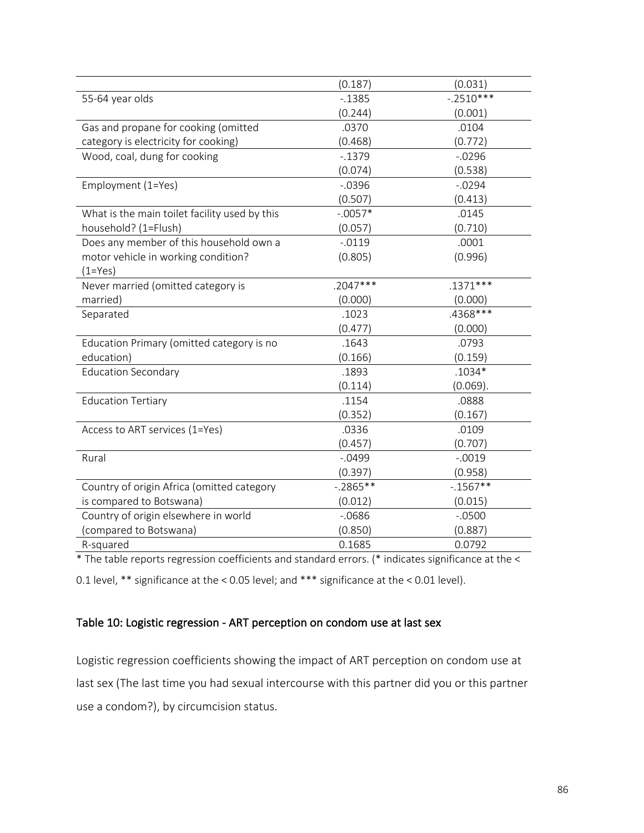|                                               | (0.187)    | (0.031)     |
|-----------------------------------------------|------------|-------------|
| 55-64 year olds                               | $-0.1385$  | $-.2510***$ |
|                                               | (0.244)    | (0.001)     |
| Gas and propane for cooking (omitted          | .0370      | .0104       |
| category is electricity for cooking)          | (0.468)    | (0.772)     |
| Wood, coal, dung for cooking                  | $-0.1379$  | $-0.0296$   |
|                                               | (0.074)    | (0.538)     |
| Employment (1=Yes)                            | $-0.0396$  | $-0.0294$   |
|                                               | (0.507)    | (0.413)     |
| What is the main toilet facility used by this | $-.0057*$  | .0145       |
| household? (1=Flush)                          | (0.057)    | (0.710)     |
| Does any member of this household own a       | $-0.0119$  | .0001       |
| motor vehicle in working condition?           | (0.805)    | (0.996)     |
| $(1 = Yes)$                                   |            |             |
| Never married (omitted category is            | $.2047***$ | $.1371***$  |
| married)                                      | (0.000)    | (0.000)     |
| Separated                                     | .1023      | .4368***    |
|                                               | (0.477)    | (0.000)     |
| Education Primary (omitted category is no     | .1643      | .0793       |
| education)                                    | (0.166)    | (0.159)     |
| <b>Education Secondary</b>                    | .1893      | $.1034*$    |
|                                               | (0.114)    | (0.069).    |
| <b>Education Tertiary</b>                     | .1154      | .0888       |
|                                               | (0.352)    | (0.167)     |
| Access to ART services (1=Yes)                | .0336      | .0109       |
|                                               | (0.457)    | (0.707)     |
| Rural                                         | $-0.0499$  | $-.0019$    |
|                                               | (0.397)    | (0.958)     |
| Country of origin Africa (omitted category    | $-.2865**$ | $-1567**$   |
| is compared to Botswana)                      | (0.012)    | (0.015)     |
| Country of origin elsewhere in world          | $-0686$    | $-.0500$    |
| (compared to Botswana)                        | (0.850)    | (0.887)     |
| R-squared                                     | 0.1685     | 0.0792      |

\* The table reports regression coefficients and standard errors. (\* indicates significance at the <

0.1 level, \*\* significance at the < 0.05 level; and \*\*\* significance at the < 0.01 level).

# Table 10: Logistic regression - ART perception on condom use at last sex

Logistic regression coefficients showing the impact of ART perception on condom use at last sex (The last time you had sexual intercourse with this partner did you or this partner use a condom?), by circumcision status.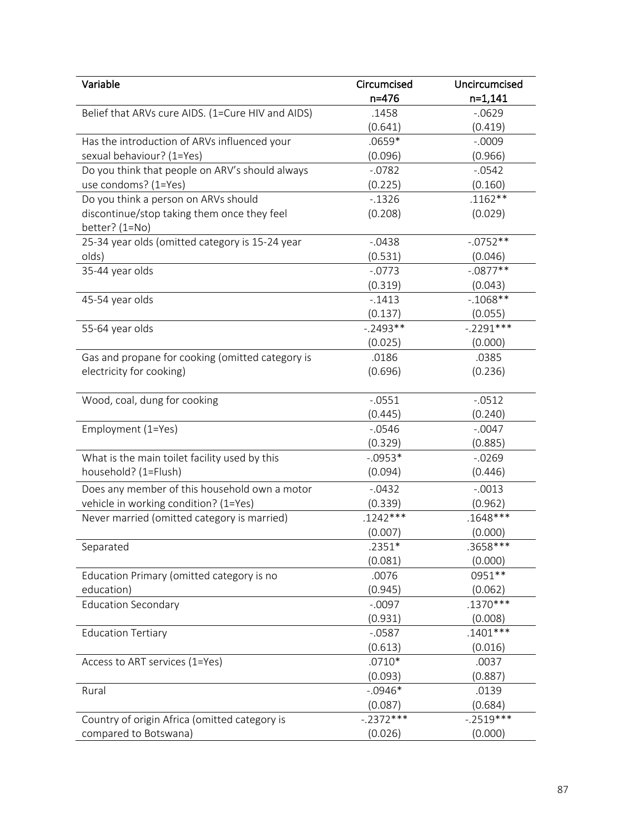| Variable                                          | Circumcised | Uncircumcised |
|---------------------------------------------------|-------------|---------------|
|                                                   | $n = 476$   | $n=1,141$     |
| Belief that ARVs cure AIDS. (1=Cure HIV and AIDS) | .1458       | $-0629$       |
|                                                   | (0.641)     | (0.419)       |
| Has the introduction of ARVs influenced your      | .0659*      | $-.0009$      |
| sexual behaviour? (1=Yes)                         | (0.096)     | (0.966)       |
| Do you think that people on ARV's should always   | $-0.0782$   | $-0.0542$     |
| use condoms? (1=Yes)                              | (0.225)     | (0.160)       |
| Do you think a person on ARVs should              | $-0.1326$   | $.1162**$     |
| discontinue/stop taking them once they feel       | (0.208)     | (0.029)       |
| better? (1=No)                                    |             |               |
| 25-34 year olds (omitted category is 15-24 year   | $-0.0438$   | $-.0752**$    |
| olds)                                             | (0.531)     | (0.046)       |
| 35-44 year olds                                   | $-.0773$    | $-.0877**$    |
|                                                   | (0.319)     | (0.043)       |
| 45-54 year olds                                   | $-1413$     | $-1068**$     |
|                                                   | (0.137)     | (0.055)       |
| 55-64 year olds                                   | $-.2493**$  | $-.2291***$   |
|                                                   | (0.025)     | (0.000)       |
| Gas and propane for cooking (omitted category is  | .0186       | .0385         |
| electricity for cooking)                          | (0.696)     | (0.236)       |
|                                                   |             |               |
| Wood, coal, dung for cooking                      | $-.0551$    | $-0.0512$     |
|                                                   | (0.445)     | (0.240)       |
| Employment (1=Yes)                                | $-0.0546$   | $-.0047$      |
|                                                   | (0.329)     | (0.885)       |
| What is the main toilet facility used by this     | $-.0953*$   | $-0.0269$     |
| household? (1=Flush)                              | (0.094)     | (0.446)       |
| Does any member of this household own a motor     | $-0.0432$   | $-.0013$      |
| vehicle in working condition? (1=Yes)             | (0.339)     | (0.962)       |
| Never married (omitted category is married)       | $.1242***$  | $.1648***$    |
|                                                   | (0.007)     | (0.000)       |
| Separated                                         | $.2351*$    | .3658***      |
|                                                   | (0.081)     | (0.000)       |
| Education Primary (omitted category is no         | .0076       | 0951 **       |
| education)                                        | (0.945)     | (0.062)       |
| <b>Education Secondary</b>                        | $-.0097$    | $.1370***$    |
|                                                   | (0.931)     | (0.008)       |
| <b>Education Tertiary</b>                         | $-0.0587$   | $.1401***$    |
|                                                   | (0.613)     | (0.016)       |
| Access to ART services (1=Yes)                    | $.0710*$    | .0037         |
|                                                   | (0.093)     | (0.887)       |
| Rural                                             | $-0.0946*$  | .0139         |
|                                                   | (0.087)     | (0.684)       |
| Country of origin Africa (omitted category is     | $-.2372***$ | $-.2519***$   |
|                                                   |             |               |
| compared to Botswana)                             | (0.026)     | (0.000)       |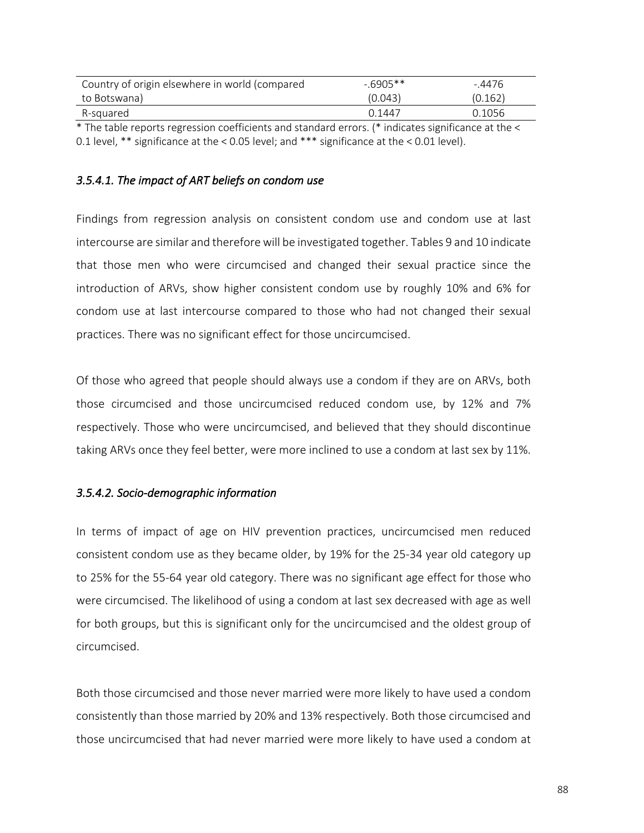| Country of origin elsewhere in world (compared | $-6905**$ | - 4476  |
|------------------------------------------------|-----------|---------|
| to Botswana)                                   | (0.043)   | (0.162) |
| R-sauared                                      | በ 1447    | 0.1056  |

\* The table reports regression coefficients and standard errors. (\* indicates significance at the < 0.1 level, \*\* significance at the < 0.05 level; and \*\*\* significance at the < 0.01 level).

### *3.5.4.1. The impact of ART beliefs on condom use*

Findings from regression analysis on consistent condom use and condom use at last intercourse are similar and therefore will be investigated together. Tables 9 and 10 indicate that those men who were circumcised and changed their sexual practice since the introduction of ARVs, show higher consistent condom use by roughly 10% and 6% for condom use at last intercourse compared to those who had not changed their sexual practices. There was no significant effect for those uncircumcised.

Of those who agreed that people should always use a condom if they are on ARVs, both those circumcised and those uncircumcised reduced condom use, by 12% and 7% respectively. Those who were uncircumcised, and believed that they should discontinue taking ARVs once they feel better, were more inclined to use a condom at last sex by 11%.

#### *3.5.4.2. Socio-demographic information*

In terms of impact of age on HIV prevention practices, uncircumcised men reduced consistent condom use as they became older, by 19% for the 25-34 year old category up to 25% for the 55-64 year old category. There was no significant age effect for those who were circumcised. The likelihood of using a condom at last sex decreased with age as well for both groups, but this is significant only for the uncircumcised and the oldest group of circumcised.

Both those circumcised and those never married were more likely to have used a condom consistently than those married by 20% and 13% respectively. Both those circumcised and those uncircumcised that had never married were more likely to have used a condom at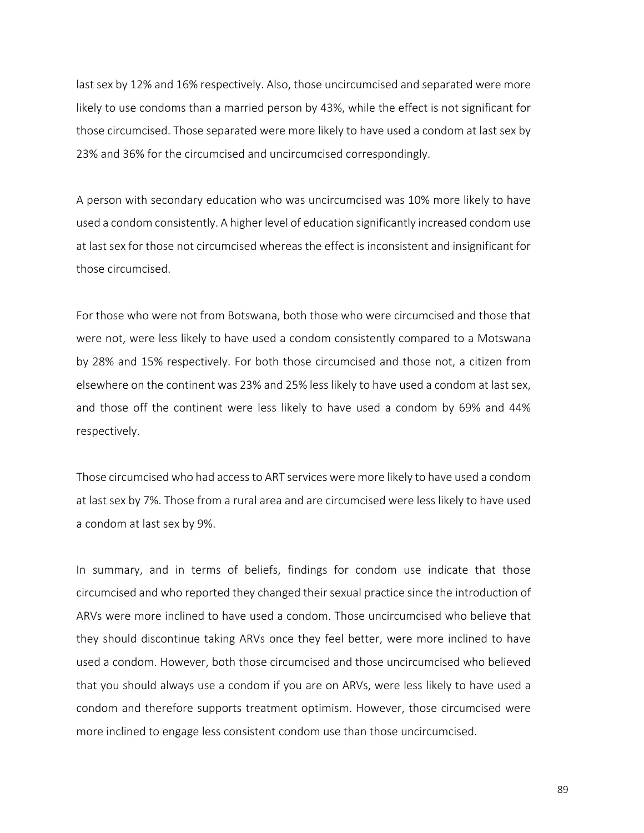last sex by 12% and 16% respectively. Also, those uncircumcised and separated were more likely to use condoms than a married person by 43%, while the effect is not significant for those circumcised. Those separated were more likely to have used a condom at last sex by 23% and 36% for the circumcised and uncircumcised correspondingly.

A person with secondary education who was uncircumcised was 10% more likely to have used a condom consistently. A higher level of education significantly increased condom use at last sex for those not circumcised whereas the effect is inconsistent and insignificant for those circumcised.

For those who were not from Botswana, both those who were circumcised and those that were not, were less likely to have used a condom consistently compared to a Motswana by 28% and 15% respectively. For both those circumcised and those not, a citizen from elsewhere on the continent was 23% and 25% less likely to have used a condom at last sex, and those off the continent were less likely to have used a condom by 69% and 44% respectively.

Those circumcised who had access to ART services were more likely to have used a condom at last sex by 7%. Those from a rural area and are circumcised were less likely to have used a condom at last sex by 9%.

In summary, and in terms of beliefs, findings for condom use indicate that those circumcised and who reported they changed their sexual practice since the introduction of ARVs were more inclined to have used a condom. Those uncircumcised who believe that they should discontinue taking ARVs once they feel better, were more inclined to have used a condom. However, both those circumcised and those uncircumcised who believed that you should always use a condom if you are on ARVs, were less likely to have used a condom and therefore supports treatment optimism. However, those circumcised were more inclined to engage less consistent condom use than those uncircumcised.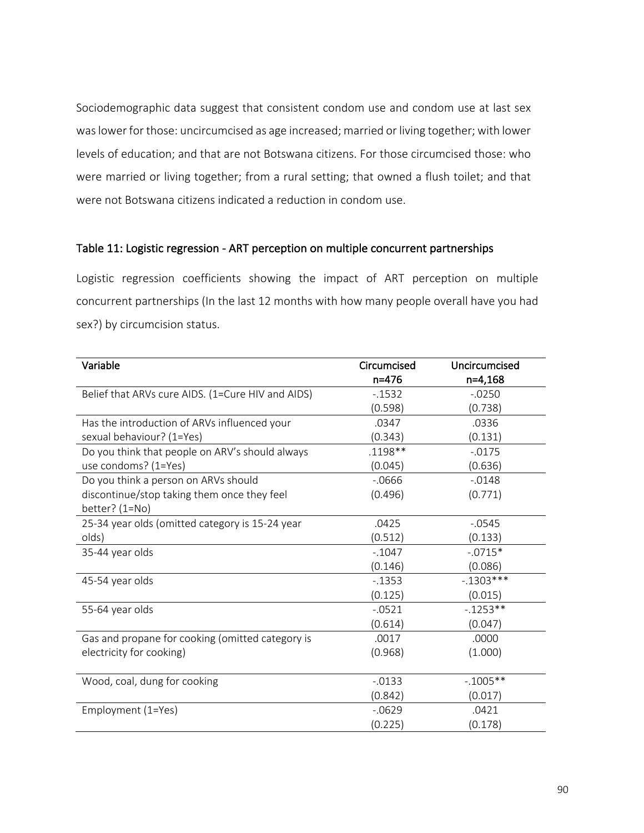Sociodemographic data suggest that consistent condom use and condom use at last sex was lower for those: uncircumcised as age increased; married or living together; with lower levels of education; and that are not Botswana citizens. For those circumcised those: who were married or living together; from a rural setting; that owned a flush toilet; and that were not Botswana citizens indicated a reduction in condom use.

### Table 11: Logistic regression - ART perception on multiple concurrent partnerships

Logistic regression coefficients showing the impact of ART perception on multiple concurrent partnerships (In the last 12 months with how many people overall have you had sex?) by circumcision status.

| Variable                                          | Circumcised | Uncircumcised |
|---------------------------------------------------|-------------|---------------|
|                                                   | $n = 476$   | $n=4,168$     |
| Belief that ARVs cure AIDS. (1=Cure HIV and AIDS) | $-1532$     | $-0.0250$     |
|                                                   | (0.598)     | (0.738)       |
| Has the introduction of ARVs influenced your      | .0347       | .0336         |
| sexual behaviour? (1=Yes)                         | (0.343)     | (0.131)       |
| Do you think that people on ARV's should always   | .1198**     | $-0.0175$     |
| use condoms? (1=Yes)                              | (0.045)     | (0.636)       |
| Do you think a person on ARVs should              | $-0.0666$   | $-0.0148$     |
| discontinue/stop taking them once they feel       | (0.496)     | (0.771)       |
| better? $(1=No)$                                  |             |               |
| 25-34 year olds (omitted category is 15-24 year   | .0425       | $-0.0545$     |
| olds)                                             | (0.512)     | (0.133)       |
| 35-44 year olds                                   | $-0.1047$   | $-.0715*$     |
|                                                   | (0.146)     | (0.086)       |
| 45-54 year olds                                   | $-1353$     | $-0.1303***$  |
|                                                   | (0.125)     | (0.015)       |
| 55-64 year olds                                   | $-0521$     | $-1253**$     |
|                                                   | (0.614)     | (0.047)       |
| Gas and propane for cooking (omitted category is  | .0017       | .0000         |
| electricity for cooking)                          | (0.968)     | (1.000)       |
|                                                   |             |               |
| Wood, coal, dung for cooking                      | $-0.0133$   | $-1005**$     |
|                                                   | (0.842)     | (0.017)       |
| Employment (1=Yes)                                | $-0629$     | .0421         |
|                                                   | (0.225)     | (0.178)       |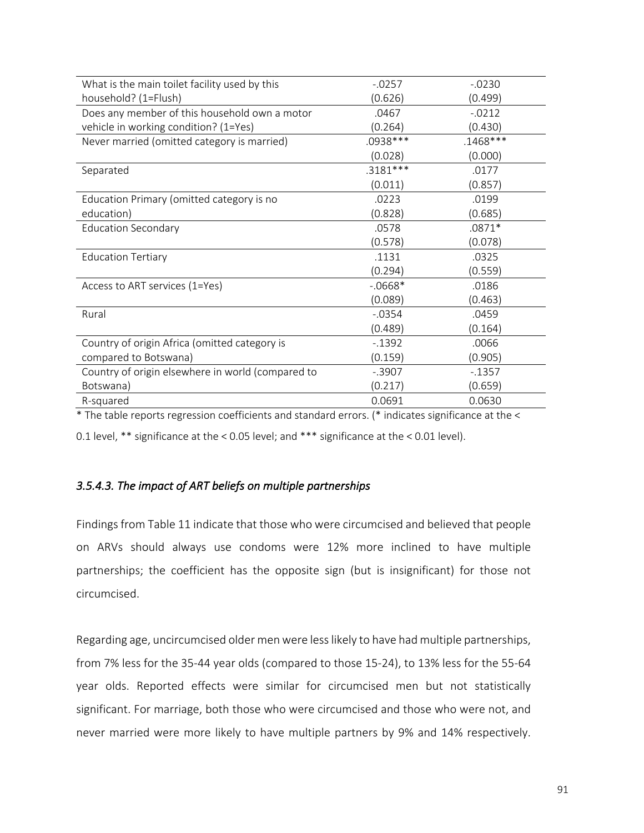| What is the main toilet facility used by this     | $-.0257$   | $-0230$    |
|---------------------------------------------------|------------|------------|
| household? (1=Flush)                              | (0.626)    | (0.499)    |
| Does any member of this household own a motor     | .0467      | $-0212$    |
| vehicle in working condition? (1=Yes)             | (0.264)    | (0.430)    |
| Never married (omitted category is married)       | .0938***   | $.1468***$ |
|                                                   | (0.028)    | (0.000)    |
| Separated                                         | $.3181***$ | .0177      |
|                                                   | (0.011)    | (0.857)    |
| Education Primary (omitted category is no         | .0223      | .0199      |
| education)                                        | (0.828)    | (0.685)    |
| <b>Education Secondary</b>                        | .0578      | $.0871*$   |
|                                                   | (0.578)    | (0.078)    |
| <b>Education Tertiary</b>                         | .1131      | .0325      |
|                                                   | (0.294)    | (0.559)    |
| Access to ART services (1=Yes)                    | $-0668*$   | .0186      |
|                                                   | (0.089)    | (0.463)    |
| Rural                                             | $-0.0354$  | .0459      |
|                                                   | (0.489)    | (0.164)    |
| Country of origin Africa (omitted category is     | $-1392$    | .0066      |
| compared to Botswana)                             | (0.159)    | (0.905)    |
| Country of origin elsewhere in world (compared to | $-.3907$   | $-1357$    |
| Botswana)                                         | (0.217)    | (0.659)    |
| R-squared                                         | 0.0691     | 0.0630     |

\* The table reports regression coefficients and standard errors. (\* indicates significance at the <

0.1 level, \*\* significance at the < 0.05 level; and \*\*\* significance at the < 0.01 level).

# *3.5.4.3. The impact of ART beliefs on multiple partnerships*

Findings from Table 11 indicate that those who were circumcised and believed that people on ARVs should always use condoms were 12% more inclined to have multiple partnerships; the coefficient has the opposite sign (but is insignificant) for those not circumcised.

Regarding age, uncircumcised older men were less likely to have had multiple partnerships, from 7% less for the 35-44 year olds (compared to those 15-24), to 13% less for the 55-64 year olds. Reported effects were similar for circumcised men but not statistically significant. For marriage, both those who were circumcised and those who were not, and never married were more likely to have multiple partners by 9% and 14% respectively.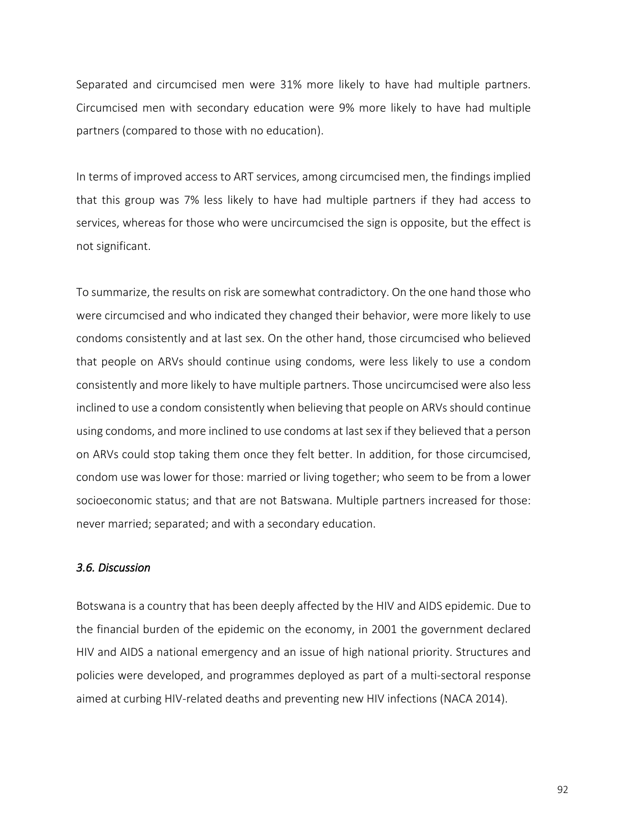Separated and circumcised men were 31% more likely to have had multiple partners. Circumcised men with secondary education were 9% more likely to have had multiple partners (compared to those with no education).

In terms of improved access to ART services, among circumcised men, the findings implied that this group was 7% less likely to have had multiple partners if they had access to services, whereas for those who were uncircumcised the sign is opposite, but the effect is not significant.

To summarize, the results on risk are somewhat contradictory. On the one hand those who were circumcised and who indicated they changed their behavior, were more likely to use condoms consistently and at last sex. On the other hand, those circumcised who believed that people on ARVs should continue using condoms, were less likely to use a condom consistently and more likely to have multiple partners. Those uncircumcised were also less inclined to use a condom consistently when believing that people on ARVs should continue using condoms, and more inclined to use condoms at last sex if they believed that a person on ARVs could stop taking them once they felt better. In addition, for those circumcised, condom use was lower for those: married or living together; who seem to be from a lower socioeconomic status; and that are not Batswana. Multiple partners increased for those: never married; separated; and with a secondary education.

### *3.6. Discussion*

Botswana is a country that has been deeply affected by the HIV and AIDS epidemic. Due to the financial burden of the epidemic on the economy, in 2001 the government declared HIV and AIDS a national emergency and an issue of high national priority. Structures and policies were developed, and programmes deployed as part of a multi-sectoral response aimed at curbing HIV-related deaths and preventing new HIV infections (NACA 2014).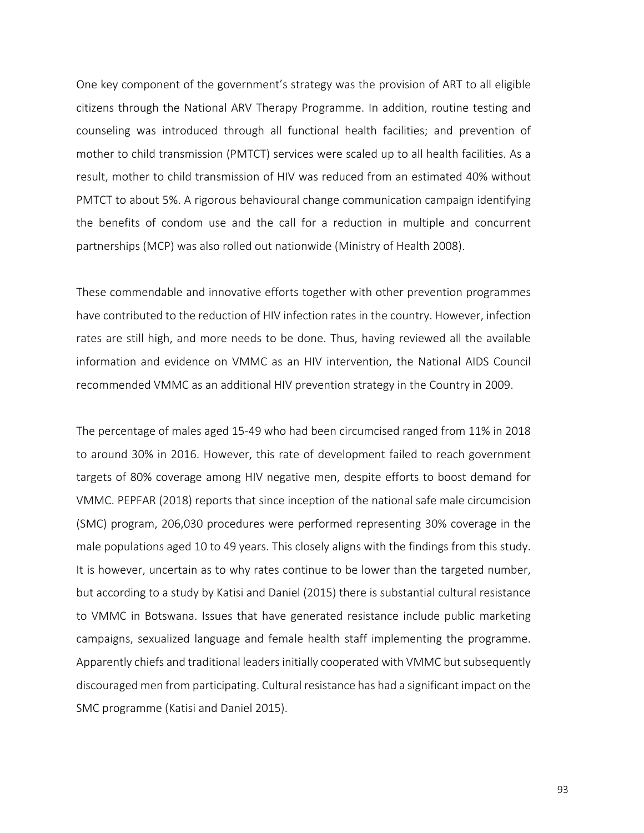One key component of the government's strategy was the provision of ART to all eligible citizens through the National ARV Therapy Programme. In addition, routine testing and counseling was introduced through all functional health facilities; and prevention of mother to child transmission (PMTCT) services were scaled up to all health facilities. As a result, mother to child transmission of HIV was reduced from an estimated 40% without PMTCT to about 5%. A rigorous behavioural change communication campaign identifying the benefits of condom use and the call for a reduction in multiple and concurrent partnerships (MCP) was also rolled out nationwide (Ministry of Health 2008).

These commendable and innovative efforts together with other prevention programmes have contributed to the reduction of HIV infection rates in the country. However, infection rates are still high, and more needs to be done. Thus, having reviewed all the available information and evidence on VMMC as an HIV intervention, the National AIDS Council recommended VMMC as an additional HIV prevention strategy in the Country in 2009.

The percentage of males aged 15-49 who had been circumcised ranged from 11% in 2018 to around 30% in 2016. However, this rate of development failed to reach government targets of 80% coverage among HIV negative men, despite efforts to boost demand for VMMC. PEPFAR (2018) reports that since inception of the national safe male circumcision (SMC) program, 206,030 procedures were performed representing 30% coverage in the male populations aged 10 to 49 years. This closely aligns with the findings from this study. It is however, uncertain as to why rates continue to be lower than the targeted number, but according to a study by Katisi and Daniel (2015) there is substantial cultural resistance to VMMC in Botswana. Issues that have generated resistance include public marketing campaigns, sexualized language and female health staff implementing the programme. Apparently chiefs and traditional leaders initially cooperated with VMMC but subsequently discouraged men from participating. Cultural resistance has had a significant impact on the SMC programme (Katisi and Daniel 2015).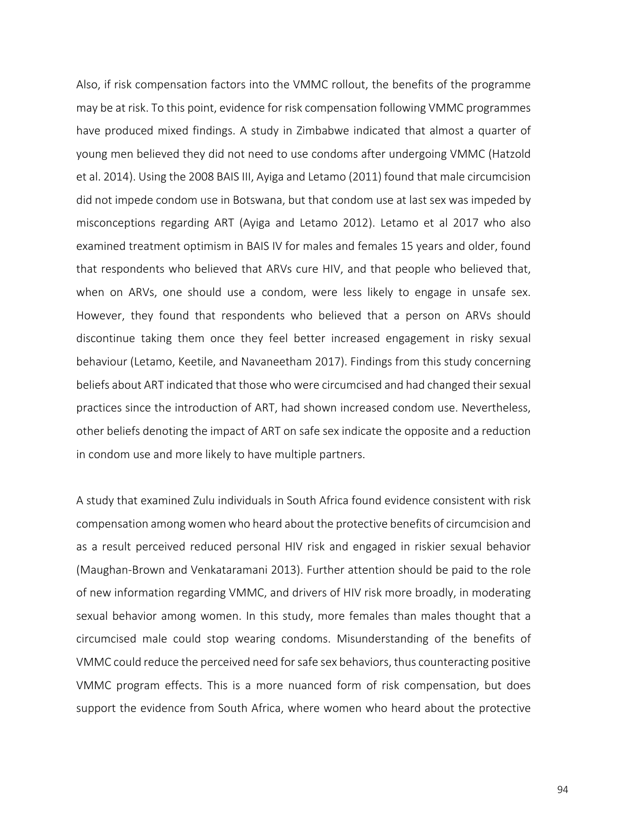Also, if risk compensation factors into the VMMC rollout, the benefits of the programme may be at risk. To this point, evidence for risk compensation following VMMC programmes have produced mixed findings. A study in Zimbabwe indicated that almost a quarter of young men believed they did not need to use condoms after undergoing VMMC (Hatzold et al. 2014). Using the 2008 BAIS III, Ayiga and Letamo (2011) found that male circumcision did not impede condom use in Botswana, but that condom use at last sex was impeded by misconceptions regarding ART (Ayiga and Letamo 2012). Letamo et al 2017 who also examined treatment optimism in BAIS IV for males and females 15 years and older, found that respondents who believed that ARVs cure HIV, and that people who believed that, when on ARVs, one should use a condom, were less likely to engage in unsafe sex. However, they found that respondents who believed that a person on ARVs should discontinue taking them once they feel better increased engagement in risky sexual behaviour (Letamo, Keetile, and Navaneetham 2017). Findings from this study concerning beliefs about ART indicated that those who were circumcised and had changed their sexual practices since the introduction of ART, had shown increased condom use. Nevertheless, other beliefs denoting the impact of ART on safe sex indicate the opposite and a reduction in condom use and more likely to have multiple partners.

A study that examined Zulu individuals in South Africa found evidence consistent with risk compensation among women who heard about the protective benefits of circumcision and as a result perceived reduced personal HIV risk and engaged in riskier sexual behavior (Maughan-Brown and Venkataramani 2013). Further attention should be paid to the role of new information regarding VMMC, and drivers of HIV risk more broadly, in moderating sexual behavior among women. In this study, more females than males thought that a circumcised male could stop wearing condoms. Misunderstanding of the benefits of VMMC could reduce the perceived need for safe sex behaviors, thus counteracting positive VMMC program effects. This is a more nuanced form of risk compensation, but does support the evidence from South Africa, where women who heard about the protective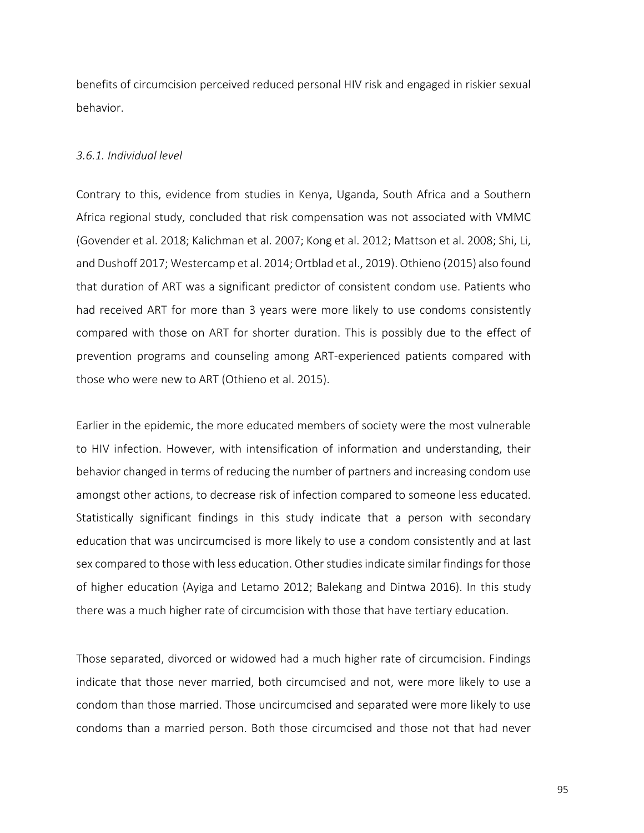benefits of circumcision perceived reduced personal HIV risk and engaged in riskier sexual behavior.

#### *3.6.1. Individual level*

Contrary to this, evidence from studies in Kenya, Uganda, South Africa and a Southern Africa regional study, concluded that risk compensation was not associated with VMMC (Govender et al. 2018; Kalichman et al. 2007; Kong et al. 2012; Mattson et al. 2008; Shi, Li, and Dushoff 2017; Westercamp et al. 2014; Ortblad et al., 2019). Othieno (2015) also found that duration of ART was a significant predictor of consistent condom use. Patients who had received ART for more than 3 years were more likely to use condoms consistently compared with those on ART for shorter duration. This is possibly due to the effect of prevention programs and counseling among ART-experienced patients compared with those who were new to ART (Othieno et al. 2015).

Earlier in the epidemic, the more educated members of society were the most vulnerable to HIV infection. However, with intensification of information and understanding, their behavior changed in terms of reducing the number of partners and increasing condom use amongst other actions, to decrease risk of infection compared to someone less educated. Statistically significant findings in this study indicate that a person with secondary education that was uncircumcised is more likely to use a condom consistently and at last sex compared to those with less education. Other studies indicate similar findings for those of higher education (Ayiga and Letamo 2012; Balekang and Dintwa 2016). In this study there was a much higher rate of circumcision with those that have tertiary education.

Those separated, divorced or widowed had a much higher rate of circumcision. Findings indicate that those never married, both circumcised and not, were more likely to use a condom than those married. Those uncircumcised and separated were more likely to use condoms than a married person. Both those circumcised and those not that had never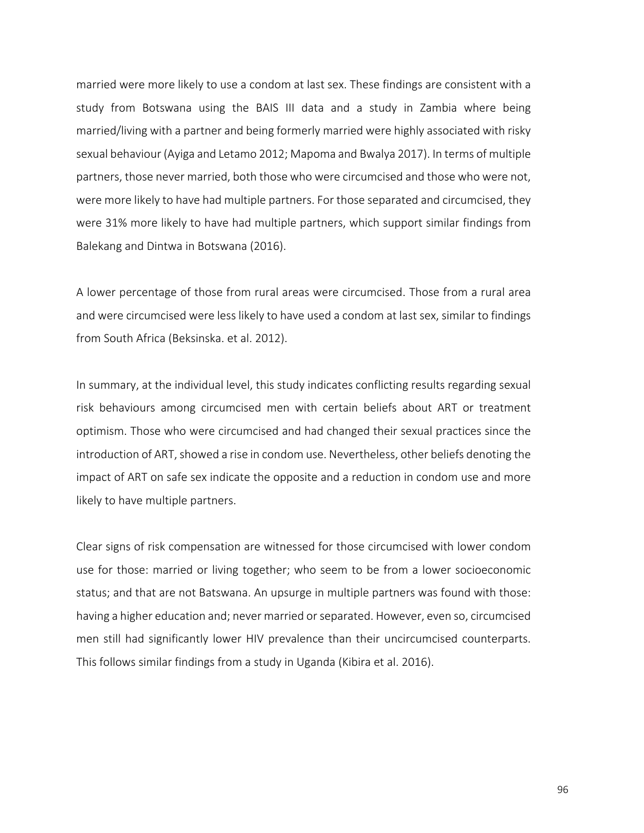married were more likely to use a condom at last sex. These findings are consistent with a study from Botswana using the BAIS III data and a study in Zambia where being married/living with a partner and being formerly married were highly associated with risky sexual behaviour (Ayiga and Letamo 2012; Mapoma and Bwalya 2017). In terms of multiple partners, those never married, both those who were circumcised and those who were not, were more likely to have had multiple partners. For those separated and circumcised, they were 31% more likely to have had multiple partners, which support similar findings from Balekang and Dintwa in Botswana (2016).

A lower percentage of those from rural areas were circumcised. Those from a rural area and were circumcised were less likely to have used a condom at last sex, similar to findings from South Africa (Beksinska. et al. 2012).

In summary, at the individual level, this study indicates conflicting results regarding sexual risk behaviours among circumcised men with certain beliefs about ART or treatment optimism. Those who were circumcised and had changed their sexual practices since the introduction of ART, showed a rise in condom use. Nevertheless, other beliefs denoting the impact of ART on safe sex indicate the opposite and a reduction in condom use and more likely to have multiple partners.

Clear signs of risk compensation are witnessed for those circumcised with lower condom use for those: married or living together; who seem to be from a lower socioeconomic status; and that are not Batswana. An upsurge in multiple partners was found with those: having a higher education and; never married or separated. However, even so, circumcised men still had significantly lower HIV prevalence than their uncircumcised counterparts. This follows similar findings from a study in Uganda (Kibira et al. 2016).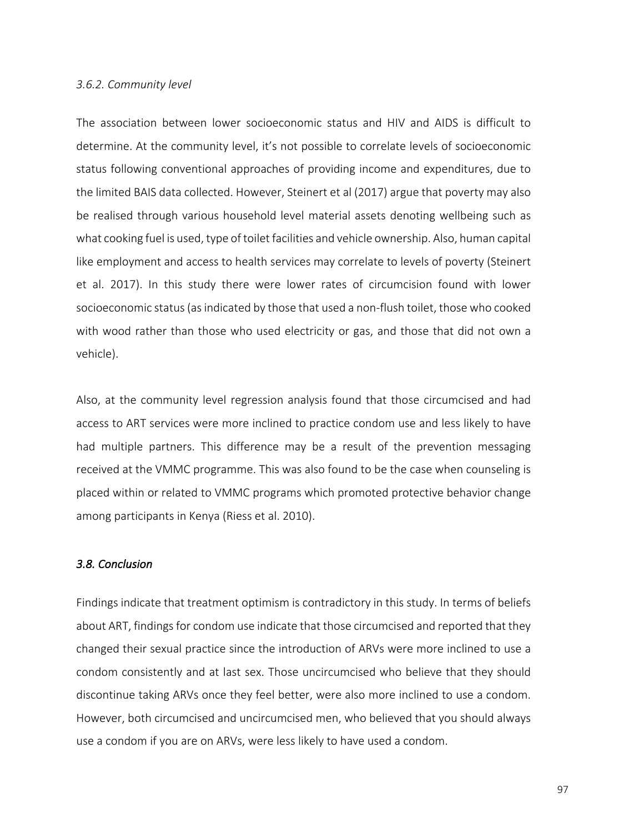#### *3.6.2. Community level*

The association between lower socioeconomic status and HIV and AIDS is difficult to determine. At the community level, it's not possible to correlate levels of socioeconomic status following conventional approaches of providing income and expenditures, due to the limited BAIS data collected. However, Steinert et al (2017) argue that poverty may also be realised through various household level material assets denoting wellbeing such as what cooking fuel is used, type of toilet facilities and vehicle ownership. Also, human capital like employment and access to health services may correlate to levels of poverty (Steinert et al. 2017). In this study there were lower rates of circumcision found with lower socioeconomic status (as indicated by those that used a non-flush toilet, those who cooked with wood rather than those who used electricity or gas, and those that did not own a vehicle).

Also, at the community level regression analysis found that those circumcised and had access to ART services were more inclined to practice condom use and less likely to have had multiple partners. This difference may be a result of the prevention messaging received at the VMMC programme. This was also found to be the case when counseling is placed within or related to VMMC programs which promoted protective behavior change among participants in Kenya (Riess et al. 2010).

### *3.8. Conclusion*

Findings indicate that treatment optimism is contradictory in this study. In terms of beliefs about ART, findings for condom use indicate that those circumcised and reported that they changed their sexual practice since the introduction of ARVs were more inclined to use a condom consistently and at last sex. Those uncircumcised who believe that they should discontinue taking ARVs once they feel better, were also more inclined to use a condom. However, both circumcised and uncircumcised men, who believed that you should always use a condom if you are on ARVs, were less likely to have used a condom.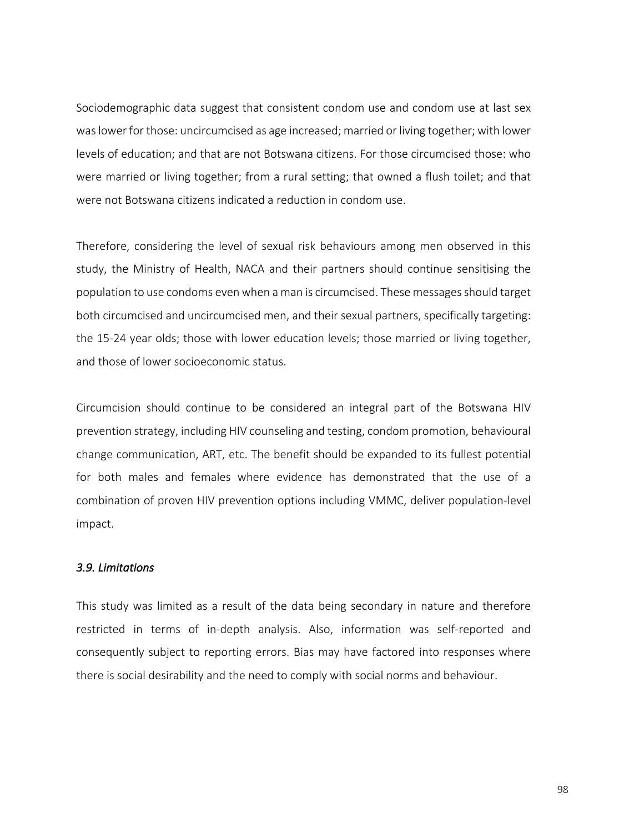Sociodemographic data suggest that consistent condom use and condom use at last sex was lower for those: uncircumcised as age increased; married or living together; with lower levels of education; and that are not Botswana citizens. For those circumcised those: who were married or living together; from a rural setting; that owned a flush toilet; and that were not Botswana citizens indicated a reduction in condom use.

Therefore, considering the level of sexual risk behaviours among men observed in this study, the Ministry of Health, NACA and their partners should continue sensitising the population to use condoms even when a man is circumcised. These messages should target both circumcised and uncircumcised men, and their sexual partners, specifically targeting: the 15-24 year olds; those with lower education levels; those married or living together, and those of lower socioeconomic status.

Circumcision should continue to be considered an integral part of the Botswana HIV prevention strategy, including HIV counseling and testing, condom promotion, behavioural change communication, ART, etc. The benefit should be expanded to its fullest potential for both males and females where evidence has demonstrated that the use of a combination of proven HIV prevention options including VMMC, deliver population-level impact.

#### *3.9. Limitations*

This study was limited as a result of the data being secondary in nature and therefore restricted in terms of in-depth analysis. Also, information was self-reported and consequently subject to reporting errors. Bias may have factored into responses where there is social desirability and the need to comply with social norms and behaviour.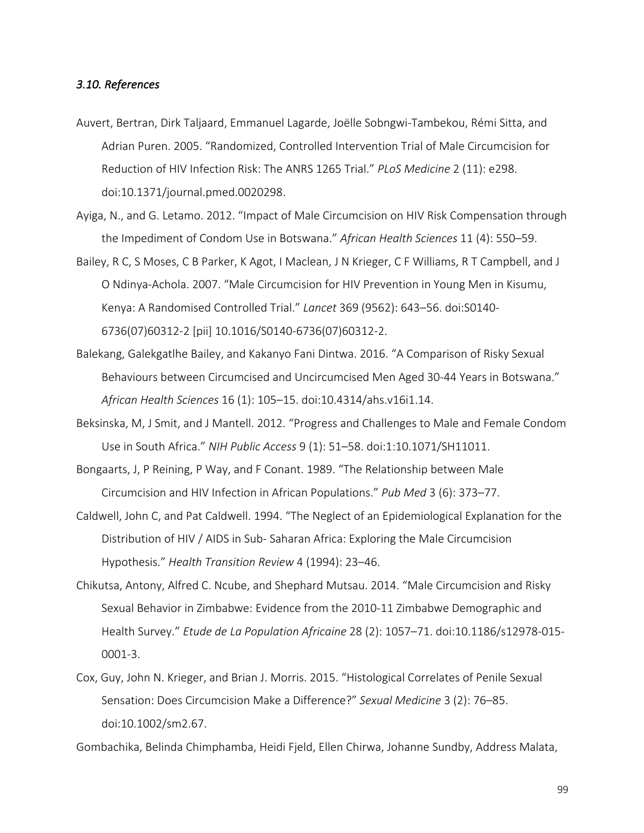## *3.10. References*

- Auvert, Bertran, Dirk Taljaard, Emmanuel Lagarde, Joëlle Sobngwi-Tambekou, Rémi Sitta, and Adrian Puren. 2005. "Randomized, Controlled Intervention Trial of Male Circumcision for Reduction of HIV Infection Risk: The ANRS 1265 Trial." *PLoS Medicine* 2 (11): e298. doi:10.1371/journal.pmed.0020298.
- Ayiga, N., and G. Letamo. 2012. "Impact of Male Circumcision on HIV Risk Compensation through the Impediment of Condom Use in Botswana." *African Health Sciences* 11 (4): 550–59.
- Bailey, R C, S Moses, C B Parker, K Agot, I Maclean, J N Krieger, C F Williams, R T Campbell, and J O Ndinya-Achola. 2007. "Male Circumcision for HIV Prevention in Young Men in Kisumu, Kenya: A Randomised Controlled Trial." *Lancet* 369 (9562): 643–56. doi:S0140- 6736(07)60312-2 [pii] 10.1016/S0140-6736(07)60312-2.
- Balekang, Galekgatlhe Bailey, and Kakanyo Fani Dintwa. 2016. "A Comparison of Risky Sexual Behaviours between Circumcised and Uncircumcised Men Aged 30-44 Years in Botswana." *African Health Sciences* 16 (1): 105–15. doi:10.4314/ahs.v16i1.14.
- Beksinska, M, J Smit, and J Mantell. 2012. "Progress and Challenges to Male and Female Condom Use in South Africa." *NIH Public Access* 9 (1): 51–58. doi:1:10.1071/SH11011.
- Bongaarts, J, P Reining, P Way, and F Conant. 1989. "The Relationship between Male Circumcision and HIV Infection in African Populations." *Pub Med* 3 (6): 373–77.
- Caldwell, John C, and Pat Caldwell. 1994. "The Neglect of an Epidemiological Explanation for the Distribution of HIV / AIDS in Sub- Saharan Africa: Exploring the Male Circumcision Hypothesis." *Health Transition Review* 4 (1994): 23–46.
- Chikutsa, Antony, Alfred C. Ncube, and Shephard Mutsau. 2014. "Male Circumcision and Risky Sexual Behavior in Zimbabwe: Evidence from the 2010-11 Zimbabwe Demographic and Health Survey." *Etude de La Population Africaine* 28 (2): 1057–71. doi:10.1186/s12978-015- 0001-3.
- Cox, Guy, John N. Krieger, and Brian J. Morris. 2015. "Histological Correlates of Penile Sexual Sensation: Does Circumcision Make a Difference?" *Sexual Medicine* 3 (2): 76–85. doi:10.1002/sm2.67.

Gombachika, Belinda Chimphamba, Heidi Fjeld, Ellen Chirwa, Johanne Sundby, Address Malata,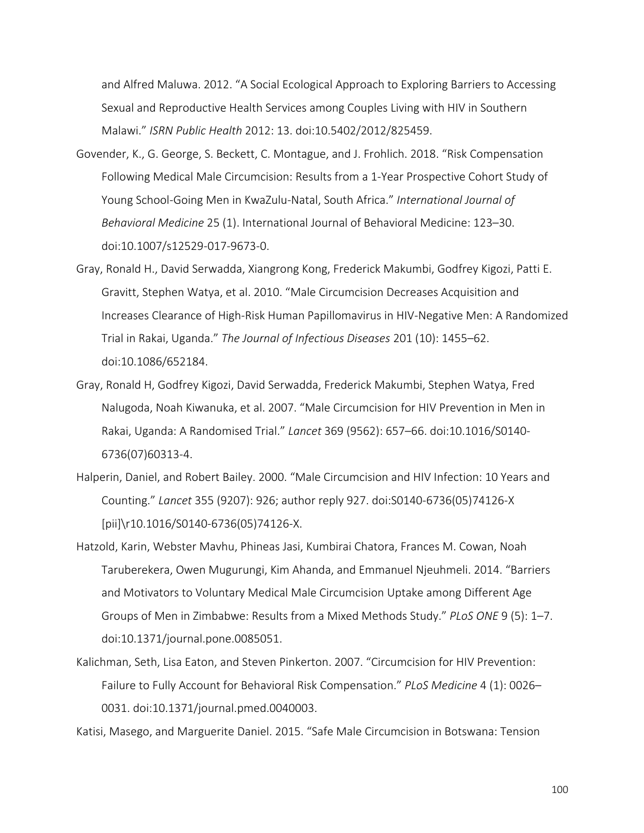and Alfred Maluwa. 2012. "A Social Ecological Approach to Exploring Barriers to Accessing Sexual and Reproductive Health Services among Couples Living with HIV in Southern Malawi." *ISRN Public Health* 2012: 13. doi:10.5402/2012/825459.

- Govender, K., G. George, S. Beckett, C. Montague, and J. Frohlich. 2018. "Risk Compensation Following Medical Male Circumcision: Results from a 1-Year Prospective Cohort Study of Young School-Going Men in KwaZulu-Natal, South Africa." *International Journal of Behavioral Medicine* 25 (1). International Journal of Behavioral Medicine: 123–30. doi:10.1007/s12529-017-9673-0.
- Gray, Ronald H., David Serwadda, Xiangrong Kong, Frederick Makumbi, Godfrey Kigozi, Patti E. Gravitt, Stephen Watya, et al. 2010. "Male Circumcision Decreases Acquisition and Increases Clearance of High-Risk Human Papillomavirus in HIV-Negative Men: A Randomized Trial in Rakai, Uganda." *The Journal of Infectious Diseases* 201 (10): 1455–62. doi:10.1086/652184.
- Gray, Ronald H, Godfrey Kigozi, David Serwadda, Frederick Makumbi, Stephen Watya, Fred Nalugoda, Noah Kiwanuka, et al. 2007. "Male Circumcision for HIV Prevention in Men in Rakai, Uganda: A Randomised Trial." *Lancet* 369 (9562): 657–66. doi:10.1016/S0140- 6736(07)60313-4.
- Halperin, Daniel, and Robert Bailey. 2000. "Male Circumcision and HIV Infection: 10 Years and Counting." *Lancet* 355 (9207): 926; author reply 927. doi:S0140-6736(05)74126-X [pii]\r10.1016/S0140-6736(05)74126-X.
- Hatzold, Karin, Webster Mavhu, Phineas Jasi, Kumbirai Chatora, Frances M. Cowan, Noah Taruberekera, Owen Mugurungi, Kim Ahanda, and Emmanuel Njeuhmeli. 2014. "Barriers and Motivators to Voluntary Medical Male Circumcision Uptake among Different Age Groups of Men in Zimbabwe: Results from a Mixed Methods Study." *PLoS ONE* 9 (5): 1–7. doi:10.1371/journal.pone.0085051.
- Kalichman, Seth, Lisa Eaton, and Steven Pinkerton. 2007. "Circumcision for HIV Prevention: Failure to Fully Account for Behavioral Risk Compensation." *PLoS Medicine* 4 (1): 0026– 0031. doi:10.1371/journal.pmed.0040003.

Katisi, Masego, and Marguerite Daniel. 2015. "Safe Male Circumcision in Botswana: Tension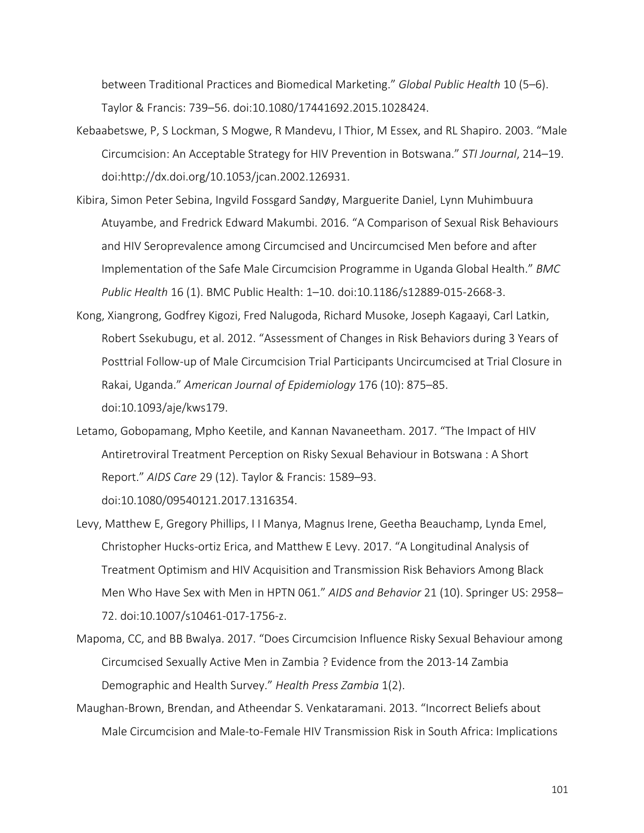between Traditional Practices and Biomedical Marketing." *Global Public Health* 10 (5–6). Taylor & Francis: 739–56. doi:10.1080/17441692.2015.1028424.

- Kebaabetswe, P, S Lockman, S Mogwe, R Mandevu, I Thior, M Essex, and RL Shapiro. 2003. "Male Circumcision: An Acceptable Strategy for HIV Prevention in Botswana." *STI Journal*, 214–19. doi:http://dx.doi.org/10.1053/jcan.2002.126931.
- Kibira, Simon Peter Sebina, Ingvild Fossgard Sandøy, Marguerite Daniel, Lynn Muhimbuura Atuyambe, and Fredrick Edward Makumbi. 2016. "A Comparison of Sexual Risk Behaviours and HIV Seroprevalence among Circumcised and Uncircumcised Men before and after Implementation of the Safe Male Circumcision Programme in Uganda Global Health." *BMC Public Health* 16 (1). BMC Public Health: 1–10. doi:10.1186/s12889-015-2668-3.
- Kong, Xiangrong, Godfrey Kigozi, Fred Nalugoda, Richard Musoke, Joseph Kagaayi, Carl Latkin, Robert Ssekubugu, et al. 2012. "Assessment of Changes in Risk Behaviors during 3 Years of Posttrial Follow-up of Male Circumcision Trial Participants Uncircumcised at Trial Closure in Rakai, Uganda." *American Journal of Epidemiology* 176 (10): 875–85. doi:10.1093/aje/kws179.
- Letamo, Gobopamang, Mpho Keetile, and Kannan Navaneetham. 2017. "The Impact of HIV Antiretroviral Treatment Perception on Risky Sexual Behaviour in Botswana : A Short Report." *AIDS Care* 29 (12). Taylor & Francis: 1589–93. doi:10.1080/09540121.2017.1316354.
- Levy, Matthew E, Gregory Phillips, I I Manya, Magnus Irene, Geetha Beauchamp, Lynda Emel, Christopher Hucks-ortiz Erica, and Matthew E Levy. 2017. "A Longitudinal Analysis of Treatment Optimism and HIV Acquisition and Transmission Risk Behaviors Among Black Men Who Have Sex with Men in HPTN 061." *AIDS and Behavior* 21 (10). Springer US: 2958– 72. doi:10.1007/s10461-017-1756-z.
- Mapoma, CC, and BB Bwalya. 2017. "Does Circumcision Influence Risky Sexual Behaviour among Circumcised Sexually Active Men in Zambia ? Evidence from the 2013-14 Zambia Demographic and Health Survey." *Health Press Zambia* 1(2).
- Maughan-Brown, Brendan, and Atheendar S. Venkataramani. 2013. "Incorrect Beliefs about Male Circumcision and Male-to-Female HIV Transmission Risk in South Africa: Implications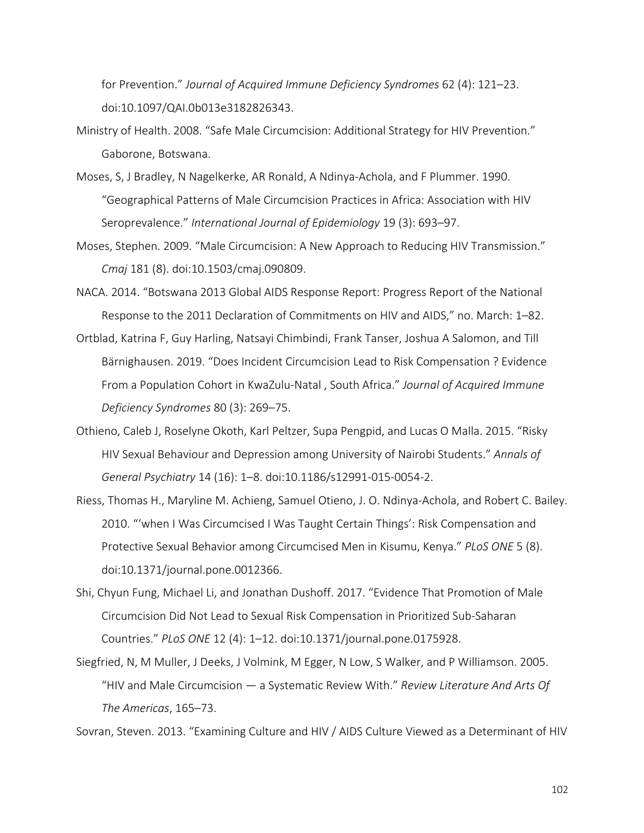for Prevention." *Journal of Acquired Immune Deficiency Syndromes* 62 (4): 121–23. doi:10.1097/QAI.0b013e3182826343.

- Ministry of Health. 2008. "Safe Male Circumcision: Additional Strategy for HIV Prevention." Gaborone, Botswana.
- Moses, S, J Bradley, N Nagelkerke, AR Ronald, A Ndinya-Achola, and F Plummer. 1990. "Geographical Patterns of Male Circumcision Practices in Africa: Association with HIV Seroprevalence." *International Journal of Epidemiology* 19 (3): 693–97.
- Moses, Stephen. 2009. "Male Circumcision: A New Approach to Reducing HIV Transmission." *Cmaj* 181 (8). doi:10.1503/cmaj.090809.
- NACA. 2014. "Botswana 2013 Global AIDS Response Report: Progress Report of the National Response to the 2011 Declaration of Commitments on HIV and AIDS," no. March: 1–82.
- Ortblad, Katrina F, Guy Harling, Natsayi Chimbindi, Frank Tanser, Joshua A Salomon, and Till Bärnighausen. 2019. "Does Incident Circumcision Lead to Risk Compensation ? Evidence From a Population Cohort in KwaZulu-Natal , South Africa." *Journal of Acquired Immune Deficiency Syndromes* 80 (3): 269–75.
- Othieno, Caleb J, Roselyne Okoth, Karl Peltzer, Supa Pengpid, and Lucas O Malla. 2015. "Risky HIV Sexual Behaviour and Depression among University of Nairobi Students." *Annals of General Psychiatry* 14 (16): 1–8. doi:10.1186/s12991-015-0054-2.
- Riess, Thomas H., Maryline M. Achieng, Samuel Otieno, J. O. Ndinya-Achola, and Robert C. Bailey. 2010. "'when I Was Circumcised I Was Taught Certain Things': Risk Compensation and Protective Sexual Behavior among Circumcised Men in Kisumu, Kenya." *PLoS ONE* 5 (8). doi:10.1371/journal.pone.0012366.
- Shi, Chyun Fung, Michael Li, and Jonathan Dushoff. 2017. "Evidence That Promotion of Male Circumcision Did Not Lead to Sexual Risk Compensation in Prioritized Sub-Saharan Countries." *PLoS ONE* 12 (4): 1–12. doi:10.1371/journal.pone.0175928.
- Siegfried, N, M Muller, J Deeks, J Volmink, M Egger, N Low, S Walker, and P Williamson. 2005. "HIV and Male Circumcision — a Systematic Review With." *Review Literature And Arts Of The Americas*, 165–73.

Sovran, Steven. 2013. "Examining Culture and HIV / AIDS Culture Viewed as a Determinant of HIV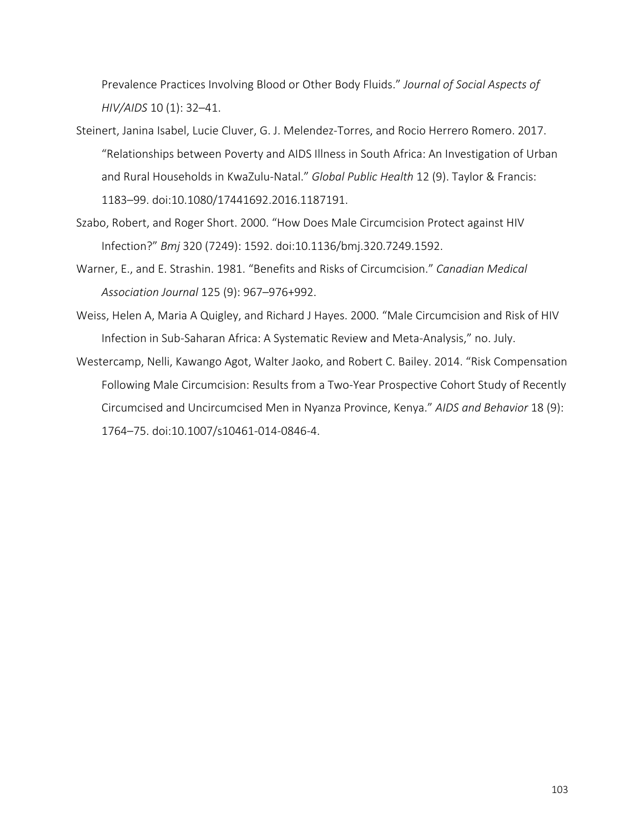Prevalence Practices Involving Blood or Other Body Fluids." *Journal of Social Aspects of HIV/AIDS* 10 (1): 32–41.

- Steinert, Janina Isabel, Lucie Cluver, G. J. Melendez-Torres, and Rocio Herrero Romero. 2017. "Relationships between Poverty and AIDS Illness in South Africa: An Investigation of Urban and Rural Households in KwaZulu-Natal." *Global Public Health* 12 (9). Taylor & Francis: 1183–99. doi:10.1080/17441692.2016.1187191.
- Szabo, Robert, and Roger Short. 2000. "How Does Male Circumcision Protect against HIV Infection?" *Bmj* 320 (7249): 1592. doi:10.1136/bmj.320.7249.1592.
- Warner, E., and E. Strashin. 1981. "Benefits and Risks of Circumcision." *Canadian Medical Association Journal* 125 (9): 967–976+992.
- Weiss, Helen A, Maria A Quigley, and Richard J Hayes. 2000. "Male Circumcision and Risk of HIV Infection in Sub-Saharan Africa: A Systematic Review and Meta-Analysis," no. July.
- Westercamp, Nelli, Kawango Agot, Walter Jaoko, and Robert C. Bailey. 2014. "Risk Compensation Following Male Circumcision: Results from a Two-Year Prospective Cohort Study of Recently Circumcised and Uncircumcised Men in Nyanza Province, Kenya." *AIDS and Behavior* 18 (9): 1764–75. doi:10.1007/s10461-014-0846-4.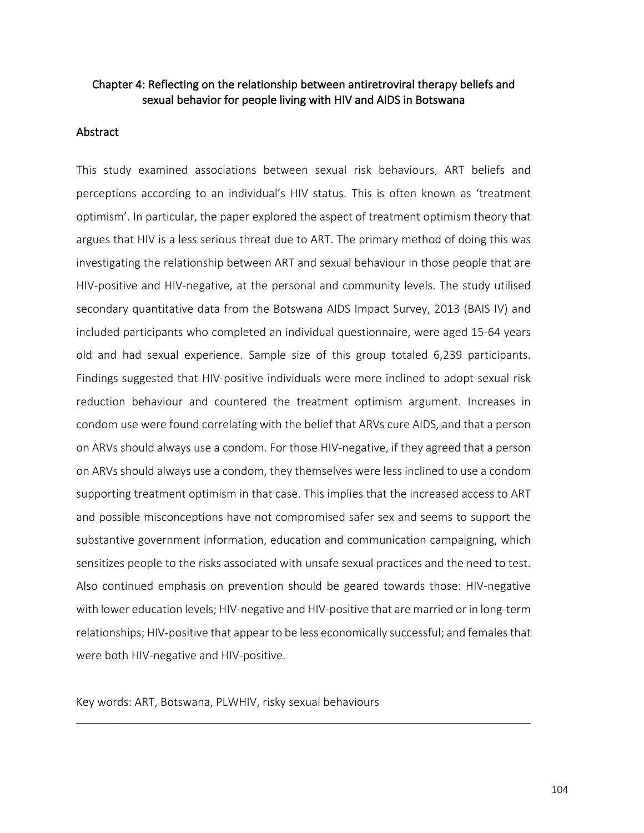# Chapter 4: Reflecting on the relationship between antiretroviral therapy beliefs and sexual behavior for people living with HIV and AIDS in Botswana

## Abstract

This study examined associations between sexual risk behaviours, ART beliefs and perceptions according to an individual's HIV status. This is often known as 'treatment optimism'. In particular, the paper explored the aspect of treatment optimism theory that argues that HIV is a less serious threat due to ART. The primary method of doing this was investigating the relationship between ART and sexual behaviour in those people that are HIV-positive and HIV-negative, at the personal and community levels. The study utilised secondary quantitative data from the Botswana AIDS Impact Survey, 2013 (BAIS IV) and included participants who completed an individual questionnaire, were aged 15-64 years old and had sexual experience. Sample size of this group totaled 6,239 participants. Findings suggested that HIV-positive individuals were more inclined to adopt sexual risk reduction behaviour and countered the treatment optimism argument. Increases in condom use were found correlating with the belief that ARVs cure AIDS, and that a person on ARVs should always use a condom. For those HIV-negative, if they agreed that a person on ARVs should always use a condom, they themselves were less inclined to use a condom supporting treatment optimism in that case. This implies that the increased access to ART and possible misconceptions have not compromised safer sex and seems to support the substantive government information, education and communication campaigning, which sensitizes people to the risks associated with unsafe sexual practices and the need to test. Also continued emphasis on prevention should be geared towards those: HIV-negative with lower education levels; HIV-negative and HIV-positive that are married or in long-term relationships; HIV-positive that appear to be less economically successful; and females that were both HIV-negative and HIV-positive.

Key words: ART, Botswana, PLWHIV, risky sexual behaviours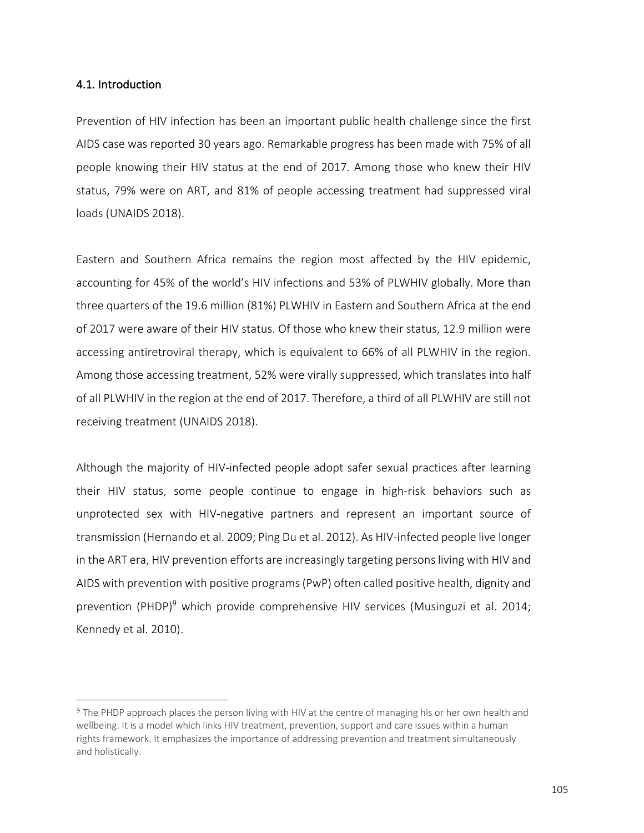## 4.1. Introduction

1

Prevention of HIV infection has been an important public health challenge since the first AIDS case was reported 30 years ago. Remarkable progress has been made with 75% of all people knowing their HIV status at the end of 2017. Among those who knew their HIV status, 79% were on ART, and 81% of people accessing treatment had suppressed viral loads (UNAIDS 2018).

Eastern and Southern Africa remains the region most affected by the HIV epidemic, accounting for 45% of the world's HIV infections and 53% of PLWHIV globally. More than three quarters of the 19.6 million (81%) PLWHIV in Eastern and Southern Africa at the end of 2017 were aware of their HIV status. Of those who knew their status, 12.9 million were accessing antiretroviral therapy, which is equivalent to 66% of all PLWHIV in the region. Among those accessing treatment, 52% were virally suppressed, which translates into half of all PLWHIV in the region at the end of 2017. Therefore, a third of all PLWHIV are still not receiving treatment (UNAIDS 2018).

Although the majority of HIV-infected people adopt safer sexual practices after learning their HIV status, some people continue to engage in high-risk behaviors such as unprotected sex with HIV-negative partners and represent an important source of transmission (Hernando et al. 2009; Ping Du et al. 2012). As HIV-infected people live longer in the ART era, HIV prevention efforts are increasingly targeting persons living with HIV and AIDS with prevention with positive programs (PwP) often called positive health, dignity and prevention (PHDP)<sup>9</sup> which provide comprehensive HIV services (Musinguzi et al. 2014; Kennedy et al. 2010).

<sup>9</sup> The PHDP approach places the person living with HIV at the centre of managing his or her own health and wellbeing. It is a model which links HIV treatment, prevention, support and care issues within a human rights framework. It emphasizes the importance of addressing prevention and treatment simultaneously and holistically.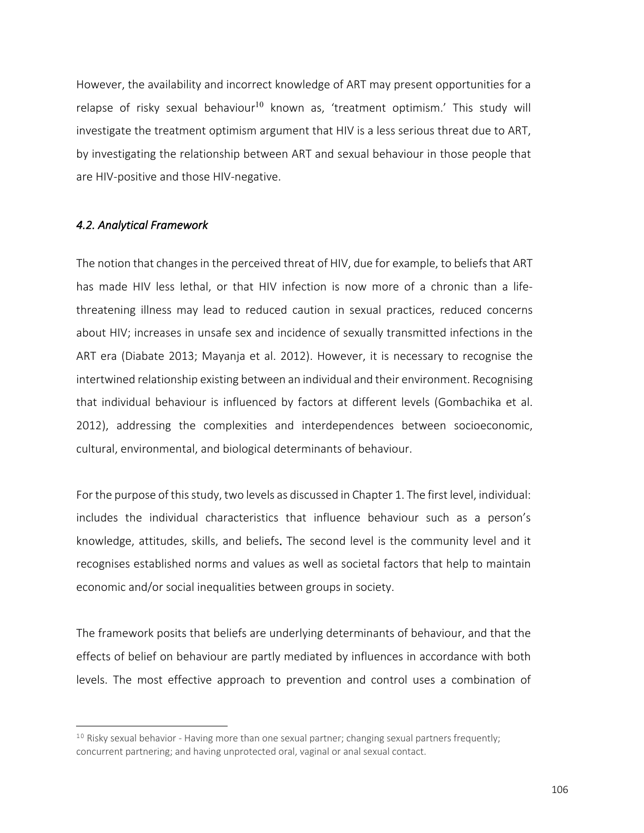However, the availability and incorrect knowledge of ART may present opportunities for a relapse of risky sexual behaviour<sup>10</sup> known as, 'treatment optimism.' This study will investigate the treatment optimism argument that HIV is a less serious threat due to ART, by investigating the relationship between ART and sexual behaviour in those people that are HIV-positive and those HIV-negative.

### *4.2. Analytical Framework*

<u>.</u>

The notion that changes in the perceived threat of HIV, due for example, to beliefs that ART has made HIV less lethal, or that HIV infection is now more of a chronic than a lifethreatening illness may lead to reduced caution in sexual practices, reduced concerns about HIV; increases in unsafe sex and incidence of sexually transmitted infections in the ART era (Diabate 2013; Mayanja et al. 2012). However, it is necessary to recognise the intertwined relationship existing between an individual and their environment. Recognising that individual behaviour is influenced by factors at different levels (Gombachika et al. 2012), addressing the complexities and interdependences between socioeconomic, cultural, environmental, and biological determinants of behaviour.

For the purpose of this study, two levels as discussed in Chapter 1. The first level, individual: includes the individual characteristics that influence behaviour such as a person's knowledge, attitudes, skills, and beliefs. The second level is the community level and it recognises established norms and values as well as societal factors that help to maintain economic and/or social inequalities between groups in society.

The framework posits that beliefs are underlying determinants of behaviour, and that the effects of belief on behaviour are partly mediated by influences in accordance with both levels. The most effective approach to prevention and control uses a combination of

 $10$  Risky sexual behavior - Having more than one sexual partner; changing sexual partners frequently; concurrent partnering; and having unprotected oral, vaginal or anal sexual contact.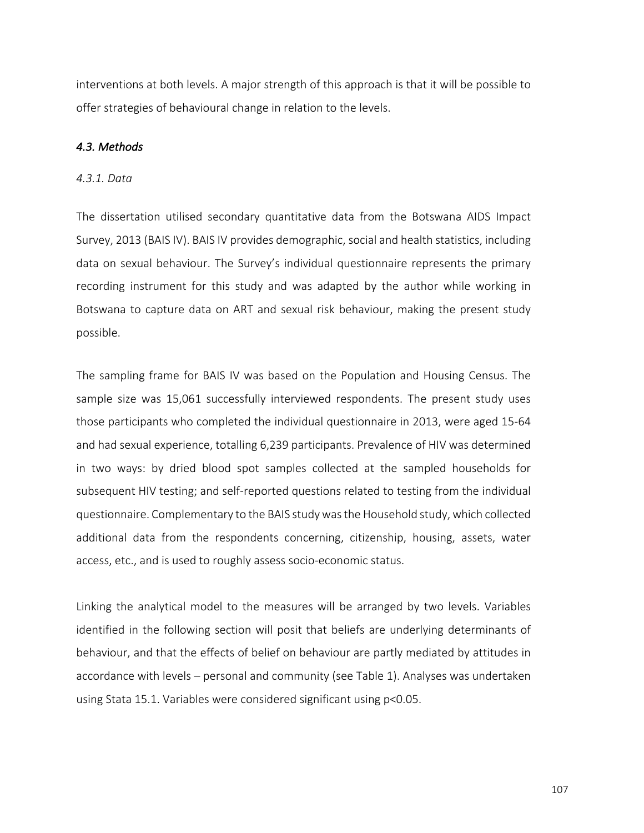interventions at both levels. A major strength of this approach is that it will be possible to offer strategies of behavioural change in relation to the levels.

## *4.3. Methods*

### *4.3.1. Data*

The dissertation utilised secondary quantitative data from the Botswana AIDS Impact Survey, 2013 (BAIS IV). BAIS IV provides demographic, social and health statistics, including data on sexual behaviour. The Survey's individual questionnaire represents the primary recording instrument for this study and was adapted by the author while working in Botswana to capture data on ART and sexual risk behaviour, making the present study possible.

The sampling frame for BAIS IV was based on the Population and Housing Census. The sample size was 15,061 successfully interviewed respondents. The present study uses those participants who completed the individual questionnaire in 2013, were aged 15-64 and had sexual experience, totalling 6,239 participants. Prevalence of HIV was determined in two ways: by dried blood spot samples collected at the sampled households for subsequent HIV testing; and self-reported questions related to testing from the individual questionnaire. Complementary to the BAIS study was the Household study, which collected additional data from the respondents concerning, citizenship, housing, assets, water access, etc., and is used to roughly assess socio-economic status.

Linking the analytical model to the measures will be arranged by two levels. Variables identified in the following section will posit that beliefs are underlying determinants of behaviour, and that the effects of belief on behaviour are partly mediated by attitudes in accordance with levels – personal and community (see Table 1). Analyses was undertaken using Stata 15.1. Variables were considered significant using p<0.05.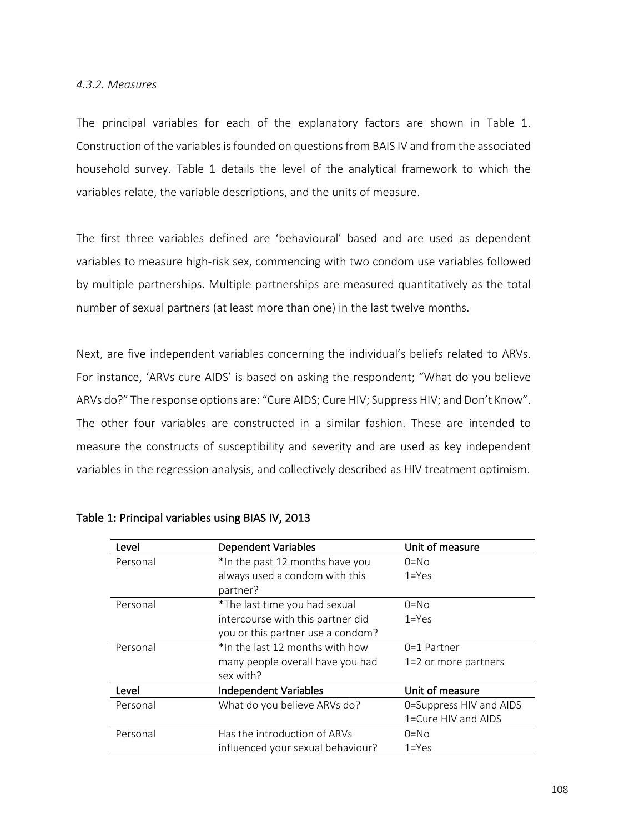### *4.3.2. Measures*

The principal variables for each of the explanatory factors are shown in Table 1. Construction of the variables is founded on questions from BAIS IV and from the associated household survey. Table 1 details the level of the analytical framework to which the variables relate, the variable descriptions, and the units of measure.

The first three variables defined are 'behavioural' based and are used as dependent variables to measure high-risk sex, commencing with two condom use variables followed by multiple partnerships. Multiple partnerships are measured quantitatively as the total number of sexual partners (at least more than one) in the last twelve months.

Next, are five independent variables concerning the individual's beliefs related to ARVs. For instance, 'ARVs cure AIDS' is based on asking the respondent; "What do you believe ARVs do?" The response options are: "Cure AIDS; Cure HIV; Suppress HIV; and Don't Know". The other four variables are constructed in a similar fashion. These are intended to measure the constructs of susceptibility and severity and are used as key independent variables in the regression analysis, and collectively described as HIV treatment optimism.

| Level    | <b>Dependent Variables</b>        | Unit of measure         |
|----------|-----------------------------------|-------------------------|
| Personal | *In the past 12 months have you   | $0 = No$                |
|          | always used a condom with this    | $1 = Yes$               |
|          | partner?                          |                         |
| Personal | *The last time you had sexual     | $0 = No$                |
|          | intercourse with this partner did | $1 = Yes$               |
|          | you or this partner use a condom? |                         |
| Personal | *In the last 12 months with how   | $0=1$ Partner           |
|          | many people overall have you had  | 1=2 or more partners    |
|          | sex with?                         |                         |
| Level    | <b>Independent Variables</b>      | Unit of measure         |
| Personal | What do you believe ARVs do?      | 0=Suppress HIV and AIDS |
|          |                                   | 1=Cure HIV and AIDS     |
| Personal | Has the introduction of ARVs      | $0 = No$                |
|          | influenced your sexual behaviour? | $1 = Yes$               |

Table 1: Principal variables using BIAS IV, 2013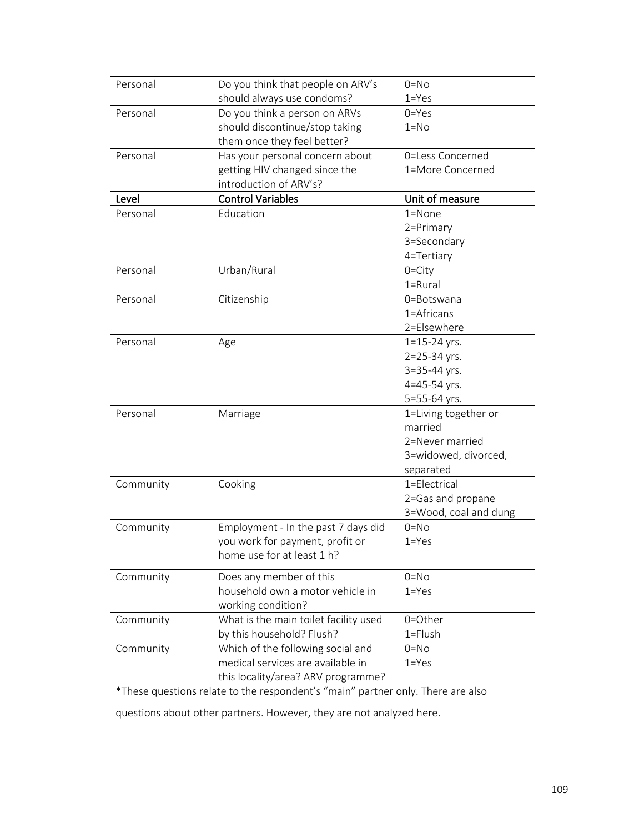| Personal  | Do you think that people on ARV's                                               | $0 = No$              |
|-----------|---------------------------------------------------------------------------------|-----------------------|
|           | should always use condoms?                                                      | $1 = Yes$             |
| Personal  | Do you think a person on ARVs                                                   | $0 = Yes$             |
|           | should discontinue/stop taking                                                  | $1 = No$              |
|           | them once they feel better?                                                     |                       |
| Personal  | Has your personal concern about                                                 | 0=Less Concerned      |
|           | getting HIV changed since the                                                   | 1=More Concerned      |
|           | introduction of ARV's?                                                          |                       |
| Level     | <b>Control Variables</b>                                                        | Unit of measure       |
| Personal  | Education                                                                       | $1 =$ None            |
|           |                                                                                 | 2=Primary             |
|           |                                                                                 | 3=Secondary           |
|           |                                                                                 | 4=Tertiary            |
| Personal  | Urban/Rural                                                                     | $0 = City$            |
|           |                                                                                 | $1 = Rural$           |
| Personal  | Citizenship                                                                     | 0=Botswana            |
|           |                                                                                 | 1=Africans            |
|           |                                                                                 | 2=Elsewhere           |
| Personal  | Age                                                                             | $1 = 15 - 24$ yrs.    |
|           |                                                                                 | 2=25-34 yrs.          |
|           |                                                                                 | 3=35-44 yrs.          |
|           |                                                                                 | 4=45-54 yrs.          |
|           |                                                                                 | 5=55-64 yrs.          |
| Personal  | Marriage                                                                        | 1=Living together or  |
|           |                                                                                 | married               |
|           |                                                                                 | 2=Never married       |
|           |                                                                                 | 3=widowed, divorced,  |
|           |                                                                                 | separated             |
| Community | Cooking                                                                         | 1=Electrical          |
|           |                                                                                 | 2=Gas and propane     |
|           |                                                                                 | 3=Wood, coal and dung |
| Community | Employment - In the past 7 days did                                             | $0 = No$              |
|           | you work for payment, profit or                                                 | $1 = Yes$             |
|           | home use for at least 1 h?                                                      |                       |
| Community | Does any member of this                                                         | $0 = No$              |
|           | household own a motor vehicle in                                                | $1 = Yes$             |
|           | working condition?                                                              |                       |
| Community | What is the main toilet facility used                                           | 0=Other               |
|           | by this household? Flush?                                                       | $1 =$ Flush           |
| Community | Which of the following social and                                               | $0 = No$              |
|           | medical services are available in                                               | $1 = Yes$             |
|           | this locality/area? ARV programme?                                              |                       |
|           | *These questions relate to the respondent's "main" partner only. There are also |                       |
|           |                                                                                 |                       |

questions about other partners. However, they are not analyzed here.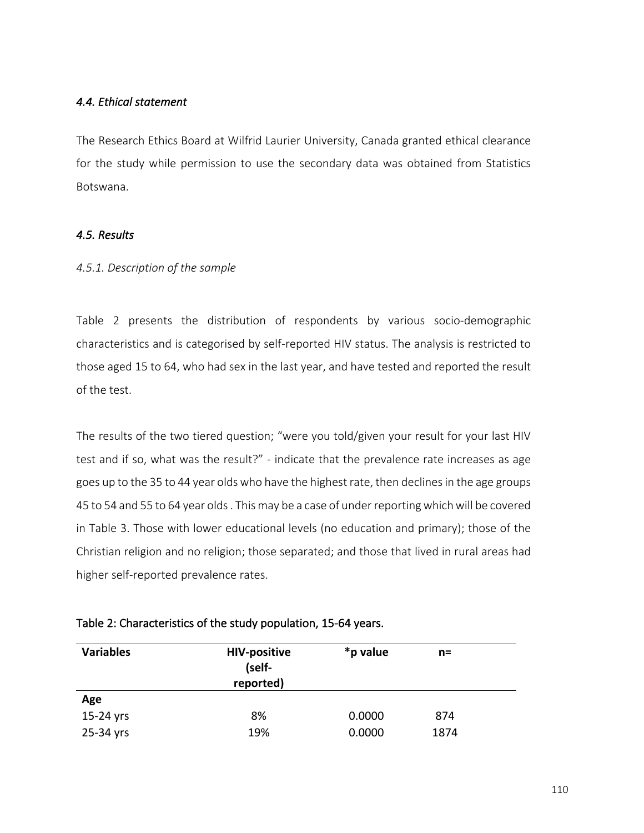# *4.4. Ethical statement*

The Research Ethics Board at Wilfrid Laurier University, Canada granted ethical clearance for the study while permission to use the secondary data was obtained from Statistics Botswana.

# *4.5. Results*

## *4.5.1. Description of the sample*

Table 2 presents the distribution of respondents by various socio-demographic characteristics and is categorised by self-reported HIV status. The analysis is restricted to those aged 15 to 64, who had sex in the last year, and have tested and reported the result of the test.

The results of the two tiered question; "were you told/given your result for your last HIV test and if so, what was the result?" - indicate that the prevalence rate increases as age goes up to the 35 to 44 year olds who have the highest rate, then declines in the age groups 45 to 54 and 55 to 64 year olds . This may be a case of under reporting which will be covered in Table 3. Those with lower educational levels (no education and primary); those of the Christian religion and no religion; those separated; and those that lived in rural areas had higher self-reported prevalence rates.

| <b>Variables</b> | <b>HIV-positive</b><br>(self-<br>reported) | *p value | n=   |
|------------------|--------------------------------------------|----------|------|
| Age              |                                            |          |      |
| 15-24 yrs        | 8%                                         | 0.0000   | 874  |
| 25-34 yrs        | 19%                                        | 0.0000   | 1874 |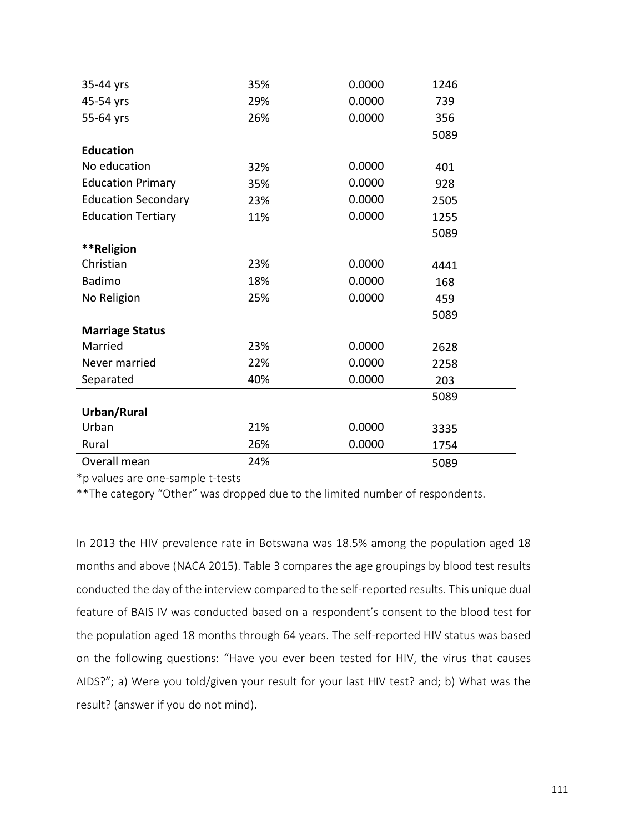| 35-44 yrs                  | 35% | 0.0000 | 1246 |  |
|----------------------------|-----|--------|------|--|
| 45-54 yrs                  | 29% | 0.0000 | 739  |  |
| 55-64 yrs                  | 26% | 0.0000 | 356  |  |
|                            |     |        | 5089 |  |
| <b>Education</b>           |     |        |      |  |
| No education               | 32% | 0.0000 | 401  |  |
| <b>Education Primary</b>   | 35% | 0.0000 | 928  |  |
| <b>Education Secondary</b> | 23% | 0.0000 | 2505 |  |
| <b>Education Tertiary</b>  | 11% | 0.0000 | 1255 |  |
|                            |     |        | 5089 |  |
| **Religion                 |     |        |      |  |
| Christian                  | 23% | 0.0000 | 4441 |  |
| <b>Badimo</b>              | 18% | 0.0000 | 168  |  |
| No Religion                | 25% | 0.0000 | 459  |  |
|                            |     |        | 5089 |  |
| <b>Marriage Status</b>     |     |        |      |  |
| Married                    | 23% | 0.0000 | 2628 |  |
| Never married              | 22% | 0.0000 | 2258 |  |
| Separated                  | 40% | 0.0000 | 203  |  |
|                            |     |        | 5089 |  |
| Urban/Rural                |     |        |      |  |
| Urban                      | 21% | 0.0000 | 3335 |  |
| Rural                      | 26% | 0.0000 | 1754 |  |
| Overall mean               | 24% |        | 5089 |  |

\*p values are one-sample t-tests

\*\*The category "Other" was dropped due to the limited number of respondents.

In 2013 the HIV prevalence rate in Botswana was 18.5% among the population aged 18 months and above (NACA 2015). Table 3 compares the age groupings by blood test results conducted the day of the interview compared to the self-reported results. This unique dual feature of BAIS IV was conducted based on a respondent's consent to the blood test for the population aged 18 months through 64 years. The self-reported HIV status was based on the following questions: "Have you ever been tested for HIV, the virus that causes AIDS?"; a) Were you told/given your result for your last HIV test? and; b) What was the result? (answer if you do not mind).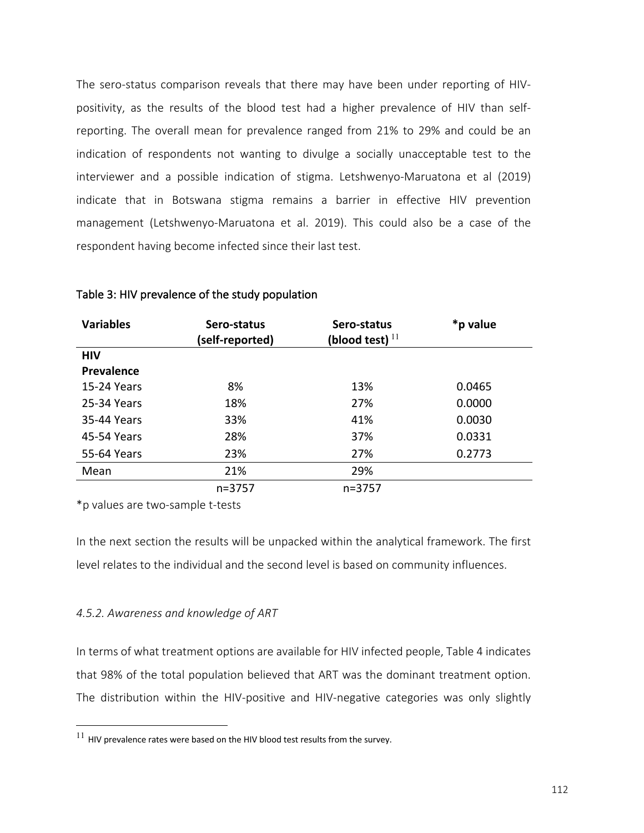The sero-status comparison reveals that there may have been under reporting of HIVpositivity, as the results of the blood test had a higher prevalence of HIV than selfreporting. The overall mean for prevalence ranged from 21% to 29% and could be an indication of respondents not wanting to divulge a socially unacceptable test to the interviewer and a possible indication of stigma. Letshwenyo-Maruatona et al (2019) indicate that in Botswana stigma remains a barrier in effective HIV prevention management (Letshwenyo-Maruatona et al. 2019). This could also be a case of the respondent having become infected since their last test.

| <b>Variables</b> | Sero-status     | Sero-status              | *p value |
|------------------|-----------------|--------------------------|----------|
|                  | (self-reported) | (blood test) $^{\rm l1}$ |          |
| <b>HIV</b>       |                 |                          |          |
| Prevalence       |                 |                          |          |
| 15-24 Years      | 8%              | 13%                      | 0.0465   |
| 25-34 Years      | 18%             | 27%                      | 0.0000   |
| 35-44 Years      | 33%             | 41%                      | 0.0030   |
| 45-54 Years      | 28%             | 37%                      | 0.0331   |
| 55-64 Years      | 23%             | 27%                      | 0.2773   |
| Mean             | 21%             | 29%                      |          |
|                  | n=3757          | $n = 3757$               |          |

### Table 3: HIV prevalence of the study population

\*p values are two-sample t-tests

In the next section the results will be unpacked within the analytical framework. The first level relates to the individual and the second level is based on community influences.

## *4.5.2. Awareness and knowledge of ART*

In terms of what treatment options are available for HIV infected people, Table 4 indicates that 98% of the total population believed that ART was the dominant treatment option. The distribution within the HIV-positive and HIV-negative categories was only slightly

 $^{11}$  HIV prevalence rates were based on the HIV blood test results from the survey.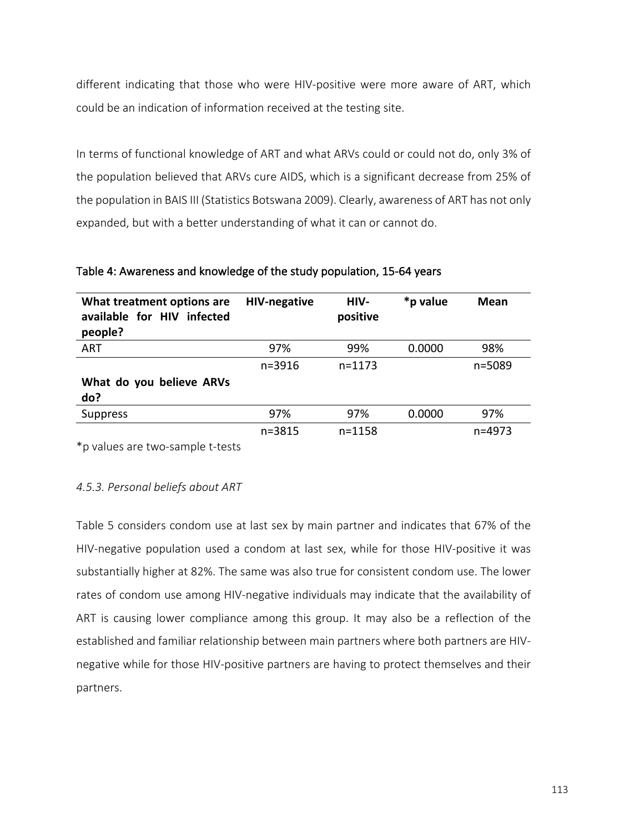different indicating that those who were HIV-positive were more aware of ART, which could be an indication of information received at the testing site.

In terms of functional knowledge of ART and what ARVs could or could not do, only 3% of the population believed that ARVs cure AIDS, which is a significant decrease from 25% of the population in BAIS III (Statistics Botswana 2009). Clearly, awareness of ART has not only expanded, but with a better understanding of what it can or cannot do.

| What treatment options are<br>available for HIV infected<br>people? | <b>HIV-negative</b> | HIV-<br>positive | *p value | Mean   |
|---------------------------------------------------------------------|---------------------|------------------|----------|--------|
| ART                                                                 | 97%                 | 99%              | 0.0000   | 98%    |
|                                                                     | $n = 3916$          | $n = 1173$       |          | n=5089 |
| What do you believe ARVs<br>do?                                     |                     |                  |          |        |
| <b>Suppress</b>                                                     | 97%                 | 97%              | 0.0000   | 97%    |
|                                                                     | $n = 3815$          | $n = 1158$       |          | n=4973 |

Table 4: Awareness and knowledge of the study population, 15-64 years

\*p values are two-sample t-tests

## *4.5.3. Personal beliefs about ART*

Table 5 considers condom use at last sex by main partner and indicates that 67% of the HIV-negative population used a condom at last sex, while for those HIV-positive it was substantially higher at 82%. The same was also true for consistent condom use. The lower rates of condom use among HIV-negative individuals may indicate that the availability of ART is causing lower compliance among this group. It may also be a reflection of the established and familiar relationship between main partners where both partners are HIVnegative while for those HIV-positive partners are having to protect themselves and their partners.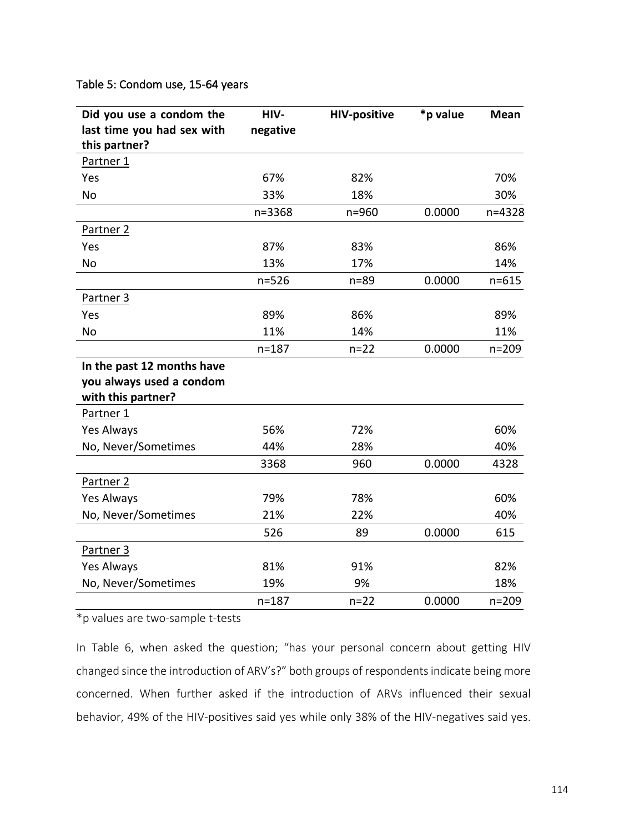# Table 5: Condom use, 15-64 years

| Did you use a condom the   | HIV-      | <b>HIV-positive</b> | *p value | Mean      |
|----------------------------|-----------|---------------------|----------|-----------|
| last time you had sex with | negative  |                     |          |           |
| this partner?              |           |                     |          |           |
| Partner 1                  |           |                     |          |           |
| Yes                        | 67%       | 82%                 |          | 70%       |
| No                         | 33%       | 18%                 |          | 30%       |
|                            | n=3368    | n=960               | 0.0000   | n=4328    |
| Partner 2                  |           |                     |          |           |
| Yes                        | 87%       | 83%                 |          | 86%       |
| No                         | 13%       | 17%                 |          | 14%       |
|                            | $n = 526$ | $n = 89$            | 0.0000   | $n = 615$ |
| Partner 3                  |           |                     |          |           |
| Yes                        | 89%       | 86%                 |          | 89%       |
| No                         | 11%       | 14%                 |          | 11%       |
|                            | $n = 187$ | $n=22$              | 0.0000   | $n = 209$ |
| In the past 12 months have |           |                     |          |           |
| you always used a condom   |           |                     |          |           |
| with this partner?         |           |                     |          |           |
| Partner 1                  |           |                     |          |           |
| Yes Always                 | 56%       | 72%                 |          | 60%       |
| No, Never/Sometimes        | 44%       | 28%                 |          | 40%       |
|                            | 3368      | 960                 | 0.0000   | 4328      |
| Partner <sub>2</sub>       |           |                     |          |           |
| Yes Always                 | 79%       | 78%                 |          | 60%       |
| No, Never/Sometimes        | 21%       | 22%                 |          | 40%       |
|                            | 526       | 89                  | 0.0000   | 615       |
| Partner 3                  |           |                     |          |           |
| Yes Always                 | 81%       | 91%                 |          | 82%       |
| No, Never/Sometimes        | 19%       | 9%                  |          | 18%       |
|                            | $n = 187$ | $n=22$              | 0.0000   | $n = 209$ |

\*p values are two-sample t-tests

In Table 6, when asked the question; "has your personal concern about getting HIV changed since the introduction of ARV's?" both groups of respondents indicate being more concerned. When further asked if the introduction of ARVs influenced their sexual behavior, 49% of the HIV-positives said yes while only 38% of the HIV-negatives said yes.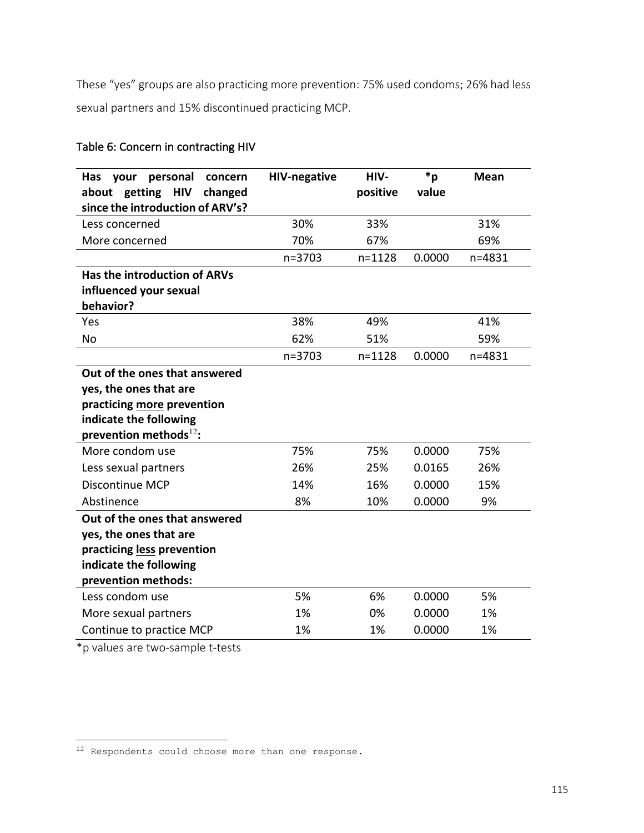These "yes" groups are also practicing more prevention: 75% used condoms; 26% had less sexual partners and 15% discontinued practicing MCP.

# Table 6: Concern in contracting HIV

| personal<br>Has<br>your<br>concern<br><b>HIV</b><br>getting<br>changed<br>about<br>since the introduction of ARV's?                                                | <b>HIV-negative</b> | HIV-<br>positive | $*_{p}$<br>value | <b>Mean</b> |
|--------------------------------------------------------------------------------------------------------------------------------------------------------------------|---------------------|------------------|------------------|-------------|
| Less concerned                                                                                                                                                     | 30%                 | 33%              |                  | 31%         |
| More concerned                                                                                                                                                     | 70%                 | 67%              |                  | 69%         |
|                                                                                                                                                                    | n=3703              | $n = 1128$       | 0.0000           | n=4831      |
| Has the introduction of ARVs                                                                                                                                       |                     |                  |                  |             |
| influenced your sexual                                                                                                                                             |                     |                  |                  |             |
| behavior?                                                                                                                                                          |                     |                  |                  |             |
| Yes                                                                                                                                                                | 38%                 | 49%              |                  | 41%         |
| No                                                                                                                                                                 | 62%                 | 51%              |                  | 59%         |
|                                                                                                                                                                    | $n = 3703$          | $n = 1128$       | 0.0000           | $n = 4831$  |
| Out of the ones that answered<br>yes, the ones that are<br>practicing more prevention<br>indicate the following<br>prevention methods $^{12}$ :<br>More condom use | 75%                 | 75%              | 0.0000           | 75%         |
|                                                                                                                                                                    |                     |                  |                  |             |
| Less sexual partners<br><b>Discontinue MCP</b>                                                                                                                     | 26%<br>14%          | 25%<br>16%       | 0.0165<br>0.0000 | 26%<br>15%  |
| Abstinence                                                                                                                                                         | 8%                  | 10%              | 0.0000           | 9%          |
| Out of the ones that answered<br>yes, the ones that are<br>practicing less prevention<br>indicate the following<br>prevention methods:                             |                     |                  |                  |             |
| Less condom use                                                                                                                                                    | 5%                  | 6%               | 0.0000           | 5%          |
| More sexual partners                                                                                                                                               | 1%                  | 0%               | 0.0000           | 1%          |
| Continue to practice MCP                                                                                                                                           | 1%                  | 1%               | 0.0000           | 1%          |

\*p values are two-sample t-tests

<u>.</u>

 $12$  Respondents could choose more than one response.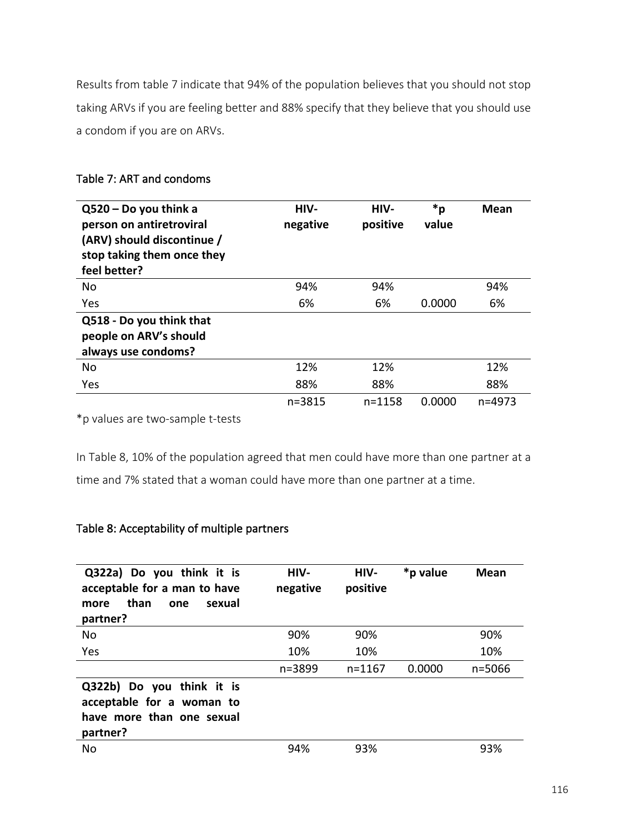Results from table 7 indicate that 94% of the population believes that you should not stop taking ARVs if you are feeling better and 88% specify that they believe that you should use a condom if you are on ARVs.

| $Q520 - Do$ you think a<br>person on antiretroviral<br>(ARV) should discontinue /<br>stop taking them once they<br>feel better? | HIV-<br>negative | HIV-<br>positive | *p<br>value | <b>Mean</b> |
|---------------------------------------------------------------------------------------------------------------------------------|------------------|------------------|-------------|-------------|
| No                                                                                                                              | 94%              | 94%              |             | 94%         |
| Yes                                                                                                                             | 6%               | 6%               | 0.0000      | 6%          |
| Q518 - Do you think that                                                                                                        |                  |                  |             |             |
| people on ARV's should                                                                                                          |                  |                  |             |             |
| always use condoms?                                                                                                             |                  |                  |             |             |
| No                                                                                                                              | 12%              | 12%              |             | 12%         |
| Yes                                                                                                                             | 88%              | 88%              |             | 88%         |
|                                                                                                                                 | $n = 3815$       | $n = 1158$       | 0.0000      | n=4973      |

# Table 7: ART and condoms

\*p values are two-sample t-tests

In Table 8, 10% of the population agreed that men could have more than one partner at a time and 7% stated that a woman could have more than one partner at a time.

# Table 8: Acceptability of multiple partners

| Q322a) Do you think it is<br>acceptable for a man to have<br>than<br>sexual<br>one<br>more<br>partner? | HIV-<br>negative | HIV-<br>positive | *p value | Mean   |
|--------------------------------------------------------------------------------------------------------|------------------|------------------|----------|--------|
| No                                                                                                     | 90%              | 90%              |          | 90%    |
| Yes                                                                                                    | 10%              | 10%              |          | 10%    |
|                                                                                                        | n=3899           | $n = 1167$       | 0.0000   | n=5066 |
| Q322b) Do you think it is<br>acceptable for a woman to<br>have more than one sexual<br>partner?        |                  |                  |          |        |
| No                                                                                                     | 94%              | 93%              |          | 93%    |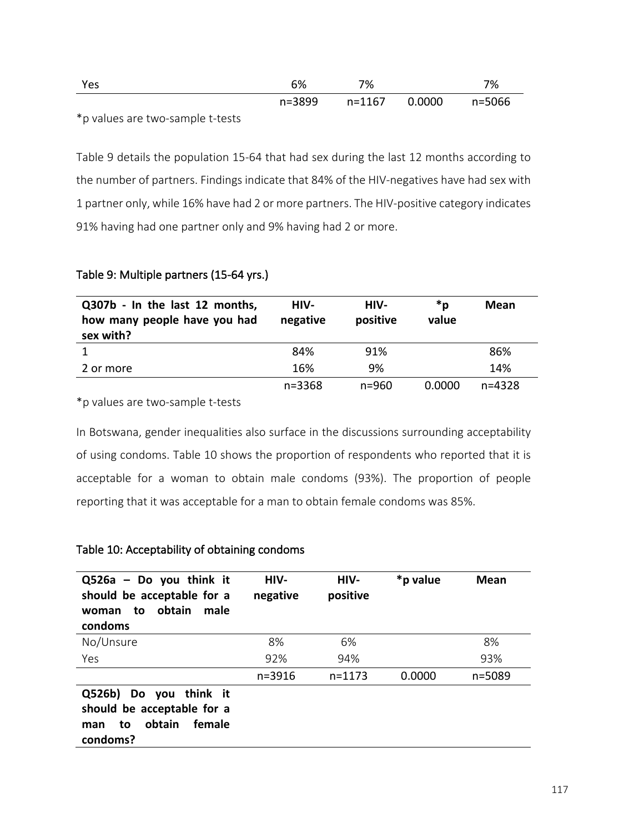| Yes | 6% | 7%                          | 7% |
|-----|----|-----------------------------|----|
|     |    | n=3899 n=1167 0.0000 n=5066 |    |

\*p values are two-sample t-tests

Table 9 details the population 15-64 that had sex during the last 12 months according to the number of partners. Findings indicate that 84% of the HIV-negatives have had sex with 1 partner only, while 16% have had 2 or more partners. The HIV-positive category indicates 91% having had one partner only and 9% having had 2 or more.

## Table 9: Multiple partners (15-64 yrs.)

| Q307b - In the last 12 months,<br>how many people have you had<br>sex with? | HIV-<br>negative | HIV-<br>positive | *p<br>value | Mean       |
|-----------------------------------------------------------------------------|------------------|------------------|-------------|------------|
|                                                                             | 84%              | 91%              |             | 86%        |
| 2 or more                                                                   | 16%              | 9%               |             | 14%        |
|                                                                             | n=3368           | $n = 960$        | 0.0000      | $n = 4328$ |

\*p values are two-sample t-tests

In Botswana, gender inequalities also surface in the discussions surrounding acceptability of using condoms. Table 10 shows the proportion of respondents who reported that it is acceptable for a woman to obtain male condoms (93%). The proportion of people reporting that it was acceptable for a man to obtain female condoms was 85%.

## Table 10: Acceptability of obtaining condoms

| $Q526a - Do$ you think it<br>should be acceptable for a<br>obtain<br>male<br>to<br>woman<br>condoms | HIV-<br>negative | HIV-<br>positive | *p value | Mean   |
|-----------------------------------------------------------------------------------------------------|------------------|------------------|----------|--------|
| No/Unsure                                                                                           | 8%               | 6%               |          | 8%     |
| Yes                                                                                                 | 92%              | 94%              |          | 93%    |
|                                                                                                     | $n = 3916$       | $n = 1173$       | 0.0000   | n=5089 |
| Q526b) Do you think it<br>should be acceptable for a<br>female<br>obtain<br>to<br>man<br>condoms?   |                  |                  |          |        |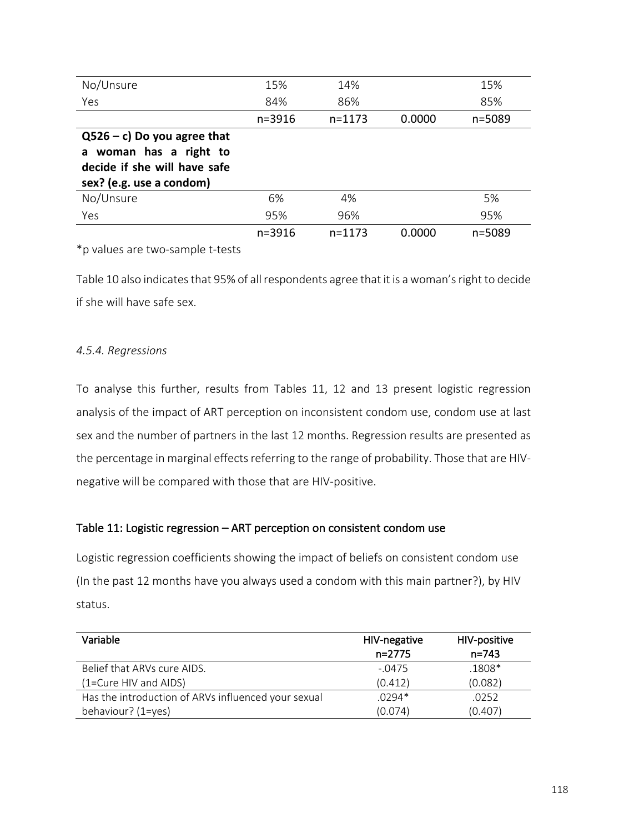| No/Unsure                      | 15%        | 14%        |        | 15%    |
|--------------------------------|------------|------------|--------|--------|
| Yes                            | 84%        | 86%        |        | 85%    |
|                                | $n = 3916$ | $n = 1173$ | 0.0000 | n=5089 |
| $Q526 - c$ ) Do you agree that |            |            |        |        |
| a woman has a right to         |            |            |        |        |
| decide if she will have safe   |            |            |        |        |
| sex? (e.g. use a condom)       |            |            |        |        |
| No/Unsure                      | 6%         | 4%         |        | 5%     |
| Yes                            | 95%        | 96%        |        | 95%    |
|                                | n=3916     | $n = 1173$ | 0.0000 | n=5089 |

\*p values are two-sample t-tests

Table 10 also indicates that 95% of all respondents agree that it is a woman's right to decide if she will have safe sex.

# *4.5.4. Regressions*

To analyse this further, results from Tables 11, 12 and 13 present logistic regression analysis of the impact of ART perception on inconsistent condom use, condom use at last sex and the number of partners in the last 12 months. Regression results are presented as the percentage in marginal effects referring to the range of probability. Those that are HIVnegative will be compared with those that are HIV-positive.

# Table 11: Logistic regression – ART perception on consistent condom use

Logistic regression coefficients showing the impact of beliefs on consistent condom use (In the past 12 months have you always used a condom with this main partner?), by HIV status.

| Variable                                            | HIV-negative | HIV-positive |
|-----------------------------------------------------|--------------|--------------|
|                                                     | $n=2775$     | $n = 743$    |
| Belief that ARVs cure AIDS.                         | $-.0475$     | $.1808*$     |
| (1=Cure HIV and AIDS)                               | (0.412)      | (0.082)      |
| Has the introduction of ARVs influenced your sexual | $.0294*$     | .0252        |
| behaviour? (1=yes)                                  | (0.074)      | (0.407)      |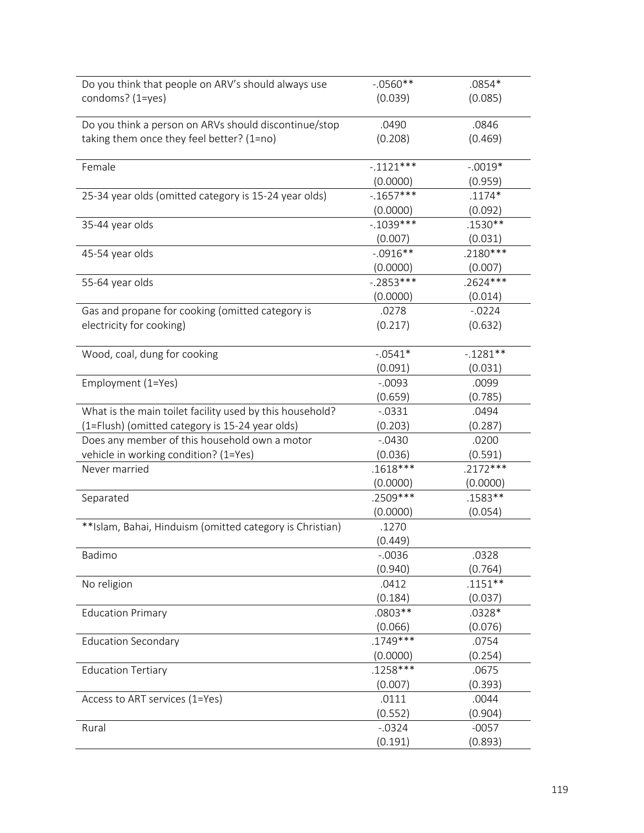| Do you think that people on ARV's should always use      | $-.0560**$  | $.0854*$   |
|----------------------------------------------------------|-------------|------------|
| condoms? (1=yes)                                         | (0.039)     | (0.085)    |
|                                                          |             |            |
| Do you think a person on ARVs should discontinue/stop    | .0490       | .0846      |
| taking them once they feel better? (1=no)                | (0.208)     | (0.469)    |
|                                                          |             |            |
| Female                                                   | $-.1121***$ | $-.0019*$  |
|                                                          | (0.0000)    | (0.959)    |
| 25-34 year olds (omitted category is 15-24 year olds)    | $-1657***$  | $.1174*$   |
|                                                          | (0.0000)    | (0.092)    |
| 35-44 year olds                                          | $-.1039***$ | .1530**    |
|                                                          | (0.007)     | (0.031)    |
| 45-54 year olds                                          | $-.0916**$  | $.2180***$ |
|                                                          | (0.0000)    | (0.007)    |
| 55-64 year olds                                          | $-.2853***$ | $.2624***$ |
|                                                          | (0.0000)    | (0.014)    |
| Gas and propane for cooking (omitted category is         | .0278       | $-0.0224$  |
| electricity for cooking)                                 | (0.217)     | (0.632)    |
|                                                          |             |            |
| Wood, coal, dung for cooking                             | $-.0541*$   | $-1281**$  |
|                                                          | (0.091)     | (0.031)    |
| Employment (1=Yes)                                       | $-0.0093$   | .0099      |
|                                                          | (0.659)     | (0.785)    |
| What is the main toilet facility used by this household? | $-0.0331$   | .0494      |
| (1=Flush) (omitted category is 15-24 year olds)          | (0.203)     | (0.287)    |
| Does any member of this household own a motor            | $-.0430$    | .0200      |
| vehicle in working condition? (1=Yes)                    | (0.036)     | (0.591)    |
| Never married                                            | $.1618***$  | $.2172***$ |
|                                                          | (0.0000)    | (0.0000)   |
| Separated                                                | .2509 ***   | .1583**    |
|                                                          | (0.0000)    | (0.054)    |
| **Islam, Bahai, Hinduism (omitted category is Christian) | .1270       |            |
|                                                          | (0.449)     |            |
| Badimo                                                   | $-0.0036$   | .0328      |
|                                                          | (0.940)     | (0.764)    |
| No religion                                              | .0412       | $.1151**$  |
|                                                          | (0.184)     | (0.037)    |
| <b>Education Primary</b>                                 | .0803 **    | $.0328*$   |
|                                                          | (0.066)     | (0.076)    |
| <b>Education Secondary</b>                               | $.1749***$  | .0754      |
|                                                          | (0.0000)    | (0.254)    |
| <b>Education Tertiary</b>                                | $.1258***$  | .0675      |
|                                                          | (0.007)     | (0.393)    |
| Access to ART services (1=Yes)                           | .0111       | .0044      |
|                                                          | (0.552)     | (0.904)    |
| Rural                                                    | $-0.0324$   | $-0057$    |
|                                                          | (0.191)     | (0.893)    |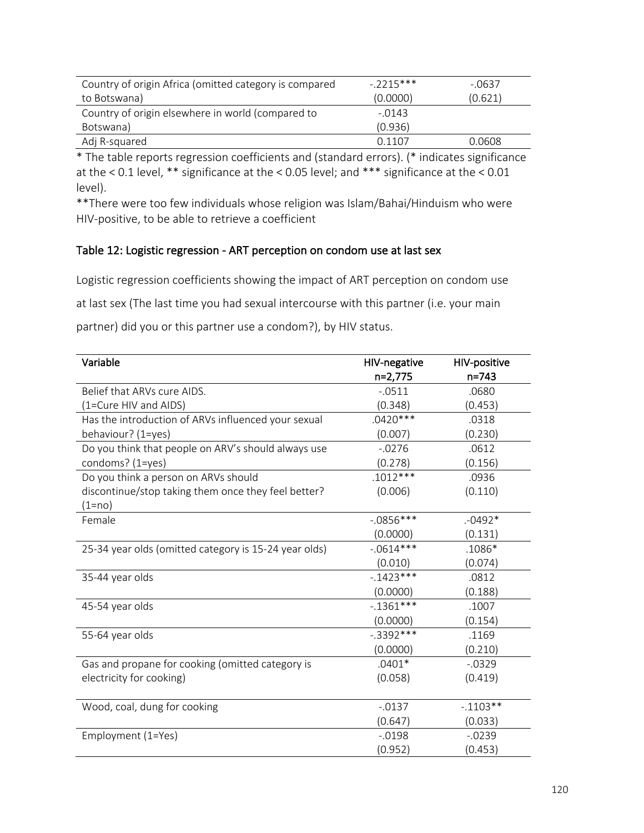| Country of origin Africa (omitted category is compared | $-2215***$    | $-0637$ |
|--------------------------------------------------------|---------------|---------|
| to Botswana)                                           | (0.0000)      | (0.621) |
| Country of origin elsewhere in world (compared to      | $-.0143$      |         |
| Botswana)                                              | (0.936)       |         |
| Adj R-squared                                          | <u>በ 11በ7</u> | 0.0608  |

\* The table reports regression coefficients and (standard errors). (\* indicates significance at the < 0.1 level, \*\* significance at the < 0.05 level; and \*\*\* significance at the < 0.01 level).

\*\*There were too few individuals whose religion was Islam/Bahai/Hinduism who were HIV-positive, to be able to retrieve a coefficient

# Table 12: Logistic regression - ART perception on condom use at last sex

Logistic regression coefficients showing the impact of ART perception on condom use

at last sex (The last time you had sexual intercourse with this partner (i.e. your main

partner) did you or this partner use a condom?), by HIV status.

| Variable                                              | HIV-negative | HIV-positive |
|-------------------------------------------------------|--------------|--------------|
|                                                       | n=2,775      | $n = 743$    |
| Belief that ARVs cure AIDS.                           | $-0511$      | .0680        |
| (1=Cure HIV and AIDS)                                 | (0.348)      | (0.453)      |
| Has the introduction of ARVs influenced your sexual   | $.0420***$   | .0318        |
| behaviour? (1=yes)                                    | (0.007)      | (0.230)      |
| Do you think that people on ARV's should always use   | $-0.0276$    | .0612        |
| condoms? (1=yes)                                      | (0.278)      | (0.156)      |
| Do you think a person on ARVs should                  | $.1012***$   | .0936        |
| discontinue/stop taking them once they feel better?   | (0.006)      | (0.110)      |
| (1=no)                                                |              |              |
| Female                                                | $-0.0856***$ | $.0492*$     |
|                                                       | (0.0000)     | (0.131)      |
| 25-34 year olds (omitted category is 15-24 year olds) | $-0.0614***$ | .1086*       |
|                                                       | (0.010)      | (0.074)      |
| 35-44 year olds                                       | $-1423***$   | .0812        |
|                                                       | (0.0000)     | (0.188)      |
| 45-54 year olds                                       | $-0.1361***$ | .1007        |
|                                                       | (0.0000)     | (0.154)      |
| 55-64 year olds                                       | $-.3392***$  | .1169        |
|                                                       | (0.0000)     | (0.210)      |
| Gas and propane for cooking (omitted category is      | $.0401*$     | $-0.0329$    |
| electricity for cooking)                              | (0.058)      | (0.419)      |
|                                                       |              |              |
| Wood, coal, dung for cooking                          | $-0.0137$    | $-0.1103**$  |
|                                                       | (0.647)      | (0.033)      |
| Employment (1=Yes)                                    | $-0.0198$    | $-0.0239$    |
|                                                       | (0.952)      | (0.453)      |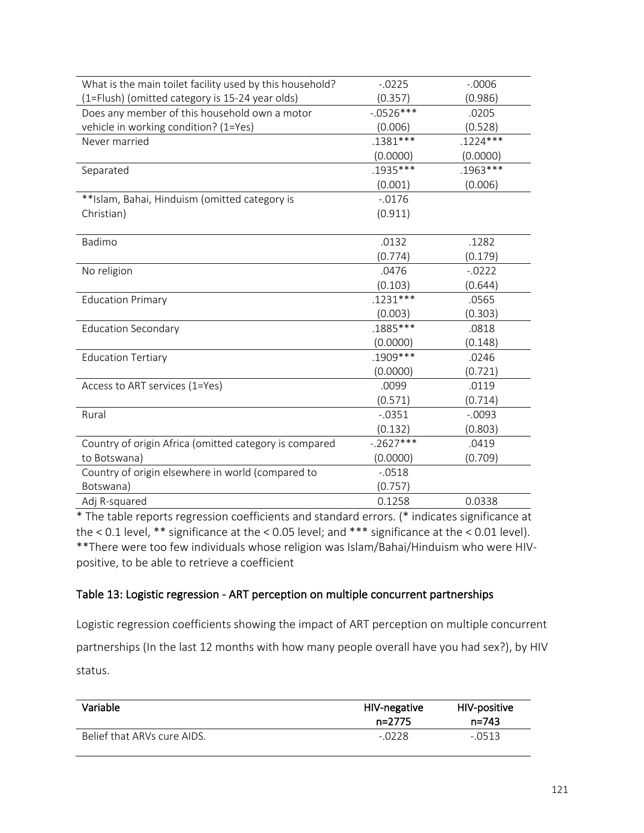| What is the main toilet facility used by this household? | $-0.0225$   | $-0.0006$  |
|----------------------------------------------------------|-------------|------------|
| (1=Flush) (omitted category is 15-24 year olds)          | (0.357)     | (0.986)    |
| Does any member of this household own a motor            | $-0526***$  | .0205      |
| vehicle in working condition? (1=Yes)                    | (0.006)     | (0.528)    |
| Never married                                            | $.1381***$  | $.1224***$ |
|                                                          | (0.0000)    | (0.0000)   |
| Separated                                                | .1935 ***   | .1963***   |
|                                                          | (0.001)     | (0.006)    |
| **Islam, Bahai, Hinduism (omitted category is            | $-0.0176$   |            |
| Christian)                                               | (0.911)     |            |
|                                                          |             |            |
| Badimo                                                   | .0132       | .1282      |
|                                                          | (0.774)     | (0.179)    |
| No religion                                              | .0476       | $-0222$    |
|                                                          | (0.103)     | (0.644)    |
| <b>Education Primary</b>                                 | $.1231***$  | .0565      |
|                                                          | (0.003)     | (0.303)    |
| <b>Education Secondary</b>                               | .1885 ***   | .0818      |
|                                                          | (0.0000)    | (0.148)    |
| <b>Education Tertiary</b>                                | $.1909***$  | .0246      |
|                                                          | (0.0000)    | (0.721)    |
| Access to ART services (1=Yes)                           | .0099       | .0119      |
|                                                          | (0.571)     | (0.714)    |
| Rural                                                    | $-0.0351$   | $-.0093$   |
|                                                          | (0.132)     | (0.803)    |
| Country of origin Africa (omitted category is compared   | $-.2627***$ | .0419      |
| to Botswana)                                             | (0.0000)    | (0.709)    |
| Country of origin elsewhere in world (compared to        | $-0.0518$   |            |
| Botswana)                                                | (0.757)     |            |
| Adj R-squared                                            | 0.1258      | 0.0338     |
|                                                          |             |            |

\* The table reports regression coefficients and standard errors. (\* indicates significance at the < 0.1 level, \*\* significance at the < 0.05 level; and \*\*\* significance at the < 0.01 level). \*\*There were too few individuals whose religion was Islam/Bahai/Hinduism who were HIVpositive, to be able to retrieve a coefficient

# Table 13: Logistic regression - ART perception on multiple concurrent partnerships

Logistic regression coefficients showing the impact of ART perception on multiple concurrent partnerships (In the last 12 months with how many people overall have you had sex?), by HIV status.

| Variable                    | HIV-negative<br>n=2775 | HIV-positive<br>$n = 743$ |
|-----------------------------|------------------------|---------------------------|
| Belief that ARVs cure AIDS. | $-.0228$               | $-.0513$                  |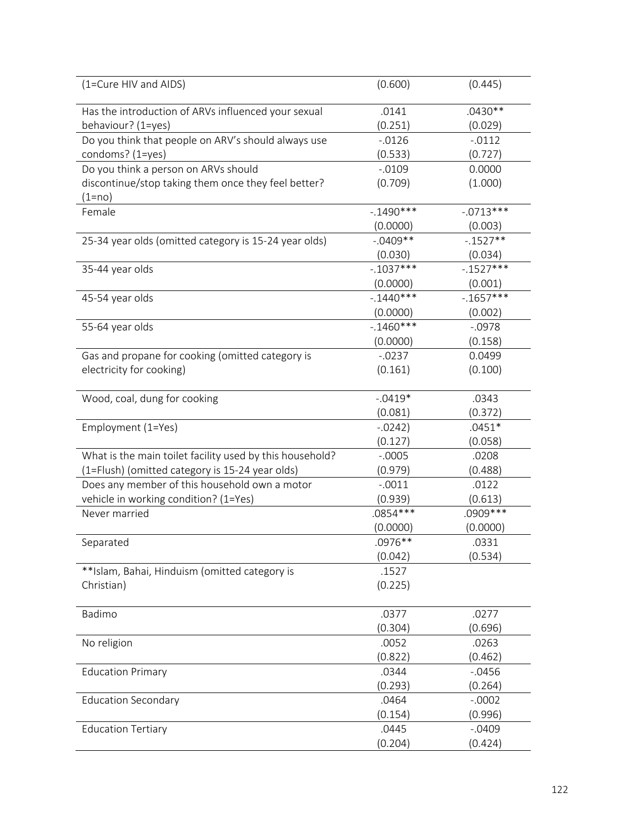| (1=Cure HIV and AIDS)                                    | (0.600)     | (0.445)     |
|----------------------------------------------------------|-------------|-------------|
| Has the introduction of ARVs influenced your sexual      | .0141       | $.0430**$   |
| behaviour? (1=yes)                                       | (0.251)     | (0.029)     |
| Do you think that people on ARV's should always use      | $-0.0126$   | $-0.0112$   |
| condoms? (1=yes)                                         | (0.533)     | (0.727)     |
| Do you think a person on ARVs should                     | $-0.0109$   | 0.0000      |
| discontinue/stop taking them once they feel better?      | (0.709)     | (1.000)     |
| (1=no)                                                   |             |             |
| Female                                                   | $-1490***$  | $-0713***$  |
|                                                          | (0.0000)    | (0.003)     |
| 25-34 year olds (omitted category is 15-24 year olds)    | $-.0409**$  | $-.1527**$  |
|                                                          | (0.030)     | (0.034)     |
| 35-44 year olds                                          | $-.1037***$ | $-.1527***$ |
|                                                          | (0.0000)    | (0.001)     |
| 45-54 year olds                                          | $-1440***$  | $-1657***$  |
|                                                          | (0.0000)    | (0.002)     |
| 55-64 year olds                                          | $-1460***$  | $-.0978$    |
|                                                          | (0.0000)    | (0.158)     |
| Gas and propane for cooking (omitted category is         | $-0.0237$   | 0.0499      |
| electricity for cooking)                                 | (0.161)     | (0.100)     |
| Wood, coal, dung for cooking                             | $-.0419*$   | .0343       |
|                                                          | (0.081)     | (0.372)     |
| Employment (1=Yes)                                       | $-0242)$    | $.0451*$    |
|                                                          | (0.127)     | (0.058)     |
| What is the main toilet facility used by this household? | $-.0005$    | .0208       |
| (1=Flush) (omitted category is 15-24 year olds)          | (0.979)     | (0.488)     |
| Does any member of this household own a motor            | $-.0011$    | .0122       |
| vehicle in working condition? (1=Yes)                    | (0.939)     | (0.613)     |
| Never married                                            | $.0854***$  | .0909 ***   |
|                                                          | (0.0000)    | (0.0000)    |
| Separated                                                | $.0976**$   | .0331       |
|                                                          | (0.042)     | (0.534)     |
| **Islam, Bahai, Hinduism (omitted category is            | .1527       |             |
| Christian)                                               | (0.225)     |             |
| Badimo                                                   | .0377       | .0277       |
|                                                          | (0.304)     | (0.696)     |
| No religion                                              | .0052       | .0263       |
|                                                          | (0.822)     | (0.462)     |
| <b>Education Primary</b>                                 | .0344       | $-0.0456$   |
|                                                          | (0.293)     | (0.264)     |
| <b>Education Secondary</b>                               | .0464       | $-.0002$    |
|                                                          | (0.154)     | (0.996)     |
| <b>Education Tertiary</b>                                | .0445       | $-.0409$    |
|                                                          | (0.204)     | (0.424)     |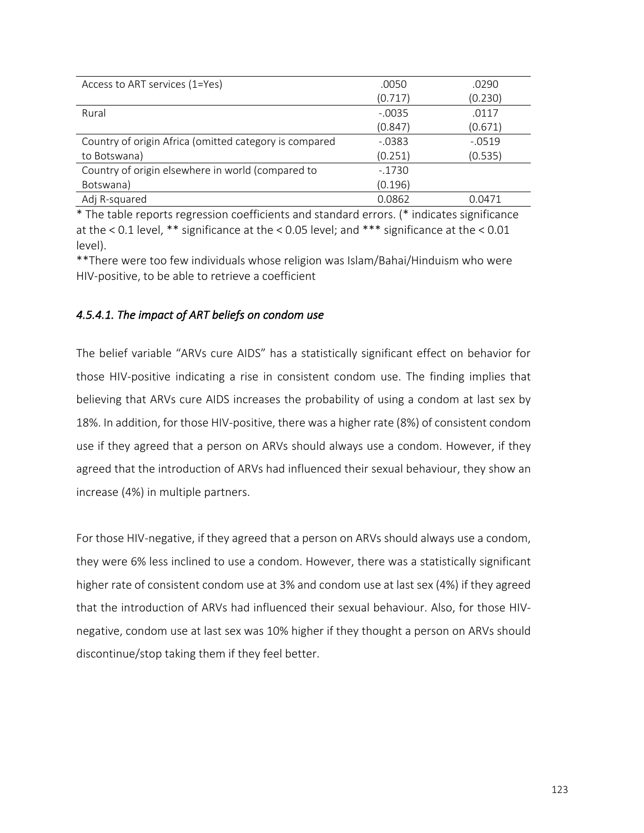| Access to ART services (1=Yes)                         | .0050     | .0290     |
|--------------------------------------------------------|-----------|-----------|
|                                                        | (0.717)   | (0.230)   |
| Rural                                                  | $-.0035$  | .0117     |
|                                                        | (0.847)   | (0.671)   |
| Country of origin Africa (omitted category is compared | $-0.0383$ | $-0.0519$ |
| to Botswana)                                           | (0.251)   | (0.535)   |
| Country of origin elsewhere in world (compared to      | $-.1730$  |           |
| Botswana)                                              | (0.196)   |           |
| Adj R-squared                                          | 0.0862    | 0.0471    |

\* The table reports regression coefficients and standard errors. (\* indicates significance at the < 0.1 level, \*\* significance at the < 0.05 level; and \*\*\* significance at the < 0.01 level).

\*\*There were too few individuals whose religion was Islam/Bahai/Hinduism who were HIV-positive, to be able to retrieve a coefficient

# *4.5.4.1. The impact of ART beliefs on condom use*

The belief variable "ARVs cure AIDS" has a statistically significant effect on behavior for those HIV-positive indicating a rise in consistent condom use. The finding implies that believing that ARVs cure AIDS increases the probability of using a condom at last sex by 18%. In addition, for those HIV-positive, there was a higher rate (8%) of consistent condom use if they agreed that a person on ARVs should always use a condom. However, if they agreed that the introduction of ARVs had influenced their sexual behaviour, they show an increase (4%) in multiple partners.

For those HIV-negative, if they agreed that a person on ARVs should always use a condom, they were 6% less inclined to use a condom. However, there was a statistically significant higher rate of consistent condom use at 3% and condom use at last sex (4%) if they agreed that the introduction of ARVs had influenced their sexual behaviour. Also, for those HIVnegative, condom use at last sex was 10% higher if they thought a person on ARVs should discontinue/stop taking them if they feel better.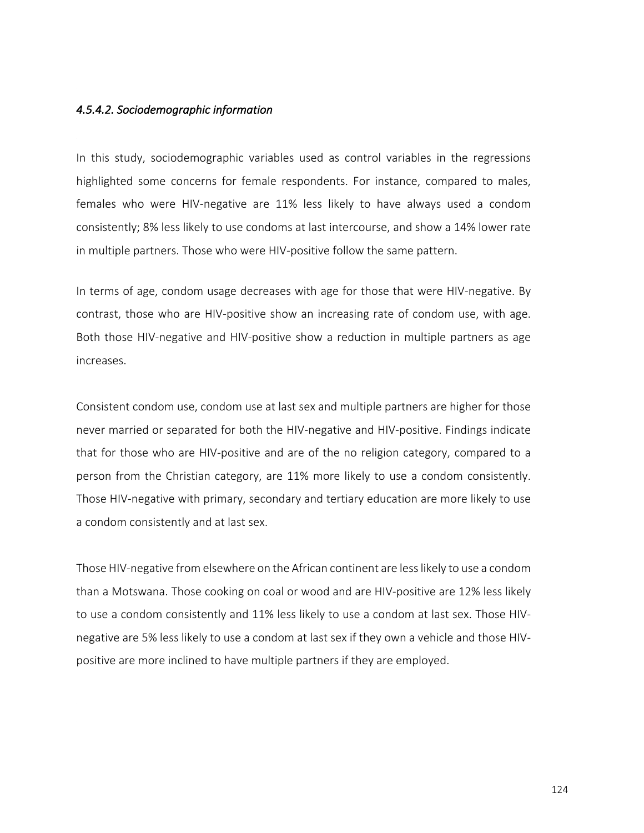### *4.5.4.2. Sociodemographic information*

In this study, sociodemographic variables used as control variables in the regressions highlighted some concerns for female respondents. For instance, compared to males, females who were HIV-negative are 11% less likely to have always used a condom consistently; 8% less likely to use condoms at last intercourse, and show a 14% lower rate in multiple partners. Those who were HIV-positive follow the same pattern.

In terms of age, condom usage decreases with age for those that were HIV-negative. By contrast, those who are HIV-positive show an increasing rate of condom use, with age. Both those HIV-negative and HIV-positive show a reduction in multiple partners as age increases.

Consistent condom use, condom use at last sex and multiple partners are higher for those never married or separated for both the HIV-negative and HIV-positive. Findings indicate that for those who are HIV-positive and are of the no religion category, compared to a person from the Christian category, are 11% more likely to use a condom consistently. Those HIV-negative with primary, secondary and tertiary education are more likely to use a condom consistently and at last sex.

Those HIV-negative from elsewhere on the African continent are less likely to use a condom than a Motswana. Those cooking on coal or wood and are HIV-positive are 12% less likely to use a condom consistently and 11% less likely to use a condom at last sex. Those HIVnegative are 5% less likely to use a condom at last sex if they own a vehicle and those HIVpositive are more inclined to have multiple partners if they are employed.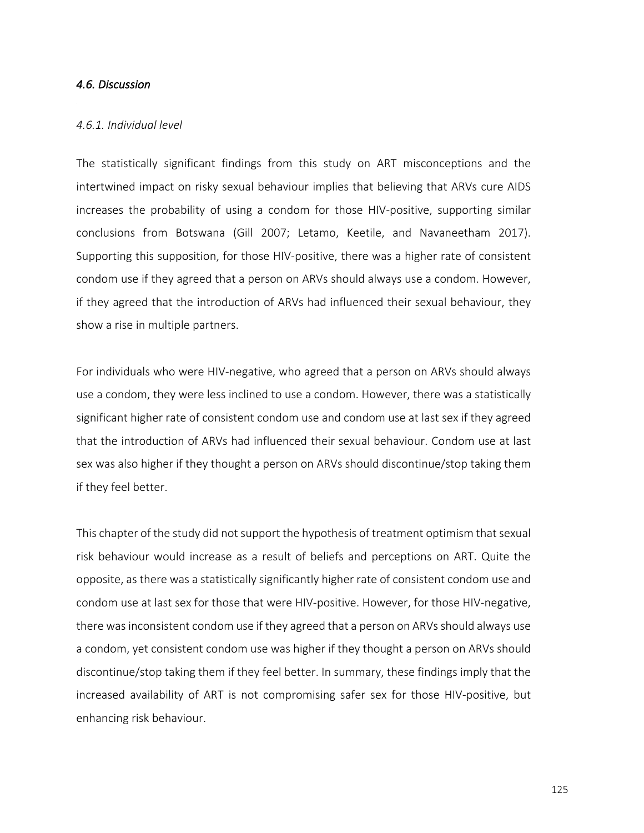## *4.6. Discussion*

#### *4.6.1. Individual level*

The statistically significant findings from this study on ART misconceptions and the intertwined impact on risky sexual behaviour implies that believing that ARVs cure AIDS increases the probability of using a condom for those HIV-positive, supporting similar conclusions from Botswana (Gill 2007; Letamo, Keetile, and Navaneetham 2017). Supporting this supposition, for those HIV-positive, there was a higher rate of consistent condom use if they agreed that a person on ARVs should always use a condom. However, if they agreed that the introduction of ARVs had influenced their sexual behaviour, they show a rise in multiple partners.

For individuals who were HIV-negative, who agreed that a person on ARVs should always use a condom, they were less inclined to use a condom. However, there was a statistically significant higher rate of consistent condom use and condom use at last sex if they agreed that the introduction of ARVs had influenced their sexual behaviour. Condom use at last sex was also higher if they thought a person on ARVs should discontinue/stop taking them if they feel better.

This chapter of the study did not support the hypothesis of treatment optimism that sexual risk behaviour would increase as a result of beliefs and perceptions on ART. Quite the opposite, as there was a statistically significantly higher rate of consistent condom use and condom use at last sex for those that were HIV-positive. However, for those HIV-negative, there was inconsistent condom use if they agreed that a person on ARVs should always use a condom, yet consistent condom use was higher if they thought a person on ARVs should discontinue/stop taking them if they feel better. In summary, these findings imply that the increased availability of ART is not compromising safer sex for those HIV-positive, but enhancing risk behaviour.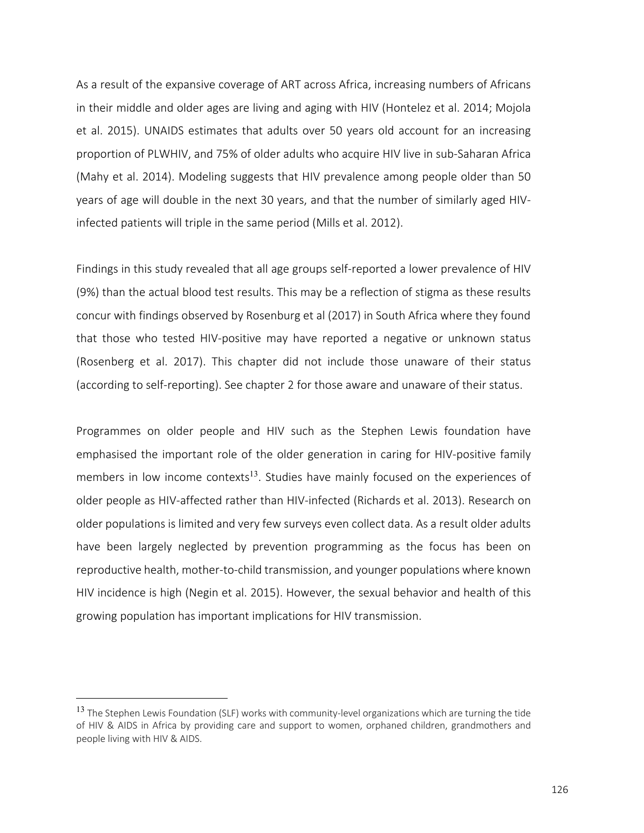As a result of the expansive coverage of ART across Africa, increasing numbers of Africans in their middle and older ages are living and aging with HIV (Hontelez et al. 2014; Mojola et al. 2015). UNAIDS estimates that adults over 50 years old account for an increasing proportion of PLWHIV, and 75% of older adults who acquire HIV live in sub-Saharan Africa (Mahy et al. 2014). Modeling suggests that HIV prevalence among people older than 50 years of age will double in the next 30 years, and that the number of similarly aged HIVinfected patients will triple in the same period (Mills et al. 2012).

Findings in this study revealed that all age groups self-reported a lower prevalence of HIV (9%) than the actual blood test results. This may be a reflection of stigma as these results concur with findings observed by Rosenburg et al (2017) in South Africa where they found that those who tested HIV-positive may have reported a negative or unknown status (Rosenberg et al. 2017). This chapter did not include those unaware of their status (according to self-reporting). See chapter 2 for those aware and unaware of their status.

Programmes on older people and HIV such as the Stephen Lewis foundation have emphasised the important role of the older generation in caring for HIV-positive family members in low income contexts<sup>13</sup>. Studies have mainly focused on the experiences of older people as HIV-affected rather than HIV-infected (Richards et al. 2013). Research on older populations is limited and very few surveys even collect data. As a result older adults have been largely neglected by prevention programming as the focus has been on reproductive health, mother-to-child transmission, and younger populations where known HIV incidence is high (Negin et al. 2015). However, the sexual behavior and health of this growing population has important implications for HIV transmission.

<sup>&</sup>lt;sup>13</sup> The Stephen Lewis Foundation (SLF) works with community-level organizations which are turning the tide of HIV & AIDS in Africa by providing care and support to women, orphaned children, grandmothers and people living with HIV & AIDS.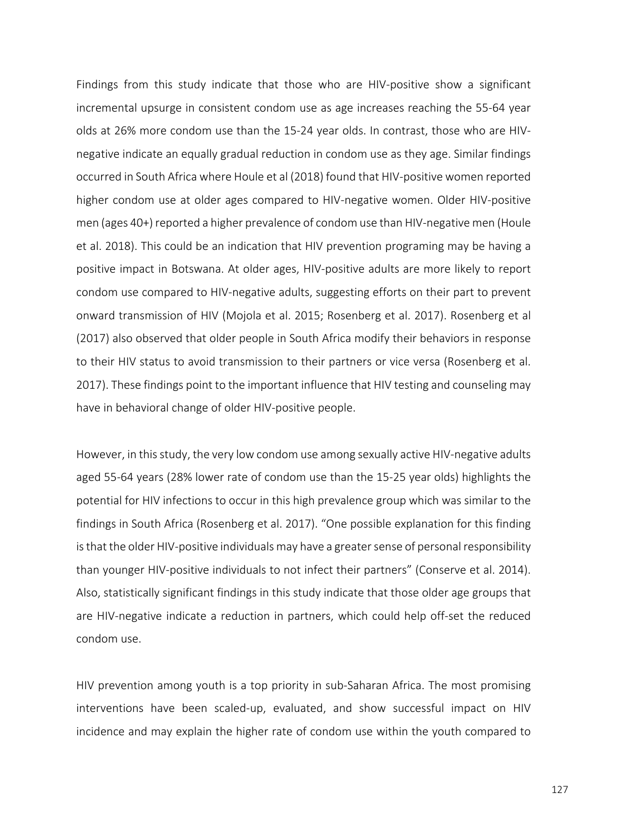Findings from this study indicate that those who are HIV-positive show a significant incremental upsurge in consistent condom use as age increases reaching the 55-64 year olds at 26% more condom use than the 15-24 year olds. In contrast, those who are HIVnegative indicate an equally gradual reduction in condom use as they age. Similar findings occurred in South Africa where Houle et al (2018) found that HIV-positive women reported higher condom use at older ages compared to HIV-negative women. Older HIV-positive men (ages 40+) reported a higher prevalence of condom use than HIV-negative men (Houle et al. 2018). This could be an indication that HIV prevention programing may be having a positive impact in Botswana. At older ages, HIV-positive adults are more likely to report condom use compared to HIV-negative adults, suggesting efforts on their part to prevent onward transmission of HIV (Mojola et al. 2015; Rosenberg et al. 2017). Rosenberg et al (2017) also observed that older people in South Africa modify their behaviors in response to their HIV status to avoid transmission to their partners or vice versa (Rosenberg et al. 2017). These findings point to the important influence that HIV testing and counseling may have in behavioral change of older HIV-positive people.

However, in this study, the very low condom use among sexually active HIV-negative adults aged 55-64 years (28% lower rate of condom use than the 15-25 year olds) highlights the potential for HIV infections to occur in this high prevalence group which was similar to the findings in South Africa (Rosenberg et al. 2017). "One possible explanation for this finding is that the older HIV-positive individuals may have a greater sense of personal responsibility than younger HIV-positive individuals to not infect their partners" (Conserve et al. 2014). Also, statistically significant findings in this study indicate that those older age groups that are HIV-negative indicate a reduction in partners, which could help off-set the reduced condom use.

HIV prevention among youth is a top priority in sub-Saharan Africa. The most promising interventions have been scaled-up, evaluated, and show successful impact on HIV incidence and may explain the higher rate of condom use within the youth compared to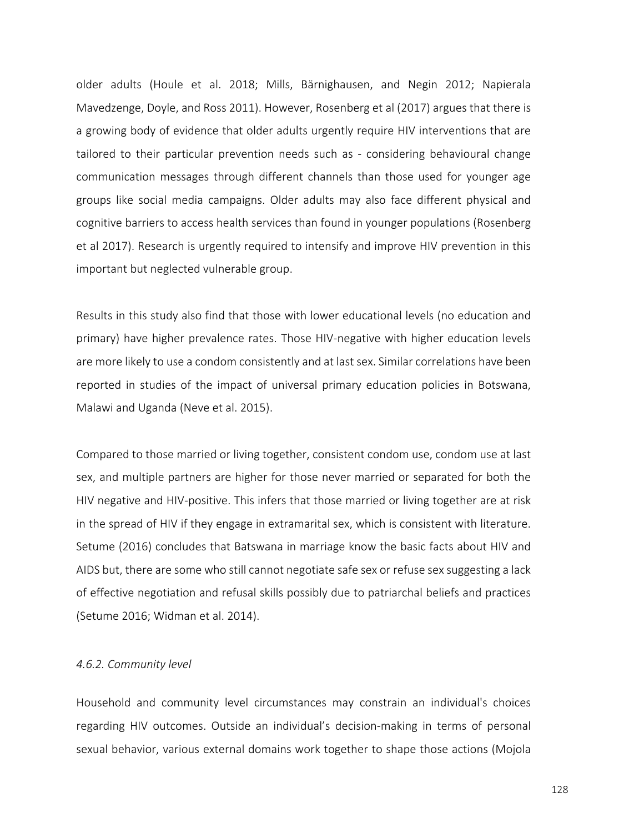older adults (Houle et al. 2018; Mills, Bärnighausen, and Negin 2012; Napierala Mavedzenge, Doyle, and Ross 2011). However, Rosenberg et al (2017) argues that there is a growing body of evidence that older adults urgently require HIV interventions that are tailored to their particular prevention needs such as - considering behavioural change communication messages through different channels than those used for younger age groups like social media campaigns. Older adults may also face different physical and cognitive barriers to access health services than found in younger populations (Rosenberg et al 2017). Research is urgently required to intensify and improve HIV prevention in this important but neglected vulnerable group.

Results in this study also find that those with lower educational levels (no education and primary) have higher prevalence rates. Those HIV-negative with higher education levels are more likely to use a condom consistently and at last sex. Similar correlations have been reported in studies of the impact of universal primary education policies in Botswana, Malawi and Uganda (Neve et al. 2015).

Compared to those married or living together, consistent condom use, condom use at last sex, and multiple partners are higher for those never married or separated for both the HIV negative and HIV-positive. This infers that those married or living together are at risk in the spread of HIV if they engage in extramarital sex, which is consistent with literature. Setume (2016) concludes that Batswana in marriage know the basic facts about HIV and AIDS but, there are some who still cannot negotiate safe sex or refuse sex suggesting a lack of effective negotiation and refusal skills possibly due to patriarchal beliefs and practices (Setume 2016; Widman et al. 2014).

#### *4.6.2. Community level*

Household and community level circumstances may constrain an individual's choices regarding HIV outcomes. Outside an individual's decision-making in terms of personal sexual behavior, various external domains work together to shape those actions (Mojola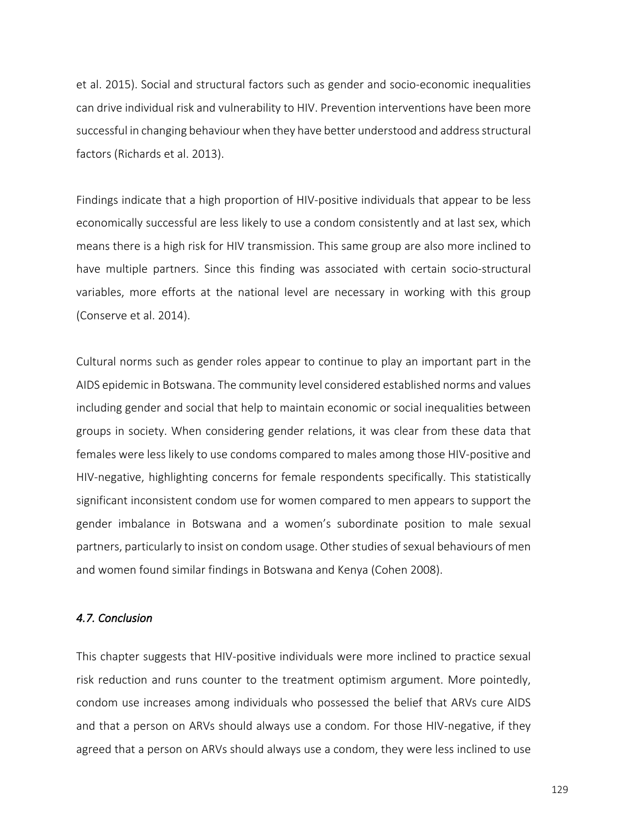et al. 2015). Social and structural factors such as gender and socio-economic inequalities can drive individual risk and vulnerability to HIV. Prevention interventions have been more successful in changing behaviour when they have better understood and address structural factors (Richards et al. 2013).

Findings indicate that a high proportion of HIV-positive individuals that appear to be less economically successful are less likely to use a condom consistently and at last sex, which means there is a high risk for HIV transmission. This same group are also more inclined to have multiple partners. Since this finding was associated with certain socio-structural variables, more efforts at the national level are necessary in working with this group (Conserve et al. 2014).

Cultural norms such as gender roles appear to continue to play an important part in the AIDS epidemic in Botswana. The community level considered established norms and values including gender and social that help to maintain economic or social inequalities between groups in society. When considering gender relations, it was clear from these data that females were less likely to use condoms compared to males among those HIV-positive and HIV-negative, highlighting concerns for female respondents specifically. This statistically significant inconsistent condom use for women compared to men appears to support the gender imbalance in Botswana and a women's subordinate position to male sexual partners, particularly to insist on condom usage. Other studies of sexual behaviours of men and women found similar findings in Botswana and Kenya (Cohen 2008).

## *4.7. Conclusion*

This chapter suggests that HIV-positive individuals were more inclined to practice sexual risk reduction and runs counter to the treatment optimism argument. More pointedly, condom use increases among individuals who possessed the belief that ARVs cure AIDS and that a person on ARVs should always use a condom. For those HIV-negative, if they agreed that a person on ARVs should always use a condom, they were less inclined to use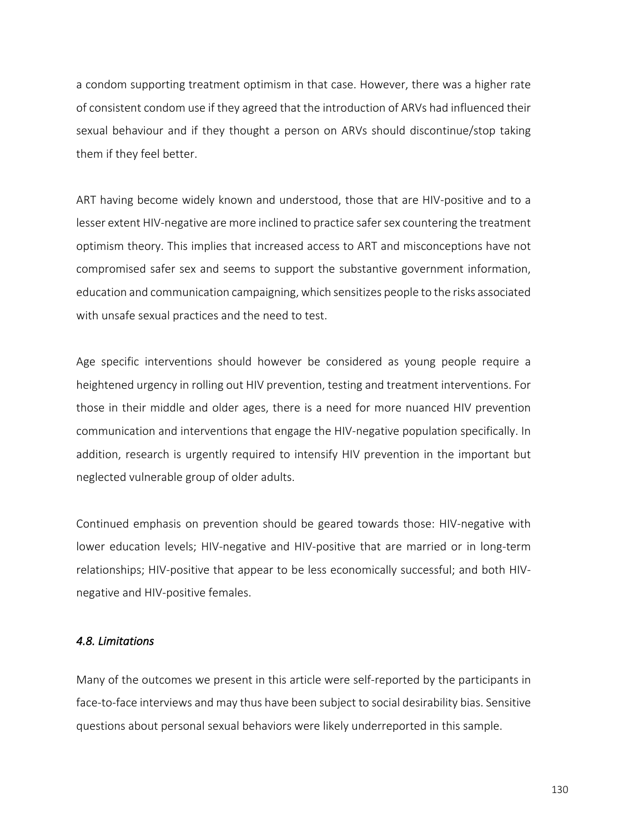a condom supporting treatment optimism in that case. However, there was a higher rate of consistent condom use if they agreed that the introduction of ARVs had influenced their sexual behaviour and if they thought a person on ARVs should discontinue/stop taking them if they feel better.

ART having become widely known and understood, those that are HIV-positive and to a lesser extent HIV-negative are more inclined to practice safer sex countering the treatment optimism theory. This implies that increased access to ART and misconceptions have not compromised safer sex and seems to support the substantive government information, education and communication campaigning, which sensitizes people to the risks associated with unsafe sexual practices and the need to test.

Age specific interventions should however be considered as young people require a heightened urgency in rolling out HIV prevention, testing and treatment interventions. For those in their middle and older ages, there is a need for more nuanced HIV prevention communication and interventions that engage the HIV-negative population specifically. In addition, research is urgently required to intensify HIV prevention in the important but neglected vulnerable group of older adults.

Continued emphasis on prevention should be geared towards those: HIV-negative with lower education levels; HIV-negative and HIV-positive that are married or in long-term relationships; HIV-positive that appear to be less economically successful; and both HIVnegative and HIV-positive females.

### *4.8. Limitations*

Many of the outcomes we present in this article were self-reported by the participants in face-to-face interviews and may thus have been subject to social desirability bias. Sensitive questions about personal sexual behaviors were likely underreported in this sample.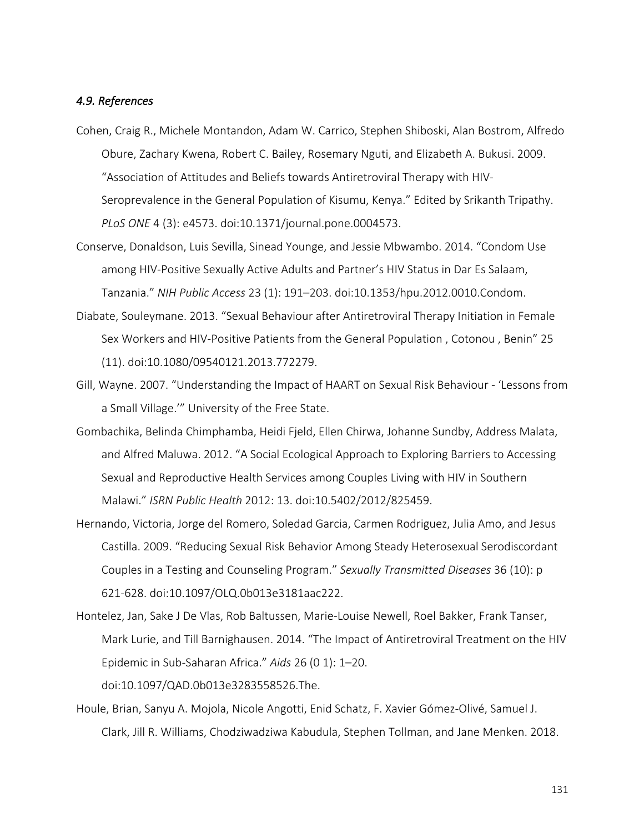### *4.9. References*

- Cohen, Craig R., Michele Montandon, Adam W. Carrico, Stephen Shiboski, Alan Bostrom, Alfredo Obure, Zachary Kwena, Robert C. Bailey, Rosemary Nguti, and Elizabeth A. Bukusi. 2009. "Association of Attitudes and Beliefs towards Antiretroviral Therapy with HIV-Seroprevalence in the General Population of Kisumu, Kenya." Edited by Srikanth Tripathy. *PLoS ONE* 4 (3): e4573. doi:10.1371/journal.pone.0004573.
- Conserve, Donaldson, Luis Sevilla, Sinead Younge, and Jessie Mbwambo. 2014. "Condom Use among HIV-Positive Sexually Active Adults and Partner's HIV Status in Dar Es Salaam, Tanzania." *NIH Public Access* 23 (1): 191–203. doi:10.1353/hpu.2012.0010.Condom.
- Diabate, Souleymane. 2013. "Sexual Behaviour after Antiretroviral Therapy Initiation in Female Sex Workers and HIV-Positive Patients from the General Population , Cotonou , Benin" 25 (11). doi:10.1080/09540121.2013.772279.
- Gill, Wayne. 2007. "Understanding the Impact of HAART on Sexual Risk Behaviour 'Lessons from a Small Village.'" University of the Free State.
- Gombachika, Belinda Chimphamba, Heidi Fjeld, Ellen Chirwa, Johanne Sundby, Address Malata, and Alfred Maluwa. 2012. "A Social Ecological Approach to Exploring Barriers to Accessing Sexual and Reproductive Health Services among Couples Living with HIV in Southern Malawi." *ISRN Public Health* 2012: 13. doi:10.5402/2012/825459.
- Hernando, Victoria, Jorge del Romero, Soledad Garcia, Carmen Rodriguez, Julia Amo, and Jesus Castilla. 2009. "Reducing Sexual Risk Behavior Among Steady Heterosexual Serodiscordant Couples in a Testing and Counseling Program." *Sexually Transmitted Diseases* 36 (10): p 621-628. doi:10.1097/OLQ.0b013e3181aac222.
- Hontelez, Jan, Sake J De Vlas, Rob Baltussen, Marie-Louise Newell, Roel Bakker, Frank Tanser, Mark Lurie, and Till Barnighausen. 2014. "The Impact of Antiretroviral Treatment on the HIV Epidemic in Sub-Saharan Africa." *Aids* 26 (0 1): 1–20. doi:10.1097/QAD.0b013e3283558526.The.
- Houle, Brian, Sanyu A. Mojola, Nicole Angotti, Enid Schatz, F. Xavier Gómez-Olivé, Samuel J. Clark, Jill R. Williams, Chodziwadziwa Kabudula, Stephen Tollman, and Jane Menken. 2018.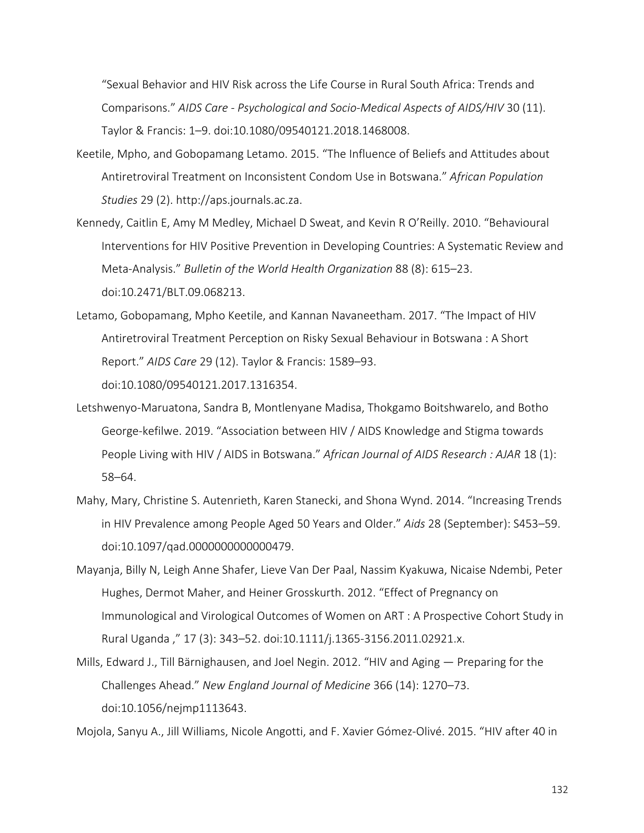"Sexual Behavior and HIV Risk across the Life Course in Rural South Africa: Trends and Comparisons." *AIDS Care - Psychological and Socio-Medical Aspects of AIDS/HIV* 30 (11). Taylor & Francis: 1–9. doi:10.1080/09540121.2018.1468008.

- Keetile, Mpho, and Gobopamang Letamo. 2015. "The Influence of Beliefs and Attitudes about Antiretroviral Treatment on Inconsistent Condom Use in Botswana." *African Population Studies* 29 (2). http://aps.journals.ac.za.
- Kennedy, Caitlin E, Amy M Medley, Michael D Sweat, and Kevin R O'Reilly. 2010. "Behavioural Interventions for HIV Positive Prevention in Developing Countries: A Systematic Review and Meta-Analysis." *Bulletin of the World Health Organization* 88 (8): 615–23. doi:10.2471/BLT.09.068213.
- Letamo, Gobopamang, Mpho Keetile, and Kannan Navaneetham. 2017. "The Impact of HIV Antiretroviral Treatment Perception on Risky Sexual Behaviour in Botswana : A Short Report." *AIDS Care* 29 (12). Taylor & Francis: 1589–93. doi:10.1080/09540121.2017.1316354.
- Letshwenyo-Maruatona, Sandra B, Montlenyane Madisa, Thokgamo Boitshwarelo, and Botho George-kefilwe. 2019. "Association between HIV / AIDS Knowledge and Stigma towards People Living with HIV / AIDS in Botswana." *African Journal of AIDS Research : AJAR* 18 (1): 58–64.
- Mahy, Mary, Christine S. Autenrieth, Karen Stanecki, and Shona Wynd. 2014. "Increasing Trends in HIV Prevalence among People Aged 50 Years and Older." *Aids* 28 (September): S453–59. doi:10.1097/qad.0000000000000479.
- Mayanja, Billy N, Leigh Anne Shafer, Lieve Van Der Paal, Nassim Kyakuwa, Nicaise Ndembi, Peter Hughes, Dermot Maher, and Heiner Grosskurth. 2012. "Effect of Pregnancy on Immunological and Virological Outcomes of Women on ART : A Prospective Cohort Study in Rural Uganda ," 17 (3): 343–52. doi:10.1111/j.1365-3156.2011.02921.x.
- Mills, Edward J., Till Bärnighausen, and Joel Negin. 2012. "HIV and Aging Preparing for the Challenges Ahead." *New England Journal of Medicine* 366 (14): 1270–73. doi:10.1056/nejmp1113643.

Mojola, Sanyu A., Jill Williams, Nicole Angotti, and F. Xavier Gómez-Olivé. 2015. "HIV after 40 in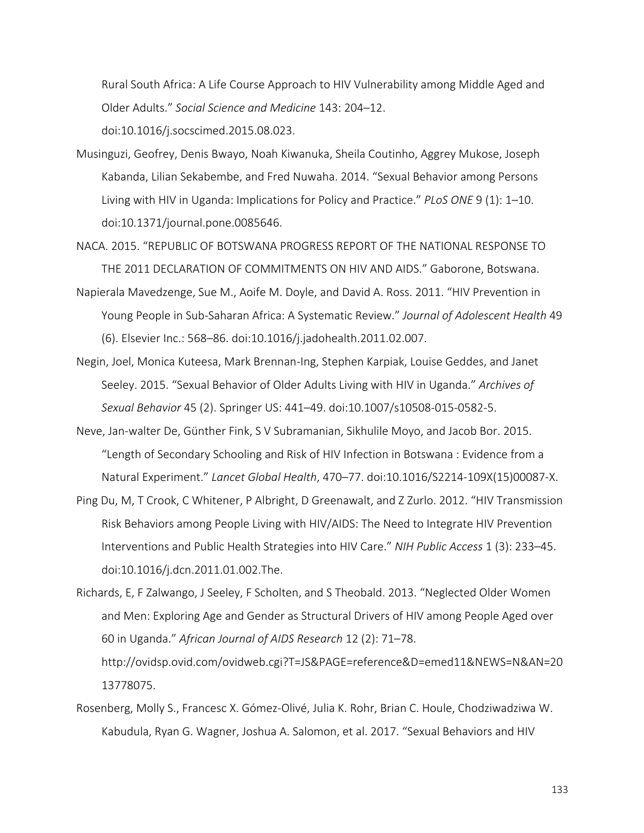Rural South Africa: A Life Course Approach to HIV Vulnerability among Middle Aged and Older Adults." *Social Science and Medicine* 143: 204–12.

doi:10.1016/j.socscimed.2015.08.023.

- Musinguzi, Geofrey, Denis Bwayo, Noah Kiwanuka, Sheila Coutinho, Aggrey Mukose, Joseph Kabanda, Lilian Sekabembe, and Fred Nuwaha. 2014. "Sexual Behavior among Persons Living with HIV in Uganda: Implications for Policy and Practice." *PLoS ONE* 9 (1): 1–10. doi:10.1371/journal.pone.0085646.
- NACA. 2015. "REPUBLIC OF BOTSWANA PROGRESS REPORT OF THE NATIONAL RESPONSE TO THE 2011 DECLARATION OF COMMITMENTS ON HIV AND AIDS." Gaborone, Botswana.
- Napierala Mavedzenge, Sue M., Aoife M. Doyle, and David A. Ross. 2011. "HIV Prevention in Young People in Sub-Saharan Africa: A Systematic Review." *Journal of Adolescent Health* 49 (6). Elsevier Inc.: 568–86. doi:10.1016/j.jadohealth.2011.02.007.
- Negin, Joel, Monica Kuteesa, Mark Brennan-Ing, Stephen Karpiak, Louise Geddes, and Janet Seeley. 2015. "Sexual Behavior of Older Adults Living with HIV in Uganda." *Archives of Sexual Behavior* 45 (2). Springer US: 441–49. doi:10.1007/s10508-015-0582-5.
- Neve, Jan-walter De, Günther Fink, S V Subramanian, Sikhulile Moyo, and Jacob Bor. 2015. "Length of Secondary Schooling and Risk of HIV Infection in Botswana : Evidence from a Natural Experiment." *Lancet Global Health*, 470–77. doi:10.1016/S2214-109X(15)00087-X.
- Ping Du, M, T Crook, C Whitener, P Albright, D Greenawalt, and Z Zurlo. 2012. "HIV Transmission Risk Behaviors among People Living with HIV/AIDS: The Need to Integrate HIV Prevention Interventions and Public Health Strategies into HIV Care." *NIH Public Access* 1 (3): 233–45. doi:10.1016/j.dcn.2011.01.002.The.
- Richards, E, F Zalwango, J Seeley, F Scholten, and S Theobald. 2013. "Neglected Older Women and Men: Exploring Age and Gender as Structural Drivers of HIV among People Aged over 60 in Uganda." *African Journal of AIDS Research* 12 (2): 71–78. http://ovidsp.ovid.com/ovidweb.cgi?T=JS&PAGE=reference&D=emed11&NEWS=N&AN=20 13778075.
- Rosenberg, Molly S., Francesc X. Gómez-Olivé, Julia K. Rohr, Brian C. Houle, Chodziwadziwa W. Kabudula, Ryan G. Wagner, Joshua A. Salomon, et al. 2017. "Sexual Behaviors and HIV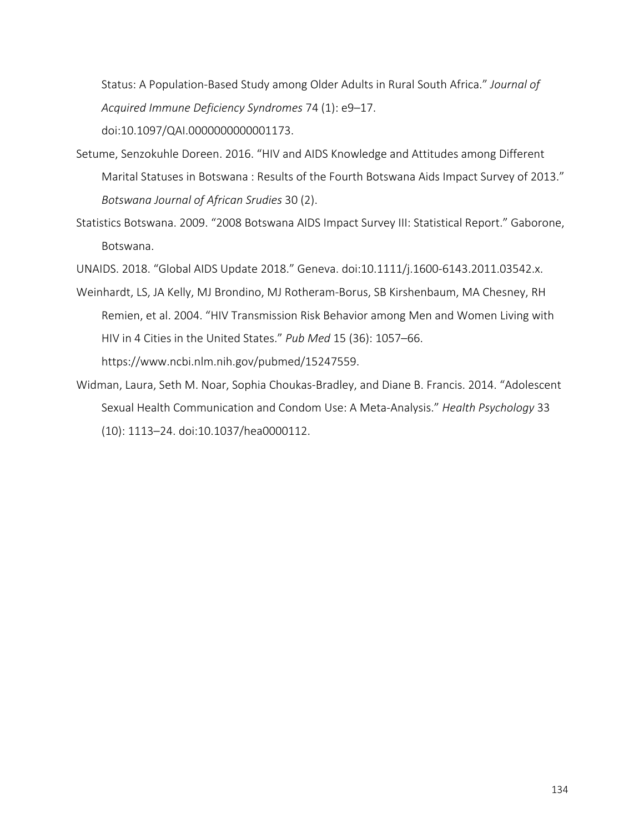Status: A Population-Based Study among Older Adults in Rural South Africa." *Journal of Acquired Immune Deficiency Syndromes* 74 (1): e9–17. doi:10.1097/QAI.0000000000001173.

- Setume, Senzokuhle Doreen. 2016. "HIV and AIDS Knowledge and Attitudes among Different Marital Statuses in Botswana : Results of the Fourth Botswana Aids Impact Survey of 2013." *Botswana Journal of African Srudies* 30 (2).
- Statistics Botswana. 2009. "2008 Botswana AIDS Impact Survey III: Statistical Report." Gaborone, Botswana.

UNAIDS. 2018. "Global AIDS Update 2018." Geneva. doi:10.1111/j.1600-6143.2011.03542.x.

- Weinhardt, LS, JA Kelly, MJ Brondino, MJ Rotheram-Borus, SB Kirshenbaum, MA Chesney, RH Remien, et al. 2004. "HIV Transmission Risk Behavior among Men and Women Living with HIV in 4 Cities in the United States." *Pub Med* 15 (36): 1057–66. https://www.ncbi.nlm.nih.gov/pubmed/15247559.
- Widman, Laura, Seth M. Noar, Sophia Choukas-Bradley, and Diane B. Francis. 2014. "Adolescent Sexual Health Communication and Condom Use: A Meta-Analysis." *Health Psychology* 33 (10): 1113–24. doi:10.1037/hea0000112.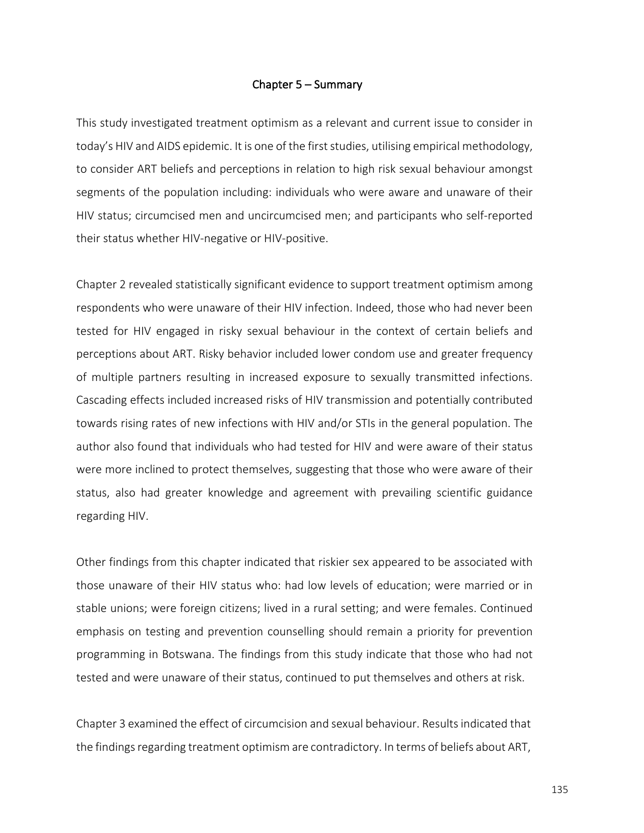## Chapter 5 – Summary

This study investigated treatment optimism as a relevant and current issue to consider in today's HIV and AIDS epidemic. It is one of the first studies, utilising empirical methodology, to consider ART beliefs and perceptions in relation to high risk sexual behaviour amongst segments of the population including: individuals who were aware and unaware of their HIV status; circumcised men and uncircumcised men; and participants who self-reported their status whether HIV-negative or HIV-positive.

Chapter 2 revealed statistically significant evidence to support treatment optimism among respondents who were unaware of their HIV infection. Indeed, those who had never been tested for HIV engaged in risky sexual behaviour in the context of certain beliefs and perceptions about ART. Risky behavior included lower condom use and greater frequency of multiple partners resulting in increased exposure to sexually transmitted infections. Cascading effects included increased risks of HIV transmission and potentially contributed towards rising rates of new infections with HIV and/or STIs in the general population. The author also found that individuals who had tested for HIV and were aware of their status were more inclined to protect themselves, suggesting that those who were aware of their status, also had greater knowledge and agreement with prevailing scientific guidance regarding HIV.

Other findings from this chapter indicated that riskier sex appeared to be associated with those unaware of their HIV status who: had low levels of education; were married or in stable unions; were foreign citizens; lived in a rural setting; and were females. Continued emphasis on testing and prevention counselling should remain a priority for prevention programming in Botswana. The findings from this study indicate that those who had not tested and were unaware of their status, continued to put themselves and others at risk.

Chapter 3 examined the effect of circumcision and sexual behaviour. Results indicated that the findings regarding treatment optimism are contradictory. In terms of beliefs about ART,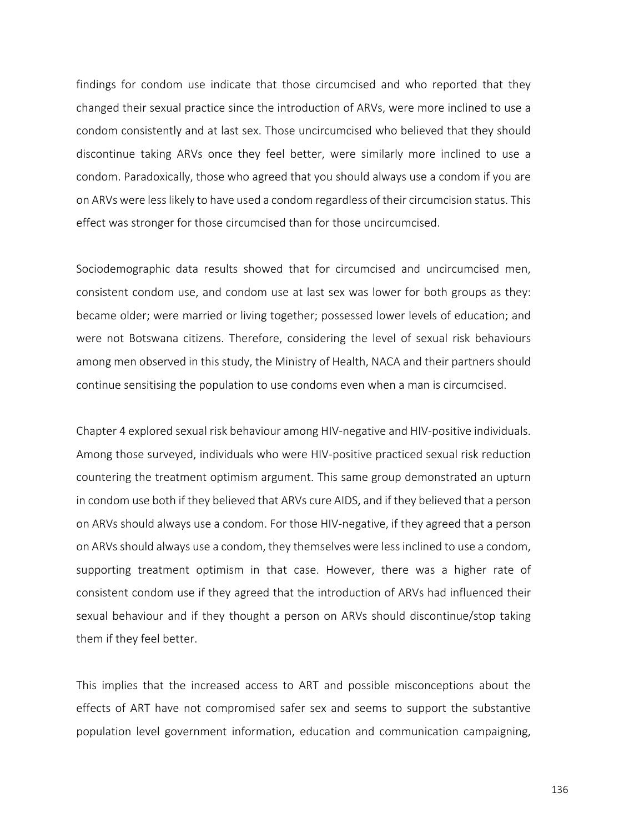findings for condom use indicate that those circumcised and who reported that they changed their sexual practice since the introduction of ARVs, were more inclined to use a condom consistently and at last sex. Those uncircumcised who believed that they should discontinue taking ARVs once they feel better, were similarly more inclined to use a condom. Paradoxically, those who agreed that you should always use a condom if you are on ARVs were less likely to have used a condom regardless of their circumcision status. This effect was stronger for those circumcised than for those uncircumcised.

Sociodemographic data results showed that for circumcised and uncircumcised men, consistent condom use, and condom use at last sex was lower for both groups as they: became older; were married or living together; possessed lower levels of education; and were not Botswana citizens. Therefore, considering the level of sexual risk behaviours among men observed in this study, the Ministry of Health, NACA and their partners should continue sensitising the population to use condoms even when a man is circumcised.

Chapter 4 explored sexual risk behaviour among HIV-negative and HIV-positive individuals. Among those surveyed, individuals who were HIV-positive practiced sexual risk reduction countering the treatment optimism argument. This same group demonstrated an upturn in condom use both if they believed that ARVs cure AIDS, and if they believed that a person on ARVs should always use a condom. For those HIV-negative, if they agreed that a person on ARVs should always use a condom, they themselves were less inclined to use a condom, supporting treatment optimism in that case. However, there was a higher rate of consistent condom use if they agreed that the introduction of ARVs had influenced their sexual behaviour and if they thought a person on ARVs should discontinue/stop taking them if they feel better.

This implies that the increased access to ART and possible misconceptions about the effects of ART have not compromised safer sex and seems to support the substantive population level government information, education and communication campaigning,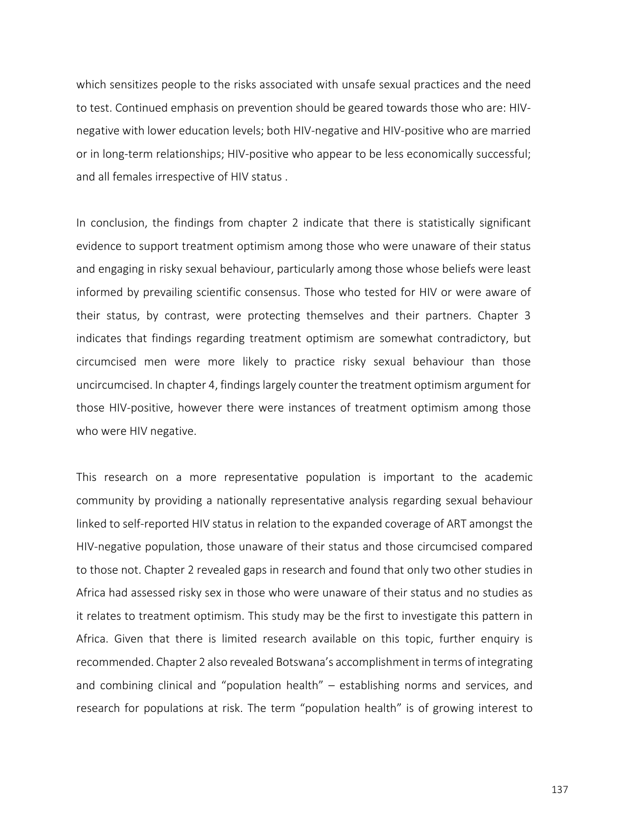which sensitizes people to the risks associated with unsafe sexual practices and the need to test. Continued emphasis on prevention should be geared towards those who are: HIVnegative with lower education levels; both HIV-negative and HIV-positive who are married or in long-term relationships; HIV-positive who appear to be less economically successful; and all females irrespective of HIV status .

In conclusion, the findings from chapter 2 indicate that there is statistically significant evidence to support treatment optimism among those who were unaware of their status and engaging in risky sexual behaviour, particularly among those whose beliefs were least informed by prevailing scientific consensus. Those who tested for HIV or were aware of their status, by contrast, were protecting themselves and their partners. Chapter 3 indicates that findings regarding treatment optimism are somewhat contradictory, but circumcised men were more likely to practice risky sexual behaviour than those uncircumcised. In chapter 4, findings largely counter the treatment optimism argument for those HIV-positive, however there were instances of treatment optimism among those who were HIV negative.

This research on a more representative population is important to the academic community by providing a nationally representative analysis regarding sexual behaviour linked to self-reported HIV status in relation to the expanded coverage of ART amongst the HIV-negative population, those unaware of their status and those circumcised compared to those not. Chapter 2 revealed gaps in research and found that only two other studies in Africa had assessed risky sex in those who were unaware of their status and no studies as it relates to treatment optimism. This study may be the first to investigate this pattern in Africa. Given that there is limited research available on this topic, further enquiry is recommended. Chapter 2 also revealed Botswana's accomplishment in terms of integrating and combining clinical and "population health" – establishing norms and services, and research for populations at risk. The term "population health" is of growing interest to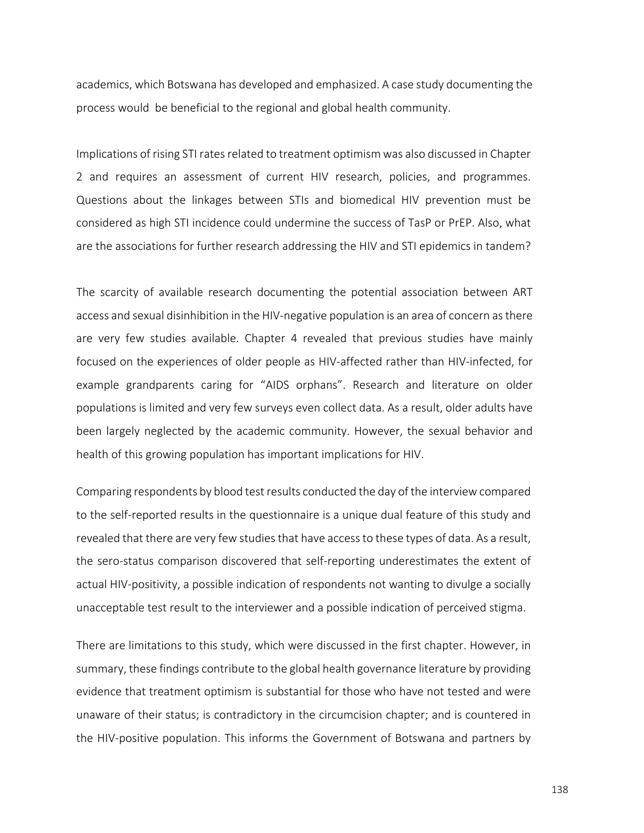academics, which Botswana has developed and emphasized. A case study documenting the process would be beneficial to the regional and global health community.

Implications of rising STI rates related to treatment optimism was also discussed in Chapter 2 and requires an assessment of current HIV research, policies, and programmes. Questions about the linkages between STIs and biomedical HIV prevention must be considered as high STI incidence could undermine the success of TasP or PrEP. Also, what are the associations for further research addressing the HIV and STI epidemics in tandem?

The scarcity of available research documenting the potential association between ART access and sexual disinhibition in the HIV-negative population is an area of concern as there are very few studies available. Chapter 4 revealed that previous studies have mainly focused on the experiences of older people as HIV-affected rather than HIV-infected, for example grandparents caring for "AIDS orphans". Research and literature on older populations is limited and very few surveys even collect data. As a result, older adults have been largely neglected by the academic community. However, the sexual behavior and health of this growing population has important implications for HIV.

Comparing respondents by blood test results conducted the day of the interview compared to the self-reported results in the questionnaire is a unique dual feature of this study and revealed that there are very few studies that have access to these types of data. As a result, the sero-status comparison discovered that self-reporting underestimates the extent of actual HIV-positivity, a possible indication of respondents not wanting to divulge a socially unacceptable test result to the interviewer and a possible indication of perceived stigma.

There are limitations to this study, which were discussed in the first chapter. However, in summary, these findings contribute to the global health governance literature by providing evidence that treatment optimism is substantial for those who have not tested and were unaware of their status; is contradictory in the circumcision chapter; and is countered in the HIV-positive population. This informs the Government of Botswana and partners by